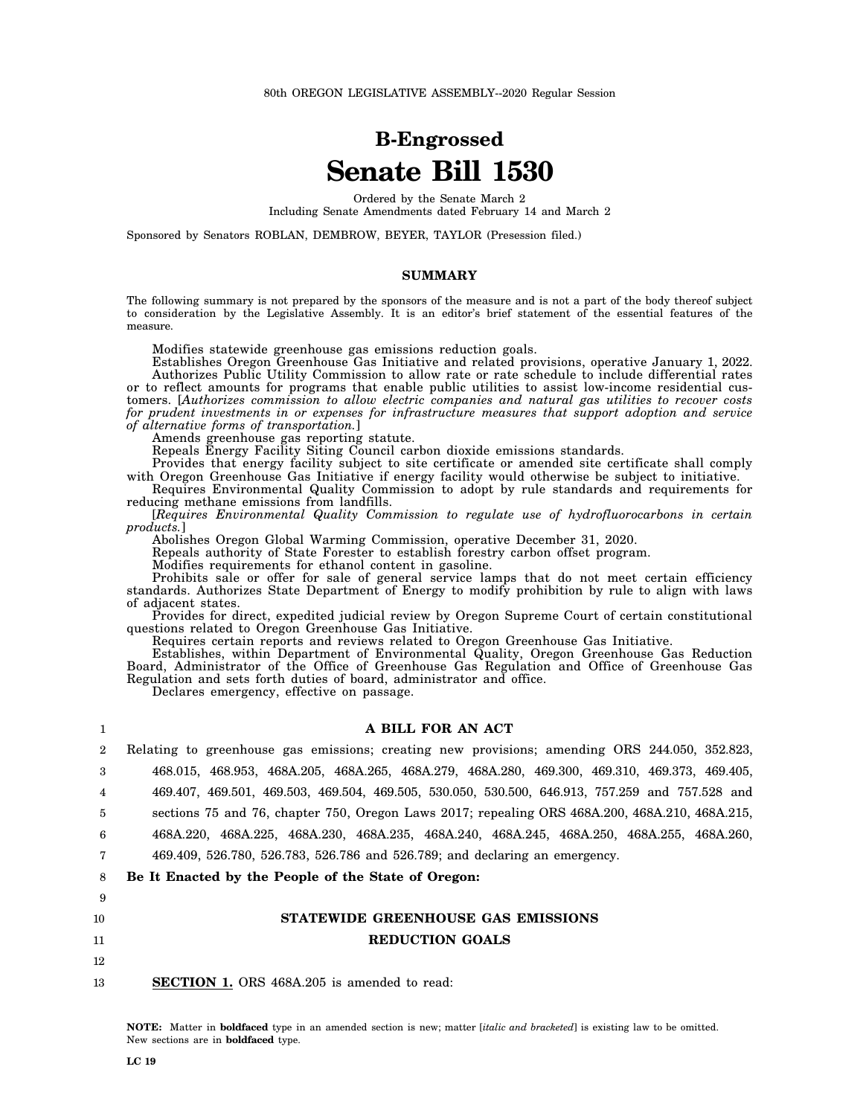# **B-Engrossed Senate Bill 1530**

Ordered by the Senate March 2 Including Senate Amendments dated February 14 and March 2

Sponsored by Senators ROBLAN, DEMBROW, BEYER, TAYLOR (Presession filed.)

#### **SUMMARY**

The following summary is not prepared by the sponsors of the measure and is not a part of the body thereof subject to consideration by the Legislative Assembly. It is an editor's brief statement of the essential features of the measure.

Modifies statewide greenhouse gas emissions reduction goals.

Establishes Oregon Greenhouse Gas Initiative and related provisions, operative January 1, 2022. Authorizes Public Utility Commission to allow rate or rate schedule to include differential rates or to reflect amounts for programs that enable public utilities to assist low-income residential customers. [*Authorizes commission to allow electric companies and natural gas utilities to recover costs for prudent investments in or expenses for infrastructure measures that support adoption and service of alternative forms of transportation.*]

Amends greenhouse gas reporting statute.

Repeals Energy Facility Siting Council carbon dioxide emissions standards.

Provides that energy facility subject to site certificate or amended site certificate shall comply with Oregon Greenhouse Gas Initiative if energy facility would otherwise be subject to initiative.

Requires Environmental Quality Commission to adopt by rule standards and requirements for reducing methane emissions from landfills.

[*Requires Environmental Quality Commission to regulate use of hydrofluorocarbons in certain products.*]

Abolishes Oregon Global Warming Commission, operative December 31, 2020.

Repeals authority of State Forester to establish forestry carbon offset program.

Modifies requirements for ethanol content in gasoline.

Prohibits sale or offer for sale of general service lamps that do not meet certain efficiency standards. Authorizes State Department of Energy to modify prohibition by rule to align with laws of adjacent states.

Provides for direct, expedited judicial review by Oregon Supreme Court of certain constitutional questions related to Oregon Greenhouse Gas Initiative.

Requires certain reports and reviews related to Oregon Greenhouse Gas Initiative.

Establishes, within Department of Environmental Quality, Oregon Greenhouse Gas Reduction Board, Administrator of the Office of Greenhouse Gas Regulation and Office of Greenhouse Gas Regulation and sets forth duties of board, administrator and office.

Declares emergency, effective on passage.

| 1  | A BILL FOR AN ACT                                                                                         |
|----|-----------------------------------------------------------------------------------------------------------|
| 2  | Relating to greenhouse gas emissions; creating new provisions; amending ORS 244.050, 352.823,             |
| 3  | 468.015, 468.953, 468A.205, 468A.265, 468A.279, 468A.280, 469.300, 469.310, 469.373, 469.405,             |
| 4  | 469, 407, 469, 501, 469, 503, 469, 504, 469, 505, 530, 606, 530, 500, 646, 913, 757, 259 and 757, 528 and |
| 5  | sections 75 and 76, chapter 750, Oregon Laws 2017; repealing ORS 468A.200, 468A.210, 468A.215,            |
| 6  | 468A.220, 468A.225, 468A.230, 468A.235, 468A.240, 468A.245, 468A.250, 468A.255, 468A.260,                 |
|    | 469.409, 526.780, 526.783, 526.786 and 526.789; and declaring an emergency.                               |
| 8  | Be It Enacted by the People of the State of Oregon:                                                       |
| 9  |                                                                                                           |
| 10 | STATEWIDE GREENHOUSE GAS EMISSIONS                                                                        |
| 11 | <b>REDUCTION GOALS</b>                                                                                    |
| 12 |                                                                                                           |
| 13 | <b>SECTION 1.</b> ORS 468A.205 is amended to read:                                                        |

**NOTE:** Matter in **boldfaced** type in an amended section is new; matter [*italic and bracketed*] is existing law to be omitted. New sections are in **boldfaced** type.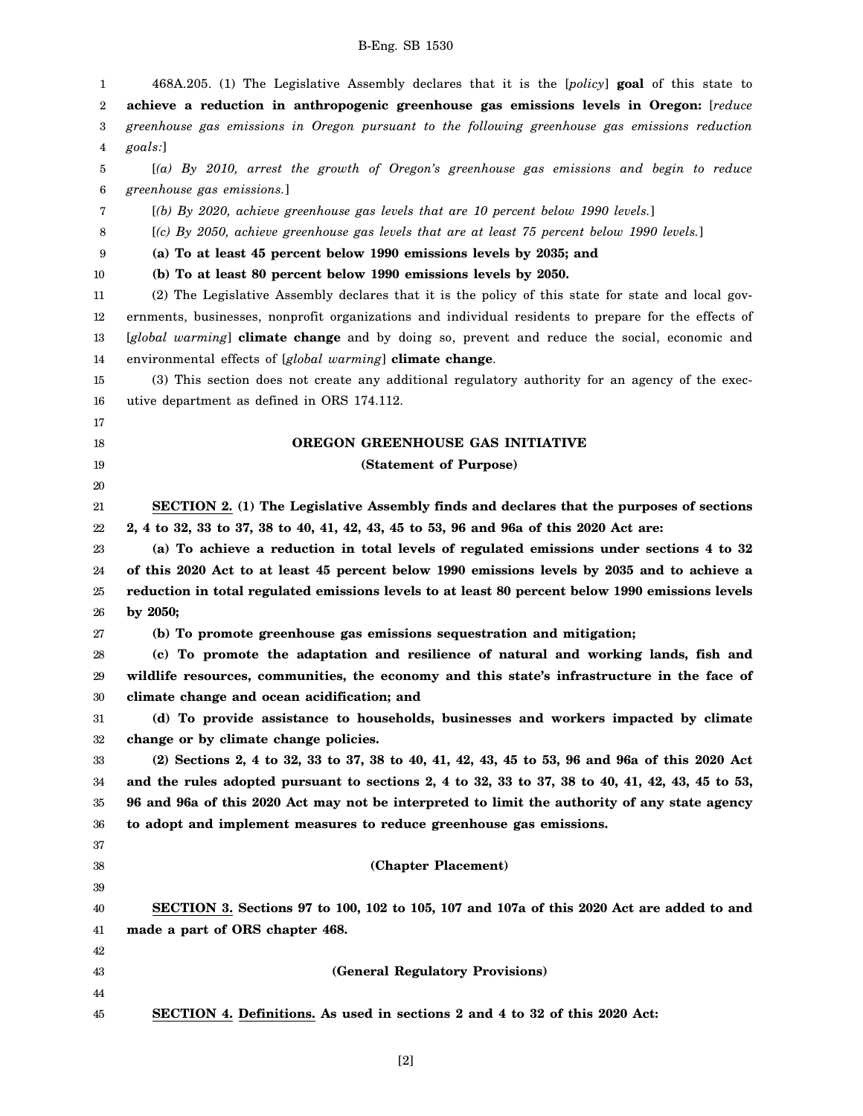| 1  | 468A.205. (1) The Legislative Assembly declares that it is the [policy] goal of this state to              |
|----|------------------------------------------------------------------------------------------------------------|
| 2  | achieve a reduction in anthropogenic greenhouse gas emissions levels in Oregon: [reduce                    |
| 3  | greenhouse gas emissions in Oregon pursuant to the following greenhouse gas emissions reduction            |
| 4  | goals:]                                                                                                    |
| 5  | $\left[\left(a\right)$ By 2010, arrest the growth of Oregon's greenhouse gas emissions and begin to reduce |
| 6  | greenhouse gas emissions.]                                                                                 |
| 7  | [(b) By 2020, achieve greenhouse gas levels that are 10 percent below 1990 levels.]                        |
| 8  | [(c) By 2050, achieve greenhouse gas levels that are at least 75 percent below 1990 levels.]               |
| 9  | (a) To at least 45 percent below 1990 emissions levels by 2035; and                                        |
| 10 | (b) To at least 80 percent below 1990 emissions levels by 2050.                                            |
| 11 | (2) The Legislative Assembly declares that it is the policy of this state for state and local gov-         |
| 12 | ernments, businesses, nonprofit organizations and individual residents to prepare for the effects of       |
| 13 | [global warming] climate change and by doing so, prevent and reduce the social, economic and               |
| 14 | environmental effects of [global warming] climate change.                                                  |
| 15 | (3) This section does not create any additional regulatory authority for an agency of the exec-            |
| 16 | utive department as defined in ORS 174.112.                                                                |
| 17 |                                                                                                            |
| 18 | OREGON GREENHOUSE GAS INITIATIVE                                                                           |
| 19 | (Statement of Purpose)                                                                                     |
| 20 |                                                                                                            |
| 21 | SECTION 2. (1) The Legislative Assembly finds and declares that the purposes of sections                   |
| 22 | 2, 4 to 32, 33 to 37, 38 to 40, 41, 42, 43, 45 to 53, 96 and 96a of this 2020 Act are:                     |
| 23 | (a) To achieve a reduction in total levels of regulated emissions under sections 4 to 32                   |
| 24 | of this 2020 Act to at least 45 percent below 1990 emissions levels by 2035 and to achieve a               |
| 25 | reduction in total regulated emissions levels to at least 80 percent below 1990 emissions levels           |
| 26 | by 2050;                                                                                                   |
| 27 | (b) To promote greenhouse gas emissions sequestration and mitigation;                                      |
| 28 | (c) To promote the adaptation and resilience of natural and working lands, fish and                        |
| 29 | wildlife resources, communities, the economy and this state's infrastructure in the face of                |
| 30 | climate change and ocean acidification; and                                                                |
| 31 | (d) To provide assistance to households, businesses and workers impacted by climate                        |
| 32 | change or by climate change policies.                                                                      |
| 33 | (2) Sections 2, 4 to 32, 33 to 37, 38 to 40, 41, 42, 43, 45 to 53, 96 and 96a of this 2020 Act             |
| 34 | and the rules adopted pursuant to sections 2, 4 to 32, 33 to 37, 38 to 40, 41, 42, 43, 45 to 53,           |
| 35 | 96 and 96a of this 2020 Act may not be interpreted to limit the authority of any state agency              |
| 36 | to adopt and implement measures to reduce greenhouse gas emissions.                                        |
| 37 |                                                                                                            |
| 38 | (Chapter Placement)                                                                                        |
| 39 |                                                                                                            |
| 40 | SECTION 3. Sections 97 to 100, 102 to 105, 107 and 107a of this 2020 Act are added to and                  |
| 41 | made a part of ORS chapter 468.                                                                            |
| 42 |                                                                                                            |
| 43 | (General Regulatory Provisions)                                                                            |
| 44 |                                                                                                            |
| 45 | SECTION 4. Definitions. As used in sections 2 and 4 to 32 of this 2020 Act:                                |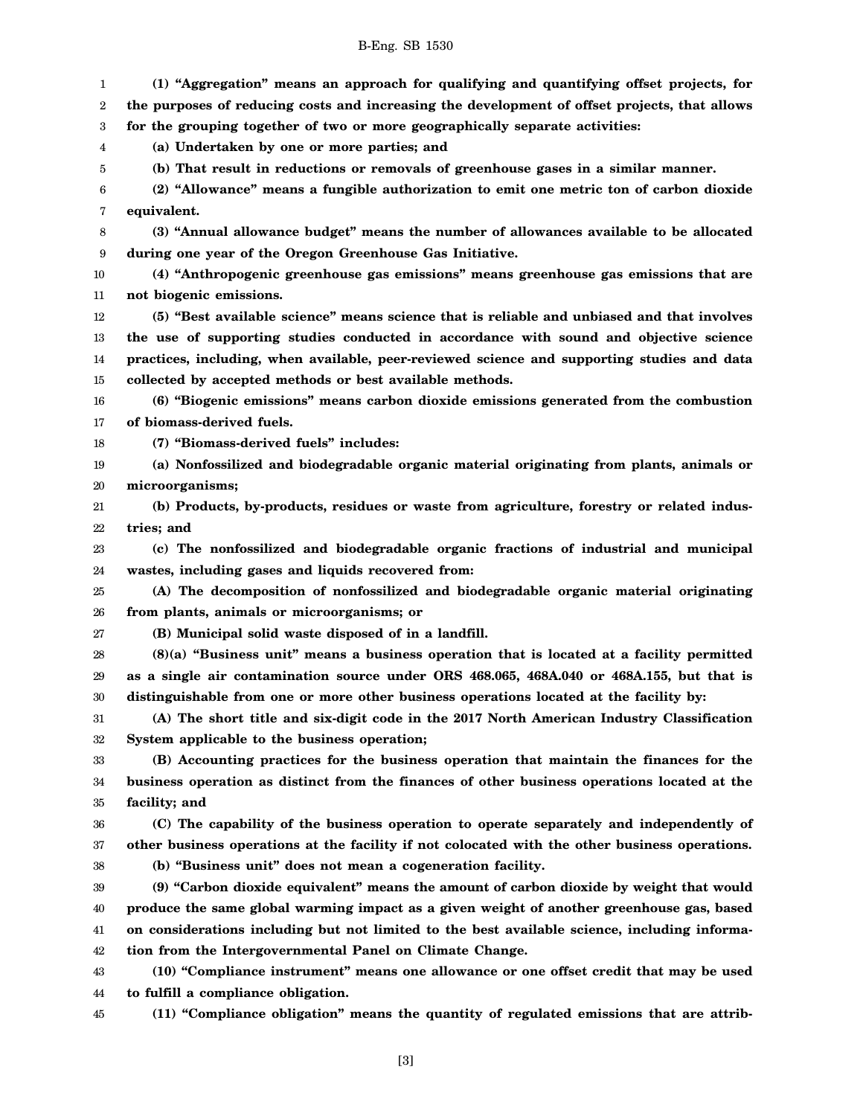1 2 3 4 5 6 7 8 9 10 11 12 13 14 15 16 17 18 19 20 21 22 23 24 25 26 27 28 29 30 31 32 33 34 35 36 37 38 39 40 41 42 43 44 45 **(1) "Aggregation" means an approach for qualifying and quantifying offset projects, for the purposes of reducing costs and increasing the development of offset projects, that allows for the grouping together of two or more geographically separate activities: (a) Undertaken by one or more parties; and (b) That result in reductions or removals of greenhouse gases in a similar manner. (2) "Allowance" means a fungible authorization to emit one metric ton of carbon dioxide equivalent. (3) "Annual allowance budget" means the number of allowances available to be allocated during one year of the Oregon Greenhouse Gas Initiative. (4) "Anthropogenic greenhouse gas emissions" means greenhouse gas emissions that are not biogenic emissions. (5) "Best available science" means science that is reliable and unbiased and that involves the use of supporting studies conducted in accordance with sound and objective science practices, including, when available, peer-reviewed science and supporting studies and data collected by accepted methods or best available methods. (6) "Biogenic emissions" means carbon dioxide emissions generated from the combustion of biomass-derived fuels. (7) "Biomass-derived fuels" includes: (a) Nonfossilized and biodegradable organic material originating from plants, animals or microorganisms; (b) Products, by-products, residues or waste from agriculture, forestry or related industries; and (c) The nonfossilized and biodegradable organic fractions of industrial and municipal wastes, including gases and liquids recovered from: (A) The decomposition of nonfossilized and biodegradable organic material originating from plants, animals or microorganisms; or (B) Municipal solid waste disposed of in a landfill. (8)(a) "Business unit" means a business operation that is located at a facility permitted as a single air contamination source under ORS 468.065, 468A.040 or 468A.155, but that is distinguishable from one or more other business operations located at the facility by: (A) The short title and six-digit code in the 2017 North American Industry Classification System applicable to the business operation; (B) Accounting practices for the business operation that maintain the finances for the business operation as distinct from the finances of other business operations located at the facility; and (C) The capability of the business operation to operate separately and independently of other business operations at the facility if not colocated with the other business operations. (b) "Business unit" does not mean a cogeneration facility. (9) "Carbon dioxide equivalent" means the amount of carbon dioxide by weight that would produce the same global warming impact as a given weight of another greenhouse gas, based on considerations including but not limited to the best available science, including information from the Intergovernmental Panel on Climate Change. (10) "Compliance instrument" means one allowance or one offset credit that may be used to fulfill a compliance obligation. (11) "Compliance obligation" means the quantity of regulated emissions that are attrib-**

B-Eng. SB 1530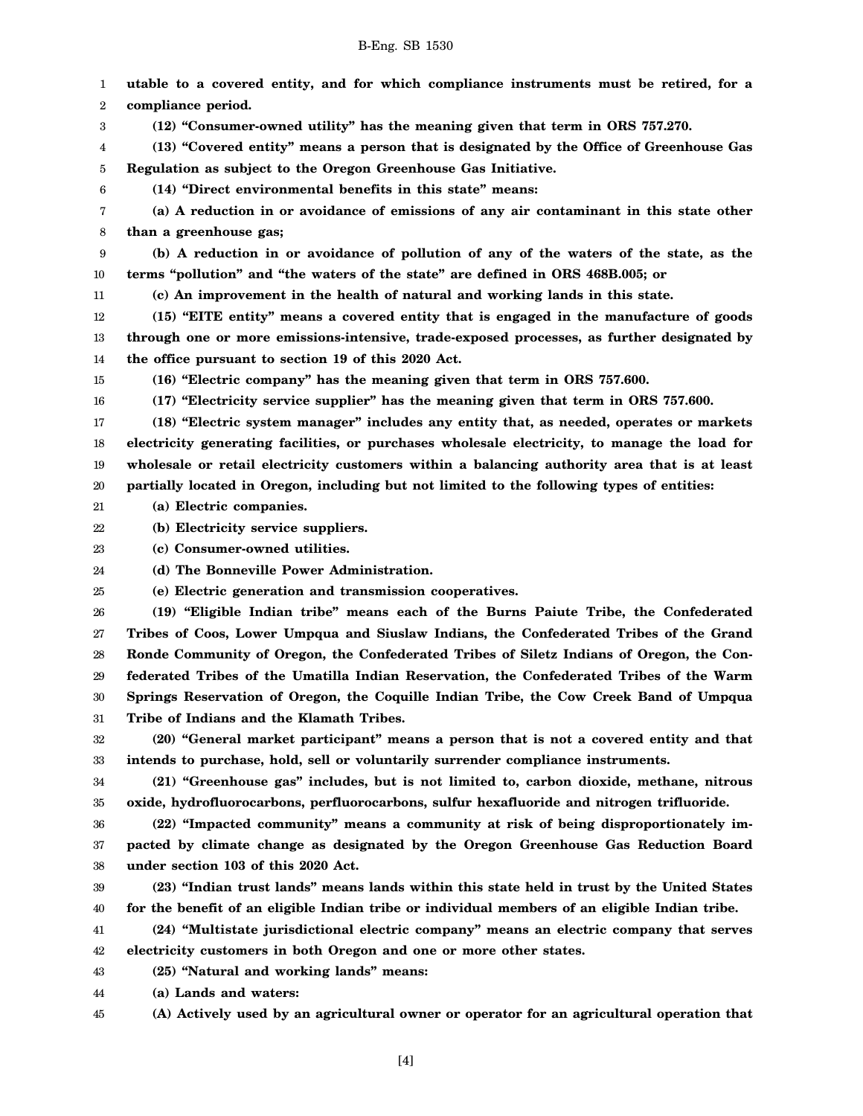1 2 3 4 5 6 7 8 9 10 11 12 13 14 15 16 17 18 19 20 21 22 23 24 25 26 27 28 29 30 31 32 33 34 35 36 37 38 39 40 41 42 43 44 45 **utable to a covered entity, and for which compliance instruments must be retired, for a compliance period. (12) "Consumer-owned utility" has the meaning given that term in ORS 757.270. (13) "Covered entity" means a person that is designated by the Office of Greenhouse Gas Regulation as subject to the Oregon Greenhouse Gas Initiative. (14) "Direct environmental benefits in this state" means: (a) A reduction in or avoidance of emissions of any air contaminant in this state other than a greenhouse gas; (b) A reduction in or avoidance of pollution of any of the waters of the state, as the terms "pollution" and "the waters of the state" are defined in ORS 468B.005; or (c) An improvement in the health of natural and working lands in this state. (15) "EITE entity" means a covered entity that is engaged in the manufacture of goods through one or more emissions-intensive, trade-exposed processes, as further designated by the office pursuant to section 19 of this 2020 Act. (16) "Electric company" has the meaning given that term in ORS 757.600. (17) "Electricity service supplier" has the meaning given that term in ORS 757.600. (18) "Electric system manager" includes any entity that, as needed, operates or markets electricity generating facilities, or purchases wholesale electricity, to manage the load for wholesale or retail electricity customers within a balancing authority area that is at least partially located in Oregon, including but not limited to the following types of entities: (a) Electric companies. (b) Electricity service suppliers. (c) Consumer-owned utilities. (d) The Bonneville Power Administration. (e) Electric generation and transmission cooperatives. (19) "Eligible Indian tribe" means each of the Burns Paiute Tribe, the Confederated Tribes of Coos, Lower Umpqua and Siuslaw Indians, the Confederated Tribes of the Grand Ronde Community of Oregon, the Confederated Tribes of Siletz Indians of Oregon, the Confederated Tribes of the Umatilla Indian Reservation, the Confederated Tribes of the Warm Springs Reservation of Oregon, the Coquille Indian Tribe, the Cow Creek Band of Umpqua Tribe of Indians and the Klamath Tribes. (20) "General market participant" means a person that is not a covered entity and that intends to purchase, hold, sell or voluntarily surrender compliance instruments. (21) "Greenhouse gas" includes, but is not limited to, carbon dioxide, methane, nitrous oxide, hydrofluorocarbons, perfluorocarbons, sulfur hexafluoride and nitrogen trifluoride. (22) "Impacted community" means a community at risk of being disproportionately impacted by climate change as designated by the Oregon Greenhouse Gas Reduction Board under section 103 of this 2020 Act. (23) "Indian trust lands" means lands within this state held in trust by the United States for the benefit of an eligible Indian tribe or individual members of an eligible Indian tribe. (24) "Multistate jurisdictional electric company" means an electric company that serves electricity customers in both Oregon and one or more other states. (25) "Natural and working lands" means: (a) Lands and waters: (A) Actively used by an agricultural owner or operator for an agricultural operation that**

B-Eng. SB 1530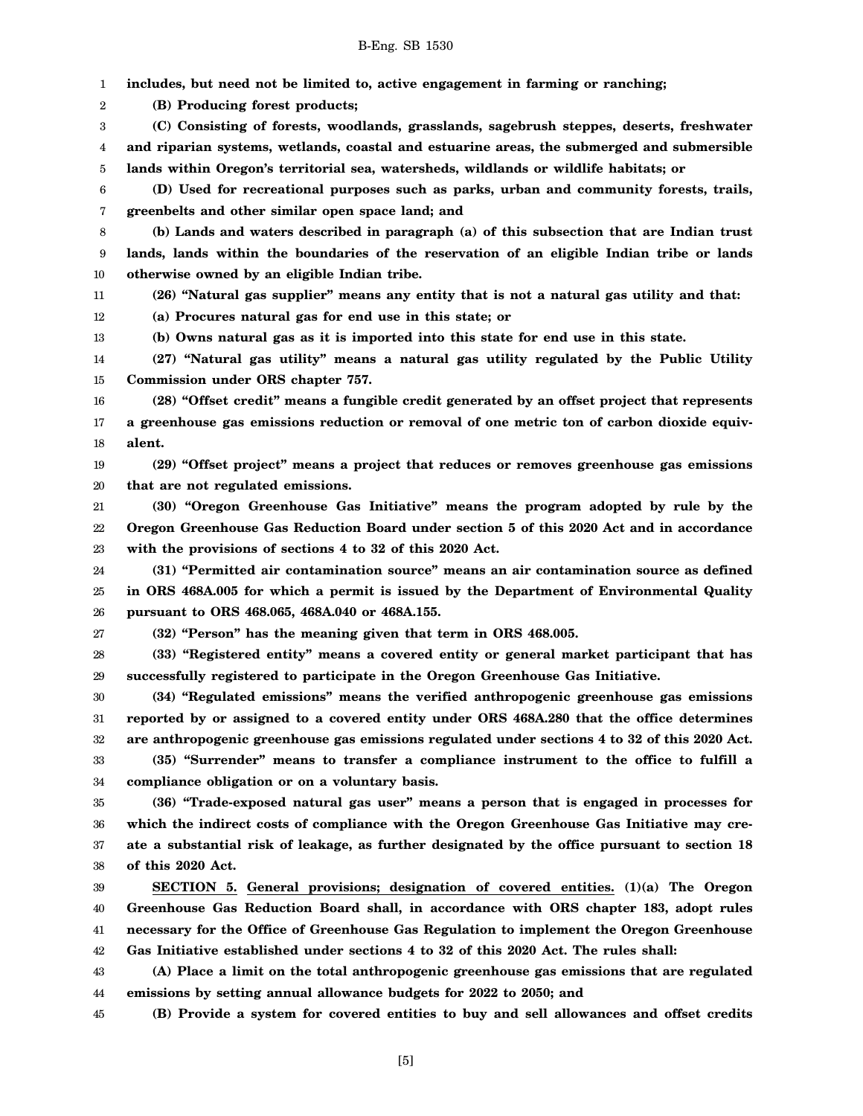1 **includes, but need not be limited to, active engagement in farming or ranching;**

2 **(B) Producing forest products;**

3 4 5 **(C) Consisting of forests, woodlands, grasslands, sagebrush steppes, deserts, freshwater and riparian systems, wetlands, coastal and estuarine areas, the submerged and submersible lands within Oregon's territorial sea, watersheds, wildlands or wildlife habitats; or**

6 7 **(D) Used for recreational purposes such as parks, urban and community forests, trails, greenbelts and other similar open space land; and**

8 9 10 **(b) Lands and waters described in paragraph (a) of this subsection that are Indian trust lands, lands within the boundaries of the reservation of an eligible Indian tribe or lands otherwise owned by an eligible Indian tribe.**

11 **(26) "Natural gas supplier" means any entity that is not a natural gas utility and that:**

12 **(a) Procures natural gas for end use in this state; or**

13 **(b) Owns natural gas as it is imported into this state for end use in this state.**

14 15 **(27) "Natural gas utility" means a natural gas utility regulated by the Public Utility Commission under ORS chapter 757.**

16 17 18 **(28) "Offset credit" means a fungible credit generated by an offset project that represents a greenhouse gas emissions reduction or removal of one metric ton of carbon dioxide equivalent.**

19 20 **(29) "Offset project" means a project that reduces or removes greenhouse gas emissions that are not regulated emissions.**

21 22 23 **(30) "Oregon Greenhouse Gas Initiative" means the program adopted by rule by the Oregon Greenhouse Gas Reduction Board under section 5 of this 2020 Act and in accordance with the provisions of sections 4 to 32 of this 2020 Act.**

24 25 26 **(31) "Permitted air contamination source" means an air contamination source as defined in ORS 468A.005 for which a permit is issued by the Department of Environmental Quality pursuant to ORS 468.065, 468A.040 or 468A.155.**

27

**(32) "Person" has the meaning given that term in ORS 468.005.**

28 29 **(33) "Registered entity" means a covered entity or general market participant that has successfully registered to participate in the Oregon Greenhouse Gas Initiative.**

30 31 32 **(34) "Regulated emissions" means the verified anthropogenic greenhouse gas emissions reported by or assigned to a covered entity under ORS 468A.280 that the office determines are anthropogenic greenhouse gas emissions regulated under sections 4 to 32 of this 2020 Act.**

33 34 **(35) "Surrender" means to transfer a compliance instrument to the office to fulfill a compliance obligation or on a voluntary basis.**

35 36 37 38 **(36) "Trade-exposed natural gas user" means a person that is engaged in processes for which the indirect costs of compliance with the Oregon Greenhouse Gas Initiative may create a substantial risk of leakage, as further designated by the office pursuant to section 18 of this 2020 Act.**

39 40 41 42 **SECTION 5. General provisions; designation of covered entities. (1)(a) The Oregon Greenhouse Gas Reduction Board shall, in accordance with ORS chapter 183, adopt rules necessary for the Office of Greenhouse Gas Regulation to implement the Oregon Greenhouse Gas Initiative established under sections 4 to 32 of this 2020 Act. The rules shall:**

43 44 **(A) Place a limit on the total anthropogenic greenhouse gas emissions that are regulated emissions by setting annual allowance budgets for 2022 to 2050; and**

45 **(B) Provide a system for covered entities to buy and sell allowances and offset credits**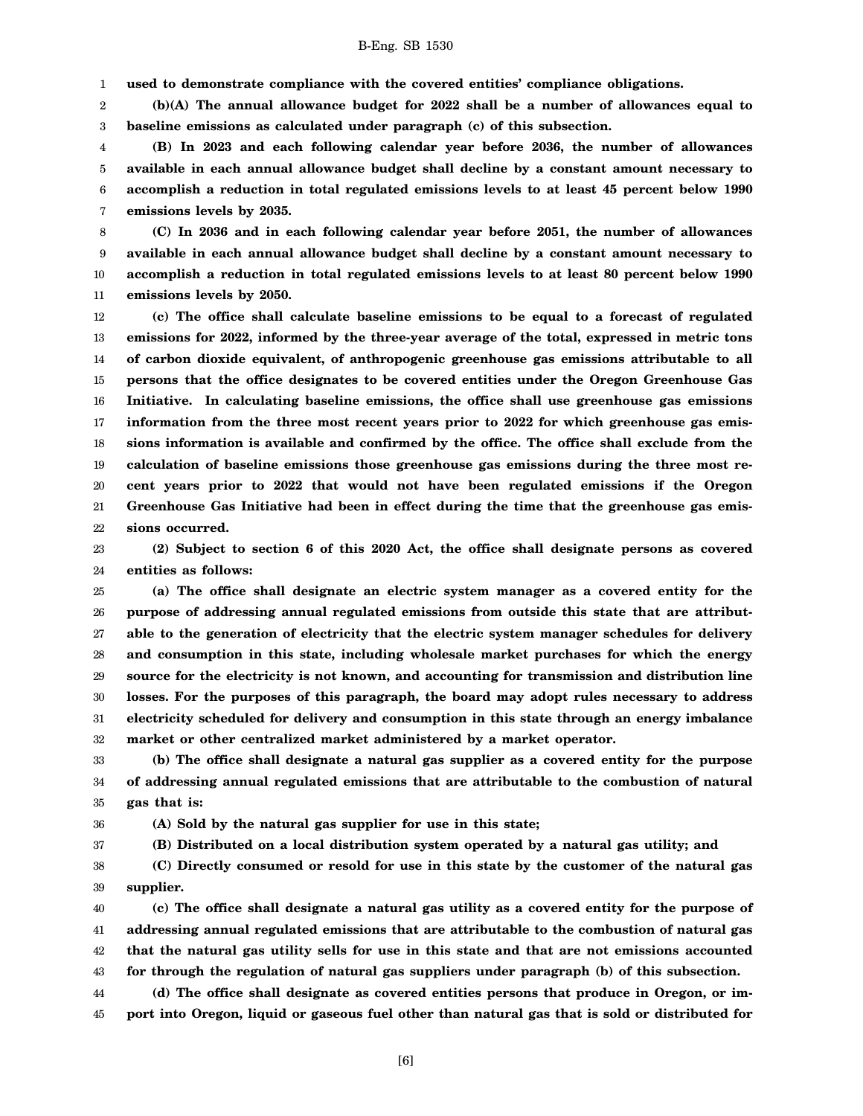1 **used to demonstrate compliance with the covered entities' compliance obligations.**

2 3 **(b)(A) The annual allowance budget for 2022 shall be a number of allowances equal to baseline emissions as calculated under paragraph (c) of this subsection.**

4 5 6 7 **(B) In 2023 and each following calendar year before 2036, the number of allowances available in each annual allowance budget shall decline by a constant amount necessary to accomplish a reduction in total regulated emissions levels to at least 45 percent below 1990 emissions levels by 2035.**

8 9 10 11 **(C) In 2036 and in each following calendar year before 2051, the number of allowances available in each annual allowance budget shall decline by a constant amount necessary to accomplish a reduction in total regulated emissions levels to at least 80 percent below 1990 emissions levels by 2050.**

12 13 14 15 16 17 18 19 20 21 22 **(c) The office shall calculate baseline emissions to be equal to a forecast of regulated emissions for 2022, informed by the three-year average of the total, expressed in metric tons of carbon dioxide equivalent, of anthropogenic greenhouse gas emissions attributable to all persons that the office designates to be covered entities under the Oregon Greenhouse Gas Initiative. In calculating baseline emissions, the office shall use greenhouse gas emissions information from the three most recent years prior to 2022 for which greenhouse gas emissions information is available and confirmed by the office. The office shall exclude from the calculation of baseline emissions those greenhouse gas emissions during the three most recent years prior to 2022 that would not have been regulated emissions if the Oregon Greenhouse Gas Initiative had been in effect during the time that the greenhouse gas emissions occurred.**

23 24 **(2) Subject to section 6 of this 2020 Act, the office shall designate persons as covered entities as follows:**

25 26 27 28 29 30 31 32 **(a) The office shall designate an electric system manager as a covered entity for the purpose of addressing annual regulated emissions from outside this state that are attributable to the generation of electricity that the electric system manager schedules for delivery and consumption in this state, including wholesale market purchases for which the energy source for the electricity is not known, and accounting for transmission and distribution line losses. For the purposes of this paragraph, the board may adopt rules necessary to address electricity scheduled for delivery and consumption in this state through an energy imbalance market or other centralized market administered by a market operator.**

33 34 35 **(b) The office shall designate a natural gas supplier as a covered entity for the purpose of addressing annual regulated emissions that are attributable to the combustion of natural gas that is:**

36 **(A) Sold by the natural gas supplier for use in this state;**

37 **(B) Distributed on a local distribution system operated by a natural gas utility; and**

38 39 **(C) Directly consumed or resold for use in this state by the customer of the natural gas supplier.**

40 41 42 43 44 **(c) The office shall designate a natural gas utility as a covered entity for the purpose of addressing annual regulated emissions that are attributable to the combustion of natural gas that the natural gas utility sells for use in this state and that are not emissions accounted for through the regulation of natural gas suppliers under paragraph (b) of this subsection. (d) The office shall designate as covered entities persons that produce in Oregon, or im-**

45 **port into Oregon, liquid or gaseous fuel other than natural gas that is sold or distributed for**

[6]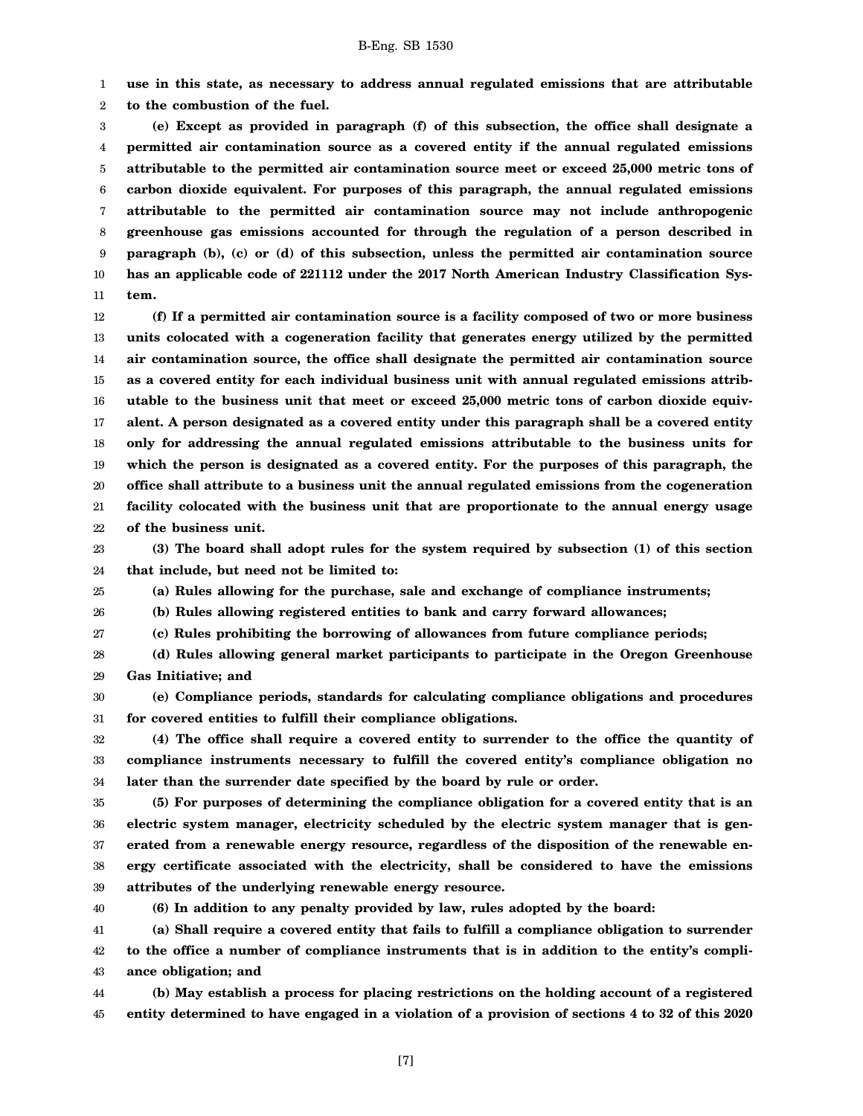1 2 **use in this state, as necessary to address annual regulated emissions that are attributable to the combustion of the fuel.**

3 4 5 6 7 8 9 10 11 **(e) Except as provided in paragraph (f) of this subsection, the office shall designate a permitted air contamination source as a covered entity if the annual regulated emissions attributable to the permitted air contamination source meet or exceed 25,000 metric tons of carbon dioxide equivalent. For purposes of this paragraph, the annual regulated emissions attributable to the permitted air contamination source may not include anthropogenic greenhouse gas emissions accounted for through the regulation of a person described in paragraph (b), (c) or (d) of this subsection, unless the permitted air contamination source has an applicable code of 221112 under the 2017 North American Industry Classification System.**

12 13 14 15 16 17 18 19 20 21 22 **(f) If a permitted air contamination source is a facility composed of two or more business units colocated with a cogeneration facility that generates energy utilized by the permitted air contamination source, the office shall designate the permitted air contamination source as a covered entity for each individual business unit with annual regulated emissions attributable to the business unit that meet or exceed 25,000 metric tons of carbon dioxide equivalent. A person designated as a covered entity under this paragraph shall be a covered entity only for addressing the annual regulated emissions attributable to the business units for which the person is designated as a covered entity. For the purposes of this paragraph, the office shall attribute to a business unit the annual regulated emissions from the cogeneration facility colocated with the business unit that are proportionate to the annual energy usage of the business unit.**

23 24 **(3) The board shall adopt rules for the system required by subsection (1) of this section that include, but need not be limited to:**

25 **(a) Rules allowing for the purchase, sale and exchange of compliance instruments;**

26 **(b) Rules allowing registered entities to bank and carry forward allowances;**

27 **(c) Rules prohibiting the borrowing of allowances from future compliance periods;**

28 29 **(d) Rules allowing general market participants to participate in the Oregon Greenhouse Gas Initiative; and**

30 31 **(e) Compliance periods, standards for calculating compliance obligations and procedures for covered entities to fulfill their compliance obligations.**

32 33 34 **(4) The office shall require a covered entity to surrender to the office the quantity of compliance instruments necessary to fulfill the covered entity's compliance obligation no later than the surrender date specified by the board by rule or order.**

35 36 37 38 39 **(5) For purposes of determining the compliance obligation for a covered entity that is an electric system manager, electricity scheduled by the electric system manager that is generated from a renewable energy resource, regardless of the disposition of the renewable energy certificate associated with the electricity, shall be considered to have the emissions attributes of the underlying renewable energy resource.**

40

**(6) In addition to any penalty provided by law, rules adopted by the board:**

41 42 43 **(a) Shall require a covered entity that fails to fulfill a compliance obligation to surrender to the office a number of compliance instruments that is in addition to the entity's compliance obligation; and**

44 45 **(b) May establish a process for placing restrictions on the holding account of a registered entity determined to have engaged in a violation of a provision of sections 4 to 32 of this 2020**

[7]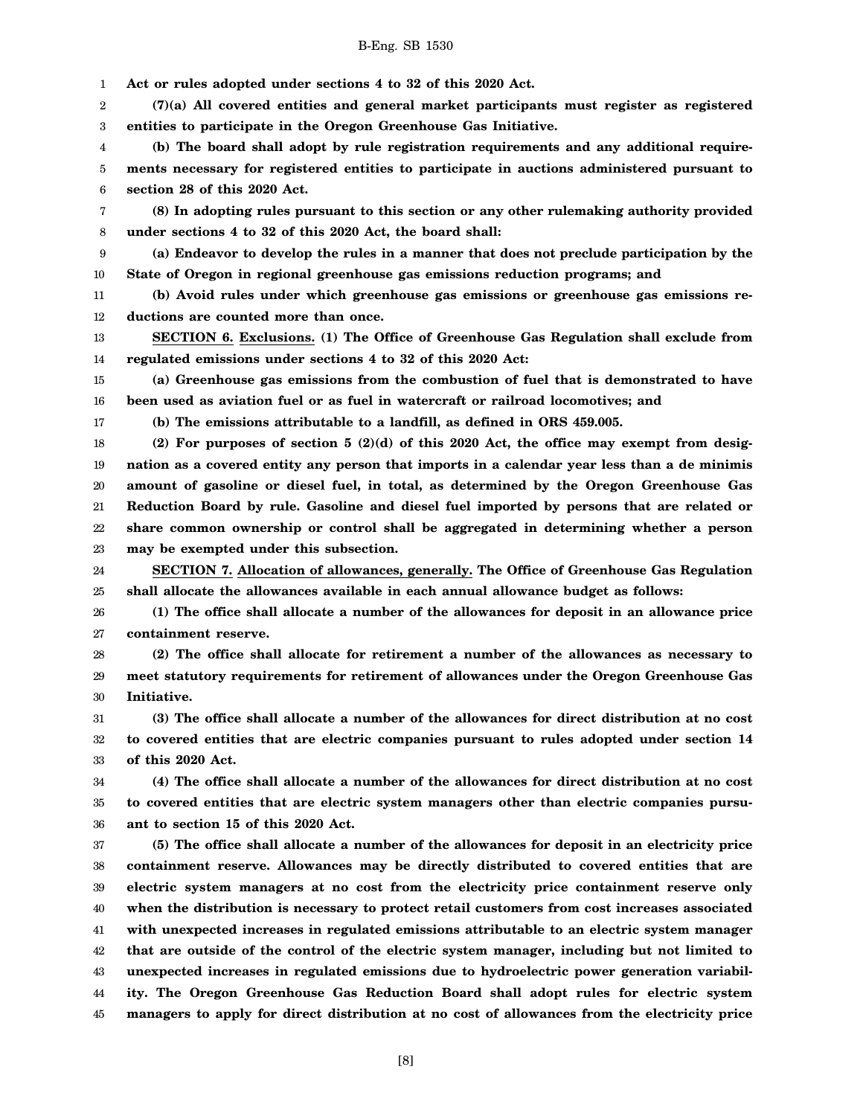|  | <b>B-Eng. SB 1530</b> |  |  |
|--|-----------------------|--|--|
|--|-----------------------|--|--|

1 **Act or rules adopted under sections 4 to 32 of this 2020 Act.**

2 3 **(7)(a) All covered entities and general market participants must register as registered entities to participate in the Oregon Greenhouse Gas Initiative.**

4 5 6 **(b) The board shall adopt by rule registration requirements and any additional requirements necessary for registered entities to participate in auctions administered pursuant to section 28 of this 2020 Act.**

7 8 **(8) In adopting rules pursuant to this section or any other rulemaking authority provided under sections 4 to 32 of this 2020 Act, the board shall:**

9 10 **(a) Endeavor to develop the rules in a manner that does not preclude participation by the State of Oregon in regional greenhouse gas emissions reduction programs; and**

11 12 **(b) Avoid rules under which greenhouse gas emissions or greenhouse gas emissions reductions are counted more than once.**

13 14 **SECTION 6. Exclusions. (1) The Office of Greenhouse Gas Regulation shall exclude from regulated emissions under sections 4 to 32 of this 2020 Act:**

15 16 **(a) Greenhouse gas emissions from the combustion of fuel that is demonstrated to have been used as aviation fuel or as fuel in watercraft or railroad locomotives; and**

17

**(b) The emissions attributable to a landfill, as defined in ORS 459.005.**

18 19 20 21 22 23 **(2) For purposes of section 5 (2)(d) of this 2020 Act, the office may exempt from designation as a covered entity any person that imports in a calendar year less than a de minimis amount of gasoline or diesel fuel, in total, as determined by the Oregon Greenhouse Gas Reduction Board by rule. Gasoline and diesel fuel imported by persons that are related or share common ownership or control shall be aggregated in determining whether a person may be exempted under this subsection.**

24 25 **SECTION 7. Allocation of allowances, generally. The Office of Greenhouse Gas Regulation shall allocate the allowances available in each annual allowance budget as follows:**

26 27 **(1) The office shall allocate a number of the allowances for deposit in an allowance price containment reserve.**

28 29 30 **(2) The office shall allocate for retirement a number of the allowances as necessary to meet statutory requirements for retirement of allowances under the Oregon Greenhouse Gas Initiative.**

31 32 33 **(3) The office shall allocate a number of the allowances for direct distribution at no cost to covered entities that are electric companies pursuant to rules adopted under section 14 of this 2020 Act.**

34 35 36 **(4) The office shall allocate a number of the allowances for direct distribution at no cost to covered entities that are electric system managers other than electric companies pursuant to section 15 of this 2020 Act.**

37 38 39 40 41 42 43 44 45 **(5) The office shall allocate a number of the allowances for deposit in an electricity price containment reserve. Allowances may be directly distributed to covered entities that are electric system managers at no cost from the electricity price containment reserve only when the distribution is necessary to protect retail customers from cost increases associated with unexpected increases in regulated emissions attributable to an electric system manager that are outside of the control of the electric system manager, including but not limited to unexpected increases in regulated emissions due to hydroelectric power generation variability. The Oregon Greenhouse Gas Reduction Board shall adopt rules for electric system managers to apply for direct distribution at no cost of allowances from the electricity price**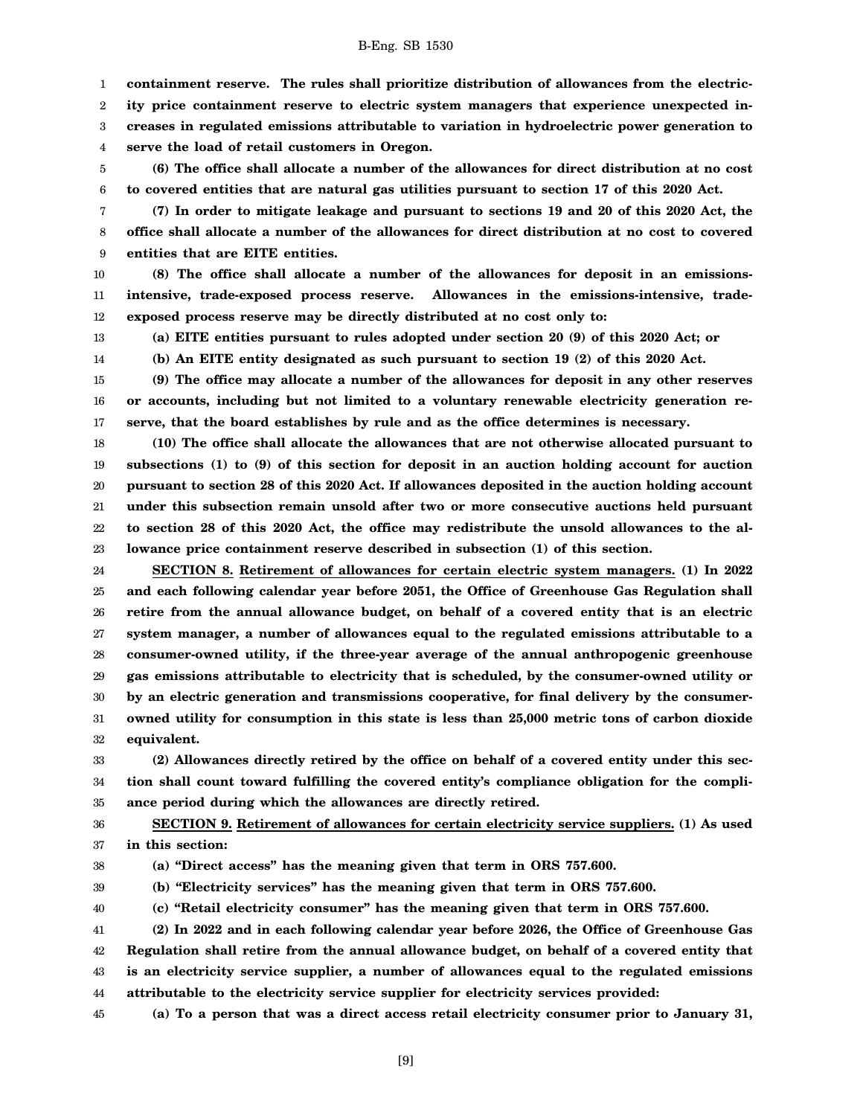1 **containment reserve. The rules shall prioritize distribution of allowances from the electric-**

2 **ity price containment reserve to electric system managers that experience unexpected in-**

3 **creases in regulated emissions attributable to variation in hydroelectric power generation to**

4 **serve the load of retail customers in Oregon.**

5 6 **(6) The office shall allocate a number of the allowances for direct distribution at no cost to covered entities that are natural gas utilities pursuant to section 17 of this 2020 Act.**

7 8 9 **(7) In order to mitigate leakage and pursuant to sections 19 and 20 of this 2020 Act, the office shall allocate a number of the allowances for direct distribution at no cost to covered entities that are EITE entities.**

10 11 12 **(8) The office shall allocate a number of the allowances for deposit in an emissionsintensive, trade-exposed process reserve. Allowances in the emissions-intensive, tradeexposed process reserve may be directly distributed at no cost only to:**

13 14

**(a) EITE entities pursuant to rules adopted under section 20 (9) of this 2020 Act; or**

**(b) An EITE entity designated as such pursuant to section 19 (2) of this 2020 Act.**

15 16 17 **(9) The office may allocate a number of the allowances for deposit in any other reserves or accounts, including but not limited to a voluntary renewable electricity generation reserve, that the board establishes by rule and as the office determines is necessary.**

18 19 20 21 22 23 **(10) The office shall allocate the allowances that are not otherwise allocated pursuant to subsections (1) to (9) of this section for deposit in an auction holding account for auction pursuant to section 28 of this 2020 Act. If allowances deposited in the auction holding account under this subsection remain unsold after two or more consecutive auctions held pursuant to section 28 of this 2020 Act, the office may redistribute the unsold allowances to the allowance price containment reserve described in subsection (1) of this section.**

24 25 26 27 28 29 30 31 32 **SECTION 8. Retirement of allowances for certain electric system managers. (1) In 2022 and each following calendar year before 2051, the Office of Greenhouse Gas Regulation shall retire from the annual allowance budget, on behalf of a covered entity that is an electric system manager, a number of allowances equal to the regulated emissions attributable to a consumer-owned utility, if the three-year average of the annual anthropogenic greenhouse gas emissions attributable to electricity that is scheduled, by the consumer-owned utility or by an electric generation and transmissions cooperative, for final delivery by the consumerowned utility for consumption in this state is less than 25,000 metric tons of carbon dioxide equivalent.**

33 34 35 **(2) Allowances directly retired by the office on behalf of a covered entity under this section shall count toward fulfilling the covered entity's compliance obligation for the compliance period during which the allowances are directly retired.**

36 37 **SECTION 9. Retirement of allowances for certain electricity service suppliers. (1) As used in this section:**

38

**(a) "Direct access" has the meaning given that term in ORS 757.600.**

39 **(b) "Electricity services" has the meaning given that term in ORS 757.600.**

40

**(c) "Retail electricity consumer" has the meaning given that term in ORS 757.600.**

41 42 43 44 **(2) In 2022 and in each following calendar year before 2026, the Office of Greenhouse Gas Regulation shall retire from the annual allowance budget, on behalf of a covered entity that is an electricity service supplier, a number of allowances equal to the regulated emissions attributable to the electricity service supplier for electricity services provided:**

45 **(a) To a person that was a direct access retail electricity consumer prior to January 31,**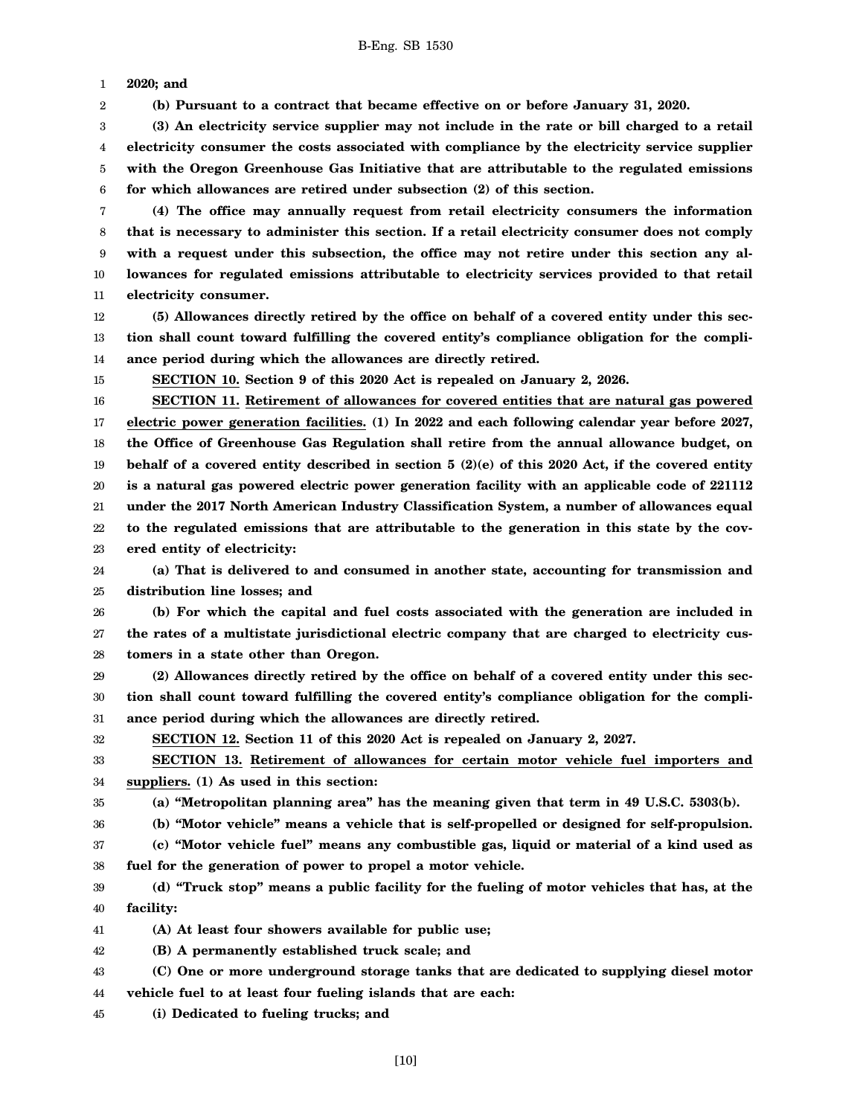1 **2020; and**

2 **(b) Pursuant to a contract that became effective on or before January 31, 2020.**

3 4 5 6 **(3) An electricity service supplier may not include in the rate or bill charged to a retail electricity consumer the costs associated with compliance by the electricity service supplier with the Oregon Greenhouse Gas Initiative that are attributable to the regulated emissions for which allowances are retired under subsection (2) of this section.**

7 8 9 10 11 **(4) The office may annually request from retail electricity consumers the information that is necessary to administer this section. If a retail electricity consumer does not comply with a request under this subsection, the office may not retire under this section any allowances for regulated emissions attributable to electricity services provided to that retail electricity consumer.**

12 13 14 **(5) Allowances directly retired by the office on behalf of a covered entity under this section shall count toward fulfilling the covered entity's compliance obligation for the compliance period during which the allowances are directly retired.**

15

**SECTION 10. Section 9 of this 2020 Act is repealed on January 2, 2026.**

16 17 18 19 20 21 22 23 **SECTION 11. Retirement of allowances for covered entities that are natural gas powered electric power generation facilities. (1) In 2022 and each following calendar year before 2027, the Office of Greenhouse Gas Regulation shall retire from the annual allowance budget, on behalf of a covered entity described in section 5 (2)(e) of this 2020 Act, if the covered entity is a natural gas powered electric power generation facility with an applicable code of 221112 under the 2017 North American Industry Classification System, a number of allowances equal to the regulated emissions that are attributable to the generation in this state by the covered entity of electricity:**

24 25 **(a) That is delivered to and consumed in another state, accounting for transmission and distribution line losses; and**

26 27 28 **(b) For which the capital and fuel costs associated with the generation are included in the rates of a multistate jurisdictional electric company that are charged to electricity customers in a state other than Oregon.**

29 30 31 **(2) Allowances directly retired by the office on behalf of a covered entity under this section shall count toward fulfilling the covered entity's compliance obligation for the compliance period during which the allowances are directly retired.**

32

**SECTION 12. Section 11 of this 2020 Act is repealed on January 2, 2027.**

33 34 **SECTION 13. Retirement of allowances for certain motor vehicle fuel importers and suppliers. (1) As used in this section:**

35 **(a) "Metropolitan planning area" has the meaning given that term in 49 U.S.C. 5303(b).**

36 **(b) "Motor vehicle" means a vehicle that is self-propelled or designed for self-propulsion.**

37 38 **(c) "Motor vehicle fuel" means any combustible gas, liquid or material of a kind used as fuel for the generation of power to propel a motor vehicle.**

39 40 **(d) "Truck stop" means a public facility for the fueling of motor vehicles that has, at the facility:**

41 **(A) At least four showers available for public use;**

42 **(B) A permanently established truck scale; and**

- 43 **(C) One or more underground storage tanks that are dedicated to supplying diesel motor**
- 44 **vehicle fuel to at least four fueling islands that are each:**

45 **(i) Dedicated to fueling trucks; and**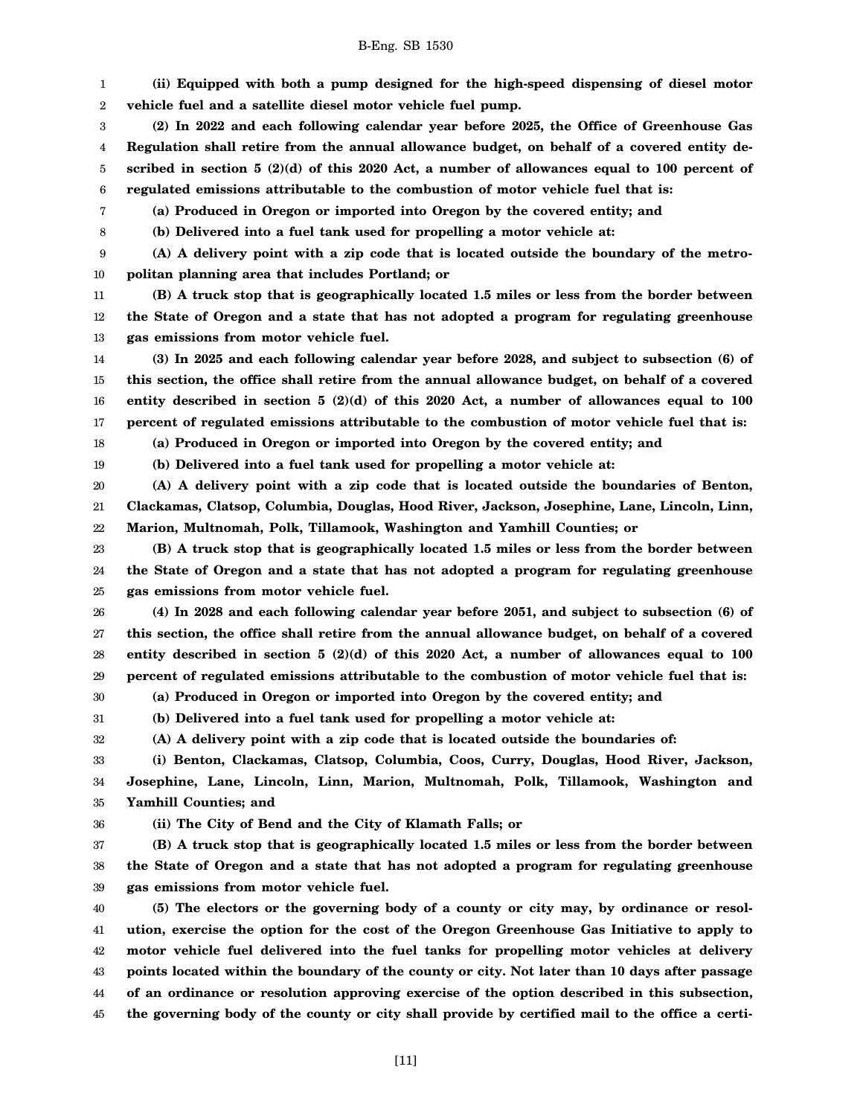1 2 **(ii) Equipped with both a pump designed for the high-speed dispensing of diesel motor vehicle fuel and a satellite diesel motor vehicle fuel pump.**

3 4 5 6 **(2) In 2022 and each following calendar year before 2025, the Office of Greenhouse Gas Regulation shall retire from the annual allowance budget, on behalf of a covered entity described in section 5 (2)(d) of this 2020 Act, a number of allowances equal to 100 percent of regulated emissions attributable to the combustion of motor vehicle fuel that is:**

**(a) Produced in Oregon or imported into Oregon by the covered entity; and**

7 8

**(b) Delivered into a fuel tank used for propelling a motor vehicle at:**

9 10 **(A) A delivery point with a zip code that is located outside the boundary of the metropolitan planning area that includes Portland; or**

11 12 13 **(B) A truck stop that is geographically located 1.5 miles or less from the border between the State of Oregon and a state that has not adopted a program for regulating greenhouse gas emissions from motor vehicle fuel.**

14 15 16 17 **(3) In 2025 and each following calendar year before 2028, and subject to subsection (6) of this section, the office shall retire from the annual allowance budget, on behalf of a covered entity described in section 5 (2)(d) of this 2020 Act, a number of allowances equal to 100 percent of regulated emissions attributable to the combustion of motor vehicle fuel that is:**

**(a) Produced in Oregon or imported into Oregon by the covered entity; and**

18 19

**(b) Delivered into a fuel tank used for propelling a motor vehicle at:**

20 21 22 **(A) A delivery point with a zip code that is located outside the boundaries of Benton, Clackamas, Clatsop, Columbia, Douglas, Hood River, Jackson, Josephine, Lane, Lincoln, Linn, Marion, Multnomah, Polk, Tillamook, Washington and Yamhill Counties; or**

23 24 25 **(B) A truck stop that is geographically located 1.5 miles or less from the border between the State of Oregon and a state that has not adopted a program for regulating greenhouse gas emissions from motor vehicle fuel.**

26 27 28 29 **(4) In 2028 and each following calendar year before 2051, and subject to subsection (6) of this section, the office shall retire from the annual allowance budget, on behalf of a covered entity described in section 5 (2)(d) of this 2020 Act, a number of allowances equal to 100 percent of regulated emissions attributable to the combustion of motor vehicle fuel that is:**

30 **(a) Produced in Oregon or imported into Oregon by the covered entity; and**

**(b) Delivered into a fuel tank used for propelling a motor vehicle at:**

32 **(A) A delivery point with a zip code that is located outside the boundaries of:**

33 34 35 **(i) Benton, Clackamas, Clatsop, Columbia, Coos, Curry, Douglas, Hood River, Jackson, Josephine, Lane, Lincoln, Linn, Marion, Multnomah, Polk, Tillamook, Washington and Yamhill Counties; and**

36

31

**(ii) The City of Bend and the City of Klamath Falls; or**

37 38 39 **(B) A truck stop that is geographically located 1.5 miles or less from the border between the State of Oregon and a state that has not adopted a program for regulating greenhouse gas emissions from motor vehicle fuel.**

40 41 42 43 44 45 **(5) The electors or the governing body of a county or city may, by ordinance or resolution, exercise the option for the cost of the Oregon Greenhouse Gas Initiative to apply to motor vehicle fuel delivered into the fuel tanks for propelling motor vehicles at delivery points located within the boundary of the county or city. Not later than 10 days after passage of an ordinance or resolution approving exercise of the option described in this subsection, the governing body of the county or city shall provide by certified mail to the office a certi-**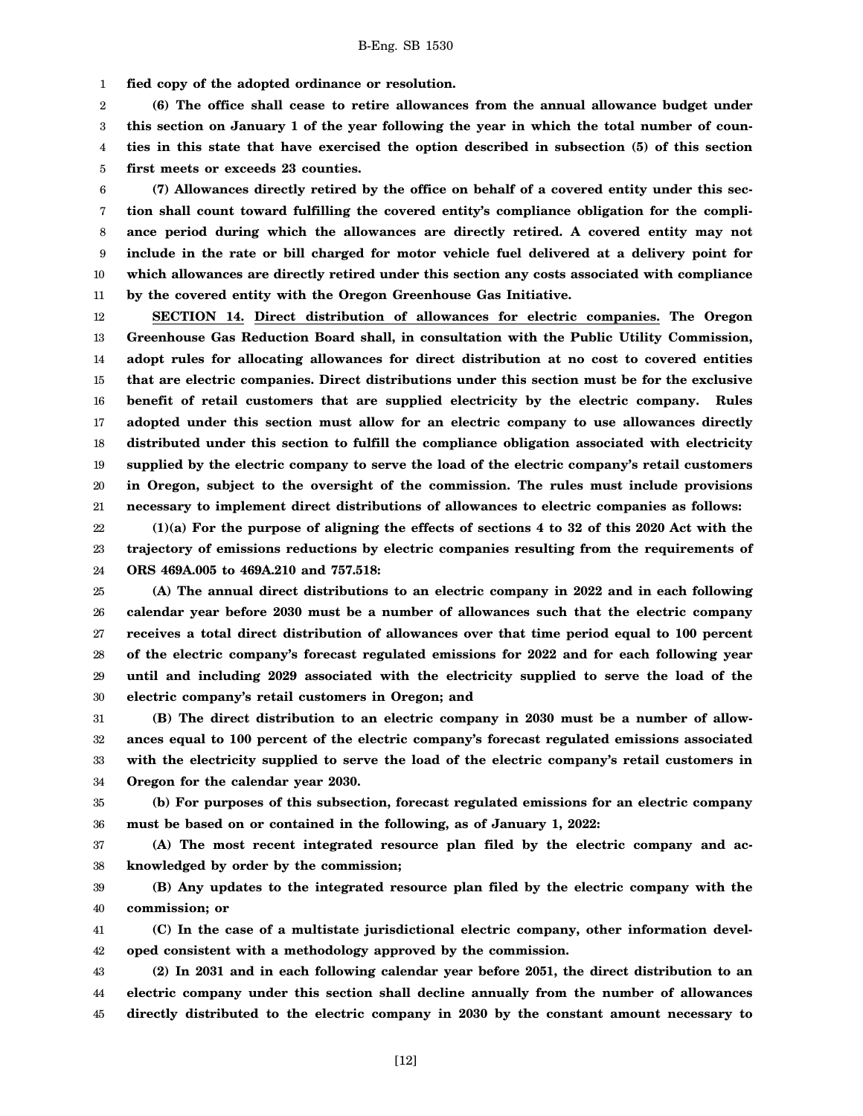1 **fied copy of the adopted ordinance or resolution.**

2 3 4 5 **(6) The office shall cease to retire allowances from the annual allowance budget under this section on January 1 of the year following the year in which the total number of counties in this state that have exercised the option described in subsection (5) of this section first meets or exceeds 23 counties.**

6 7 8 9 10 11 **(7) Allowances directly retired by the office on behalf of a covered entity under this section shall count toward fulfilling the covered entity's compliance obligation for the compliance period during which the allowances are directly retired. A covered entity may not include in the rate or bill charged for motor vehicle fuel delivered at a delivery point for which allowances are directly retired under this section any costs associated with compliance by the covered entity with the Oregon Greenhouse Gas Initiative.**

12 13 14 15 16 17 18 19 20 21 **SECTION 14. Direct distribution of allowances for electric companies. The Oregon Greenhouse Gas Reduction Board shall, in consultation with the Public Utility Commission, adopt rules for allocating allowances for direct distribution at no cost to covered entities that are electric companies. Direct distributions under this section must be for the exclusive benefit of retail customers that are supplied electricity by the electric company. Rules adopted under this section must allow for an electric company to use allowances directly distributed under this section to fulfill the compliance obligation associated with electricity supplied by the electric company to serve the load of the electric company's retail customers in Oregon, subject to the oversight of the commission. The rules must include provisions necessary to implement direct distributions of allowances to electric companies as follows:**

22 23 24 **(1)(a) For the purpose of aligning the effects of sections 4 to 32 of this 2020 Act with the trajectory of emissions reductions by electric companies resulting from the requirements of ORS 469A.005 to 469A.210 and 757.518:**

25 26 27 28 29 30 **(A) The annual direct distributions to an electric company in 2022 and in each following calendar year before 2030 must be a number of allowances such that the electric company receives a total direct distribution of allowances over that time period equal to 100 percent of the electric company's forecast regulated emissions for 2022 and for each following year until and including 2029 associated with the electricity supplied to serve the load of the electric company's retail customers in Oregon; and**

31 32 33 34 **(B) The direct distribution to an electric company in 2030 must be a number of allowances equal to 100 percent of the electric company's forecast regulated emissions associated with the electricity supplied to serve the load of the electric company's retail customers in Oregon for the calendar year 2030.**

35 36 **(b) For purposes of this subsection, forecast regulated emissions for an electric company must be based on or contained in the following, as of January 1, 2022:**

37 38 **(A) The most recent integrated resource plan filed by the electric company and acknowledged by order by the commission;**

39 40 **(B) Any updates to the integrated resource plan filed by the electric company with the commission; or**

41 42 **(C) In the case of a multistate jurisdictional electric company, other information developed consistent with a methodology approved by the commission.**

43 44 45 **(2) In 2031 and in each following calendar year before 2051, the direct distribution to an electric company under this section shall decline annually from the number of allowances directly distributed to the electric company in 2030 by the constant amount necessary to**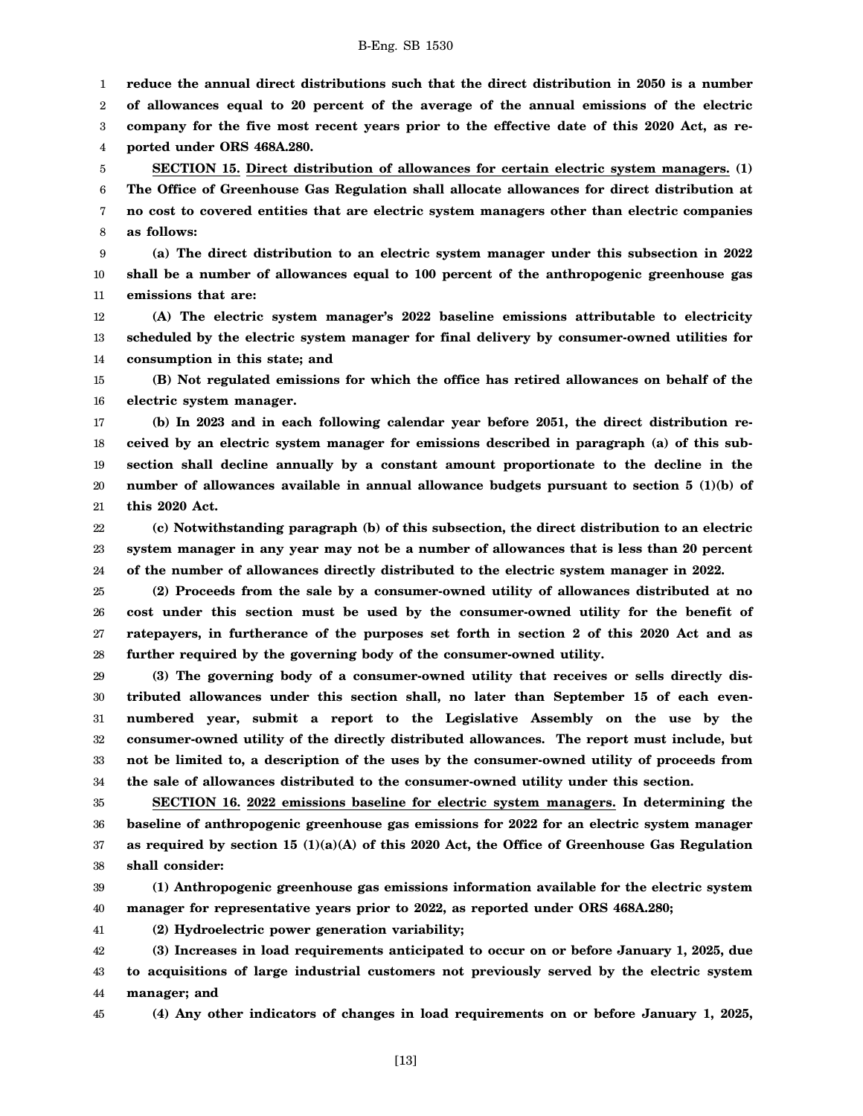1 2 3 4 **reduce the annual direct distributions such that the direct distribution in 2050 is a number of allowances equal to 20 percent of the average of the annual emissions of the electric company for the five most recent years prior to the effective date of this 2020 Act, as reported under ORS 468A.280.**

5 6 7 8 **SECTION 15. Direct distribution of allowances for certain electric system managers. (1) The Office of Greenhouse Gas Regulation shall allocate allowances for direct distribution at no cost to covered entities that are electric system managers other than electric companies as follows:**

9 10 11 **(a) The direct distribution to an electric system manager under this subsection in 2022 shall be a number of allowances equal to 100 percent of the anthropogenic greenhouse gas emissions that are:**

12 13 14 **(A) The electric system manager's 2022 baseline emissions attributable to electricity scheduled by the electric system manager for final delivery by consumer-owned utilities for consumption in this state; and**

15 16 **(B) Not regulated emissions for which the office has retired allowances on behalf of the electric system manager.**

17 18 19 20 21 **(b) In 2023 and in each following calendar year before 2051, the direct distribution received by an electric system manager for emissions described in paragraph (a) of this subsection shall decline annually by a constant amount proportionate to the decline in the number of allowances available in annual allowance budgets pursuant to section 5 (1)(b) of this 2020 Act.**

22 23 24 **(c) Notwithstanding paragraph (b) of this subsection, the direct distribution to an electric system manager in any year may not be a number of allowances that is less than 20 percent of the number of allowances directly distributed to the electric system manager in 2022.**

25 26 27 28 **(2) Proceeds from the sale by a consumer-owned utility of allowances distributed at no cost under this section must be used by the consumer-owned utility for the benefit of ratepayers, in furtherance of the purposes set forth in section 2 of this 2020 Act and as further required by the governing body of the consumer-owned utility.**

29 30 31 32 33 34 **(3) The governing body of a consumer-owned utility that receives or sells directly distributed allowances under this section shall, no later than September 15 of each evennumbered year, submit a report to the Legislative Assembly on the use by the consumer-owned utility of the directly distributed allowances. The report must include, but not be limited to, a description of the uses by the consumer-owned utility of proceeds from the sale of allowances distributed to the consumer-owned utility under this section.**

35 36 37 38 **SECTION 16. 2022 emissions baseline for electric system managers. In determining the baseline of anthropogenic greenhouse gas emissions for 2022 for an electric system manager as required by section 15 (1)(a)(A) of this 2020 Act, the Office of Greenhouse Gas Regulation shall consider:**

39 40 **(1) Anthropogenic greenhouse gas emissions information available for the electric system manager for representative years prior to 2022, as reported under ORS 468A.280;**

41 **(2) Hydroelectric power generation variability;**

42 43 44 **(3) Increases in load requirements anticipated to occur on or before January 1, 2025, due to acquisitions of large industrial customers not previously served by the electric system manager; and**

45

**(4) Any other indicators of changes in load requirements on or before January 1, 2025,**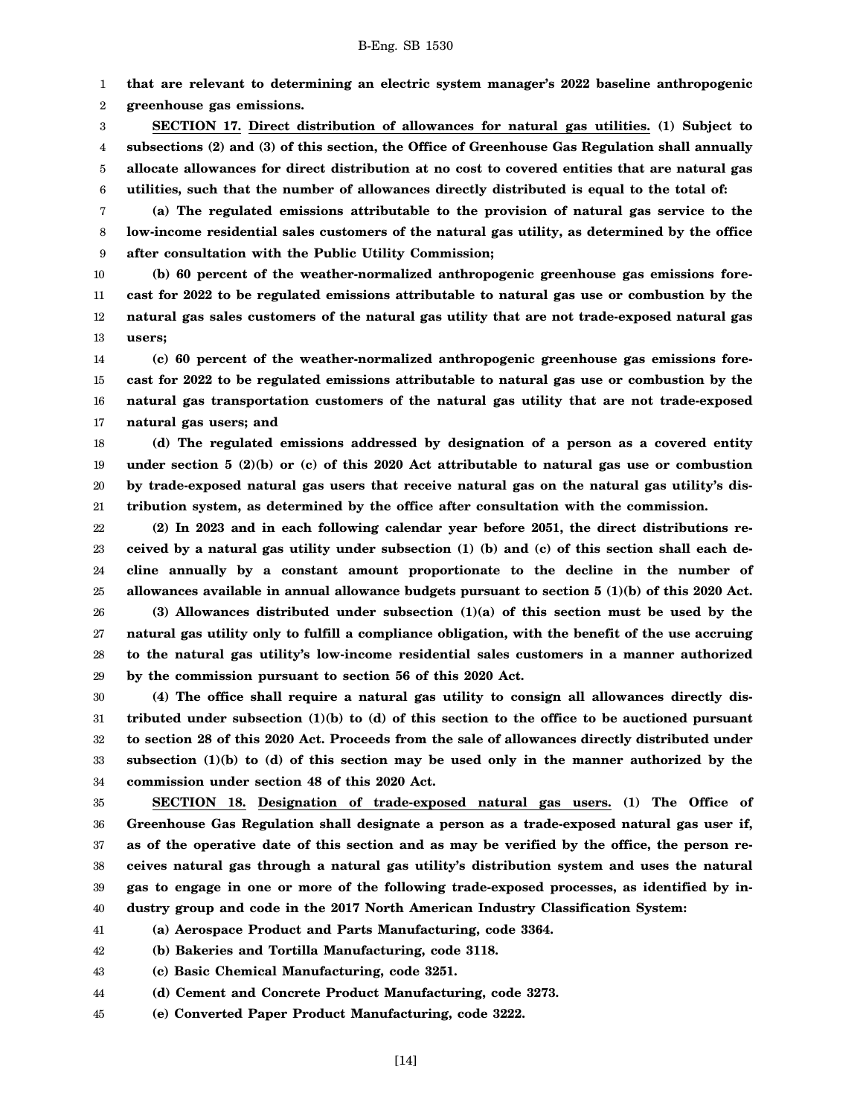1 **that are relevant to determining an electric system manager's 2022 baseline anthropogenic**

2 **greenhouse gas emissions.**

3 4 5 6 **SECTION 17. Direct distribution of allowances for natural gas utilities. (1) Subject to subsections (2) and (3) of this section, the Office of Greenhouse Gas Regulation shall annually allocate allowances for direct distribution at no cost to covered entities that are natural gas utilities, such that the number of allowances directly distributed is equal to the total of:**

7 8 9 **(a) The regulated emissions attributable to the provision of natural gas service to the low-income residential sales customers of the natural gas utility, as determined by the office after consultation with the Public Utility Commission;**

10 11 12 13 **(b) 60 percent of the weather-normalized anthropogenic greenhouse gas emissions forecast for 2022 to be regulated emissions attributable to natural gas use or combustion by the natural gas sales customers of the natural gas utility that are not trade-exposed natural gas users;**

14 15 16 17 **(c) 60 percent of the weather-normalized anthropogenic greenhouse gas emissions forecast for 2022 to be regulated emissions attributable to natural gas use or combustion by the natural gas transportation customers of the natural gas utility that are not trade-exposed natural gas users; and**

18 19 20 21 **(d) The regulated emissions addressed by designation of a person as a covered entity under section 5 (2)(b) or (c) of this 2020 Act attributable to natural gas use or combustion by trade-exposed natural gas users that receive natural gas on the natural gas utility's distribution system, as determined by the office after consultation with the commission.**

22 23 24 25 26 **(2) In 2023 and in each following calendar year before 2051, the direct distributions received by a natural gas utility under subsection (1) (b) and (c) of this section shall each decline annually by a constant amount proportionate to the decline in the number of allowances available in annual allowance budgets pursuant to section 5 (1)(b) of this 2020 Act. (3) Allowances distributed under subsection (1)(a) of this section must be used by the**

27 28 29 **natural gas utility only to fulfill a compliance obligation, with the benefit of the use accruing to the natural gas utility's low-income residential sales customers in a manner authorized by the commission pursuant to section 56 of this 2020 Act.**

30 31 32 33 34 **(4) The office shall require a natural gas utility to consign all allowances directly distributed under subsection (1)(b) to (d) of this section to the office to be auctioned pursuant to section 28 of this 2020 Act. Proceeds from the sale of allowances directly distributed under subsection (1)(b) to (d) of this section may be used only in the manner authorized by the commission under section 48 of this 2020 Act.**

35 36 37 38 39 40 **SECTION 18. Designation of trade-exposed natural gas users. (1) The Office of Greenhouse Gas Regulation shall designate a person as a trade-exposed natural gas user if, as of the operative date of this section and as may be verified by the office, the person receives natural gas through a natural gas utility's distribution system and uses the natural gas to engage in one or more of the following trade-exposed processes, as identified by industry group and code in the 2017 North American Industry Classification System:**

41 **(a) Aerospace Product and Parts Manufacturing, code 3364.**

42 **(b) Bakeries and Tortilla Manufacturing, code 3118.**

43 **(c) Basic Chemical Manufacturing, code 3251.**

44 **(d) Cement and Concrete Product Manufacturing, code 3273.**

45 **(e) Converted Paper Product Manufacturing, code 3222.**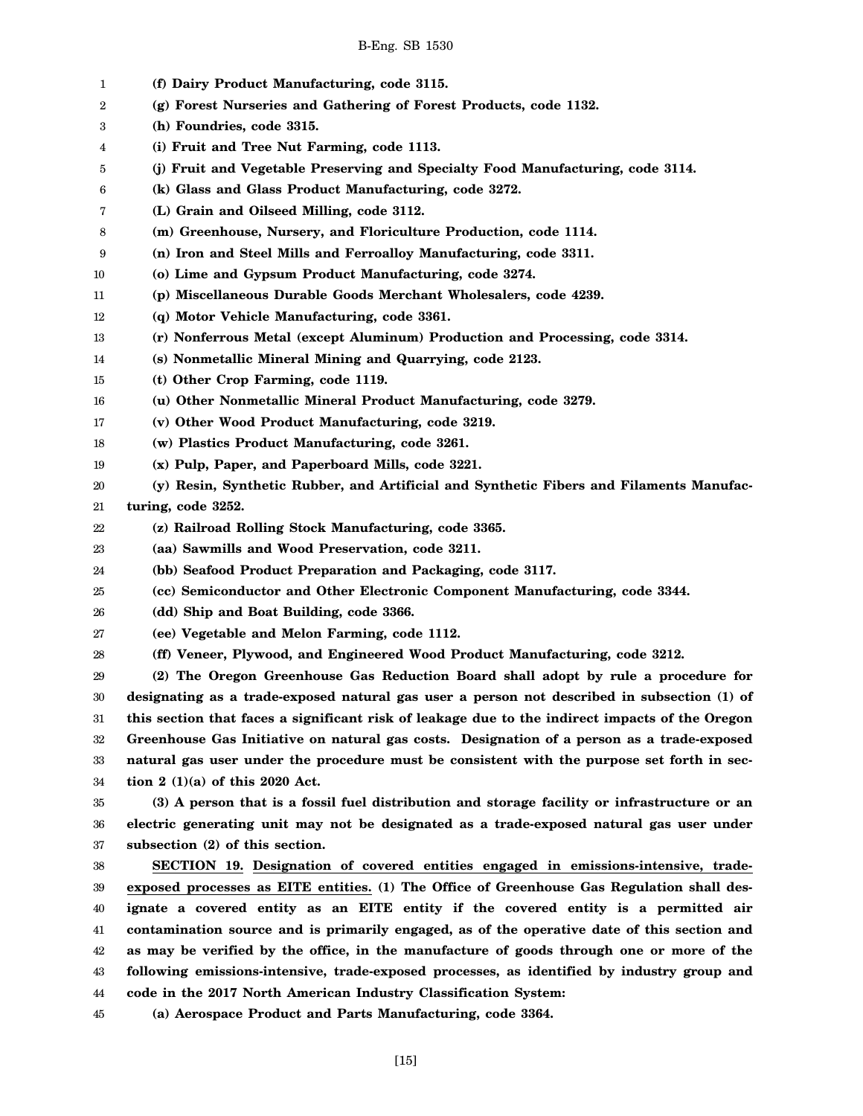| 1  | (f) Dairy Product Manufacturing, code 3115.                                                     |
|----|-------------------------------------------------------------------------------------------------|
| 2  | (g) Forest Nurseries and Gathering of Forest Products, code 1132.                               |
| 3  | (h) Foundries, code 3315.                                                                       |
| 4  | (i) Fruit and Tree Nut Farming, code 1113.                                                      |
| 5  | (j) Fruit and Vegetable Preserving and Specialty Food Manufacturing, code 3114.                 |
| 6  | (k) Glass and Glass Product Manufacturing, code 3272.                                           |
| 7  | (L) Grain and Oilseed Milling, code 3112.                                                       |
| 8  | (m) Greenhouse, Nursery, and Floriculture Production, code 1114.                                |
| 9  | (n) Iron and Steel Mills and Ferroalloy Manufacturing, code 3311.                               |
| 10 | (o) Lime and Gypsum Product Manufacturing, code 3274.                                           |
| 11 | (p) Miscellaneous Durable Goods Merchant Wholesalers, code 4239.                                |
| 12 | (q) Motor Vehicle Manufacturing, code 3361.                                                     |
| 13 | (r) Nonferrous Metal (except Aluminum) Production and Processing, code 3314.                    |
| 14 | (s) Nonmetallic Mineral Mining and Quarrying, code 2123.                                        |
| 15 | (t) Other Crop Farming, code 1119.                                                              |
| 16 | (u) Other Nonmetallic Mineral Product Manufacturing, code 3279.                                 |
| 17 | (v) Other Wood Product Manufacturing, code 3219.                                                |
| 18 | (w) Plastics Product Manufacturing, code 3261.                                                  |
| 19 | (x) Pulp, Paper, and Paperboard Mills, code 3221.                                               |
| 20 | (y) Resin, Synthetic Rubber, and Artificial and Synthetic Fibers and Filaments Manufac-         |
| 21 | turing, code 3252.                                                                              |
| 22 | (z) Railroad Rolling Stock Manufacturing, code 3365.                                            |
| 23 | (aa) Sawmills and Wood Preservation, code 3211.                                                 |
| 24 | (bb) Seafood Product Preparation and Packaging, code 3117.                                      |
| 25 | (cc) Semiconductor and Other Electronic Component Manufacturing, code 3344.                     |
| 26 | (dd) Ship and Boat Building, code 3366.                                                         |
| 27 | (ee) Vegetable and Melon Farming, code 1112.                                                    |
| 28 | (ff) Veneer, Plywood, and Engineered Wood Product Manufacturing, code 3212.                     |
| 29 | (2) The Oregon Greenhouse Gas Reduction Board shall adopt by rule a procedure for               |
| 30 | designating as a trade-exposed natural gas user a person not described in subsection (1) of     |
| 31 | this section that faces a significant risk of leakage due to the indirect impacts of the Oregon |
| 32 | Greenhouse Gas Initiative on natural gas costs. Designation of a person as a trade-exposed      |
| 33 | natural gas user under the procedure must be consistent with the purpose set forth in sec-      |
| 34 | tion $2(1)(a)$ of this 2020 Act.                                                                |
| 35 | (3) A person that is a fossil fuel distribution and storage facility or infrastructure or an    |
| 36 | electric generating unit may not be designated as a trade-exposed natural gas user under        |
| 37 | subsection (2) of this section.                                                                 |
| 38 | SECTION 19. Designation of covered entities engaged in emissions-intensive, trade-              |
| 39 | exposed processes as EITE entities. (1) The Office of Greenhouse Gas Regulation shall des-      |
| 40 | ignate a covered entity as an EITE entity if the covered entity is a permitted air              |
| 41 | contamination source and is primarily engaged, as of the operative date of this section and     |
| 42 | as may be verified by the office, in the manufacture of goods through one or more of the        |
| 43 | following emissions-intensive, trade-exposed processes, as identified by industry group and     |
| 44 | code in the 2017 North American Industry Classification System:                                 |
| 45 | (a) Aerospace Product and Parts Manufacturing, code 3364.                                       |

[15]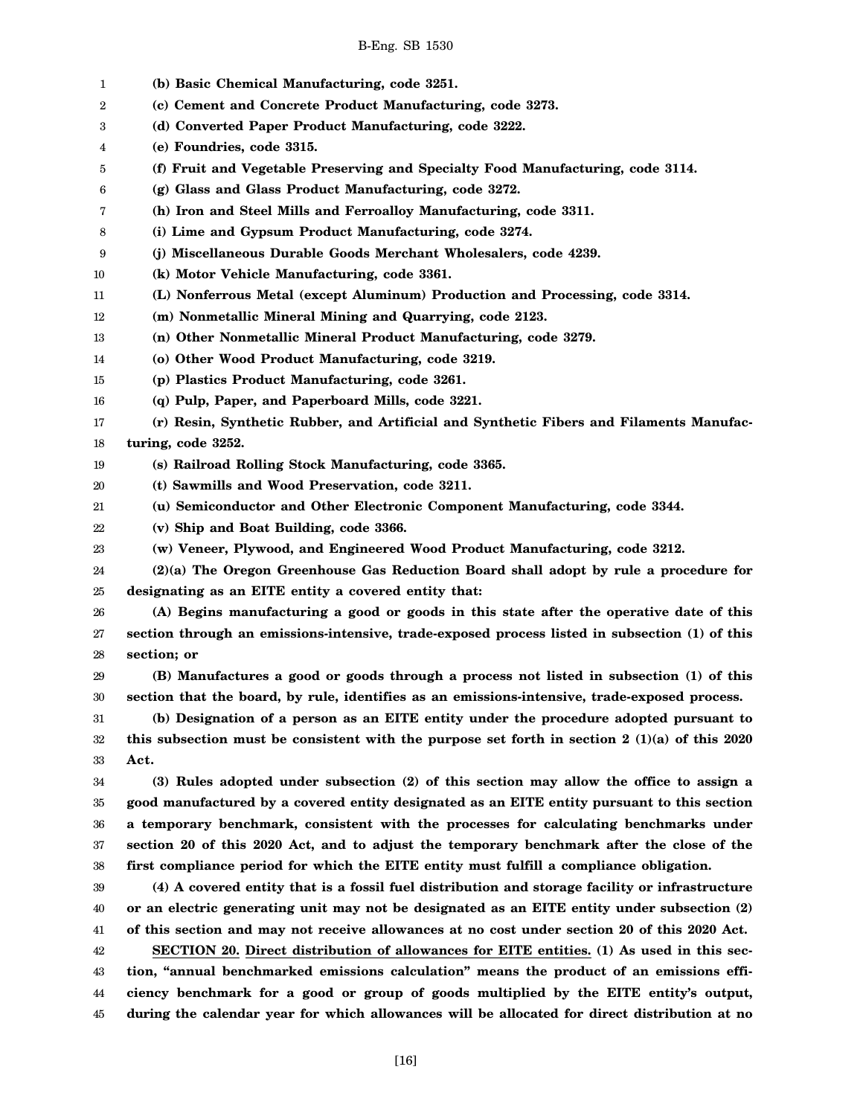| 1  | (b) Basic Chemical Manufacturing, code 3251.                                                                      |
|----|-------------------------------------------------------------------------------------------------------------------|
| 2  | (c) Cement and Concrete Product Manufacturing, code 3273.                                                         |
| 3  | (d) Converted Paper Product Manufacturing, code 3222.                                                             |
| 4  | (e) Foundries, code 3315.                                                                                         |
| 5  | (f) Fruit and Vegetable Preserving and Specialty Food Manufacturing, code 3114.                                   |
| 6  | (g) Glass and Glass Product Manufacturing, code 3272.                                                             |
| 7  | (h) Iron and Steel Mills and Ferroalloy Manufacturing, code 3311.                                                 |
| 8  | (i) Lime and Gypsum Product Manufacturing, code 3274.                                                             |
| 9  | (j) Miscellaneous Durable Goods Merchant Wholesalers, code 4239.                                                  |
| 10 | (k) Motor Vehicle Manufacturing, code 3361.                                                                       |
| 11 | (L) Nonferrous Metal (except Aluminum) Production and Processing, code 3314.                                      |
| 12 | (m) Nonmetallic Mineral Mining and Quarrying, code 2123.                                                          |
| 13 | (n) Other Nonmetallic Mineral Product Manufacturing, code 3279.                                                   |
| 14 | (o) Other Wood Product Manufacturing, code 3219.                                                                  |
| 15 | (p) Plastics Product Manufacturing, code 3261.                                                                    |
| 16 | (q) Pulp, Paper, and Paperboard Mills, code 3221.                                                                 |
| 17 | (r) Resin, Synthetic Rubber, and Artificial and Synthetic Fibers and Filaments Manufac-                           |
| 18 | turing, code 3252.                                                                                                |
| 19 | (s) Railroad Rolling Stock Manufacturing, code 3365.                                                              |
| 20 | (t) Sawmills and Wood Preservation, code 3211.                                                                    |
| 21 | (u) Semiconductor and Other Electronic Component Manufacturing, code 3344.                                        |
| 22 | (v) Ship and Boat Building, code 3366.                                                                            |
| 23 | (w) Veneer, Plywood, and Engineered Wood Product Manufacturing, code 3212.                                        |
| 24 | (2)(a) The Oregon Greenhouse Gas Reduction Board shall adopt by rule a procedure for                              |
| 25 | designating as an EITE entity a covered entity that:                                                              |
| 26 | (A) Begins manufacturing a good or goods in this state after the operative date of this                           |
| 27 | section through an emissions-intensive, trade-exposed process listed in subsection (1) of this                    |
| 28 | section; or                                                                                                       |
| 29 | (B) Manufactures a good or goods through a process not listed in subsection (1) of this                           |
| 30 | section that the board, by rule, identifies as an emissions-intensive, trade-exposed process.                     |
| 31 | (b) Designation of a person as an EITE entity under the procedure adopted pursuant to                             |
| 32 | this subsection must be consistent with the purpose set forth in section $2 \left( 1 \right)$ (1)(a) of this 2020 |
| 33 | Act.                                                                                                              |
| 34 | (3) Rules adopted under subsection (2) of this section may allow the office to assign a                           |
| 35 | good manufactured by a covered entity designated as an EITE entity pursuant to this section                       |
| 36 | a temporary benchmark, consistent with the processes for calculating benchmarks under                             |
| 37 | section 20 of this 2020 Act, and to adjust the temporary benchmark after the close of the                         |
| 38 | first compliance period for which the EITE entity must fulfill a compliance obligation.                           |
| 39 | (4) A covered entity that is a fossil fuel distribution and storage facility or infrastructure                    |
| 40 | or an electric generating unit may not be designated as an EITE entity under subsection (2)                       |
| 41 | of this section and may not receive allowances at no cost under section 20 of this 2020 Act.                      |
| 42 | SECTION 20. Direct distribution of allowances for EITE entities. (1) As used in this sec-                         |
| 43 | tion, "annual benchmarked emissions calculation" means the product of an emissions effi-                          |
| 44 | ciency benchmark for a good or group of goods multiplied by the EITE entity's output,                             |
| 45 | during the calendar year for which allowances will be allocated for direct distribution at no                     |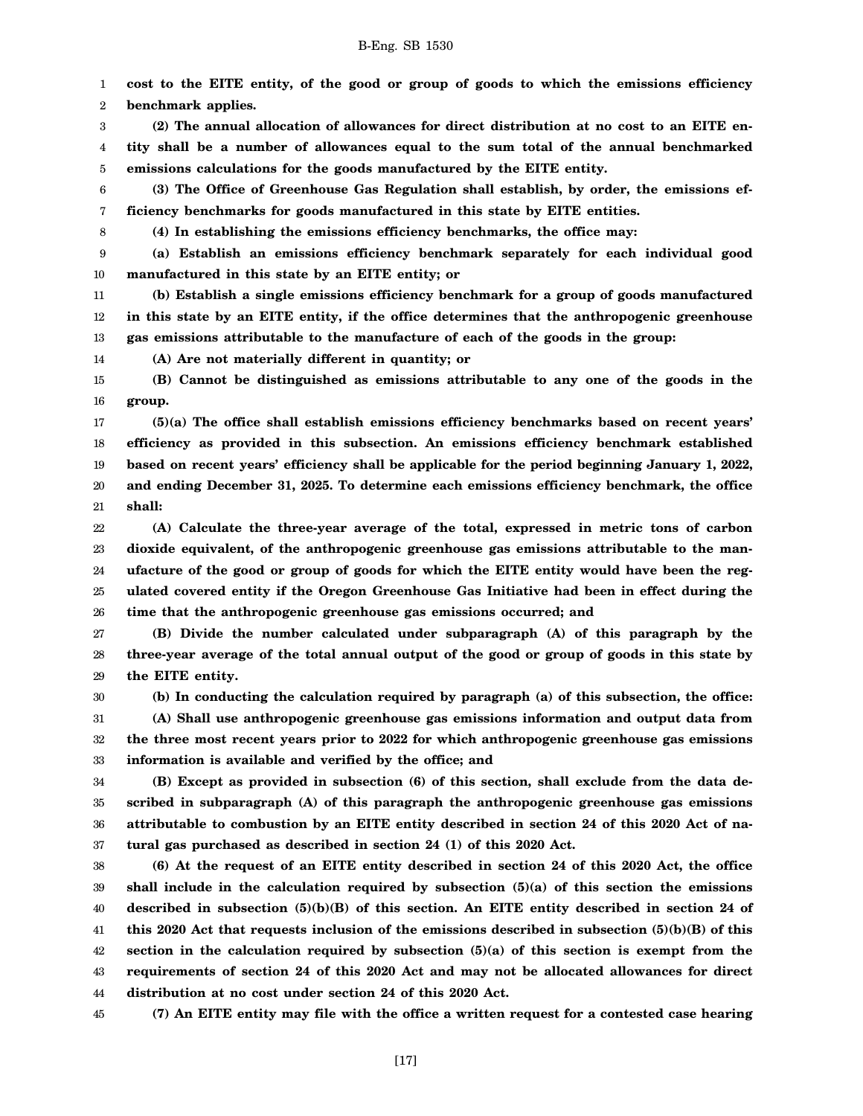1 2 **cost to the EITE entity, of the good or group of goods to which the emissions efficiency benchmark applies.**

3 4 5 **(2) The annual allocation of allowances for direct distribution at no cost to an EITE entity shall be a number of allowances equal to the sum total of the annual benchmarked emissions calculations for the goods manufactured by the EITE entity.**

6 7 **(3) The Office of Greenhouse Gas Regulation shall establish, by order, the emissions efficiency benchmarks for goods manufactured in this state by EITE entities.**

8

30

**(4) In establishing the emissions efficiency benchmarks, the office may:**

9 10 **(a) Establish an emissions efficiency benchmark separately for each individual good manufactured in this state by an EITE entity; or**

11 12 13 **(b) Establish a single emissions efficiency benchmark for a group of goods manufactured in this state by an EITE entity, if the office determines that the anthropogenic greenhouse gas emissions attributable to the manufacture of each of the goods in the group:**

14 **(A) Are not materially different in quantity; or**

15 16 **(B) Cannot be distinguished as emissions attributable to any one of the goods in the group.**

17 18 19 20 21 **(5)(a) The office shall establish emissions efficiency benchmarks based on recent years' efficiency as provided in this subsection. An emissions efficiency benchmark established based on recent years' efficiency shall be applicable for the period beginning January 1, 2022, and ending December 31, 2025. To determine each emissions efficiency benchmark, the office shall:**

22 23 24 25 26 **(A) Calculate the three-year average of the total, expressed in metric tons of carbon dioxide equivalent, of the anthropogenic greenhouse gas emissions attributable to the manufacture of the good or group of goods for which the EITE entity would have been the regulated covered entity if the Oregon Greenhouse Gas Initiative had been in effect during the time that the anthropogenic greenhouse gas emissions occurred; and**

27 28 29 **(B) Divide the number calculated under subparagraph (A) of this paragraph by the three-year average of the total annual output of the good or group of goods in this state by the EITE entity.**

**(b) In conducting the calculation required by paragraph (a) of this subsection, the office:**

31 32 33 **(A) Shall use anthropogenic greenhouse gas emissions information and output data from the three most recent years prior to 2022 for which anthropogenic greenhouse gas emissions information is available and verified by the office; and**

34 35 36 37 **(B) Except as provided in subsection (6) of this section, shall exclude from the data described in subparagraph (A) of this paragraph the anthropogenic greenhouse gas emissions attributable to combustion by an EITE entity described in section 24 of this 2020 Act of natural gas purchased as described in section 24 (1) of this 2020 Act.**

38 39 40 41 42 43 44 **(6) At the request of an EITE entity described in section 24 of this 2020 Act, the office shall include in the calculation required by subsection (5)(a) of this section the emissions described in subsection (5)(b)(B) of this section. An EITE entity described in section 24 of this 2020 Act that requests inclusion of the emissions described in subsection (5)(b)(B) of this section in the calculation required by subsection (5)(a) of this section is exempt from the requirements of section 24 of this 2020 Act and may not be allocated allowances for direct distribution at no cost under section 24 of this 2020 Act.**

45 **(7) An EITE entity may file with the office a written request for a contested case hearing**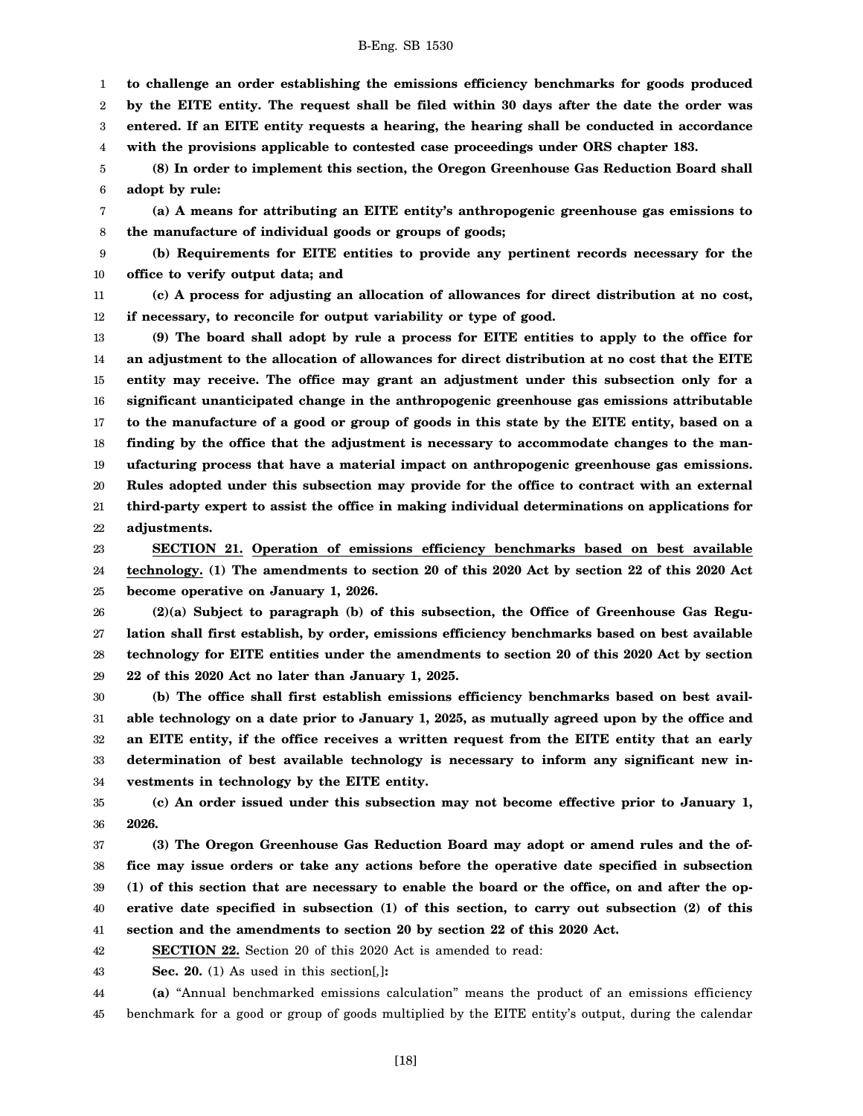1 **to challenge an order establishing the emissions efficiency benchmarks for goods produced**

2 **by the EITE entity. The request shall be filed within 30 days after the date the order was**

3 4 **entered. If an EITE entity requests a hearing, the hearing shall be conducted in accordance with the provisions applicable to contested case proceedings under ORS chapter 183.**

5 **(8) In order to implement this section, the Oregon Greenhouse Gas Reduction Board shall**

6 **adopt by rule:**

7 8 **(a) A means for attributing an EITE entity's anthropogenic greenhouse gas emissions to the manufacture of individual goods or groups of goods;**

9 10 **(b) Requirements for EITE entities to provide any pertinent records necessary for the office to verify output data; and**

11 12 **(c) A process for adjusting an allocation of allowances for direct distribution at no cost, if necessary, to reconcile for output variability or type of good.**

13 14 15 16 17 18 19 20 21 22 **(9) The board shall adopt by rule a process for EITE entities to apply to the office for an adjustment to the allocation of allowances for direct distribution at no cost that the EITE entity may receive. The office may grant an adjustment under this subsection only for a significant unanticipated change in the anthropogenic greenhouse gas emissions attributable to the manufacture of a good or group of goods in this state by the EITE entity, based on a finding by the office that the adjustment is necessary to accommodate changes to the manufacturing process that have a material impact on anthropogenic greenhouse gas emissions. Rules adopted under this subsection may provide for the office to contract with an external third-party expert to assist the office in making individual determinations on applications for adjustments.**

23 24 25 **SECTION 21. Operation of emissions efficiency benchmarks based on best available technology. (1) The amendments to section 20 of this 2020 Act by section 22 of this 2020 Act become operative on January 1, 2026.**

26 27 28 29 **(2)(a) Subject to paragraph (b) of this subsection, the Office of Greenhouse Gas Regulation shall first establish, by order, emissions efficiency benchmarks based on best available technology for EITE entities under the amendments to section 20 of this 2020 Act by section 22 of this 2020 Act no later than January 1, 2025.**

30 31 32 33 34 **(b) The office shall first establish emissions efficiency benchmarks based on best available technology on a date prior to January 1, 2025, as mutually agreed upon by the office and an EITE entity, if the office receives a written request from the EITE entity that an early determination of best available technology is necessary to inform any significant new investments in technology by the EITE entity.**

35 36 **(c) An order issued under this subsection may not become effective prior to January 1, 2026.**

37 38 39 40 41 **(3) The Oregon Greenhouse Gas Reduction Board may adopt or amend rules and the office may issue orders or take any actions before the operative date specified in subsection (1) of this section that are necessary to enable the board or the office, on and after the operative date specified in subsection (1) of this section, to carry out subsection (2) of this section and the amendments to section 20 by section 22 of this 2020 Act.**

42 **SECTION 22.** Section 20 of this 2020 Act is amended to read:

43 **Sec. 20.** (1) As used in this section[*,*]**:**

44 45 **(a)** "Annual benchmarked emissions calculation" means the product of an emissions efficiency benchmark for a good or group of goods multiplied by the EITE entity's output, during the calendar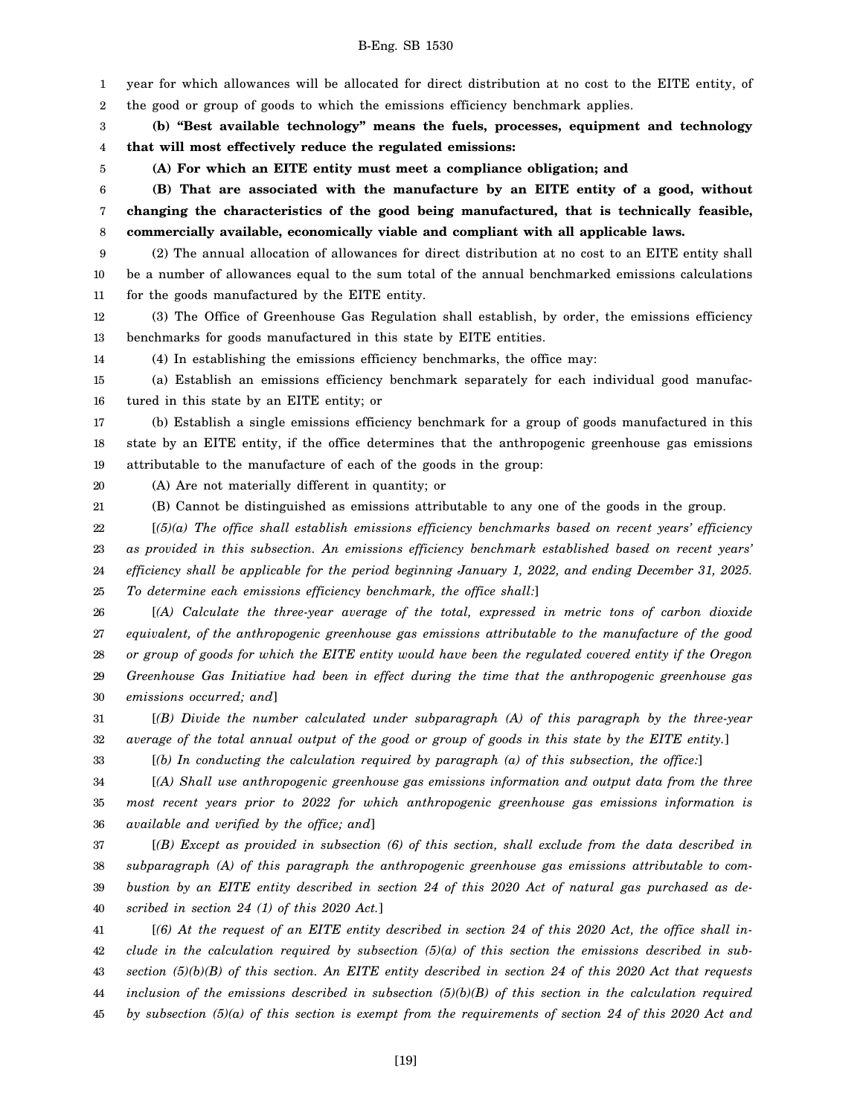1 2 3 4 5 6 7 8 9 10 11 12 13 14 15 16 17 18 19 20 21 22 23 24 25 26 27 28 29 30 31 32 33 34 35 36 year for which allowances will be allocated for direct distribution at no cost to the EITE entity, of the good or group of goods to which the emissions efficiency benchmark applies. **(b) "Best available technology" means the fuels, processes, equipment and technology that will most effectively reduce the regulated emissions: (A) For which an EITE entity must meet a compliance obligation; and (B) That are associated with the manufacture by an EITE entity of a good, without changing the characteristics of the good being manufactured, that is technically feasible, commercially available, economically viable and compliant with all applicable laws.** (2) The annual allocation of allowances for direct distribution at no cost to an EITE entity shall be a number of allowances equal to the sum total of the annual benchmarked emissions calculations for the goods manufactured by the EITE entity. (3) The Office of Greenhouse Gas Regulation shall establish, by order, the emissions efficiency benchmarks for goods manufactured in this state by EITE entities. (4) In establishing the emissions efficiency benchmarks, the office may: (a) Establish an emissions efficiency benchmark separately for each individual good manufactured in this state by an EITE entity; or (b) Establish a single emissions efficiency benchmark for a group of goods manufactured in this state by an EITE entity, if the office determines that the anthropogenic greenhouse gas emissions attributable to the manufacture of each of the goods in the group: (A) Are not materially different in quantity; or (B) Cannot be distinguished as emissions attributable to any one of the goods in the group. [*(5)(a) The office shall establish emissions efficiency benchmarks based on recent years' efficiency as provided in this subsection. An emissions efficiency benchmark established based on recent years' efficiency shall be applicable for the period beginning January 1, 2022, and ending December 31, 2025. To determine each emissions efficiency benchmark, the office shall:*] [*(A) Calculate the three-year average of the total, expressed in metric tons of carbon dioxide equivalent, of the anthropogenic greenhouse gas emissions attributable to the manufacture of the good or group of goods for which the EITE entity would have been the regulated covered entity if the Oregon Greenhouse Gas Initiative had been in effect during the time that the anthropogenic greenhouse gas emissions occurred; and*] [*(B) Divide the number calculated under subparagraph (A) of this paragraph by the three-year average of the total annual output of the good or group of goods in this state by the EITE entity.*] [*(b) In conducting the calculation required by paragraph (a) of this subsection, the office:*] [*(A) Shall use anthropogenic greenhouse gas emissions information and output data from the three most recent years prior to 2022 for which anthropogenic greenhouse gas emissions information is available and verified by the office; and*]

37 38 39 40 [*(B) Except as provided in subsection (6) of this section, shall exclude from the data described in subparagraph (A) of this paragraph the anthropogenic greenhouse gas emissions attributable to combustion by an EITE entity described in section 24 of this 2020 Act of natural gas purchased as described in section 24 (1) of this 2020 Act.*]

41 42 43 44 45 [*(6) At the request of an EITE entity described in section 24 of this 2020 Act, the office shall include in the calculation required by subsection (5)(a) of this section the emissions described in subsection (5)(b)(B) of this section. An EITE entity described in section 24 of this 2020 Act that requests inclusion of the emissions described in subsection (5)(b)(B) of this section in the calculation required by subsection (5)(a) of this section is exempt from the requirements of section 24 of this 2020 Act and*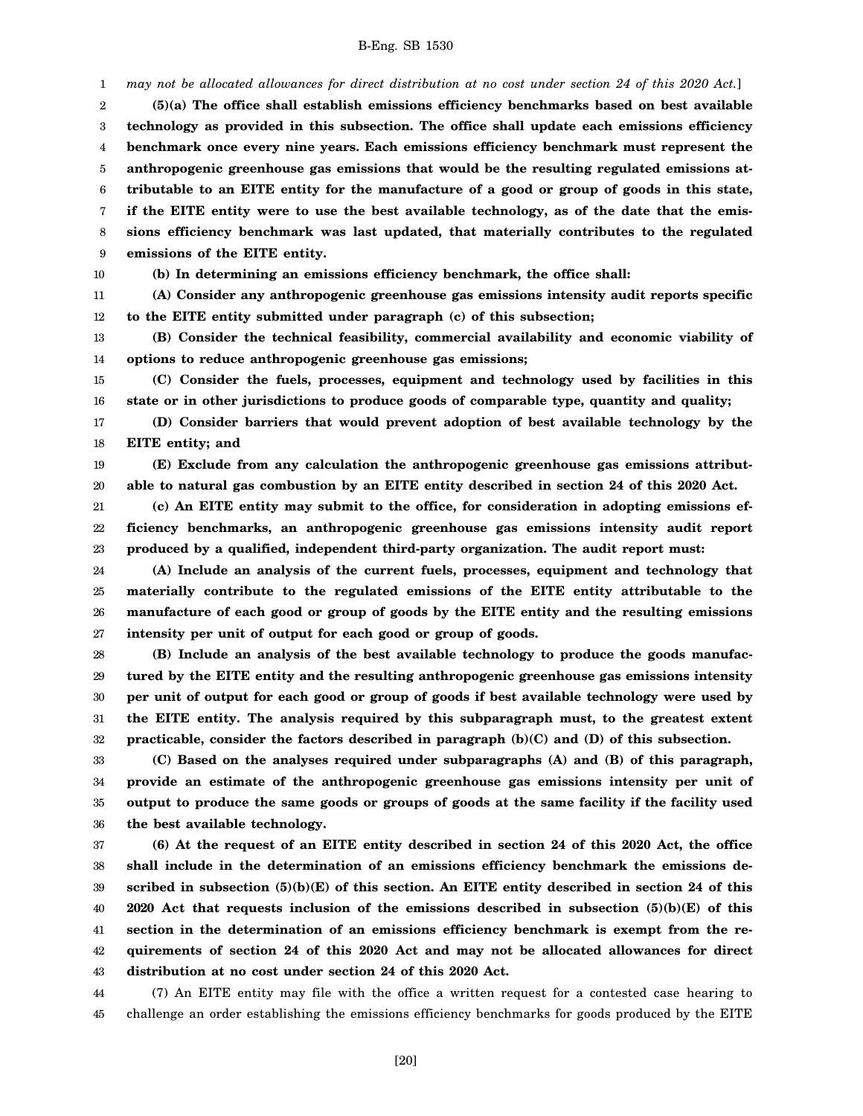*may not be allocated allowances for direct distribution at no cost under section 24 of this 2020 Act.*]

2 3 4 5 6 7 8 9 **(5)(a) The office shall establish emissions efficiency benchmarks based on best available technology as provided in this subsection. The office shall update each emissions efficiency benchmark once every nine years. Each emissions efficiency benchmark must represent the anthropogenic greenhouse gas emissions that would be the resulting regulated emissions attributable to an EITE entity for the manufacture of a good or group of goods in this state, if the EITE entity were to use the best available technology, as of the date that the emissions efficiency benchmark was last updated, that materially contributes to the regulated emissions of the EITE entity.**

10

1

**(b) In determining an emissions efficiency benchmark, the office shall:**

11 12 **(A) Consider any anthropogenic greenhouse gas emissions intensity audit reports specific to the EITE entity submitted under paragraph (c) of this subsection;**

13 14 **(B) Consider the technical feasibility, commercial availability and economic viability of options to reduce anthropogenic greenhouse gas emissions;**

15 16 **(C) Consider the fuels, processes, equipment and technology used by facilities in this state or in other jurisdictions to produce goods of comparable type, quantity and quality;**

17 18 **(D) Consider barriers that would prevent adoption of best available technology by the EITE entity; and**

19 20 **(E) Exclude from any calculation the anthropogenic greenhouse gas emissions attributable to natural gas combustion by an EITE entity described in section 24 of this 2020 Act.**

21 22 23 **(c) An EITE entity may submit to the office, for consideration in adopting emissions efficiency benchmarks, an anthropogenic greenhouse gas emissions intensity audit report produced by a qualified, independent third-party organization. The audit report must:**

24 25 26 27 **(A) Include an analysis of the current fuels, processes, equipment and technology that materially contribute to the regulated emissions of the EITE entity attributable to the manufacture of each good or group of goods by the EITE entity and the resulting emissions intensity per unit of output for each good or group of goods.**

28 29 30 31 32 **(B) Include an analysis of the best available technology to produce the goods manufactured by the EITE entity and the resulting anthropogenic greenhouse gas emissions intensity per unit of output for each good or group of goods if best available technology were used by the EITE entity. The analysis required by this subparagraph must, to the greatest extent practicable, consider the factors described in paragraph (b)(C) and (D) of this subsection.**

33 34 35 36 **(C) Based on the analyses required under subparagraphs (A) and (B) of this paragraph, provide an estimate of the anthropogenic greenhouse gas emissions intensity per unit of output to produce the same goods or groups of goods at the same facility if the facility used the best available technology.**

37 38 39 40 41 42 43 **(6) At the request of an EITE entity described in section 24 of this 2020 Act, the office shall include in the determination of an emissions efficiency benchmark the emissions described in subsection (5)(b)(E) of this section. An EITE entity described in section 24 of this 2020 Act that requests inclusion of the emissions described in subsection (5)(b)(E) of this section in the determination of an emissions efficiency benchmark is exempt from the requirements of section 24 of this 2020 Act and may not be allocated allowances for direct distribution at no cost under section 24 of this 2020 Act.**

44 45 (7) An EITE entity may file with the office a written request for a contested case hearing to challenge an order establishing the emissions efficiency benchmarks for goods produced by the EITE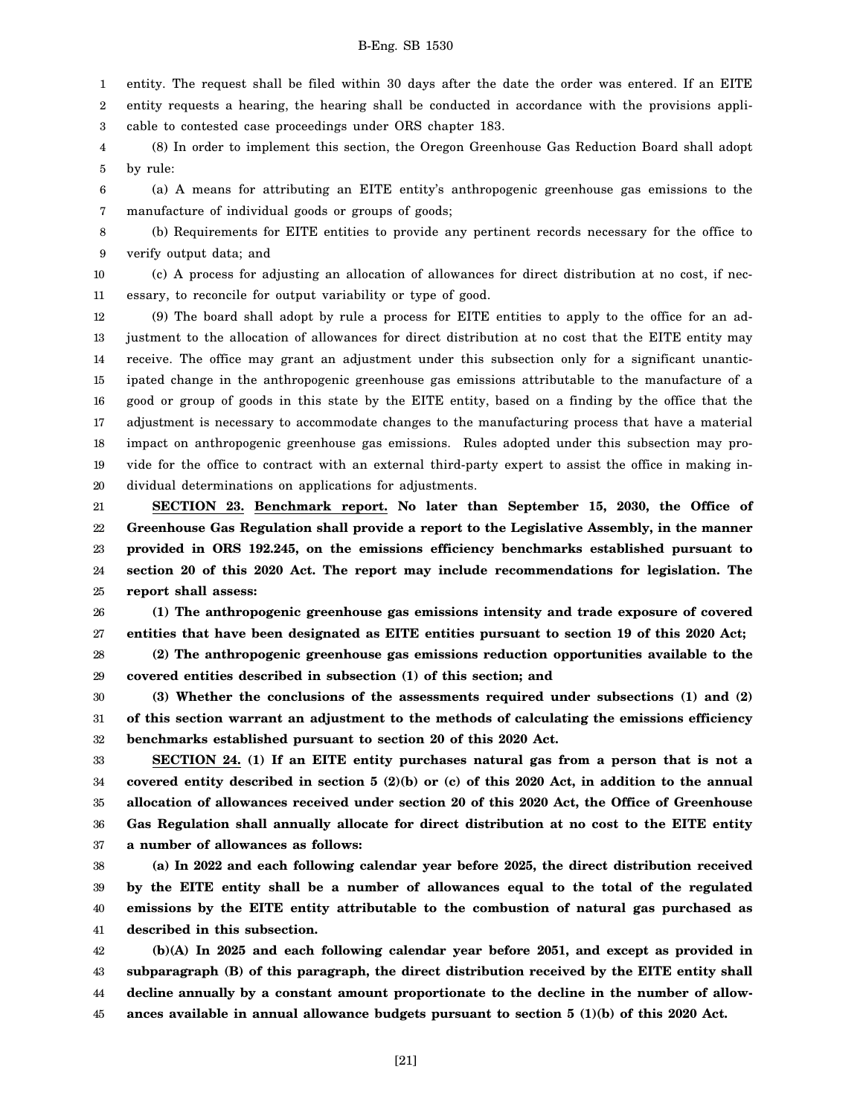1 entity. The request shall be filed within 30 days after the date the order was entered. If an EITE

2 3 entity requests a hearing, the hearing shall be conducted in accordance with the provisions applicable to contested case proceedings under ORS chapter 183.

4 5 (8) In order to implement this section, the Oregon Greenhouse Gas Reduction Board shall adopt by rule:

6 7 (a) A means for attributing an EITE entity's anthropogenic greenhouse gas emissions to the manufacture of individual goods or groups of goods;

8 9 (b) Requirements for EITE entities to provide any pertinent records necessary for the office to verify output data; and

10 11 (c) A process for adjusting an allocation of allowances for direct distribution at no cost, if necessary, to reconcile for output variability or type of good.

12 13 14 15 16 17 18 19 20 (9) The board shall adopt by rule a process for EITE entities to apply to the office for an adjustment to the allocation of allowances for direct distribution at no cost that the EITE entity may receive. The office may grant an adjustment under this subsection only for a significant unanticipated change in the anthropogenic greenhouse gas emissions attributable to the manufacture of a good or group of goods in this state by the EITE entity, based on a finding by the office that the adjustment is necessary to accommodate changes to the manufacturing process that have a material impact on anthropogenic greenhouse gas emissions. Rules adopted under this subsection may provide for the office to contract with an external third-party expert to assist the office in making individual determinations on applications for adjustments.

21 22 23 24 25 **SECTION 23. Benchmark report. No later than September 15, 2030, the Office of Greenhouse Gas Regulation shall provide a report to the Legislative Assembly, in the manner provided in ORS 192.245, on the emissions efficiency benchmarks established pursuant to section 20 of this 2020 Act. The report may include recommendations for legislation. The report shall assess:**

26 27 **(1) The anthropogenic greenhouse gas emissions intensity and trade exposure of covered entities that have been designated as EITE entities pursuant to section 19 of this 2020 Act;**

28 29 **(2) The anthropogenic greenhouse gas emissions reduction opportunities available to the covered entities described in subsection (1) of this section; and**

30 31 32 **(3) Whether the conclusions of the assessments required under subsections (1) and (2) of this section warrant an adjustment to the methods of calculating the emissions efficiency benchmarks established pursuant to section 20 of this 2020 Act.**

33 34 35 36 37 **SECTION 24. (1) If an EITE entity purchases natural gas from a person that is not a covered entity described in section 5 (2)(b) or (c) of this 2020 Act, in addition to the annual allocation of allowances received under section 20 of this 2020 Act, the Office of Greenhouse Gas Regulation shall annually allocate for direct distribution at no cost to the EITE entity a number of allowances as follows:**

38 39 40 41 **(a) In 2022 and each following calendar year before 2025, the direct distribution received by the EITE entity shall be a number of allowances equal to the total of the regulated emissions by the EITE entity attributable to the combustion of natural gas purchased as described in this subsection.**

42 43 44 45 **(b)(A) In 2025 and each following calendar year before 2051, and except as provided in subparagraph (B) of this paragraph, the direct distribution received by the EITE entity shall decline annually by a constant amount proportionate to the decline in the number of allowances available in annual allowance budgets pursuant to section 5 (1)(b) of this 2020 Act.**

[21]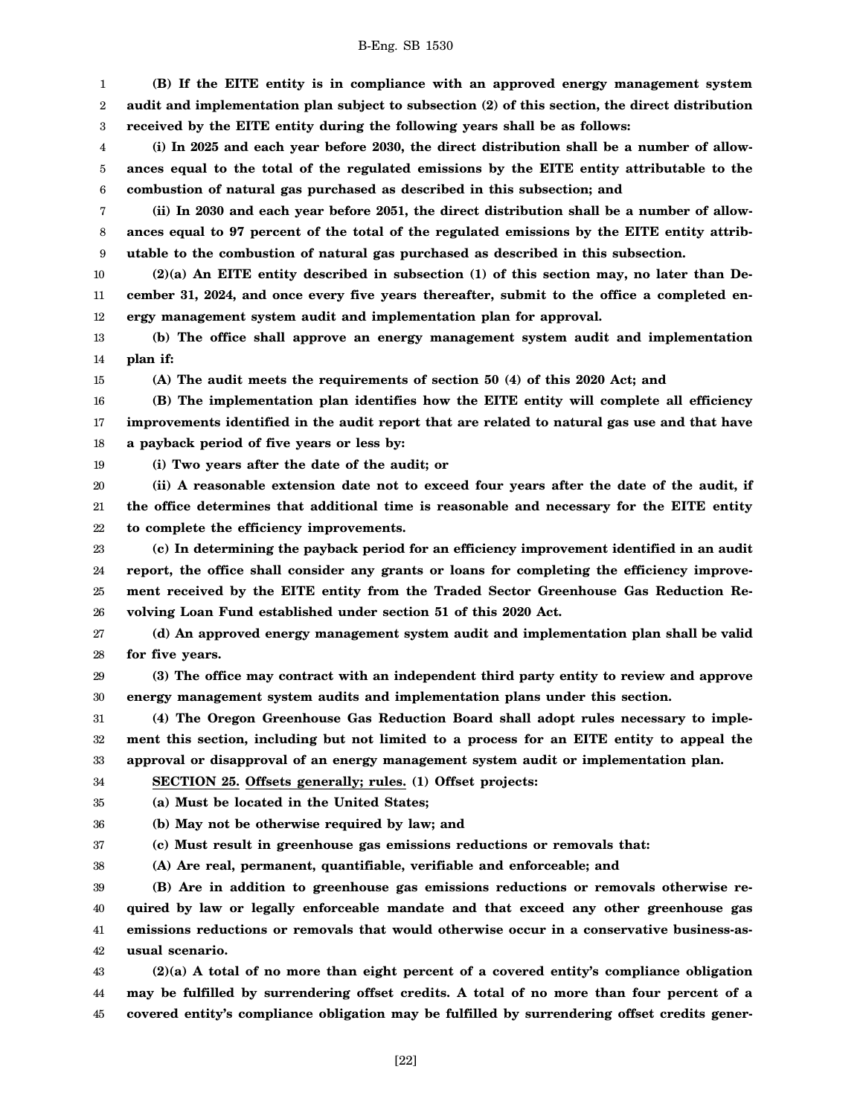1 2 3 **(B) If the EITE entity is in compliance with an approved energy management system audit and implementation plan subject to subsection (2) of this section, the direct distribution received by the EITE entity during the following years shall be as follows:**

4 5 6 **(i) In 2025 and each year before 2030, the direct distribution shall be a number of allowances equal to the total of the regulated emissions by the EITE entity attributable to the combustion of natural gas purchased as described in this subsection; and**

7 8 9 **(ii) In 2030 and each year before 2051, the direct distribution shall be a number of allowances equal to 97 percent of the total of the regulated emissions by the EITE entity attributable to the combustion of natural gas purchased as described in this subsection.**

10 11 12 **(2)(a) An EITE entity described in subsection (1) of this section may, no later than December 31, 2024, and once every five years thereafter, submit to the office a completed energy management system audit and implementation plan for approval.**

13 14 **(b) The office shall approve an energy management system audit and implementation plan if:**

15

34

**(A) The audit meets the requirements of section 50 (4) of this 2020 Act; and**

16 17 18 **(B) The implementation plan identifies how the EITE entity will complete all efficiency improvements identified in the audit report that are related to natural gas use and that have a payback period of five years or less by:**

19 **(i) Two years after the date of the audit; or**

20 21 22 **(ii) A reasonable extension date not to exceed four years after the date of the audit, if the office determines that additional time is reasonable and necessary for the EITE entity to complete the efficiency improvements.**

23 24 25 26 **(c) In determining the payback period for an efficiency improvement identified in an audit report, the office shall consider any grants or loans for completing the efficiency improvement received by the EITE entity from the Traded Sector Greenhouse Gas Reduction Revolving Loan Fund established under section 51 of this 2020 Act.**

27 28 **(d) An approved energy management system audit and implementation plan shall be valid for five years.**

29 30 **(3) The office may contract with an independent third party entity to review and approve energy management system audits and implementation plans under this section.**

31 32 33 **(4) The Oregon Greenhouse Gas Reduction Board shall adopt rules necessary to implement this section, including but not limited to a process for an EITE entity to appeal the approval or disapproval of an energy management system audit or implementation plan.**

**SECTION 25. Offsets generally; rules. (1) Offset projects:**

35 **(a) Must be located in the United States;**

36 **(b) May not be otherwise required by law; and**

37 **(c) Must result in greenhouse gas emissions reductions or removals that:**

38 **(A) Are real, permanent, quantifiable, verifiable and enforceable; and**

39 40 41 42 **(B) Are in addition to greenhouse gas emissions reductions or removals otherwise required by law or legally enforceable mandate and that exceed any other greenhouse gas emissions reductions or removals that would otherwise occur in a conservative business-asusual scenario.**

43 44 45 **(2)(a) A total of no more than eight percent of a covered entity's compliance obligation may be fulfilled by surrendering offset credits. A total of no more than four percent of a covered entity's compliance obligation may be fulfilled by surrendering offset credits gener-**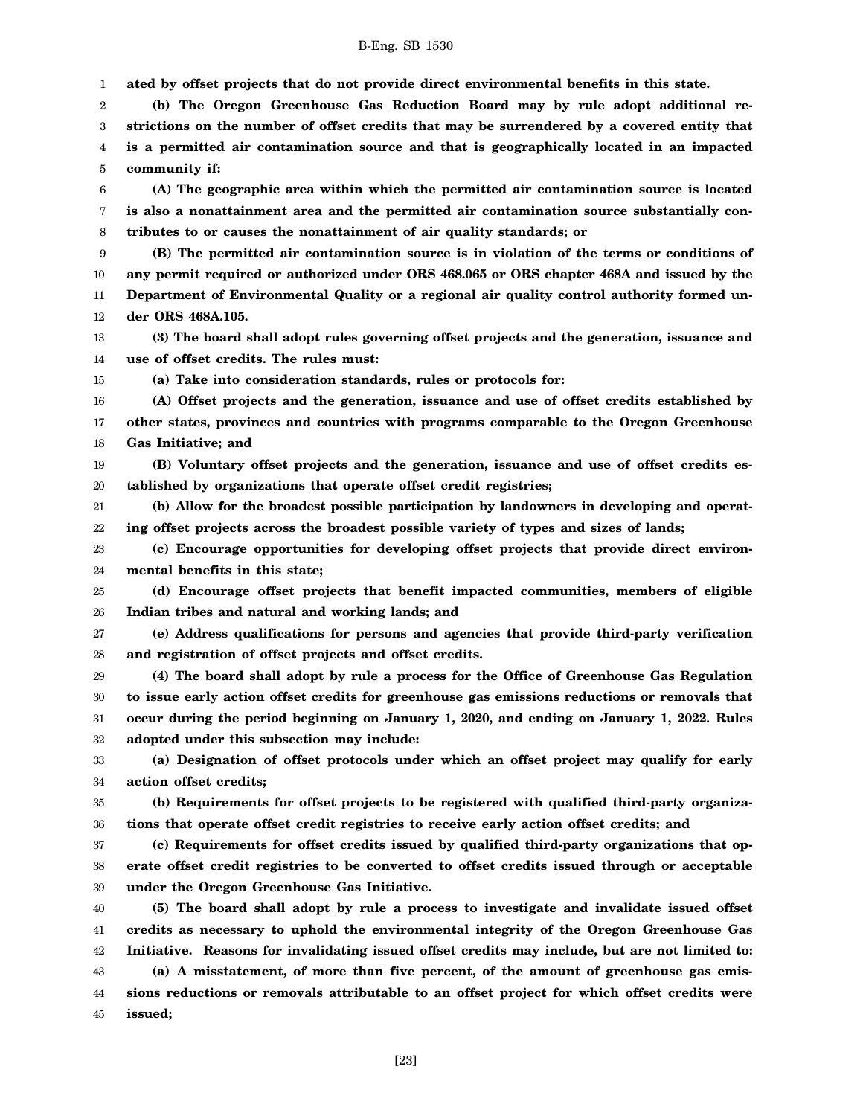1 **ated by offset projects that do not provide direct environmental benefits in this state.**

2 3 4 5 **(b) The Oregon Greenhouse Gas Reduction Board may by rule adopt additional restrictions on the number of offset credits that may be surrendered by a covered entity that is a permitted air contamination source and that is geographically located in an impacted community if:**

6 7 8 **(A) The geographic area within which the permitted air contamination source is located is also a nonattainment area and the permitted air contamination source substantially contributes to or causes the nonattainment of air quality standards; or**

9 10 11 12 **(B) The permitted air contamination source is in violation of the terms or conditions of any permit required or authorized under ORS 468.065 or ORS chapter 468A and issued by the Department of Environmental Quality or a regional air quality control authority formed under ORS 468A.105.**

13 14 **(3) The board shall adopt rules governing offset projects and the generation, issuance and use of offset credits. The rules must:**

15

**(a) Take into consideration standards, rules or protocols for:**

16 17 18 **(A) Offset projects and the generation, issuance and use of offset credits established by other states, provinces and countries with programs comparable to the Oregon Greenhouse Gas Initiative; and**

19 20 **(B) Voluntary offset projects and the generation, issuance and use of offset credits established by organizations that operate offset credit registries;**

21 22 **(b) Allow for the broadest possible participation by landowners in developing and operating offset projects across the broadest possible variety of types and sizes of lands;**

23 24 **(c) Encourage opportunities for developing offset projects that provide direct environmental benefits in this state;**

25 26 **(d) Encourage offset projects that benefit impacted communities, members of eligible Indian tribes and natural and working lands; and**

27 28 **(e) Address qualifications for persons and agencies that provide third-party verification and registration of offset projects and offset credits.**

29 30 31 32 **(4) The board shall adopt by rule a process for the Office of Greenhouse Gas Regulation to issue early action offset credits for greenhouse gas emissions reductions or removals that occur during the period beginning on January 1, 2020, and ending on January 1, 2022. Rules adopted under this subsection may include:**

33 34 **(a) Designation of offset protocols under which an offset project may qualify for early action offset credits;**

35 36 **(b) Requirements for offset projects to be registered with qualified third-party organizations that operate offset credit registries to receive early action offset credits; and**

37 38 39 **(c) Requirements for offset credits issued by qualified third-party organizations that operate offset credit registries to be converted to offset credits issued through or acceptable under the Oregon Greenhouse Gas Initiative.**

40 41 42 43 44 45 **(5) The board shall adopt by rule a process to investigate and invalidate issued offset credits as necessary to uphold the environmental integrity of the Oregon Greenhouse Gas Initiative. Reasons for invalidating issued offset credits may include, but are not limited to: (a) A misstatement, of more than five percent, of the amount of greenhouse gas emissions reductions or removals attributable to an offset project for which offset credits were issued;**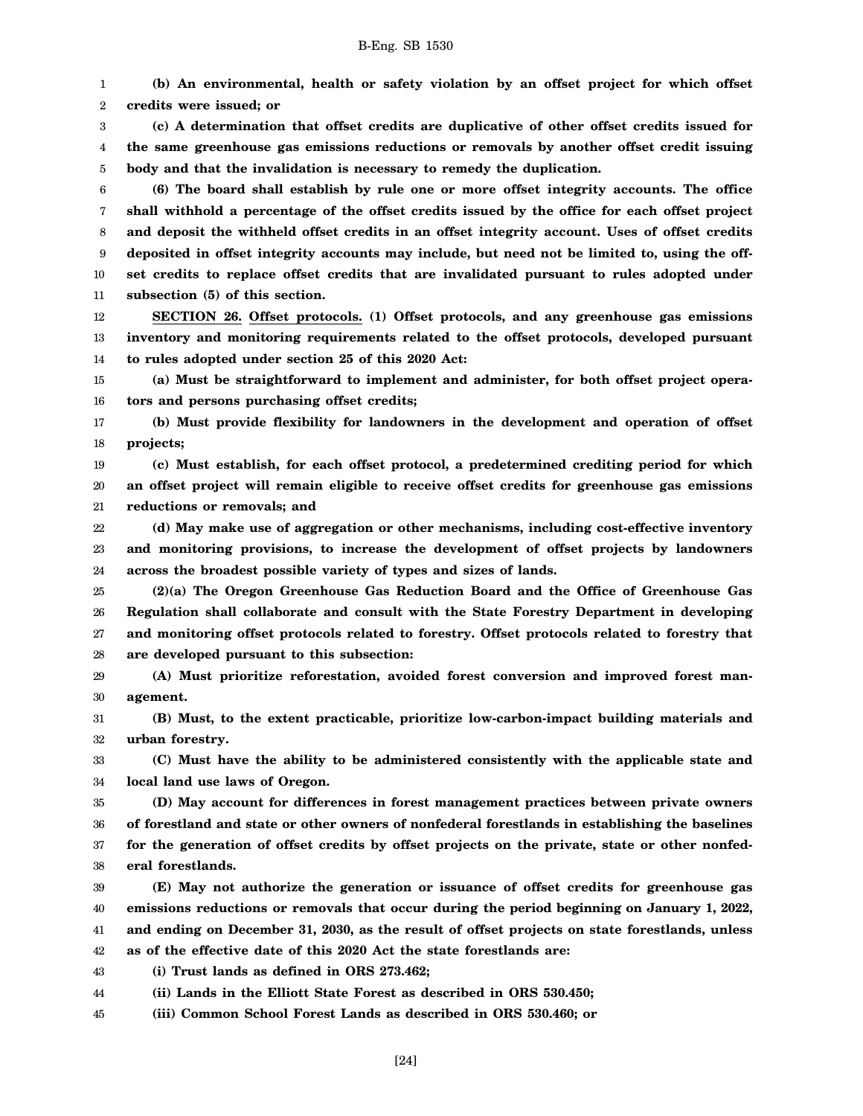1 2 **(b) An environmental, health or safety violation by an offset project for which offset credits were issued; or**

3 4 5 **(c) A determination that offset credits are duplicative of other offset credits issued for the same greenhouse gas emissions reductions or removals by another offset credit issuing body and that the invalidation is necessary to remedy the duplication.**

6 7 8 9 10 11 **(6) The board shall establish by rule one or more offset integrity accounts. The office shall withhold a percentage of the offset credits issued by the office for each offset project and deposit the withheld offset credits in an offset integrity account. Uses of offset credits deposited in offset integrity accounts may include, but need not be limited to, using the offset credits to replace offset credits that are invalidated pursuant to rules adopted under subsection (5) of this section.**

12 13 14 **SECTION 26. Offset protocols. (1) Offset protocols, and any greenhouse gas emissions inventory and monitoring requirements related to the offset protocols, developed pursuant to rules adopted under section 25 of this 2020 Act:**

15 16 **(a) Must be straightforward to implement and administer, for both offset project operators and persons purchasing offset credits;**

17 18 **(b) Must provide flexibility for landowners in the development and operation of offset projects;**

19 20 21 **(c) Must establish, for each offset protocol, a predetermined crediting period for which an offset project will remain eligible to receive offset credits for greenhouse gas emissions reductions or removals; and**

22 23 24 **(d) May make use of aggregation or other mechanisms, including cost-effective inventory and monitoring provisions, to increase the development of offset projects by landowners across the broadest possible variety of types and sizes of lands.**

25 26 27 28 **(2)(a) The Oregon Greenhouse Gas Reduction Board and the Office of Greenhouse Gas Regulation shall collaborate and consult with the State Forestry Department in developing and monitoring offset protocols related to forestry. Offset protocols related to forestry that are developed pursuant to this subsection:**

29 30 **(A) Must prioritize reforestation, avoided forest conversion and improved forest management.**

31 32 **(B) Must, to the extent practicable, prioritize low-carbon-impact building materials and urban forestry.**

33 34 **(C) Must have the ability to be administered consistently with the applicable state and local land use laws of Oregon.**

35 36 37 38 **(D) May account for differences in forest management practices between private owners of forestland and state or other owners of nonfederal forestlands in establishing the baselines for the generation of offset credits by offset projects on the private, state or other nonfederal forestlands.**

39 40 41 42 **(E) May not authorize the generation or issuance of offset credits for greenhouse gas emissions reductions or removals that occur during the period beginning on January 1, 2022, and ending on December 31, 2030, as the result of offset projects on state forestlands, unless as of the effective date of this 2020 Act the state forestlands are:**

43 **(i) Trust lands as defined in ORS 273.462;**

44 **(ii) Lands in the Elliott State Forest as described in ORS 530.450;**

45 **(iii) Common School Forest Lands as described in ORS 530.460; or**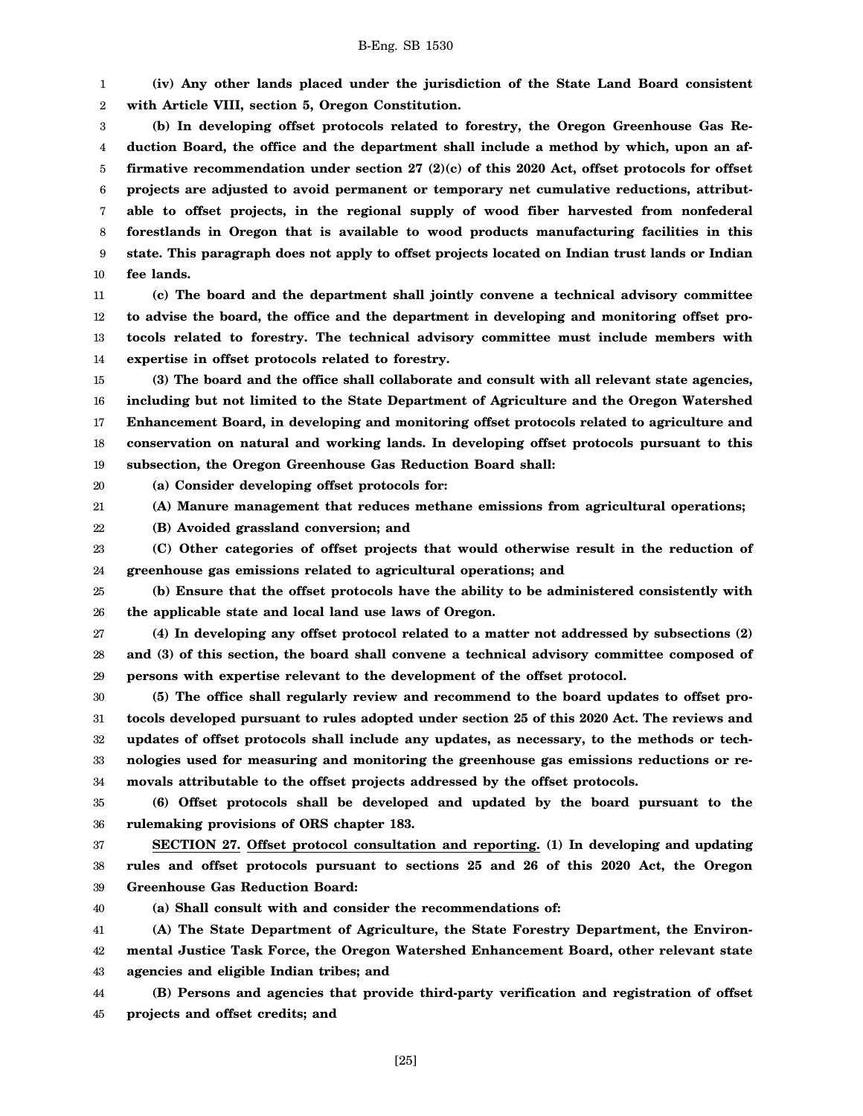1 2 **(iv) Any other lands placed under the jurisdiction of the State Land Board consistent with Article VIII, section 5, Oregon Constitution.**

3 4 5 6 7 8 9 10 **(b) In developing offset protocols related to forestry, the Oregon Greenhouse Gas Reduction Board, the office and the department shall include a method by which, upon an affirmative recommendation under section 27 (2)(c) of this 2020 Act, offset protocols for offset projects are adjusted to avoid permanent or temporary net cumulative reductions, attributable to offset projects, in the regional supply of wood fiber harvested from nonfederal forestlands in Oregon that is available to wood products manufacturing facilities in this state. This paragraph does not apply to offset projects located on Indian trust lands or Indian fee lands.**

11 12 13 14 **(c) The board and the department shall jointly convene a technical advisory committee to advise the board, the office and the department in developing and monitoring offset protocols related to forestry. The technical advisory committee must include members with expertise in offset protocols related to forestry.**

15 16 17 18 19 **(3) The board and the office shall collaborate and consult with all relevant state agencies, including but not limited to the State Department of Agriculture and the Oregon Watershed Enhancement Board, in developing and monitoring offset protocols related to agriculture and conservation on natural and working lands. In developing offset protocols pursuant to this subsection, the Oregon Greenhouse Gas Reduction Board shall:**

20 **(a) Consider developing offset protocols for:**

21 **(A) Manure management that reduces methane emissions from agricultural operations;**

22 **(B) Avoided grassland conversion; and**

23 24 **(C) Other categories of offset projects that would otherwise result in the reduction of greenhouse gas emissions related to agricultural operations; and**

25 26 **(b) Ensure that the offset protocols have the ability to be administered consistently with the applicable state and local land use laws of Oregon.**

27 28 29 **(4) In developing any offset protocol related to a matter not addressed by subsections (2) and (3) of this section, the board shall convene a technical advisory committee composed of persons with expertise relevant to the development of the offset protocol.**

30 31 32 33 34 **(5) The office shall regularly review and recommend to the board updates to offset protocols developed pursuant to rules adopted under section 25 of this 2020 Act. The reviews and updates of offset protocols shall include any updates, as necessary, to the methods or technologies used for measuring and monitoring the greenhouse gas emissions reductions or removals attributable to the offset projects addressed by the offset protocols.**

35 36 **(6) Offset protocols shall be developed and updated by the board pursuant to the rulemaking provisions of ORS chapter 183.**

37 38 39 **SECTION 27. Offset protocol consultation and reporting. (1) In developing and updating rules and offset protocols pursuant to sections 25 and 26 of this 2020 Act, the Oregon Greenhouse Gas Reduction Board:**

40

**(a) Shall consult with and consider the recommendations of:**

41 42 43 **(A) The State Department of Agriculture, the State Forestry Department, the Environmental Justice Task Force, the Oregon Watershed Enhancement Board, other relevant state agencies and eligible Indian tribes; and**

44 45 **(B) Persons and agencies that provide third-party verification and registration of offset projects and offset credits; and**

[25]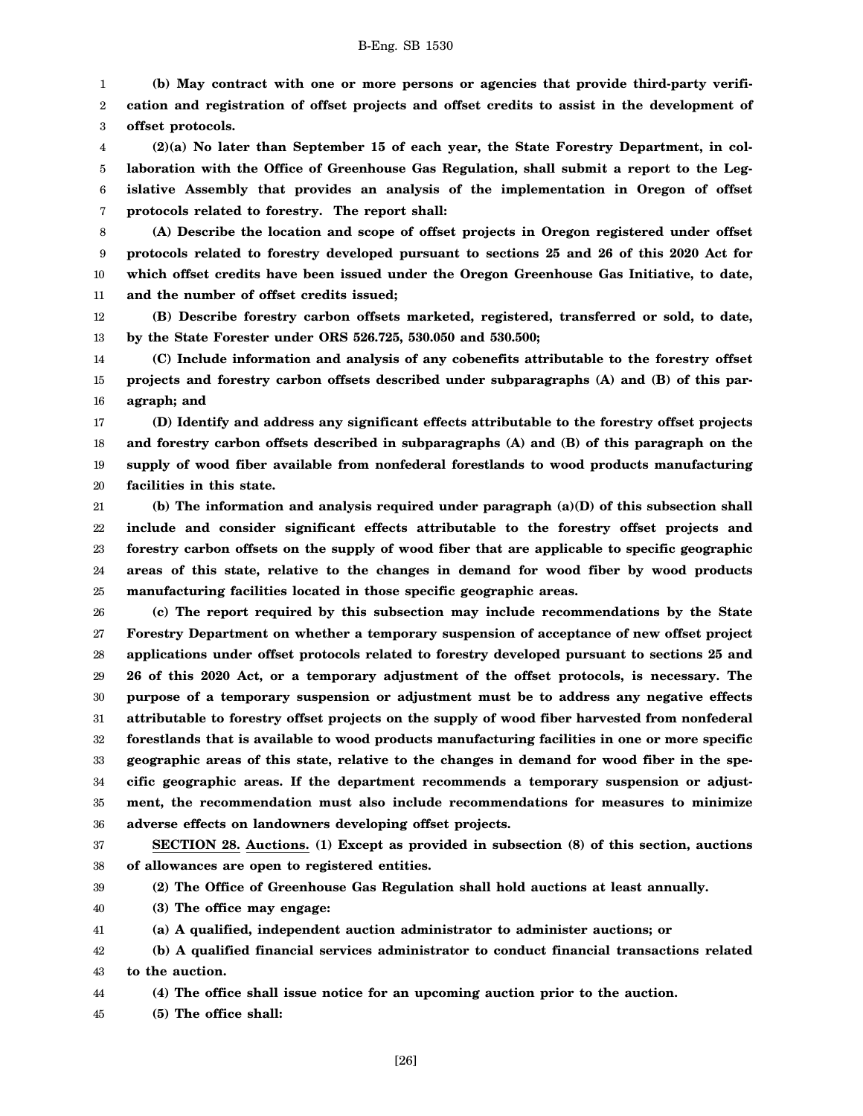1 2 3 **(b) May contract with one or more persons or agencies that provide third-party verification and registration of offset projects and offset credits to assist in the development of offset protocols.**

4 5 6 7 **(2)(a) No later than September 15 of each year, the State Forestry Department, in collaboration with the Office of Greenhouse Gas Regulation, shall submit a report to the Legislative Assembly that provides an analysis of the implementation in Oregon of offset protocols related to forestry. The report shall:**

8 9 10 11 **(A) Describe the location and scope of offset projects in Oregon registered under offset protocols related to forestry developed pursuant to sections 25 and 26 of this 2020 Act for which offset credits have been issued under the Oregon Greenhouse Gas Initiative, to date, and the number of offset credits issued;**

12 13 **(B) Describe forestry carbon offsets marketed, registered, transferred or sold, to date, by the State Forester under ORS 526.725, 530.050 and 530.500;**

14 15 16 **(C) Include information and analysis of any cobenefits attributable to the forestry offset projects and forestry carbon offsets described under subparagraphs (A) and (B) of this paragraph; and**

17 18 19 20 **(D) Identify and address any significant effects attributable to the forestry offset projects and forestry carbon offsets described in subparagraphs (A) and (B) of this paragraph on the supply of wood fiber available from nonfederal forestlands to wood products manufacturing facilities in this state.**

21 22 23 24 25 **(b) The information and analysis required under paragraph (a)(D) of this subsection shall include and consider significant effects attributable to the forestry offset projects and forestry carbon offsets on the supply of wood fiber that are applicable to specific geographic areas of this state, relative to the changes in demand for wood fiber by wood products manufacturing facilities located in those specific geographic areas.**

26 27 28 29 30 31 32 33 34 35 36 **(c) The report required by this subsection may include recommendations by the State Forestry Department on whether a temporary suspension of acceptance of new offset project applications under offset protocols related to forestry developed pursuant to sections 25 and 26 of this 2020 Act, or a temporary adjustment of the offset protocols, is necessary. The purpose of a temporary suspension or adjustment must be to address any negative effects attributable to forestry offset projects on the supply of wood fiber harvested from nonfederal forestlands that is available to wood products manufacturing facilities in one or more specific geographic areas of this state, relative to the changes in demand for wood fiber in the specific geographic areas. If the department recommends a temporary suspension or adjustment, the recommendation must also include recommendations for measures to minimize adverse effects on landowners developing offset projects.**

37 38 **SECTION 28. Auctions. (1) Except as provided in subsection (8) of this section, auctions of allowances are open to registered entities.**

39 **(2) The Office of Greenhouse Gas Regulation shall hold auctions at least annually.**

40 **(3) The office may engage:**

41 **(a) A qualified, independent auction administrator to administer auctions; or**

42 43 **(b) A qualified financial services administrator to conduct financial transactions related to the auction.**

44 **(4) The office shall issue notice for an upcoming auction prior to the auction.**

45 **(5) The office shall:**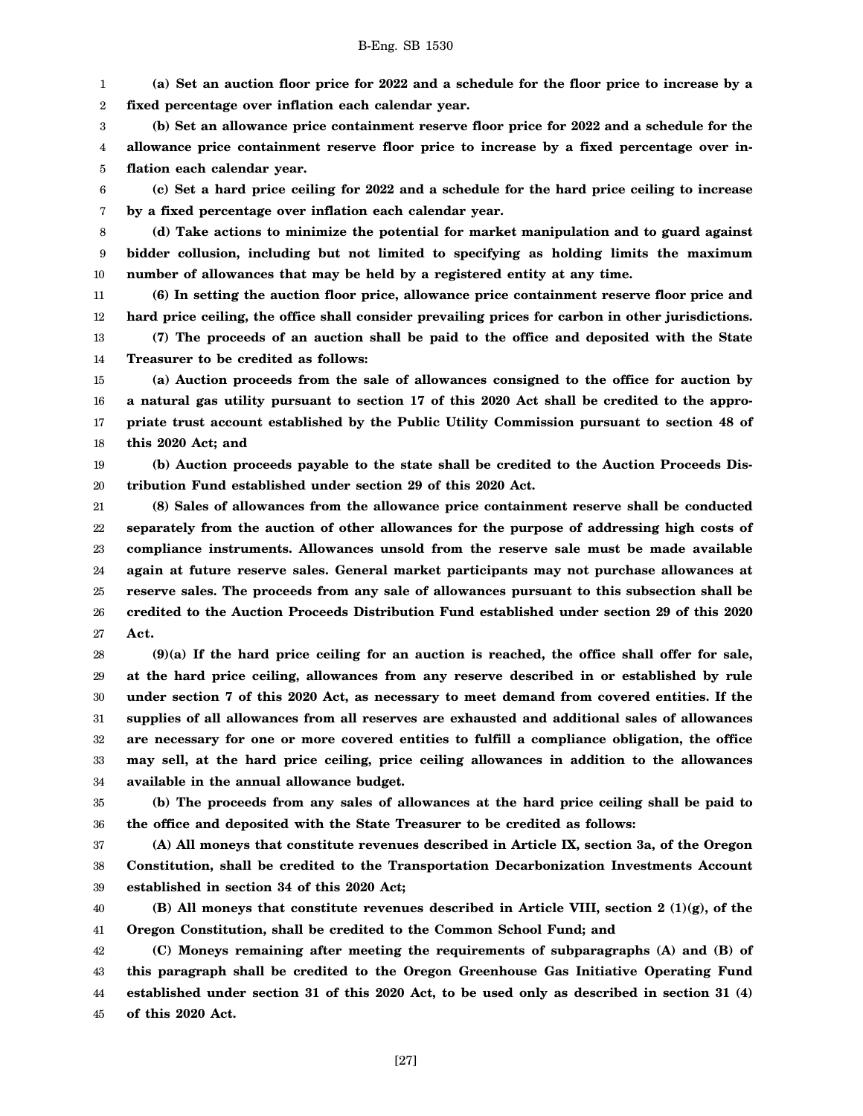1 2 **(a) Set an auction floor price for 2022 and a schedule for the floor price to increase by a fixed percentage over inflation each calendar year.**

3 4 5 **(b) Set an allowance price containment reserve floor price for 2022 and a schedule for the allowance price containment reserve floor price to increase by a fixed percentage over inflation each calendar year.**

6 7 **(c) Set a hard price ceiling for 2022 and a schedule for the hard price ceiling to increase by a fixed percentage over inflation each calendar year.**

8 9 10 **(d) Take actions to minimize the potential for market manipulation and to guard against bidder collusion, including but not limited to specifying as holding limits the maximum number of allowances that may be held by a registered entity at any time.**

11 12 **(6) In setting the auction floor price, allowance price containment reserve floor price and hard price ceiling, the office shall consider prevailing prices for carbon in other jurisdictions.**

13 14 **(7) The proceeds of an auction shall be paid to the office and deposited with the State Treasurer to be credited as follows:**

15 16 17 18 **(a) Auction proceeds from the sale of allowances consigned to the office for auction by a natural gas utility pursuant to section 17 of this 2020 Act shall be credited to the appropriate trust account established by the Public Utility Commission pursuant to section 48 of this 2020 Act; and**

19 20 **(b) Auction proceeds payable to the state shall be credited to the Auction Proceeds Distribution Fund established under section 29 of this 2020 Act.**

21 22 23 24 25 26 27 **(8) Sales of allowances from the allowance price containment reserve shall be conducted separately from the auction of other allowances for the purpose of addressing high costs of compliance instruments. Allowances unsold from the reserve sale must be made available again at future reserve sales. General market participants may not purchase allowances at reserve sales. The proceeds from any sale of allowances pursuant to this subsection shall be credited to the Auction Proceeds Distribution Fund established under section 29 of this 2020 Act.**

28 29 30 31 32 33 34 **(9)(a) If the hard price ceiling for an auction is reached, the office shall offer for sale, at the hard price ceiling, allowances from any reserve described in or established by rule under section 7 of this 2020 Act, as necessary to meet demand from covered entities. If the supplies of all allowances from all reserves are exhausted and additional sales of allowances are necessary for one or more covered entities to fulfill a compliance obligation, the office may sell, at the hard price ceiling, price ceiling allowances in addition to the allowances available in the annual allowance budget.**

35 36 **(b) The proceeds from any sales of allowances at the hard price ceiling shall be paid to the office and deposited with the State Treasurer to be credited as follows:**

37 38 39 **(A) All moneys that constitute revenues described in Article IX, section 3a, of the Oregon Constitution, shall be credited to the Transportation Decarbonization Investments Account established in section 34 of this 2020 Act;**

40 41 **(B) All moneys that constitute revenues described in Article VIII, section 2 (1)(g), of the Oregon Constitution, shall be credited to the Common School Fund; and**

42 43 44 45 **(C) Moneys remaining after meeting the requirements of subparagraphs (A) and (B) of this paragraph shall be credited to the Oregon Greenhouse Gas Initiative Operating Fund established under section 31 of this 2020 Act, to be used only as described in section 31 (4) of this 2020 Act.**

[27]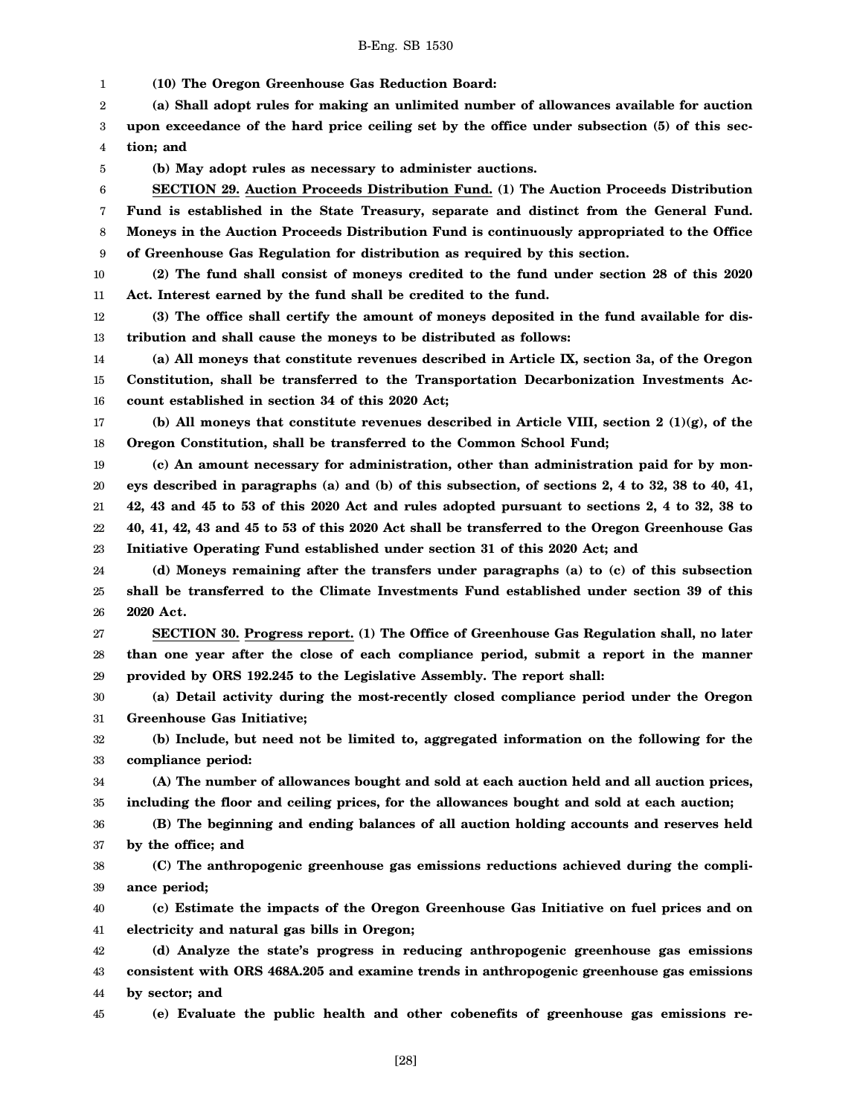1 **(10) The Oregon Greenhouse Gas Reduction Board:**

2 **(a) Shall adopt rules for making an unlimited number of allowances available for auction**

3 4 **upon exceedance of the hard price ceiling set by the office under subsection (5) of this section; and**

5 **(b) May adopt rules as necessary to administer auctions.**

6 7 8 9 **SECTION 29. Auction Proceeds Distribution Fund. (1) The Auction Proceeds Distribution Fund is established in the State Treasury, separate and distinct from the General Fund. Moneys in the Auction Proceeds Distribution Fund is continuously appropriated to the Office of Greenhouse Gas Regulation for distribution as required by this section.**

10 11 **(2) The fund shall consist of moneys credited to the fund under section 28 of this 2020 Act. Interest earned by the fund shall be credited to the fund.**

12 13 **(3) The office shall certify the amount of moneys deposited in the fund available for distribution and shall cause the moneys to be distributed as follows:**

14 15 16 **(a) All moneys that constitute revenues described in Article IX, section 3a, of the Oregon Constitution, shall be transferred to the Transportation Decarbonization Investments Account established in section 34 of this 2020 Act;**

17 18 **(b) All moneys that constitute revenues described in Article VIII, section 2 (1)(g), of the Oregon Constitution, shall be transferred to the Common School Fund;**

19 20 21 22 23 **(c) An amount necessary for administration, other than administration paid for by moneys described in paragraphs (a) and (b) of this subsection, of sections 2, 4 to 32, 38 to 40, 41, 42, 43 and 45 to 53 of this 2020 Act and rules adopted pursuant to sections 2, 4 to 32, 38 to 40, 41, 42, 43 and 45 to 53 of this 2020 Act shall be transferred to the Oregon Greenhouse Gas Initiative Operating Fund established under section 31 of this 2020 Act; and**

24 25 26 **(d) Moneys remaining after the transfers under paragraphs (a) to (c) of this subsection shall be transferred to the Climate Investments Fund established under section 39 of this 2020 Act.**

27 28 29 **SECTION 30. Progress report. (1) The Office of Greenhouse Gas Regulation shall, no later than one year after the close of each compliance period, submit a report in the manner provided by ORS 192.245 to the Legislative Assembly. The report shall:**

30 31 **(a) Detail activity during the most-recently closed compliance period under the Oregon Greenhouse Gas Initiative;**

32 33 **(b) Include, but need not be limited to, aggregated information on the following for the compliance period:**

34 35 **(A) The number of allowances bought and sold at each auction held and all auction prices, including the floor and ceiling prices, for the allowances bought and sold at each auction;**

36 37 **(B) The beginning and ending balances of all auction holding accounts and reserves held by the office; and**

38 39 **(C) The anthropogenic greenhouse gas emissions reductions achieved during the compliance period;**

40 41 **(c) Estimate the impacts of the Oregon Greenhouse Gas Initiative on fuel prices and on electricity and natural gas bills in Oregon;**

42 43 44 **(d) Analyze the state's progress in reducing anthropogenic greenhouse gas emissions consistent with ORS 468A.205 and examine trends in anthropogenic greenhouse gas emissions by sector; and**

45

**(e) Evaluate the public health and other cobenefits of greenhouse gas emissions re-**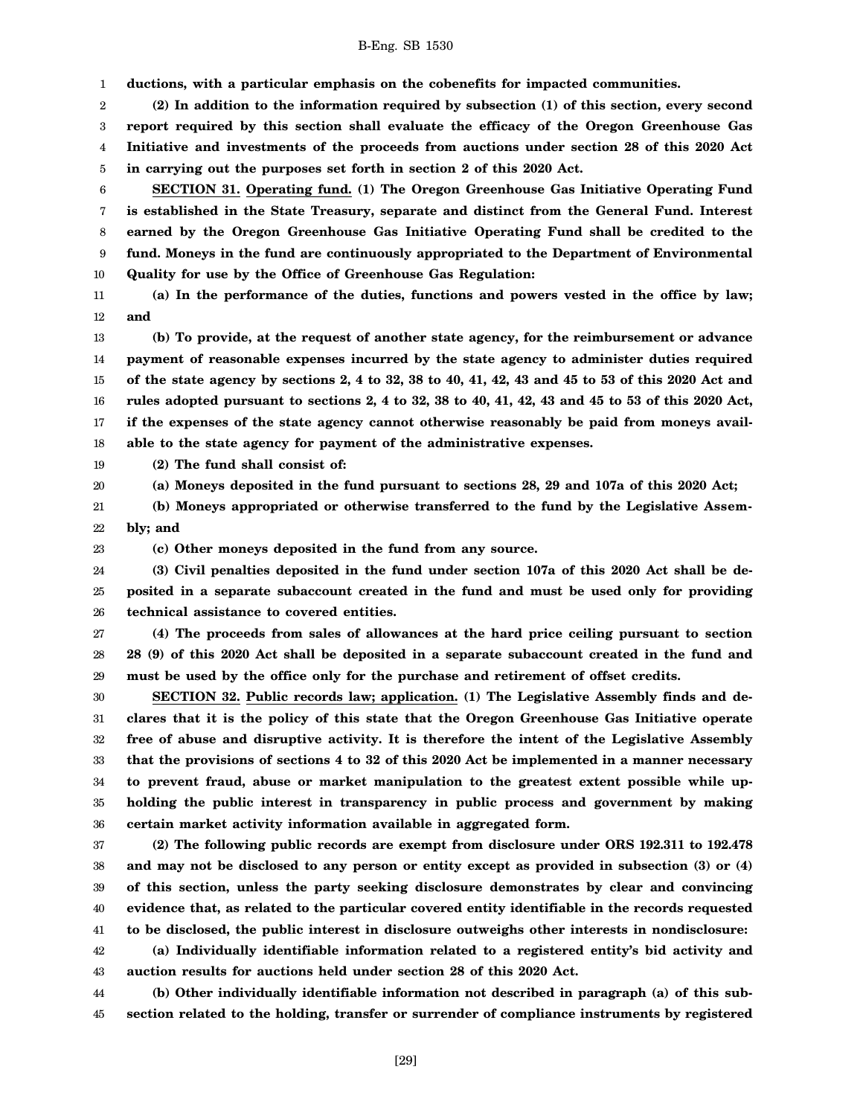1 **ductions, with a particular emphasis on the cobenefits for impacted communities.**

2 3 4 5 **(2) In addition to the information required by subsection (1) of this section, every second report required by this section shall evaluate the efficacy of the Oregon Greenhouse Gas Initiative and investments of the proceeds from auctions under section 28 of this 2020 Act in carrying out the purposes set forth in section 2 of this 2020 Act.**

6 7 8 9 10 **SECTION 31. Operating fund. (1) The Oregon Greenhouse Gas Initiative Operating Fund is established in the State Treasury, separate and distinct from the General Fund. Interest earned by the Oregon Greenhouse Gas Initiative Operating Fund shall be credited to the fund. Moneys in the fund are continuously appropriated to the Department of Environmental Quality for use by the Office of Greenhouse Gas Regulation:**

11 12 **(a) In the performance of the duties, functions and powers vested in the office by law; and**

13 14 15 16 17 18 **(b) To provide, at the request of another state agency, for the reimbursement or advance payment of reasonable expenses incurred by the state agency to administer duties required of the state agency by sections 2, 4 to 32, 38 to 40, 41, 42, 43 and 45 to 53 of this 2020 Act and rules adopted pursuant to sections 2, 4 to 32, 38 to 40, 41, 42, 43 and 45 to 53 of this 2020 Act, if the expenses of the state agency cannot otherwise reasonably be paid from moneys available to the state agency for payment of the administrative expenses.**

19 **(2) The fund shall consist of:**

**(a) Moneys deposited in the fund pursuant to sections 28, 29 and 107a of this 2020 Act;**

21 22 **(b) Moneys appropriated or otherwise transferred to the fund by the Legislative Assembly; and**

23

20

**(c) Other moneys deposited in the fund from any source.**

24 25 26 **(3) Civil penalties deposited in the fund under section 107a of this 2020 Act shall be deposited in a separate subaccount created in the fund and must be used only for providing technical assistance to covered entities.**

27 28 29 **(4) The proceeds from sales of allowances at the hard price ceiling pursuant to section 28 (9) of this 2020 Act shall be deposited in a separate subaccount created in the fund and must be used by the office only for the purchase and retirement of offset credits.**

30 31 32 33 34 35 36 **SECTION 32. Public records law; application. (1) The Legislative Assembly finds and declares that it is the policy of this state that the Oregon Greenhouse Gas Initiative operate free of abuse and disruptive activity. It is therefore the intent of the Legislative Assembly that the provisions of sections 4 to 32 of this 2020 Act be implemented in a manner necessary to prevent fraud, abuse or market manipulation to the greatest extent possible while upholding the public interest in transparency in public process and government by making certain market activity information available in aggregated form.**

37 38 39 40 41 42 **(2) The following public records are exempt from disclosure under ORS 192.311 to 192.478 and may not be disclosed to any person or entity except as provided in subsection (3) or (4) of this section, unless the party seeking disclosure demonstrates by clear and convincing evidence that, as related to the particular covered entity identifiable in the records requested to be disclosed, the public interest in disclosure outweighs other interests in nondisclosure: (a) Individually identifiable information related to a registered entity's bid activity and**

43 **auction results for auctions held under section 28 of this 2020 Act.**

44 45 **(b) Other individually identifiable information not described in paragraph (a) of this subsection related to the holding, transfer or surrender of compliance instruments by registered**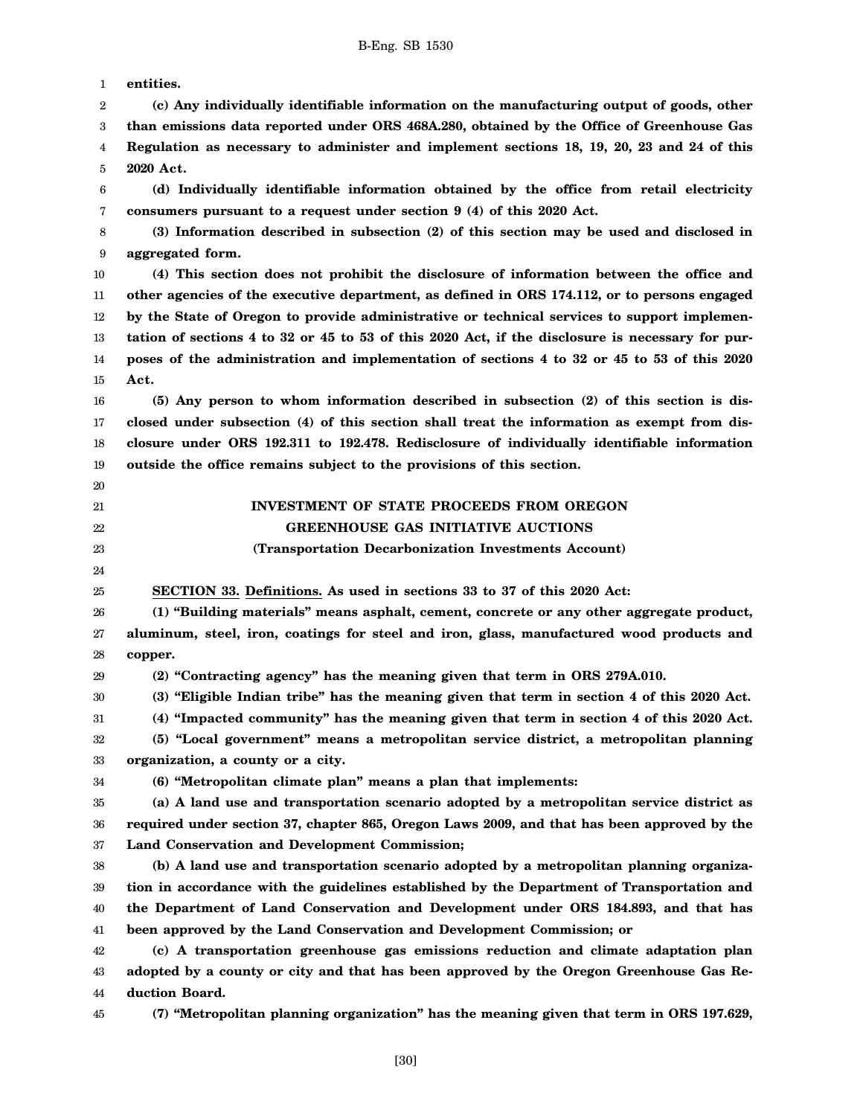1 2 3 4 5 6 7 8 9 10 11 12 13 14 15 16 17 18 19 20 21 22 23 24 25 26 27 28 29 30 31 32 33 34 35 36 37 38 39 40 41 42 43 44 **entities. (c) Any individually identifiable information on the manufacturing output of goods, other than emissions data reported under ORS 468A.280, obtained by the Office of Greenhouse Gas Regulation as necessary to administer and implement sections 18, 19, 20, 23 and 24 of this 2020 Act. (d) Individually identifiable information obtained by the office from retail electricity consumers pursuant to a request under section 9 (4) of this 2020 Act. (3) Information described in subsection (2) of this section may be used and disclosed in aggregated form. (4) This section does not prohibit the disclosure of information between the office and other agencies of the executive department, as defined in ORS 174.112, or to persons engaged by the State of Oregon to provide administrative or technical services to support implementation of sections 4 to 32 or 45 to 53 of this 2020 Act, if the disclosure is necessary for purposes of the administration and implementation of sections 4 to 32 or 45 to 53 of this 2020 Act. (5) Any person to whom information described in subsection (2) of this section is disclosed under subsection (4) of this section shall treat the information as exempt from disclosure under ORS 192.311 to 192.478. Redisclosure of individually identifiable information outside the office remains subject to the provisions of this section. INVESTMENT OF STATE PROCEEDS FROM OREGON GREENHOUSE GAS INITIATIVE AUCTIONS (Transportation Decarbonization Investments Account) SECTION 33. Definitions. As used in sections 33 to 37 of this 2020 Act: (1) "Building materials" means asphalt, cement, concrete or any other aggregate product, aluminum, steel, iron, coatings for steel and iron, glass, manufactured wood products and copper. (2) "Contracting agency" has the meaning given that term in ORS 279A.010. (3) "Eligible Indian tribe" has the meaning given that term in section 4 of this 2020 Act. (4) "Impacted community" has the meaning given that term in section 4 of this 2020 Act. (5) "Local government" means a metropolitan service district, a metropolitan planning organization, a county or a city. (6) "Metropolitan climate plan" means a plan that implements: (a) A land use and transportation scenario adopted by a metropolitan service district as required under section 37, chapter 865, Oregon Laws 2009, and that has been approved by the Land Conservation and Development Commission; (b) A land use and transportation scenario adopted by a metropolitan planning organization in accordance with the guidelines established by the Department of Transportation and the Department of Land Conservation and Development under ORS 184.893, and that has been approved by the Land Conservation and Development Commission; or (c) A transportation greenhouse gas emissions reduction and climate adaptation plan adopted by a county or city and that has been approved by the Oregon Greenhouse Gas Reduction Board.**

45 **(7) "Metropolitan planning organization" has the meaning given that term in ORS 197.629,**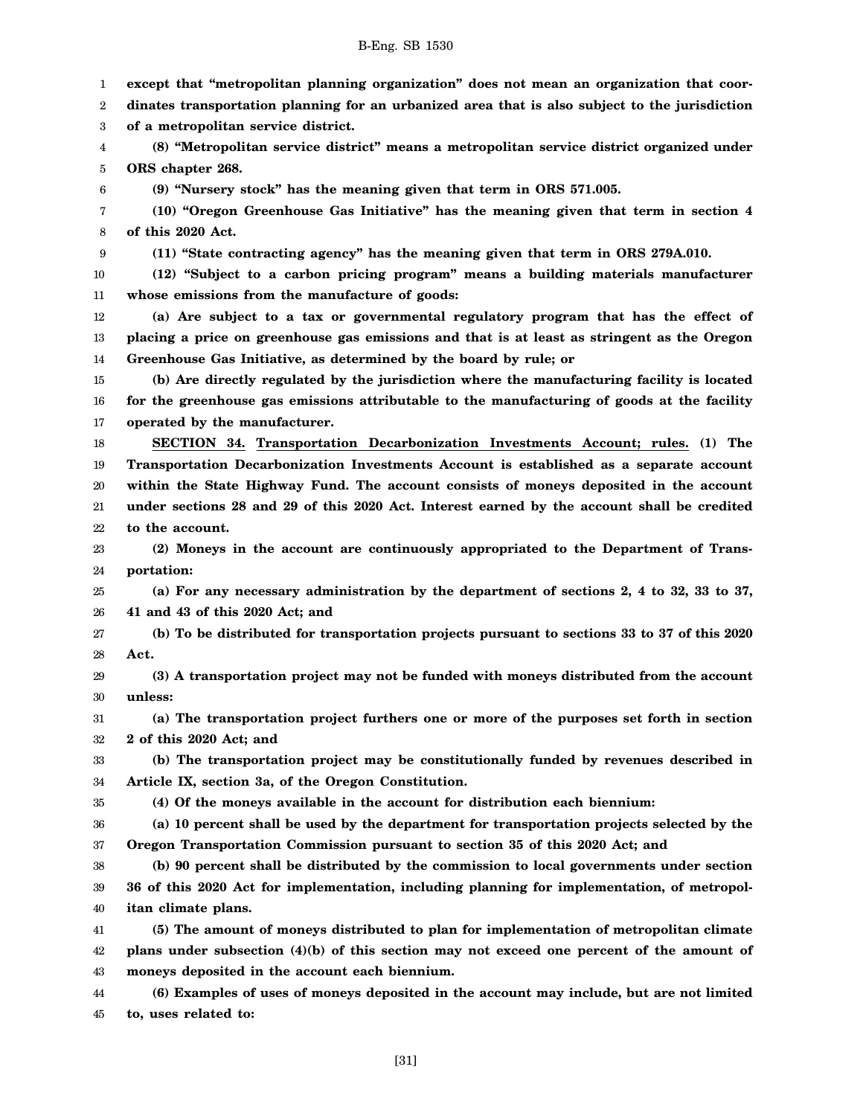1 2 3 4 5 6 7 8 9 10 11 12 13 14 15 16 17 18 19 20 21 22 23 24 25 26 27 28 29 30 31 32 33 34 35 36 37 38 39 40 41 42 43 44 45 **except that "metropolitan planning organization" does not mean an organization that coordinates transportation planning for an urbanized area that is also subject to the jurisdiction of a metropolitan service district. (8) "Metropolitan service district" means a metropolitan service district organized under ORS chapter 268. (9) "Nursery stock" has the meaning given that term in ORS 571.005. (10) "Oregon Greenhouse Gas Initiative" has the meaning given that term in section 4 of this 2020 Act. (11) "State contracting agency" has the meaning given that term in ORS 279A.010. (12) "Subject to a carbon pricing program" means a building materials manufacturer whose emissions from the manufacture of goods: (a) Are subject to a tax or governmental regulatory program that has the effect of placing a price on greenhouse gas emissions and that is at least as stringent as the Oregon Greenhouse Gas Initiative, as determined by the board by rule; or (b) Are directly regulated by the jurisdiction where the manufacturing facility is located for the greenhouse gas emissions attributable to the manufacturing of goods at the facility operated by the manufacturer. SECTION 34. Transportation Decarbonization Investments Account; rules. (1) The Transportation Decarbonization Investments Account is established as a separate account within the State Highway Fund. The account consists of moneys deposited in the account under sections 28 and 29 of this 2020 Act. Interest earned by the account shall be credited to the account. (2) Moneys in the account are continuously appropriated to the Department of Transportation: (a) For any necessary administration by the department of sections 2, 4 to 32, 33 to 37, 41 and 43 of this 2020 Act; and (b) To be distributed for transportation projects pursuant to sections 33 to 37 of this 2020 Act. (3) A transportation project may not be funded with moneys distributed from the account unless: (a) The transportation project furthers one or more of the purposes set forth in section 2 of this 2020 Act; and (b) The transportation project may be constitutionally funded by revenues described in Article IX, section 3a, of the Oregon Constitution. (4) Of the moneys available in the account for distribution each biennium: (a) 10 percent shall be used by the department for transportation projects selected by the Oregon Transportation Commission pursuant to section 35 of this 2020 Act; and (b) 90 percent shall be distributed by the commission to local governments under section 36 of this 2020 Act for implementation, including planning for implementation, of metropolitan climate plans. (5) The amount of moneys distributed to plan for implementation of metropolitan climate plans under subsection (4)(b) of this section may not exceed one percent of the amount of moneys deposited in the account each biennium. (6) Examples of uses of moneys deposited in the account may include, but are not limited to, uses related to:**

[31]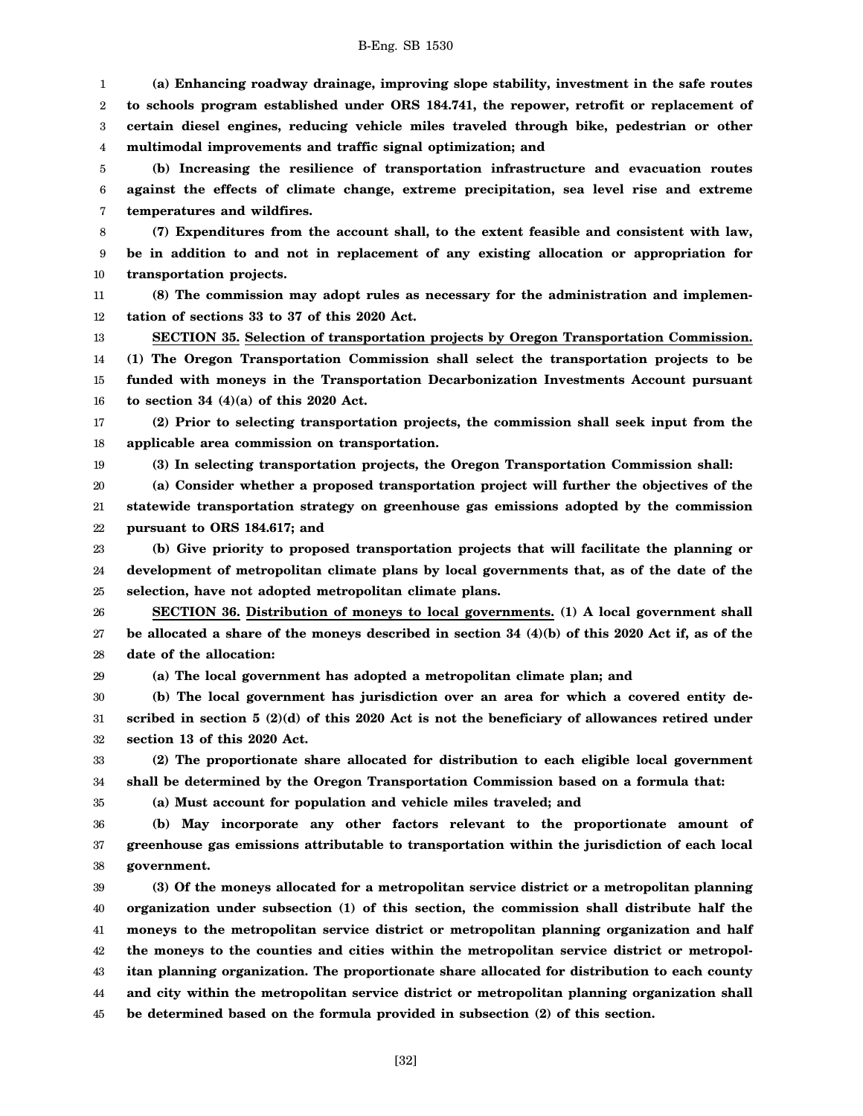1 2 3 4 **(a) Enhancing roadway drainage, improving slope stability, investment in the safe routes to schools program established under ORS 184.741, the repower, retrofit or replacement of certain diesel engines, reducing vehicle miles traveled through bike, pedestrian or other multimodal improvements and traffic signal optimization; and**

5 6 7 **(b) Increasing the resilience of transportation infrastructure and evacuation routes against the effects of climate change, extreme precipitation, sea level rise and extreme temperatures and wildfires.**

8 9 10 **(7) Expenditures from the account shall, to the extent feasible and consistent with law, be in addition to and not in replacement of any existing allocation or appropriation for transportation projects.**

11 12 **(8) The commission may adopt rules as necessary for the administration and implementation of sections 33 to 37 of this 2020 Act.**

13 14 15 16 **SECTION 35. Selection of transportation projects by Oregon Transportation Commission. (1) The Oregon Transportation Commission shall select the transportation projects to be funded with moneys in the Transportation Decarbonization Investments Account pursuant to section 34 (4)(a) of this 2020 Act.**

17 18 **(2) Prior to selecting transportation projects, the commission shall seek input from the applicable area commission on transportation.**

19

**(3) In selecting transportation projects, the Oregon Transportation Commission shall:**

20 21 22 **(a) Consider whether a proposed transportation project will further the objectives of the statewide transportation strategy on greenhouse gas emissions adopted by the commission pursuant to ORS 184.617; and**

23 24 25 **(b) Give priority to proposed transportation projects that will facilitate the planning or development of metropolitan climate plans by local governments that, as of the date of the selection, have not adopted metropolitan climate plans.**

26 27 28 **SECTION 36. Distribution of moneys to local governments. (1) A local government shall be allocated a share of the moneys described in section 34 (4)(b) of this 2020 Act if, as of the date of the allocation:**

29

35

**(a) The local government has adopted a metropolitan climate plan; and**

30 31 32 **(b) The local government has jurisdiction over an area for which a covered entity described in section 5 (2)(d) of this 2020 Act is not the beneficiary of allowances retired under section 13 of this 2020 Act.**

33 34 **(2) The proportionate share allocated for distribution to each eligible local government shall be determined by the Oregon Transportation Commission based on a formula that:**

**(a) Must account for population and vehicle miles traveled; and**

36 37 38 **(b) May incorporate any other factors relevant to the proportionate amount of greenhouse gas emissions attributable to transportation within the jurisdiction of each local government.**

39 40 41 42 43 44 45 **(3) Of the moneys allocated for a metropolitan service district or a metropolitan planning organization under subsection (1) of this section, the commission shall distribute half the moneys to the metropolitan service district or metropolitan planning organization and half the moneys to the counties and cities within the metropolitan service district or metropolitan planning organization. The proportionate share allocated for distribution to each county and city within the metropolitan service district or metropolitan planning organization shall be determined based on the formula provided in subsection (2) of this section.**

[32]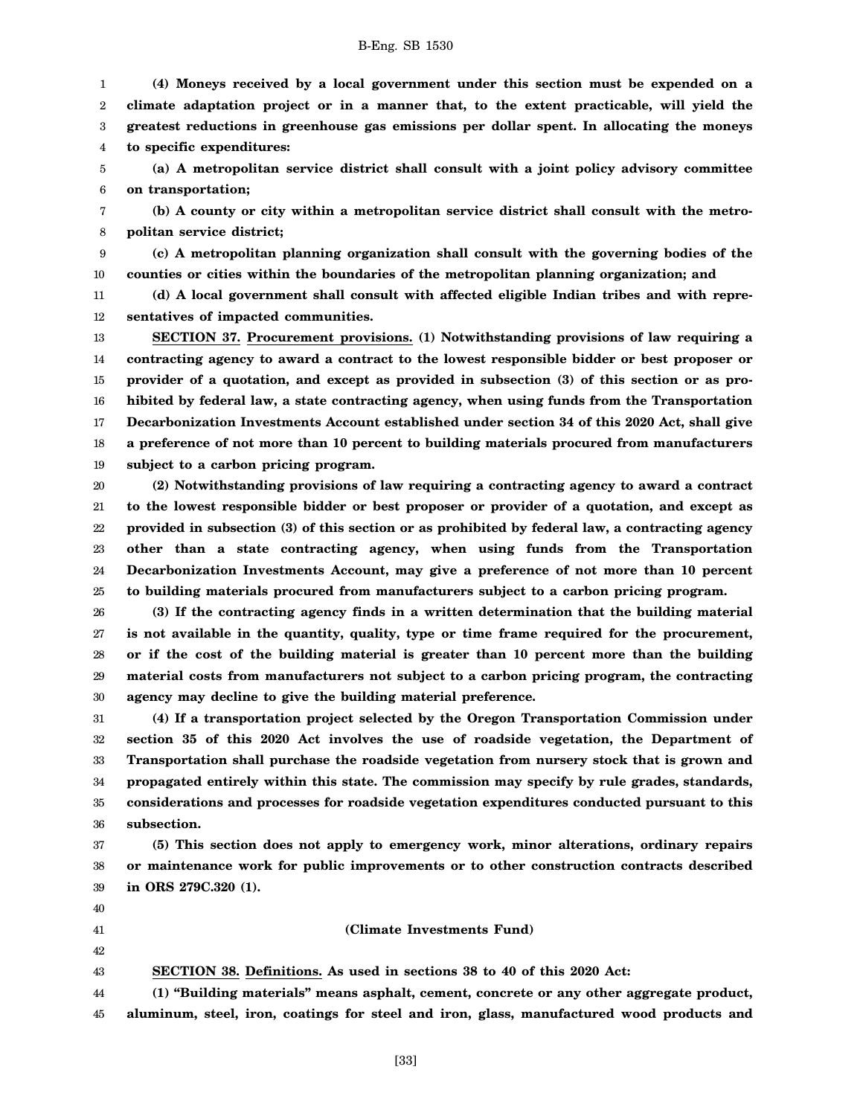1 2 3 4 **(4) Moneys received by a local government under this section must be expended on a climate adaptation project or in a manner that, to the extent practicable, will yield the greatest reductions in greenhouse gas emissions per dollar spent. In allocating the moneys to specific expenditures:**

5 6 **(a) A metropolitan service district shall consult with a joint policy advisory committee on transportation;**

7 8 **(b) A county or city within a metropolitan service district shall consult with the metropolitan service district;**

9 10 **(c) A metropolitan planning organization shall consult with the governing bodies of the counties or cities within the boundaries of the metropolitan planning organization; and**

11 12 **(d) A local government shall consult with affected eligible Indian tribes and with representatives of impacted communities.**

13 14 15 16 17 18 19 **SECTION 37. Procurement provisions. (1) Notwithstanding provisions of law requiring a contracting agency to award a contract to the lowest responsible bidder or best proposer or provider of a quotation, and except as provided in subsection (3) of this section or as prohibited by federal law, a state contracting agency, when using funds from the Transportation Decarbonization Investments Account established under section 34 of this 2020 Act, shall give a preference of not more than 10 percent to building materials procured from manufacturers subject to a carbon pricing program.**

20 21 22 23 24 25 **(2) Notwithstanding provisions of law requiring a contracting agency to award a contract to the lowest responsible bidder or best proposer or provider of a quotation, and except as provided in subsection (3) of this section or as prohibited by federal law, a contracting agency other than a state contracting agency, when using funds from the Transportation Decarbonization Investments Account, may give a preference of not more than 10 percent to building materials procured from manufacturers subject to a carbon pricing program.**

26 27 28 29 30 **(3) If the contracting agency finds in a written determination that the building material is not available in the quantity, quality, type or time frame required for the procurement, or if the cost of the building material is greater than 10 percent more than the building material costs from manufacturers not subject to a carbon pricing program, the contracting agency may decline to give the building material preference.**

31 32 33 34 35 36 **(4) If a transportation project selected by the Oregon Transportation Commission under section 35 of this 2020 Act involves the use of roadside vegetation, the Department of Transportation shall purchase the roadside vegetation from nursery stock that is grown and propagated entirely within this state. The commission may specify by rule grades, standards, considerations and processes for roadside vegetation expenditures conducted pursuant to this subsection.**

37 38 39 **(5) This section does not apply to emergency work, minor alterations, ordinary repairs or maintenance work for public improvements or to other construction contracts described in ORS 279C.320 (1).**

40 41

42 43 **(Climate Investments Fund)**

**SECTION 38. Definitions. As used in sections 38 to 40 of this 2020 Act:**

44 45 **(1) "Building materials" means asphalt, cement, concrete or any other aggregate product, aluminum, steel, iron, coatings for steel and iron, glass, manufactured wood products and**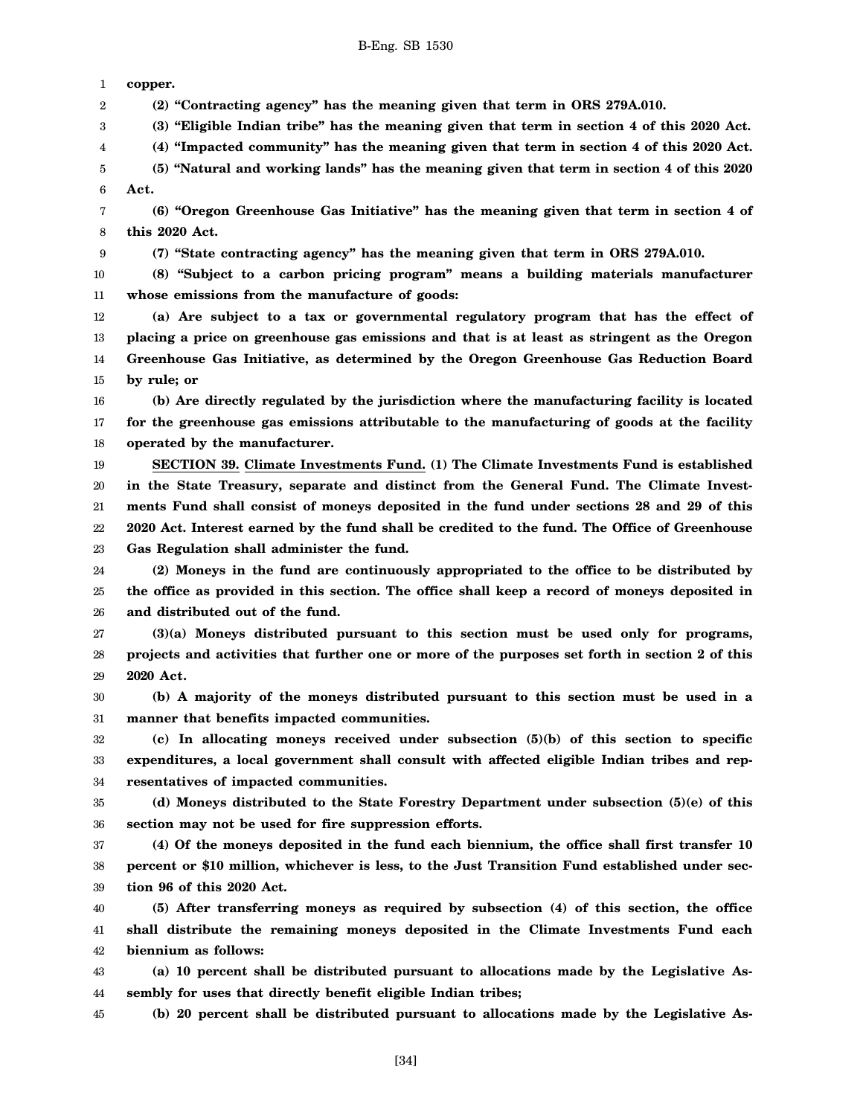1 **copper.**

9

2 **(2) "Contracting agency" has the meaning given that term in ORS 279A.010.**

3 **(3) "Eligible Indian tribe" has the meaning given that term in section 4 of this 2020 Act.**

4 **(4) "Impacted community" has the meaning given that term in section 4 of this 2020 Act.**

5 6 **(5) "Natural and working lands" has the meaning given that term in section 4 of this 2020 Act.**

7 8 **(6) "Oregon Greenhouse Gas Initiative" has the meaning given that term in section 4 of this 2020 Act.**

**(7) "State contracting agency" has the meaning given that term in ORS 279A.010.**

10 11 **(8) "Subject to a carbon pricing program" means a building materials manufacturer whose emissions from the manufacture of goods:**

12 13 14 15 **(a) Are subject to a tax or governmental regulatory program that has the effect of placing a price on greenhouse gas emissions and that is at least as stringent as the Oregon Greenhouse Gas Initiative, as determined by the Oregon Greenhouse Gas Reduction Board by rule; or**

16 17 18 **(b) Are directly regulated by the jurisdiction where the manufacturing facility is located for the greenhouse gas emissions attributable to the manufacturing of goods at the facility operated by the manufacturer.**

19 20 21 22 23 **SECTION 39. Climate Investments Fund. (1) The Climate Investments Fund is established in the State Treasury, separate and distinct from the General Fund. The Climate Investments Fund shall consist of moneys deposited in the fund under sections 28 and 29 of this 2020 Act. Interest earned by the fund shall be credited to the fund. The Office of Greenhouse Gas Regulation shall administer the fund.**

24 25 26 **(2) Moneys in the fund are continuously appropriated to the office to be distributed by the office as provided in this section. The office shall keep a record of moneys deposited in and distributed out of the fund.**

27 28 29 **(3)(a) Moneys distributed pursuant to this section must be used only for programs, projects and activities that further one or more of the purposes set forth in section 2 of this 2020 Act.**

30 31 **(b) A majority of the moneys distributed pursuant to this section must be used in a manner that benefits impacted communities.**

32 33 34 **(c) In allocating moneys received under subsection (5)(b) of this section to specific expenditures, a local government shall consult with affected eligible Indian tribes and representatives of impacted communities.**

35 36 **(d) Moneys distributed to the State Forestry Department under subsection (5)(e) of this section may not be used for fire suppression efforts.**

37 38 39 **(4) Of the moneys deposited in the fund each biennium, the office shall first transfer 10 percent or \$10 million, whichever is less, to the Just Transition Fund established under section 96 of this 2020 Act.**

40 41 42 **(5) After transferring moneys as required by subsection (4) of this section, the office shall distribute the remaining moneys deposited in the Climate Investments Fund each biennium as follows:**

43 44 **(a) 10 percent shall be distributed pursuant to allocations made by the Legislative Assembly for uses that directly benefit eligible Indian tribes;**

45 **(b) 20 percent shall be distributed pursuant to allocations made by the Legislative As-**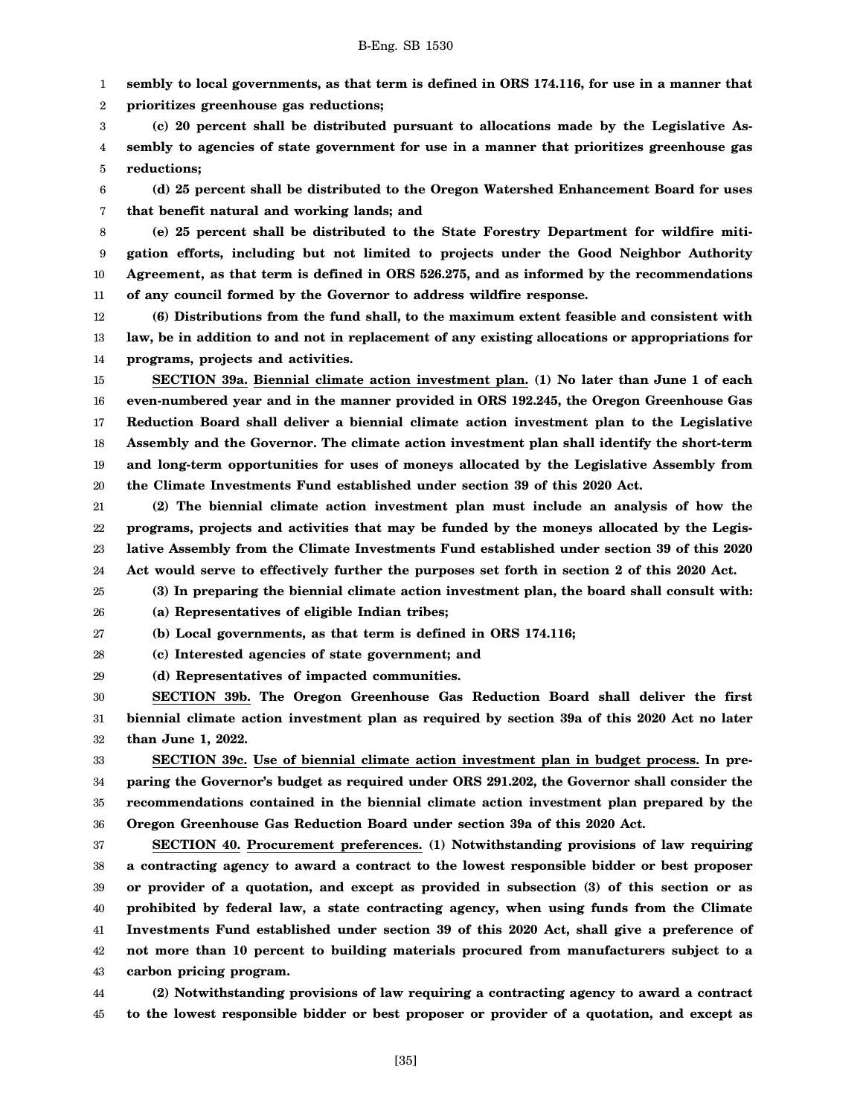1 **sembly to local governments, as that term is defined in ORS 174.116, for use in a manner that**

2 **prioritizes greenhouse gas reductions;**

3 4 5 **(c) 20 percent shall be distributed pursuant to allocations made by the Legislative Assembly to agencies of state government for use in a manner that prioritizes greenhouse gas reductions;**

6 7 **(d) 25 percent shall be distributed to the Oregon Watershed Enhancement Board for uses that benefit natural and working lands; and**

8 9 10 11 **(e) 25 percent shall be distributed to the State Forestry Department for wildfire mitigation efforts, including but not limited to projects under the Good Neighbor Authority Agreement, as that term is defined in ORS 526.275, and as informed by the recommendations of any council formed by the Governor to address wildfire response.**

12 13 14 **(6) Distributions from the fund shall, to the maximum extent feasible and consistent with law, be in addition to and not in replacement of any existing allocations or appropriations for programs, projects and activities.**

15 16 17 18 19 20 **SECTION 39a. Biennial climate action investment plan. (1) No later than June 1 of each even-numbered year and in the manner provided in ORS 192.245, the Oregon Greenhouse Gas Reduction Board shall deliver a biennial climate action investment plan to the Legislative Assembly and the Governor. The climate action investment plan shall identify the short-term and long-term opportunities for uses of moneys allocated by the Legislative Assembly from the Climate Investments Fund established under section 39 of this 2020 Act.**

21 22 23 24 **(2) The biennial climate action investment plan must include an analysis of how the programs, projects and activities that may be funded by the moneys allocated by the Legislative Assembly from the Climate Investments Fund established under section 39 of this 2020 Act would serve to effectively further the purposes set forth in section 2 of this 2020 Act.**

25 **(3) In preparing the biennial climate action investment plan, the board shall consult with:**

26

**(a) Representatives of eligible Indian tribes;**

27 **(b) Local governments, as that term is defined in ORS 174.116;**

28 **(c) Interested agencies of state government; and**

29 **(d) Representatives of impacted communities.**

30 31 32 **SECTION 39b. The Oregon Greenhouse Gas Reduction Board shall deliver the first biennial climate action investment plan as required by section 39a of this 2020 Act no later than June 1, 2022.**

33 34 35 36 **SECTION 39c. Use of biennial climate action investment plan in budget process. In preparing the Governor's budget as required under ORS 291.202, the Governor shall consider the recommendations contained in the biennial climate action investment plan prepared by the Oregon Greenhouse Gas Reduction Board under section 39a of this 2020 Act.**

37 38 39 40 41 42 43 **SECTION 40. Procurement preferences. (1) Notwithstanding provisions of law requiring a contracting agency to award a contract to the lowest responsible bidder or best proposer or provider of a quotation, and except as provided in subsection (3) of this section or as prohibited by federal law, a state contracting agency, when using funds from the Climate Investments Fund established under section 39 of this 2020 Act, shall give a preference of not more than 10 percent to building materials procured from manufacturers subject to a carbon pricing program.**

44 45 **(2) Notwithstanding provisions of law requiring a contracting agency to award a contract to the lowest responsible bidder or best proposer or provider of a quotation, and except as**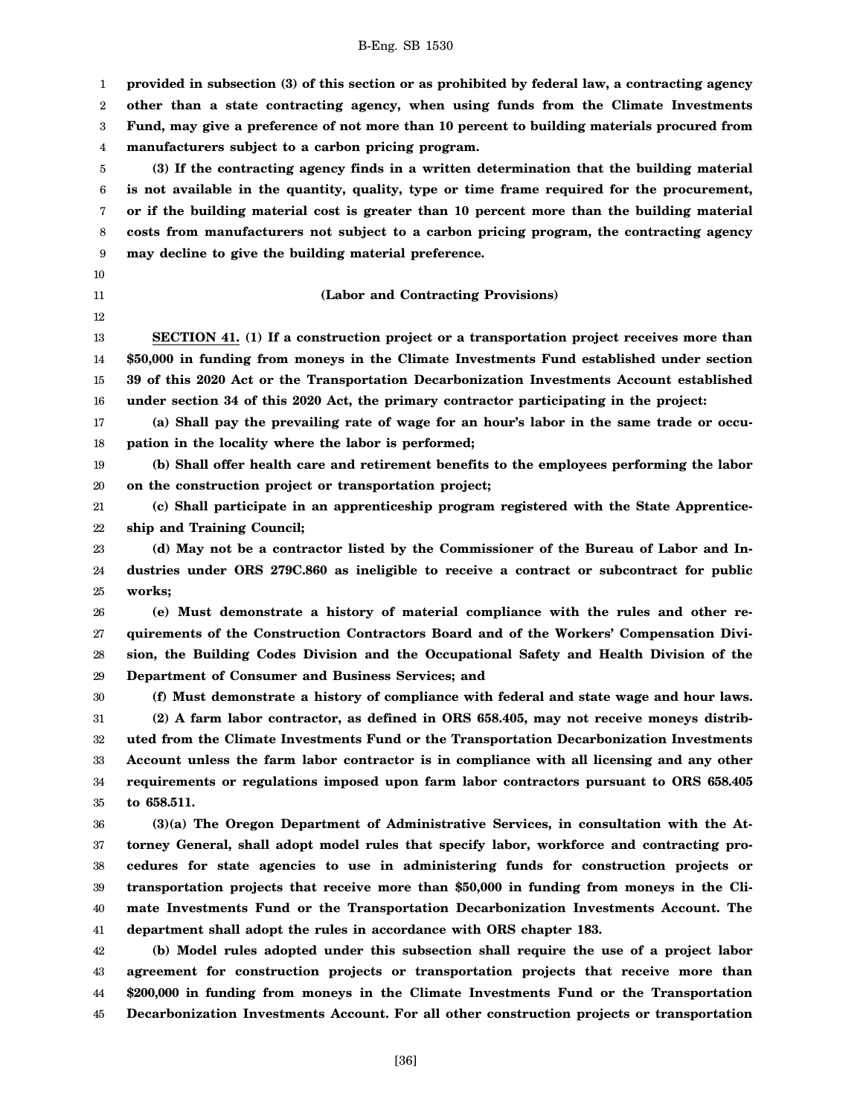1 2 3 4 5 6 7 8 9 10 11 12 13 14 15 16 17 18 19 20 21 22 23 24 25 26 27 28 29 30 31 32 33 34 35 36 37 38 39 40 41 42 43 44 **provided in subsection (3) of this section or as prohibited by federal law, a contracting agency other than a state contracting agency, when using funds from the Climate Investments Fund, may give a preference of not more than 10 percent to building materials procured from manufacturers subject to a carbon pricing program. (3) If the contracting agency finds in a written determination that the building material is not available in the quantity, quality, type or time frame required for the procurement, or if the building material cost is greater than 10 percent more than the building material costs from manufacturers not subject to a carbon pricing program, the contracting agency may decline to give the building material preference. (Labor and Contracting Provisions) SECTION 41. (1) If a construction project or a transportation project receives more than \$50,000 in funding from moneys in the Climate Investments Fund established under section 39 of this 2020 Act or the Transportation Decarbonization Investments Account established under section 34 of this 2020 Act, the primary contractor participating in the project: (a) Shall pay the prevailing rate of wage for an hour's labor in the same trade or occupation in the locality where the labor is performed; (b) Shall offer health care and retirement benefits to the employees performing the labor on the construction project or transportation project; (c) Shall participate in an apprenticeship program registered with the State Apprenticeship and Training Council; (d) May not be a contractor listed by the Commissioner of the Bureau of Labor and Industries under ORS 279C.860 as ineligible to receive a contract or subcontract for public works; (e) Must demonstrate a history of material compliance with the rules and other requirements of the Construction Contractors Board and of the Workers' Compensation Division, the Building Codes Division and the Occupational Safety and Health Division of the Department of Consumer and Business Services; and (f) Must demonstrate a history of compliance with federal and state wage and hour laws. (2) A farm labor contractor, as defined in ORS 658.405, may not receive moneys distributed from the Climate Investments Fund or the Transportation Decarbonization Investments Account unless the farm labor contractor is in compliance with all licensing and any other requirements or regulations imposed upon farm labor contractors pursuant to ORS 658.405 to 658.511. (3)(a) The Oregon Department of Administrative Services, in consultation with the Attorney General, shall adopt model rules that specify labor, workforce and contracting procedures for state agencies to use in administering funds for construction projects or transportation projects that receive more than \$50,000 in funding from moneys in the Climate Investments Fund or the Transportation Decarbonization Investments Account. The department shall adopt the rules in accordance with ORS chapter 183. (b) Model rules adopted under this subsection shall require the use of a project labor agreement for construction projects or transportation projects that receive more than \$200,000 in funding from moneys in the Climate Investments Fund or the Transportation**

B-Eng. SB 1530

**Decarbonization Investments Account. For all other construction projects or transportation**

45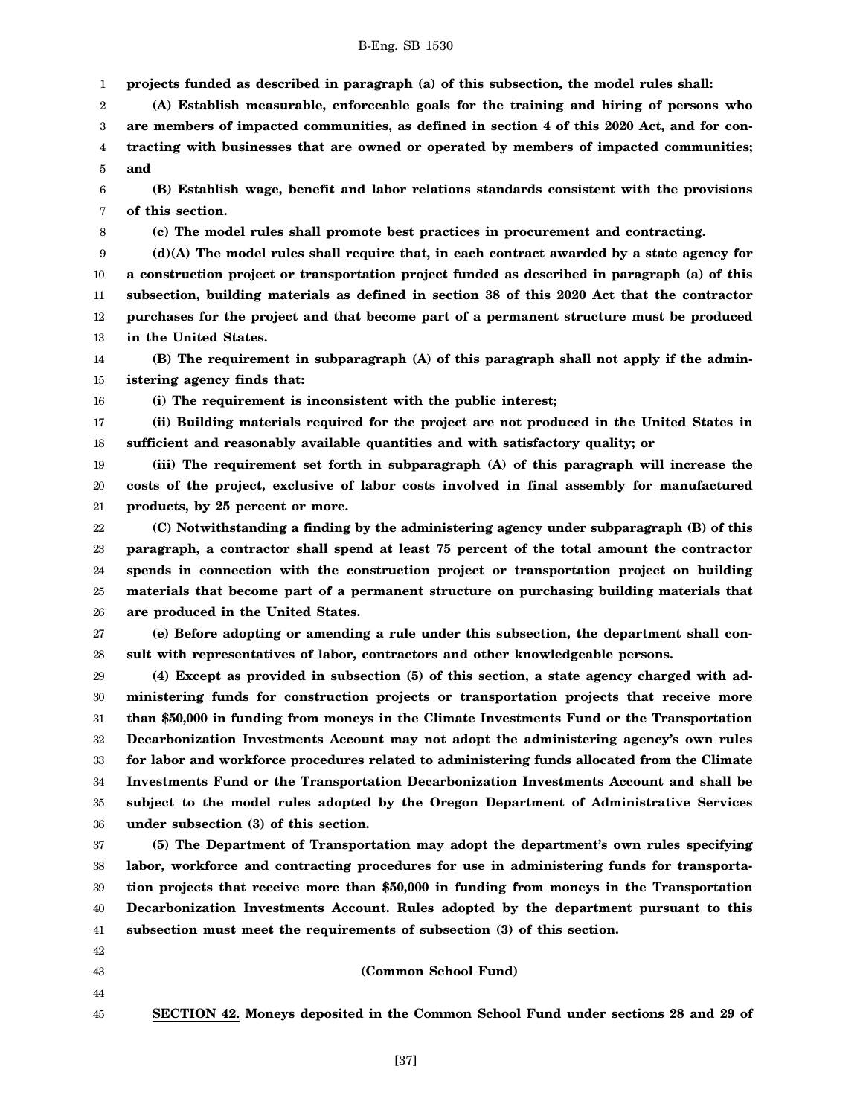1 **projects funded as described in paragraph (a) of this subsection, the model rules shall:**

2 3 4 5 **(A) Establish measurable, enforceable goals for the training and hiring of persons who are members of impacted communities, as defined in section 4 of this 2020 Act, and for contracting with businesses that are owned or operated by members of impacted communities; and**

6 7 **(B) Establish wage, benefit and labor relations standards consistent with the provisions of this section.**

8

**(c) The model rules shall promote best practices in procurement and contracting.**

9 10 11 12 13 **(d)(A) The model rules shall require that, in each contract awarded by a state agency for a construction project or transportation project funded as described in paragraph (a) of this subsection, building materials as defined in section 38 of this 2020 Act that the contractor purchases for the project and that become part of a permanent structure must be produced in the United States.**

14 15 **(B) The requirement in subparagraph (A) of this paragraph shall not apply if the administering agency finds that:**

16

**(i) The requirement is inconsistent with the public interest;**

17 18 **(ii) Building materials required for the project are not produced in the United States in sufficient and reasonably available quantities and with satisfactory quality; or**

19 20 21 **(iii) The requirement set forth in subparagraph (A) of this paragraph will increase the costs of the project, exclusive of labor costs involved in final assembly for manufactured products, by 25 percent or more.**

22 23 24 25 26 **(C) Notwithstanding a finding by the administering agency under subparagraph (B) of this paragraph, a contractor shall spend at least 75 percent of the total amount the contractor spends in connection with the construction project or transportation project on building materials that become part of a permanent structure on purchasing building materials that are produced in the United States.**

27 28 **(e) Before adopting or amending a rule under this subsection, the department shall consult with representatives of labor, contractors and other knowledgeable persons.**

29 30 31 32 33 34 35 36 **(4) Except as provided in subsection (5) of this section, a state agency charged with administering funds for construction projects or transportation projects that receive more than \$50,000 in funding from moneys in the Climate Investments Fund or the Transportation Decarbonization Investments Account may not adopt the administering agency's own rules for labor and workforce procedures related to administering funds allocated from the Climate Investments Fund or the Transportation Decarbonization Investments Account and shall be subject to the model rules adopted by the Oregon Department of Administrative Services under subsection (3) of this section.**

37 38 39 40 41 **(5) The Department of Transportation may adopt the department's own rules specifying labor, workforce and contracting procedures for use in administering funds for transportation projects that receive more than \$50,000 in funding from moneys in the Transportation Decarbonization Investments Account. Rules adopted by the department pursuant to this subsection must meet the requirements of subsection (3) of this section.**

- 42
- 43
- 44
- 45

**SECTION 42. Moneys deposited in the Common School Fund under sections 28 and 29 of**

**(Common School Fund)**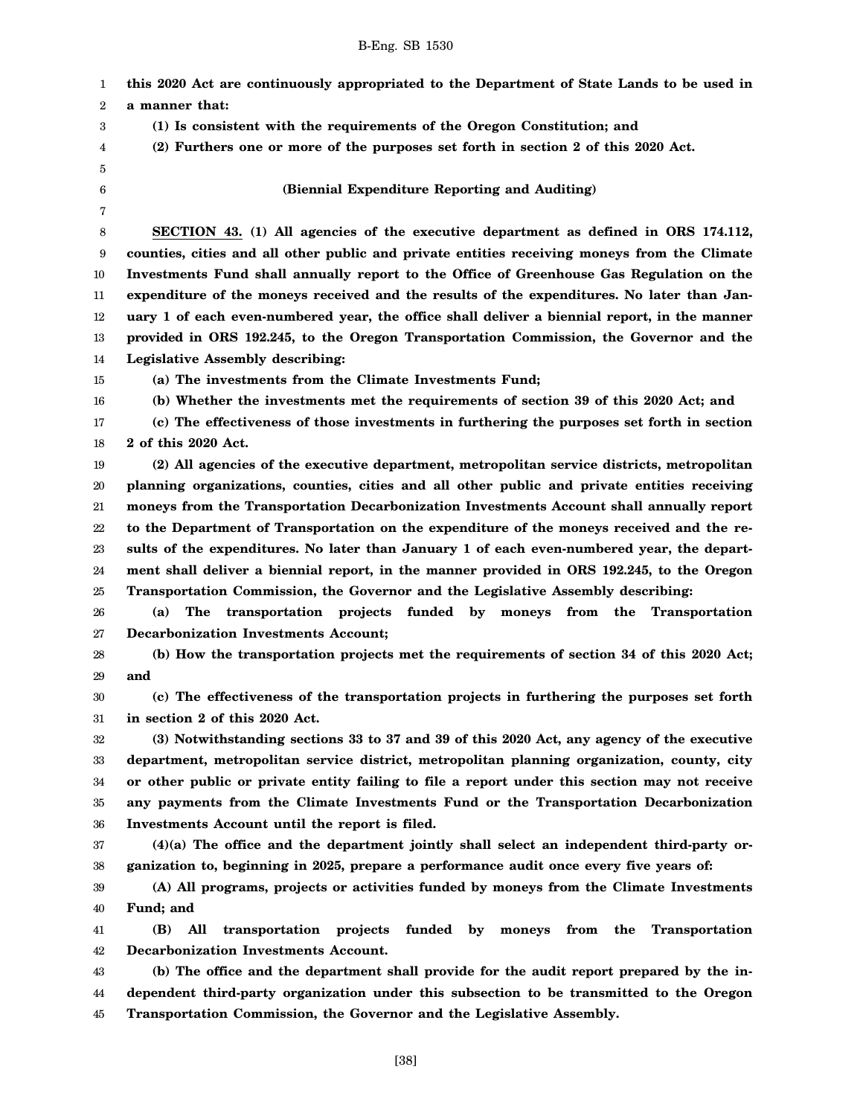1 2 3 4 5 6 7 8 9 10 11 12 13 14 15 16 17 18 19 20 21 22 23 24 25 26 27 28 29 30 31 32 33 34 35 36 37 38 39 40 41 42 43 44 45 **this 2020 Act are continuously appropriated to the Department of State Lands to be used in a manner that: (1) Is consistent with the requirements of the Oregon Constitution; and (2) Furthers one or more of the purposes set forth in section 2 of this 2020 Act. (Biennial Expenditure Reporting and Auditing) SECTION 43. (1) All agencies of the executive department as defined in ORS 174.112, counties, cities and all other public and private entities receiving moneys from the Climate Investments Fund shall annually report to the Office of Greenhouse Gas Regulation on the expenditure of the moneys received and the results of the expenditures. No later than January 1 of each even-numbered year, the office shall deliver a biennial report, in the manner provided in ORS 192.245, to the Oregon Transportation Commission, the Governor and the Legislative Assembly describing: (a) The investments from the Climate Investments Fund; (b) Whether the investments met the requirements of section 39 of this 2020 Act; and (c) The effectiveness of those investments in furthering the purposes set forth in section 2 of this 2020 Act. (2) All agencies of the executive department, metropolitan service districts, metropolitan planning organizations, counties, cities and all other public and private entities receiving moneys from the Transportation Decarbonization Investments Account shall annually report to the Department of Transportation on the expenditure of the moneys received and the results of the expenditures. No later than January 1 of each even-numbered year, the department shall deliver a biennial report, in the manner provided in ORS 192.245, to the Oregon Transportation Commission, the Governor and the Legislative Assembly describing: (a) The transportation projects funded by moneys from the Transportation Decarbonization Investments Account; (b) How the transportation projects met the requirements of section 34 of this 2020 Act; and (c) The effectiveness of the transportation projects in furthering the purposes set forth in section 2 of this 2020 Act. (3) Notwithstanding sections 33 to 37 and 39 of this 2020 Act, any agency of the executive department, metropolitan service district, metropolitan planning organization, county, city or other public or private entity failing to file a report under this section may not receive any payments from the Climate Investments Fund or the Transportation Decarbonization Investments Account until the report is filed. (4)(a) The office and the department jointly shall select an independent third-party organization to, beginning in 2025, prepare a performance audit once every five years of: (A) All programs, projects or activities funded by moneys from the Climate Investments Fund; and (B) All transportation projects funded by moneys from the Transportation Decarbonization Investments Account. (b) The office and the department shall provide for the audit report prepared by the independent third-party organization under this subsection to be transmitted to the Oregon Transportation Commission, the Governor and the Legislative Assembly.**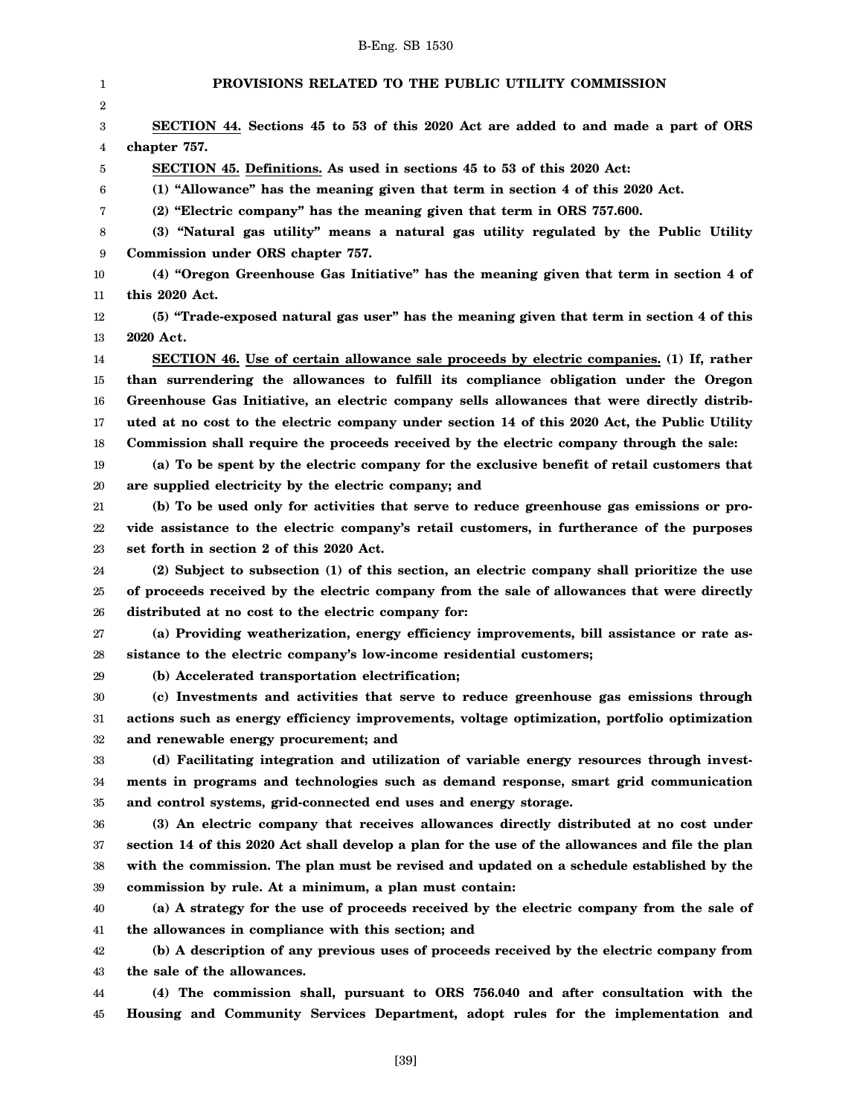1 2 3 4 5 6 7 8 9 10 11 12 13 14 15 16 17 18 19 20 21 22 23 24 25 26 27 28 29 30 31 32 33 34 35 36 37 38 39 40 41 42 43 44 45 **PROVISIONS RELATED TO THE PUBLIC UTILITY COMMISSION SECTION 44. Sections 45 to 53 of this 2020 Act are added to and made a part of ORS chapter 757. SECTION 45. Definitions. As used in sections 45 to 53 of this 2020 Act: (1) "Allowance" has the meaning given that term in section 4 of this 2020 Act. (2) "Electric company" has the meaning given that term in ORS 757.600. (3) "Natural gas utility" means a natural gas utility regulated by the Public Utility Commission under ORS chapter 757. (4) "Oregon Greenhouse Gas Initiative" has the meaning given that term in section 4 of this 2020 Act. (5) "Trade-exposed natural gas user" has the meaning given that term in section 4 of this 2020 Act. SECTION 46. Use of certain allowance sale proceeds by electric companies. (1) If, rather than surrendering the allowances to fulfill its compliance obligation under the Oregon Greenhouse Gas Initiative, an electric company sells allowances that were directly distributed at no cost to the electric company under section 14 of this 2020 Act, the Public Utility Commission shall require the proceeds received by the electric company through the sale: (a) To be spent by the electric company for the exclusive benefit of retail customers that are supplied electricity by the electric company; and (b) To be used only for activities that serve to reduce greenhouse gas emissions or provide assistance to the electric company's retail customers, in furtherance of the purposes set forth in section 2 of this 2020 Act. (2) Subject to subsection (1) of this section, an electric company shall prioritize the use of proceeds received by the electric company from the sale of allowances that were directly distributed at no cost to the electric company for: (a) Providing weatherization, energy efficiency improvements, bill assistance or rate assistance to the electric company's low-income residential customers; (b) Accelerated transportation electrification; (c) Investments and activities that serve to reduce greenhouse gas emissions through actions such as energy efficiency improvements, voltage optimization, portfolio optimization and renewable energy procurement; and (d) Facilitating integration and utilization of variable energy resources through investments in programs and technologies such as demand response, smart grid communication and control systems, grid-connected end uses and energy storage. (3) An electric company that receives allowances directly distributed at no cost under section 14 of this 2020 Act shall develop a plan for the use of the allowances and file the plan with the commission. The plan must be revised and updated on a schedule established by the commission by rule. At a minimum, a plan must contain: (a) A strategy for the use of proceeds received by the electric company from the sale of the allowances in compliance with this section; and (b) A description of any previous uses of proceeds received by the electric company from the sale of the allowances. (4) The commission shall, pursuant to ORS 756.040 and after consultation with the Housing and Community Services Department, adopt rules for the implementation and**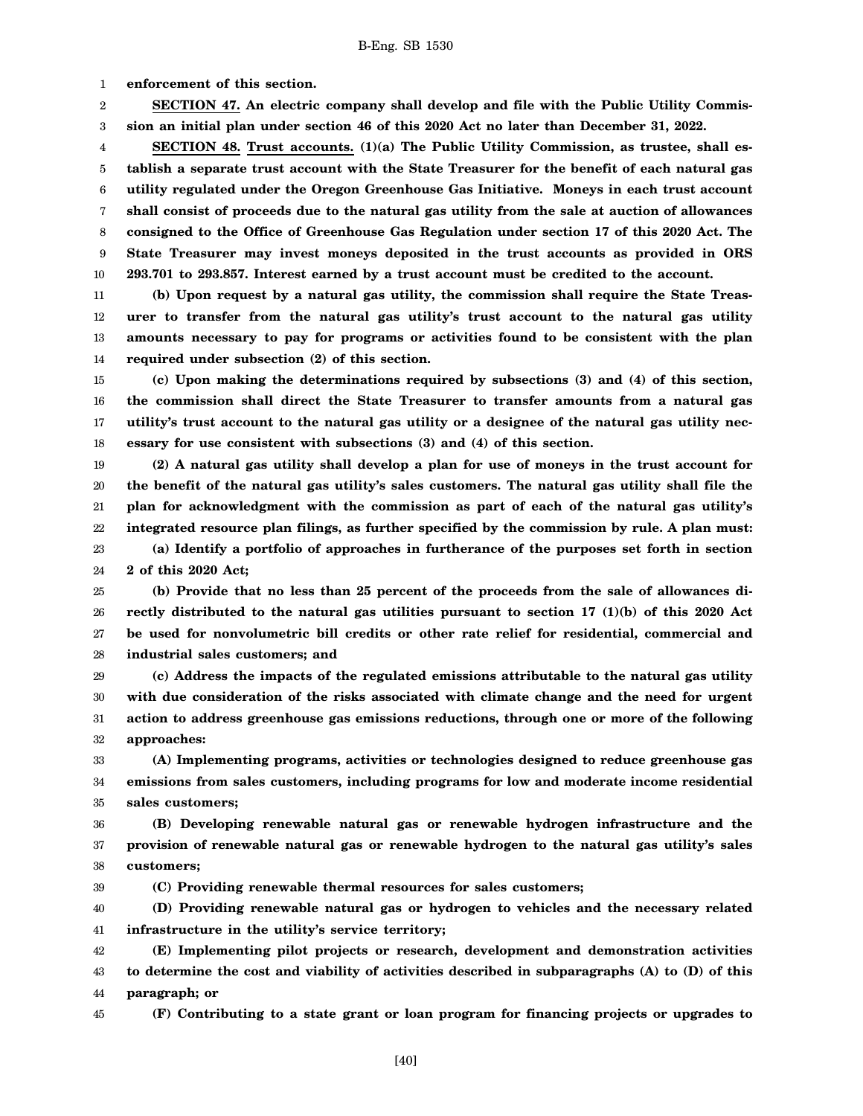1 **enforcement of this section.**

2 3 **SECTION 47. An electric company shall develop and file with the Public Utility Commission an initial plan under section 46 of this 2020 Act no later than December 31, 2022.**

4 5 6 7 8 9 10 **SECTION 48. Trust accounts. (1)(a) The Public Utility Commission, as trustee, shall establish a separate trust account with the State Treasurer for the benefit of each natural gas utility regulated under the Oregon Greenhouse Gas Initiative. Moneys in each trust account shall consist of proceeds due to the natural gas utility from the sale at auction of allowances consigned to the Office of Greenhouse Gas Regulation under section 17 of this 2020 Act. The State Treasurer may invest moneys deposited in the trust accounts as provided in ORS 293.701 to 293.857. Interest earned by a trust account must be credited to the account.**

11 12 13 14 **(b) Upon request by a natural gas utility, the commission shall require the State Treasurer to transfer from the natural gas utility's trust account to the natural gas utility amounts necessary to pay for programs or activities found to be consistent with the plan required under subsection (2) of this section.**

15 16 17 18 **(c) Upon making the determinations required by subsections (3) and (4) of this section, the commission shall direct the State Treasurer to transfer amounts from a natural gas utility's trust account to the natural gas utility or a designee of the natural gas utility necessary for use consistent with subsections (3) and (4) of this section.**

19 20 21 22 23 24 **(2) A natural gas utility shall develop a plan for use of moneys in the trust account for the benefit of the natural gas utility's sales customers. The natural gas utility shall file the plan for acknowledgment with the commission as part of each of the natural gas utility's integrated resource plan filings, as further specified by the commission by rule. A plan must: (a) Identify a portfolio of approaches in furtherance of the purposes set forth in section**

**2 of this 2020 Act;**

25 26 27 28 **(b) Provide that no less than 25 percent of the proceeds from the sale of allowances directly distributed to the natural gas utilities pursuant to section 17 (1)(b) of this 2020 Act be used for nonvolumetric bill credits or other rate relief for residential, commercial and industrial sales customers; and**

29 30 31 32 **(c) Address the impacts of the regulated emissions attributable to the natural gas utility with due consideration of the risks associated with climate change and the need for urgent action to address greenhouse gas emissions reductions, through one or more of the following approaches:**

33 34 35 **(A) Implementing programs, activities or technologies designed to reduce greenhouse gas emissions from sales customers, including programs for low and moderate income residential sales customers;**

36 37 38 **(B) Developing renewable natural gas or renewable hydrogen infrastructure and the provision of renewable natural gas or renewable hydrogen to the natural gas utility's sales customers;**

**(C) Providing renewable thermal resources for sales customers;**

40 41 **(D) Providing renewable natural gas or hydrogen to vehicles and the necessary related infrastructure in the utility's service territory;**

42 43 44 **(E) Implementing pilot projects or research, development and demonstration activities to determine the cost and viability of activities described in subparagraphs (A) to (D) of this paragraph; or**

45

39

**(F) Contributing to a state grant or loan program for financing projects or upgrades to**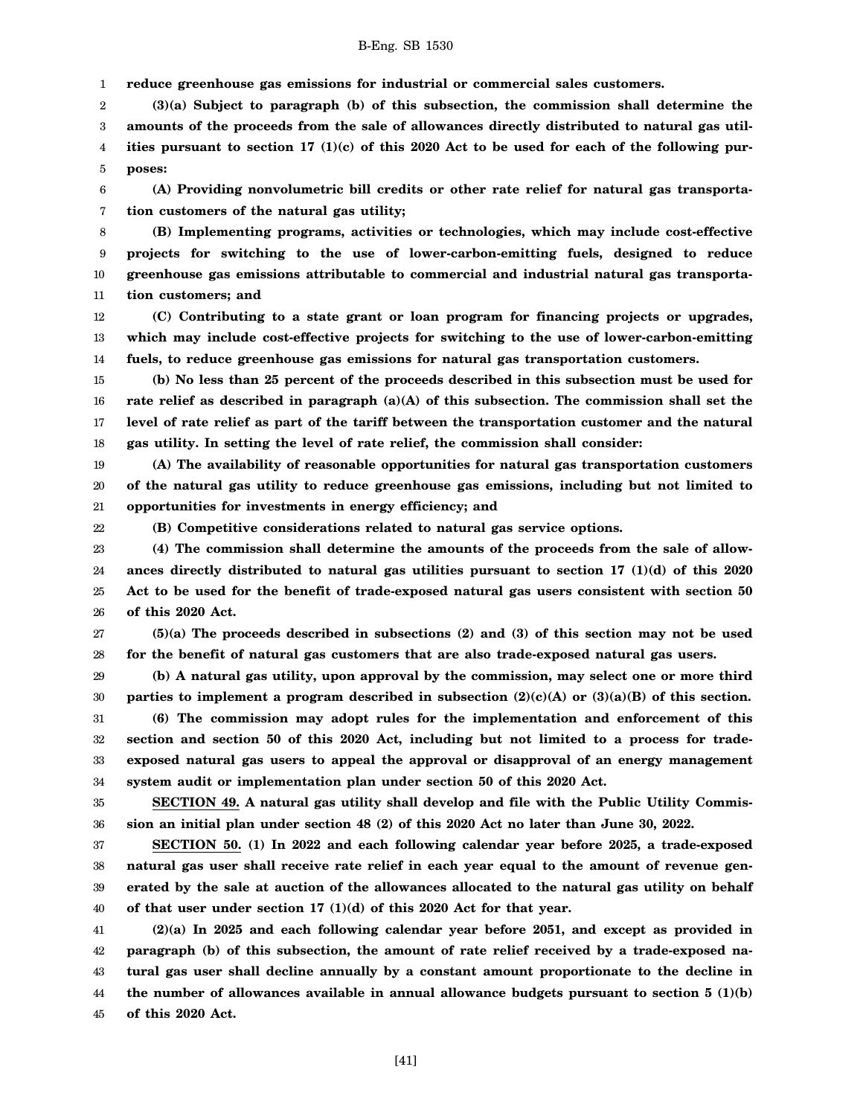1 **reduce greenhouse gas emissions for industrial or commercial sales customers.**

2 3 4 5 **(3)(a) Subject to paragraph (b) of this subsection, the commission shall determine the amounts of the proceeds from the sale of allowances directly distributed to natural gas utilities pursuant to section 17 (1)(c) of this 2020 Act to be used for each of the following purposes:**

6 7 **(A) Providing nonvolumetric bill credits or other rate relief for natural gas transportation customers of the natural gas utility;**

8 9 10 11 **(B) Implementing programs, activities or technologies, which may include cost-effective projects for switching to the use of lower-carbon-emitting fuels, designed to reduce greenhouse gas emissions attributable to commercial and industrial natural gas transportation customers; and**

12 13 14 **(C) Contributing to a state grant or loan program for financing projects or upgrades, which may include cost-effective projects for switching to the use of lower-carbon-emitting fuels, to reduce greenhouse gas emissions for natural gas transportation customers.**

15 16 17 18 **(b) No less than 25 percent of the proceeds described in this subsection must be used for rate relief as described in paragraph (a)(A) of this subsection. The commission shall set the level of rate relief as part of the tariff between the transportation customer and the natural gas utility. In setting the level of rate relief, the commission shall consider:**

19 20 21 **(A) The availability of reasonable opportunities for natural gas transportation customers of the natural gas utility to reduce greenhouse gas emissions, including but not limited to opportunities for investments in energy efficiency; and**

22

**(B) Competitive considerations related to natural gas service options.**

23 24 25 26 **(4) The commission shall determine the amounts of the proceeds from the sale of allowances directly distributed to natural gas utilities pursuant to section 17 (1)(d) of this 2020 Act to be used for the benefit of trade-exposed natural gas users consistent with section 50 of this 2020 Act.**

27 28 **(5)(a) The proceeds described in subsections (2) and (3) of this section may not be used for the benefit of natural gas customers that are also trade-exposed natural gas users.**

29 30 31 **(b) A natural gas utility, upon approval by the commission, may select one or more third parties to implement a program described in subsection (2)(c)(A) or (3)(a)(B) of this section. (6) The commission may adopt rules for the implementation and enforcement of this**

32 33 34 **section and section 50 of this 2020 Act, including but not limited to a process for tradeexposed natural gas users to appeal the approval or disapproval of an energy management system audit or implementation plan under section 50 of this 2020 Act.**

35 36 **SECTION 49. A natural gas utility shall develop and file with the Public Utility Commission an initial plan under section 48 (2) of this 2020 Act no later than June 30, 2022.**

37 38 39 40 **SECTION 50. (1) In 2022 and each following calendar year before 2025, a trade-exposed natural gas user shall receive rate relief in each year equal to the amount of revenue generated by the sale at auction of the allowances allocated to the natural gas utility on behalf of that user under section 17 (1)(d) of this 2020 Act for that year.**

41 42 43 44 45 **(2)(a) In 2025 and each following calendar year before 2051, and except as provided in paragraph (b) of this subsection, the amount of rate relief received by a trade-exposed natural gas user shall decline annually by a constant amount proportionate to the decline in** the number of allowances available in annual allowance budgets pursuant to section  $5 \text{ (1)(b)}$ **of this 2020 Act.**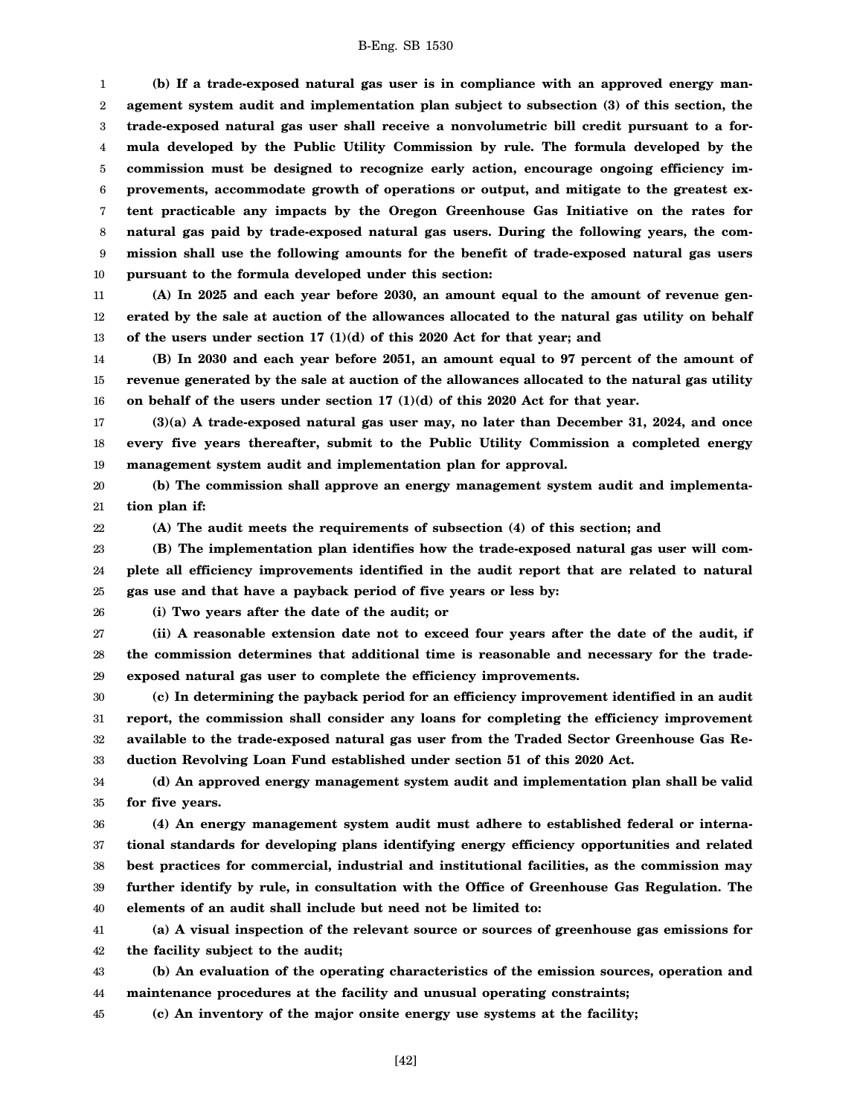1 2 3 4 5 6 7 8 9 10 **(b) If a trade-exposed natural gas user is in compliance with an approved energy management system audit and implementation plan subject to subsection (3) of this section, the trade-exposed natural gas user shall receive a nonvolumetric bill credit pursuant to a formula developed by the Public Utility Commission by rule. The formula developed by the commission must be designed to recognize early action, encourage ongoing efficiency improvements, accommodate growth of operations or output, and mitigate to the greatest extent practicable any impacts by the Oregon Greenhouse Gas Initiative on the rates for natural gas paid by trade-exposed natural gas users. During the following years, the commission shall use the following amounts for the benefit of trade-exposed natural gas users pursuant to the formula developed under this section:**

11 12 13 **(A) In 2025 and each year before 2030, an amount equal to the amount of revenue generated by the sale at auction of the allowances allocated to the natural gas utility on behalf of the users under section 17 (1)(d) of this 2020 Act for that year; and**

14 15 16 **(B) In 2030 and each year before 2051, an amount equal to 97 percent of the amount of revenue generated by the sale at auction of the allowances allocated to the natural gas utility on behalf of the users under section 17 (1)(d) of this 2020 Act for that year.**

17 18 19 **(3)(a) A trade-exposed natural gas user may, no later than December 31, 2024, and once every five years thereafter, submit to the Public Utility Commission a completed energy management system audit and implementation plan for approval.**

20 21 **(b) The commission shall approve an energy management system audit and implementation plan if:**

22

**(A) The audit meets the requirements of subsection (4) of this section; and**

23 24 25 **(B) The implementation plan identifies how the trade-exposed natural gas user will complete all efficiency improvements identified in the audit report that are related to natural gas use and that have a payback period of five years or less by:**

26

**(i) Two years after the date of the audit; or**

27 28 29 **(ii) A reasonable extension date not to exceed four years after the date of the audit, if the commission determines that additional time is reasonable and necessary for the tradeexposed natural gas user to complete the efficiency improvements.**

30 31 32 33 **(c) In determining the payback period for an efficiency improvement identified in an audit report, the commission shall consider any loans for completing the efficiency improvement available to the trade-exposed natural gas user from the Traded Sector Greenhouse Gas Reduction Revolving Loan Fund established under section 51 of this 2020 Act.**

34 35 **(d) An approved energy management system audit and implementation plan shall be valid for five years.**

36 37 38 39 40 **(4) An energy management system audit must adhere to established federal or international standards for developing plans identifying energy efficiency opportunities and related best practices for commercial, industrial and institutional facilities, as the commission may further identify by rule, in consultation with the Office of Greenhouse Gas Regulation. The elements of an audit shall include but need not be limited to:**

41 42 **(a) A visual inspection of the relevant source or sources of greenhouse gas emissions for the facility subject to the audit;**

43 44 **(b) An evaluation of the operating characteristics of the emission sources, operation and maintenance procedures at the facility and unusual operating constraints;**

45 **(c) An inventory of the major onsite energy use systems at the facility;**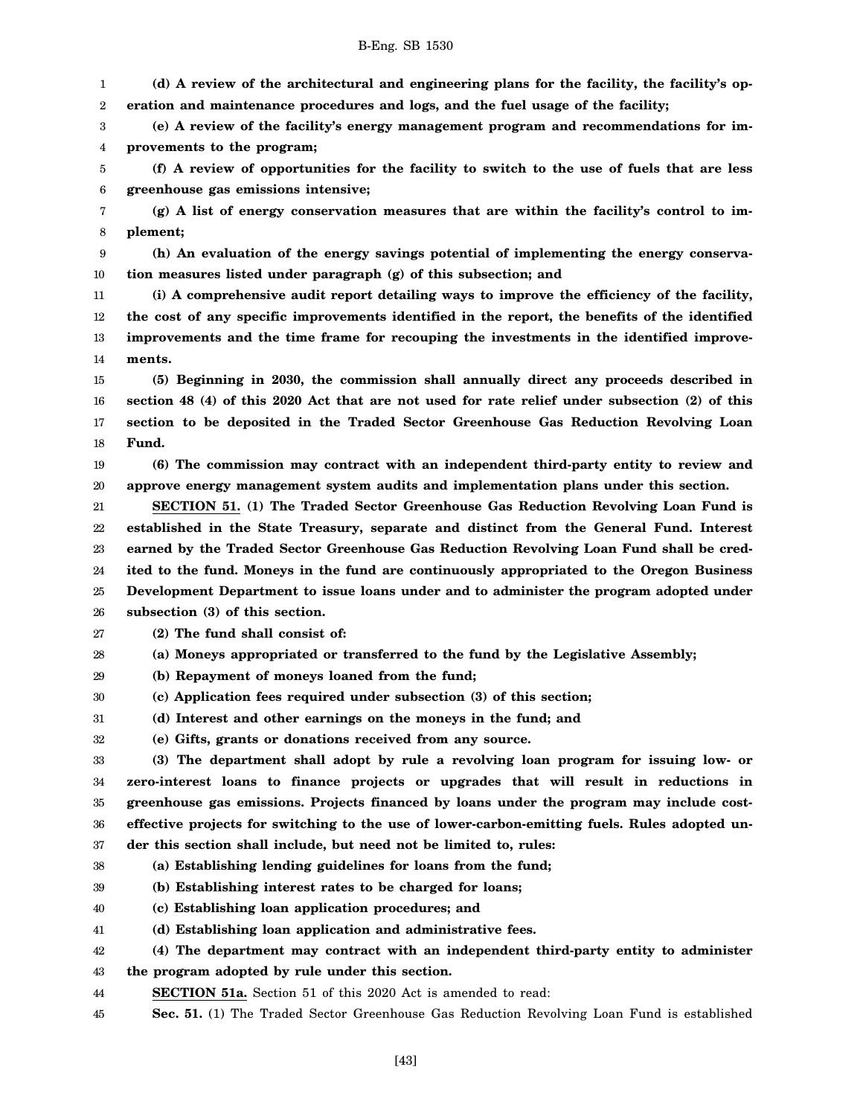1 2 **(d) A review of the architectural and engineering plans for the facility, the facility's operation and maintenance procedures and logs, and the fuel usage of the facility;**

3 4 **(e) A review of the facility's energy management program and recommendations for improvements to the program;**

5 6 **(f) A review of opportunities for the facility to switch to the use of fuels that are less greenhouse gas emissions intensive;**

7 8 **(g) A list of energy conservation measures that are within the facility's control to implement;**

9 10 **(h) An evaluation of the energy savings potential of implementing the energy conservation measures listed under paragraph (g) of this subsection; and**

11 12 13 14 **(i) A comprehensive audit report detailing ways to improve the efficiency of the facility, the cost of any specific improvements identified in the report, the benefits of the identified improvements and the time frame for recouping the investments in the identified improvements.**

15 16 17 18 **(5) Beginning in 2030, the commission shall annually direct any proceeds described in section 48 (4) of this 2020 Act that are not used for rate relief under subsection (2) of this section to be deposited in the Traded Sector Greenhouse Gas Reduction Revolving Loan Fund.**

19 20 **(6) The commission may contract with an independent third-party entity to review and approve energy management system audits and implementation plans under this section.**

21 22 23 24 25 26 **SECTION 51. (1) The Traded Sector Greenhouse Gas Reduction Revolving Loan Fund is established in the State Treasury, separate and distinct from the General Fund. Interest earned by the Traded Sector Greenhouse Gas Reduction Revolving Loan Fund shall be credited to the fund. Moneys in the fund are continuously appropriated to the Oregon Business Development Department to issue loans under and to administer the program adopted under subsection (3) of this section.**

27 **(2) The fund shall consist of:**

28 **(a) Moneys appropriated or transferred to the fund by the Legislative Assembly;**

29 **(b) Repayment of moneys loaned from the fund;**

30 **(c) Application fees required under subsection (3) of this section;**

31 **(d) Interest and other earnings on the moneys in the fund; and**

32 **(e) Gifts, grants or donations received from any source.**

33 34 35 36 37 **(3) The department shall adopt by rule a revolving loan program for issuing low- or zero-interest loans to finance projects or upgrades that will result in reductions in greenhouse gas emissions. Projects financed by loans under the program may include costeffective projects for switching to the use of lower-carbon-emitting fuels. Rules adopted under this section shall include, but need not be limited to, rules:**

38 **(a) Establishing lending guidelines for loans from the fund;**

39 **(b) Establishing interest rates to be charged for loans;**

40 **(c) Establishing loan application procedures; and**

41 **(d) Establishing loan application and administrative fees.**

42 **(4) The department may contract with an independent third-party entity to administer**

43 **the program adopted by rule under this section.**

44 **SECTION 51a.** Section 51 of this 2020 Act is amended to read:

45 **Sec. 51.** (1) The Traded Sector Greenhouse Gas Reduction Revolving Loan Fund is established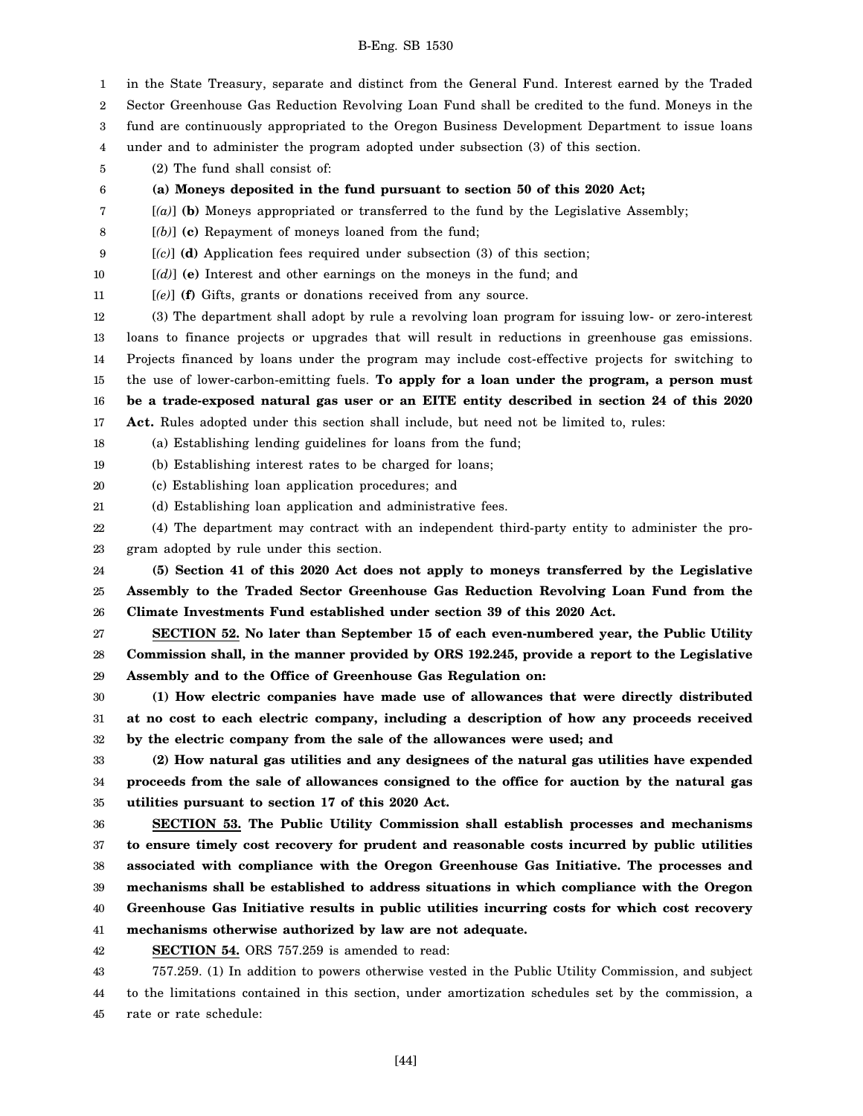1 2 3 4 5 6 7 8 9 10 11 12 13 14 15 16 17 18 19 20 21 22 23 24 25 26 27 28 29 30 31 32 33 34 35 36 37 38 39 40 41 42 43 44 45 in the State Treasury, separate and distinct from the General Fund. Interest earned by the Traded Sector Greenhouse Gas Reduction Revolving Loan Fund shall be credited to the fund. Moneys in the fund are continuously appropriated to the Oregon Business Development Department to issue loans under and to administer the program adopted under subsection (3) of this section. (2) The fund shall consist of: **(a) Moneys deposited in the fund pursuant to section 50 of this 2020 Act;** [*(a)*] **(b)** Moneys appropriated or transferred to the fund by the Legislative Assembly; [*(b)*] **(c)** Repayment of moneys loaned from the fund; [*(c)*] **(d)** Application fees required under subsection (3) of this section; [*(d)*] **(e)** Interest and other earnings on the moneys in the fund; and [*(e)*] **(f)** Gifts, grants or donations received from any source. (3) The department shall adopt by rule a revolving loan program for issuing low- or zero-interest loans to finance projects or upgrades that will result in reductions in greenhouse gas emissions. Projects financed by loans under the program may include cost-effective projects for switching to the use of lower-carbon-emitting fuels. **To apply for a loan under the program, a person must be a trade-exposed natural gas user or an EITE entity described in section 24 of this 2020 Act.** Rules adopted under this section shall include, but need not be limited to, rules: (a) Establishing lending guidelines for loans from the fund; (b) Establishing interest rates to be charged for loans; (c) Establishing loan application procedures; and (d) Establishing loan application and administrative fees. (4) The department may contract with an independent third-party entity to administer the program adopted by rule under this section. **(5) Section 41 of this 2020 Act does not apply to moneys transferred by the Legislative Assembly to the Traded Sector Greenhouse Gas Reduction Revolving Loan Fund from the Climate Investments Fund established under section 39 of this 2020 Act. SECTION 52. No later than September 15 of each even-numbered year, the Public Utility Commission shall, in the manner provided by ORS 192.245, provide a report to the Legislative Assembly and to the Office of Greenhouse Gas Regulation on: (1) How electric companies have made use of allowances that were directly distributed at no cost to each electric company, including a description of how any proceeds received by the electric company from the sale of the allowances were used; and (2) How natural gas utilities and any designees of the natural gas utilities have expended proceeds from the sale of allowances consigned to the office for auction by the natural gas utilities pursuant to section 17 of this 2020 Act. SECTION 53. The Public Utility Commission shall establish processes and mechanisms to ensure timely cost recovery for prudent and reasonable costs incurred by public utilities associated with compliance with the Oregon Greenhouse Gas Initiative. The processes and mechanisms shall be established to address situations in which compliance with the Oregon Greenhouse Gas Initiative results in public utilities incurring costs for which cost recovery mechanisms otherwise authorized by law are not adequate. SECTION 54.** ORS 757.259 is amended to read: 757.259. (1) In addition to powers otherwise vested in the Public Utility Commission, and subject to the limitations contained in this section, under amortization schedules set by the commission, a rate or rate schedule: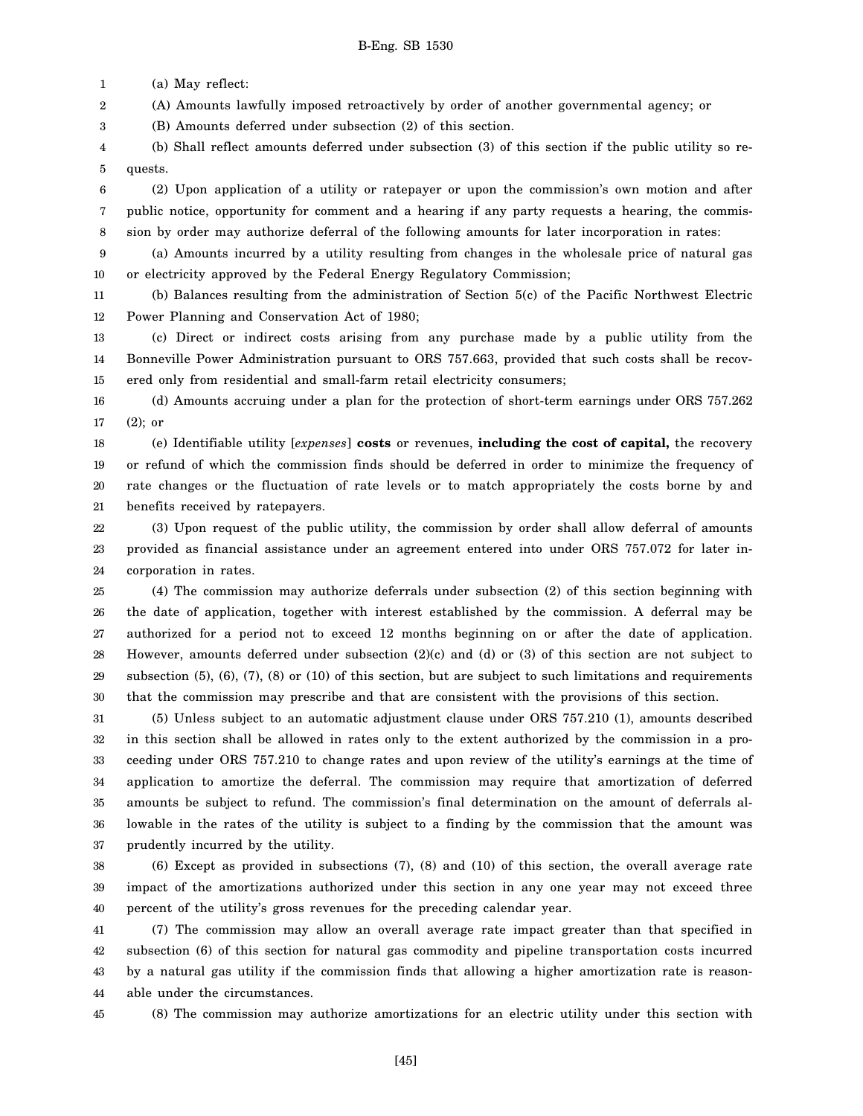1 (a) May reflect:

2 (A) Amounts lawfully imposed retroactively by order of another governmental agency; or

3 (B) Amounts deferred under subsection (2) of this section.

4 5 (b) Shall reflect amounts deferred under subsection (3) of this section if the public utility so requests.

6 7 8 (2) Upon application of a utility or ratepayer or upon the commission's own motion and after public notice, opportunity for comment and a hearing if any party requests a hearing, the commission by order may authorize deferral of the following amounts for later incorporation in rates:

9 10 (a) Amounts incurred by a utility resulting from changes in the wholesale price of natural gas or electricity approved by the Federal Energy Regulatory Commission;

11 12 (b) Balances resulting from the administration of Section 5(c) of the Pacific Northwest Electric Power Planning and Conservation Act of 1980;

13 14 15 (c) Direct or indirect costs arising from any purchase made by a public utility from the Bonneville Power Administration pursuant to ORS 757.663, provided that such costs shall be recovered only from residential and small-farm retail electricity consumers;

16 17 (d) Amounts accruing under a plan for the protection of short-term earnings under ORS 757.262 (2); or

18 19 20 21 (e) Identifiable utility [*expenses*] **costs** or revenues, **including the cost of capital,** the recovery or refund of which the commission finds should be deferred in order to minimize the frequency of rate changes or the fluctuation of rate levels or to match appropriately the costs borne by and benefits received by ratepayers.

22 23 24 (3) Upon request of the public utility, the commission by order shall allow deferral of amounts provided as financial assistance under an agreement entered into under ORS 757.072 for later incorporation in rates.

25 26 27 28 29 30 (4) The commission may authorize deferrals under subsection (2) of this section beginning with the date of application, together with interest established by the commission. A deferral may be authorized for a period not to exceed 12 months beginning on or after the date of application. However, amounts deferred under subsection (2)(c) and (d) or (3) of this section are not subject to subsection (5), (6), (7), (8) or (10) of this section, but are subject to such limitations and requirements that the commission may prescribe and that are consistent with the provisions of this section.

31 32 33 34 35 36 37 (5) Unless subject to an automatic adjustment clause under ORS 757.210 (1), amounts described in this section shall be allowed in rates only to the extent authorized by the commission in a proceeding under ORS 757.210 to change rates and upon review of the utility's earnings at the time of application to amortize the deferral. The commission may require that amortization of deferred amounts be subject to refund. The commission's final determination on the amount of deferrals allowable in the rates of the utility is subject to a finding by the commission that the amount was prudently incurred by the utility.

38 39 40 (6) Except as provided in subsections (7), (8) and (10) of this section, the overall average rate impact of the amortizations authorized under this section in any one year may not exceed three percent of the utility's gross revenues for the preceding calendar year.

41 42 43 44 (7) The commission may allow an overall average rate impact greater than that specified in subsection (6) of this section for natural gas commodity and pipeline transportation costs incurred by a natural gas utility if the commission finds that allowing a higher amortization rate is reasonable under the circumstances.

45

(8) The commission may authorize amortizations for an electric utility under this section with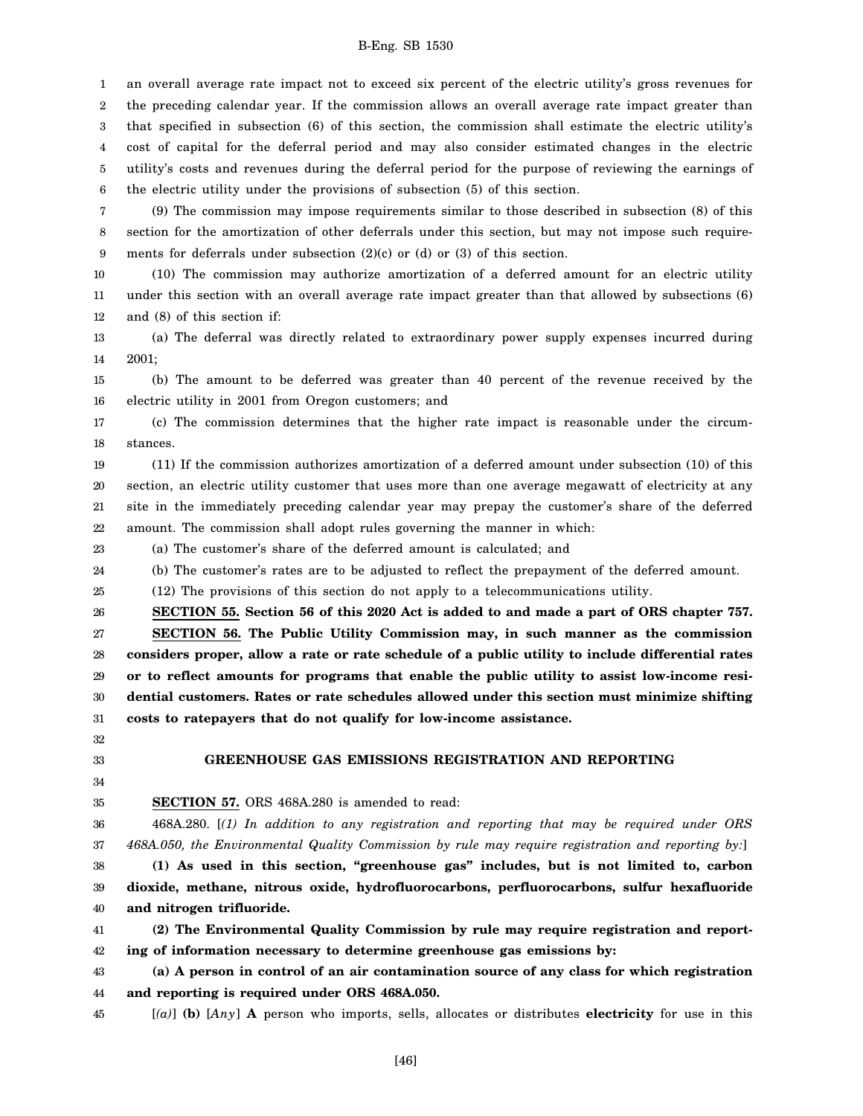1 2 3 4 5 6 an overall average rate impact not to exceed six percent of the electric utility's gross revenues for the preceding calendar year. If the commission allows an overall average rate impact greater than that specified in subsection (6) of this section, the commission shall estimate the electric utility's cost of capital for the deferral period and may also consider estimated changes in the electric utility's costs and revenues during the deferral period for the purpose of reviewing the earnings of the electric utility under the provisions of subsection (5) of this section.

7 8 9 (9) The commission may impose requirements similar to those described in subsection (8) of this section for the amortization of other deferrals under this section, but may not impose such requirements for deferrals under subsection (2)(c) or (d) or (3) of this section.

10 11 12 (10) The commission may authorize amortization of a deferred amount for an electric utility under this section with an overall average rate impact greater than that allowed by subsections (6) and (8) of this section if:

13 14 (a) The deferral was directly related to extraordinary power supply expenses incurred during 2001;

15 16 (b) The amount to be deferred was greater than 40 percent of the revenue received by the electric utility in 2001 from Oregon customers; and

17 18 (c) The commission determines that the higher rate impact is reasonable under the circumstances.

19 20 21 22 (11) If the commission authorizes amortization of a deferred amount under subsection (10) of this section, an electric utility customer that uses more than one average megawatt of electricity at any site in the immediately preceding calendar year may prepay the customer's share of the deferred amount. The commission shall adopt rules governing the manner in which:

23 (a) The customer's share of the deferred amount is calculated; and

24 (b) The customer's rates are to be adjusted to reflect the prepayment of the deferred amount.

25 (12) The provisions of this section do not apply to a telecommunications utility.

26 27 28 29 30 31 **SECTION 55. Section 56 of this 2020 Act is added to and made a part of ORS chapter 757. SECTION 56. The Public Utility Commission may, in such manner as the commission considers proper, allow a rate or rate schedule of a public utility to include differential rates or to reflect amounts for programs that enable the public utility to assist low-income residential customers. Rates or rate schedules allowed under this section must minimize shifting costs to ratepayers that do not qualify for low-income assistance.**

32 33

# **GREENHOUSE GAS EMISSIONS REGISTRATION AND REPORTING**

34 35

**SECTION 57.** ORS 468A.280 is amended to read:

36 37 468A.280. [*(1) In addition to any registration and reporting that may be required under ORS 468A.050, the Environmental Quality Commission by rule may require registration and reporting by:*]

38 39 40 **(1) As used in this section, "greenhouse gas" includes, but is not limited to, carbon dioxide, methane, nitrous oxide, hydrofluorocarbons, perfluorocarbons, sulfur hexafluoride and nitrogen trifluoride.**

41 42 **(2) The Environmental Quality Commission by rule may require registration and reporting of information necessary to determine greenhouse gas emissions by:**

43 44 **(a) A person in control of an air contamination source of any class for which registration and reporting is required under ORS 468A.050.**

45

[*(a)*] **(b)** [*Any*] **A** person who imports, sells, allocates or distributes **electricity** for use in this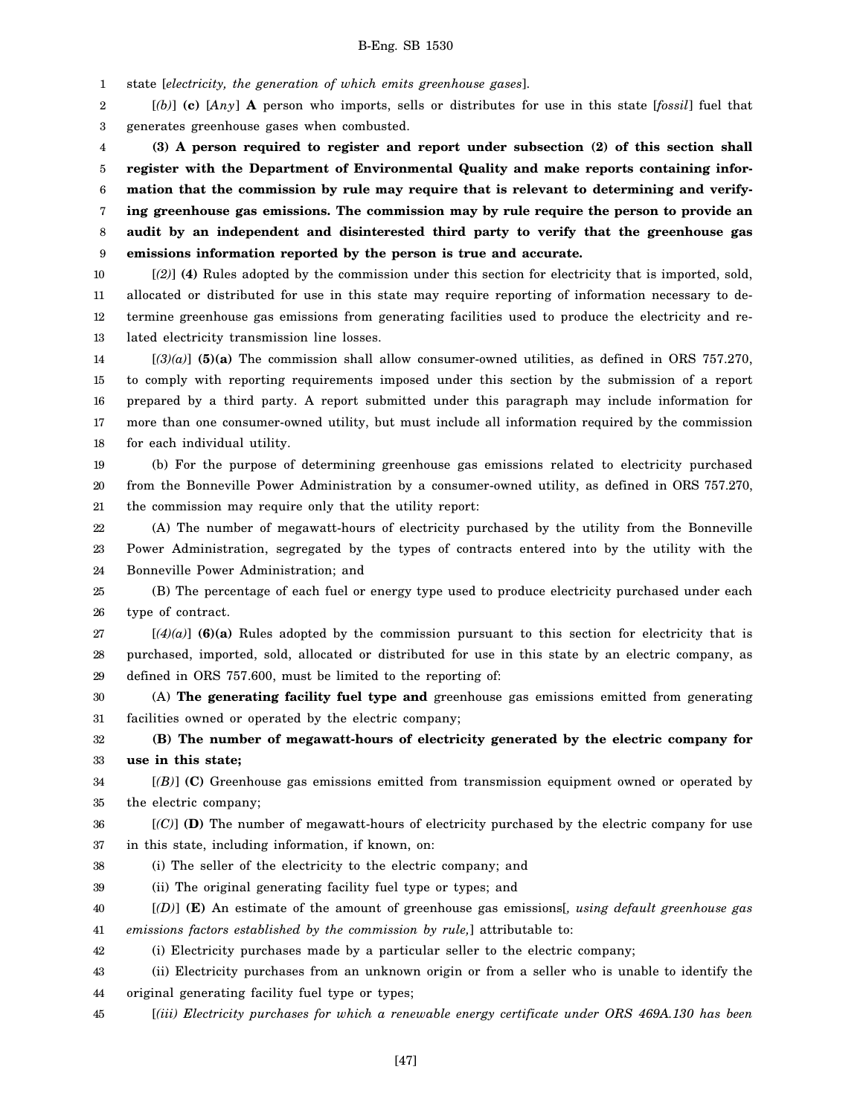1 state [*electricity, the generation of which emits greenhouse gases*].

2 3 [*(b)*] **(c)** [*Any*] **A** person who imports, sells or distributes for use in this state [*fossil*] fuel that generates greenhouse gases when combusted.

4 5 6 7 8 9 **(3) A person required to register and report under subsection (2) of this section shall register with the Department of Environmental Quality and make reports containing information that the commission by rule may require that is relevant to determining and verifying greenhouse gas emissions. The commission may by rule require the person to provide an audit by an independent and disinterested third party to verify that the greenhouse gas emissions information reported by the person is true and accurate.**

10 11 12 13 [*(2)*] **(4)** Rules adopted by the commission under this section for electricity that is imported, sold, allocated or distributed for use in this state may require reporting of information necessary to determine greenhouse gas emissions from generating facilities used to produce the electricity and related electricity transmission line losses.

14 15 16 17 18 [*(3)(a)*] **(5)(a)** The commission shall allow consumer-owned utilities, as defined in ORS 757.270, to comply with reporting requirements imposed under this section by the submission of a report prepared by a third party. A report submitted under this paragraph may include information for more than one consumer-owned utility, but must include all information required by the commission for each individual utility.

19 20 21 (b) For the purpose of determining greenhouse gas emissions related to electricity purchased from the Bonneville Power Administration by a consumer-owned utility, as defined in ORS 757.270, the commission may require only that the utility report:

22 23 24 (A) The number of megawatt-hours of electricity purchased by the utility from the Bonneville Power Administration, segregated by the types of contracts entered into by the utility with the Bonneville Power Administration; and

25 26 (B) The percentage of each fuel or energy type used to produce electricity purchased under each type of contract.

27 28 29  $[(4)(a)]$  (6)(a) Rules adopted by the commission pursuant to this section for electricity that is purchased, imported, sold, allocated or distributed for use in this state by an electric company, as defined in ORS 757.600, must be limited to the reporting of:

30 31 (A) **The generating facility fuel type and** greenhouse gas emissions emitted from generating facilities owned or operated by the electric company;

32 33 **(B) The number of megawatt-hours of electricity generated by the electric company for use in this state;**

34 35 [*(B)*] **(C)** Greenhouse gas emissions emitted from transmission equipment owned or operated by the electric company;

36 37 [*(C)*] **(D)** The number of megawatt-hours of electricity purchased by the electric company for use in this state, including information, if known, on:

38 (i) The seller of the electricity to the electric company; and

39 (ii) The original generating facility fuel type or types; and

40 41 [*(D)*] **(E)** An estimate of the amount of greenhouse gas emissions[*, using default greenhouse gas emissions factors established by the commission by rule,*] attributable to:

42 (i) Electricity purchases made by a particular seller to the electric company;

43 44 (ii) Electricity purchases from an unknown origin or from a seller who is unable to identify the original generating facility fuel type or types;

45 [*(iii) Electricity purchases for which a renewable energy certificate under ORS 469A.130 has been*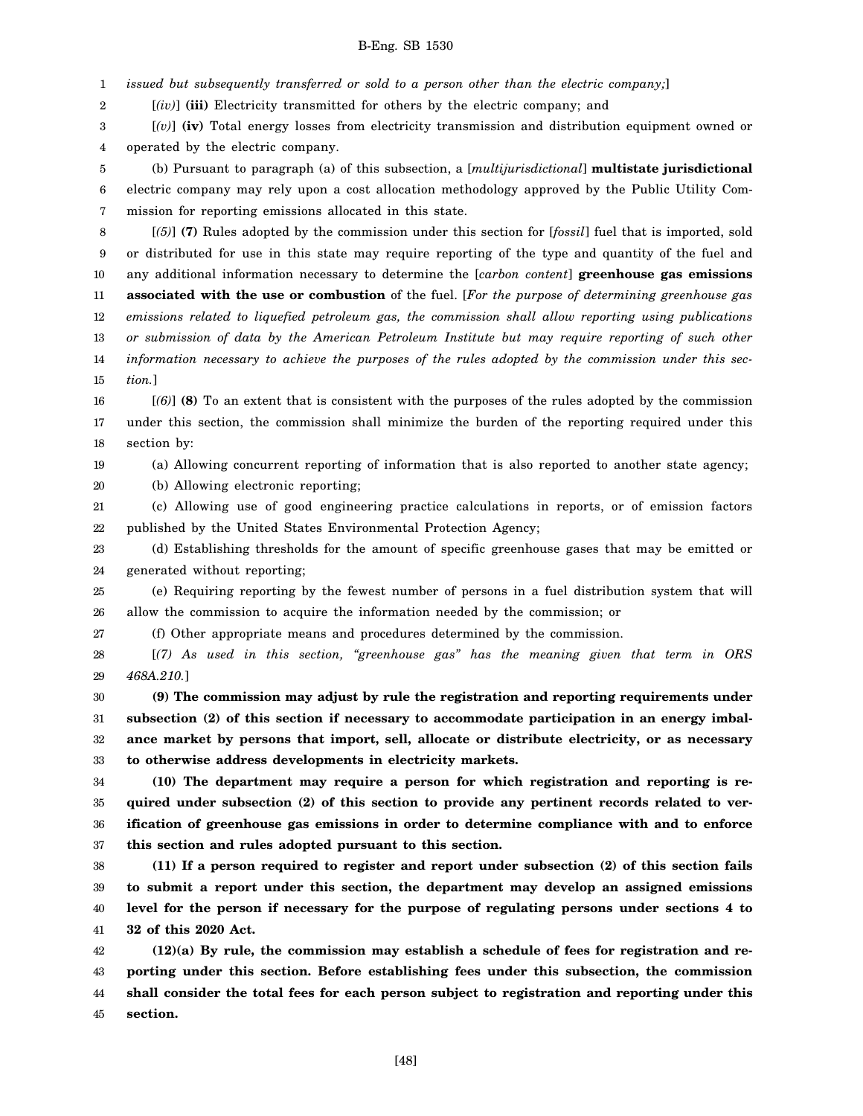1 *issued but subsequently transferred or sold to a person other than the electric company;*]

2 [*(iv)*] **(iii)** Electricity transmitted for others by the electric company; and

3 4 [*(v)*] **(iv)** Total energy losses from electricity transmission and distribution equipment owned or operated by the electric company.

5 6 7 (b) Pursuant to paragraph (a) of this subsection, a [*multijurisdictional*] **multistate jurisdictional** electric company may rely upon a cost allocation methodology approved by the Public Utility Commission for reporting emissions allocated in this state.

8 9 10 11 12 13 14 15 [*(5)*] **(7)** Rules adopted by the commission under this section for [*fossil*] fuel that is imported, sold or distributed for use in this state may require reporting of the type and quantity of the fuel and any additional information necessary to determine the [*carbon content*] **greenhouse gas emissions associated with the use or combustion** of the fuel. [*For the purpose of determining greenhouse gas emissions related to liquefied petroleum gas, the commission shall allow reporting using publications or submission of data by the American Petroleum Institute but may require reporting of such other information necessary to achieve the purposes of the rules adopted by the commission under this section.*]

16 17 18 [*(6)*] **(8)** To an extent that is consistent with the purposes of the rules adopted by the commission under this section, the commission shall minimize the burden of the reporting required under this section by:

19

(a) Allowing concurrent reporting of information that is also reported to another state agency;

20 (b) Allowing electronic reporting;

21 22 (c) Allowing use of good engineering practice calculations in reports, or of emission factors published by the United States Environmental Protection Agency;

23 24 (d) Establishing thresholds for the amount of specific greenhouse gases that may be emitted or generated without reporting;

25 26 (e) Requiring reporting by the fewest number of persons in a fuel distribution system that will allow the commission to acquire the information needed by the commission; or

27 (f) Other appropriate means and procedures determined by the commission.

28 29 [*(7) As used in this section, "greenhouse gas" has the meaning given that term in ORS 468A.210.*]

30 31 32 33 **(9) The commission may adjust by rule the registration and reporting requirements under subsection (2) of this section if necessary to accommodate participation in an energy imbalance market by persons that import, sell, allocate or distribute electricity, or as necessary to otherwise address developments in electricity markets.**

34 35 36 37 **(10) The department may require a person for which registration and reporting is required under subsection (2) of this section to provide any pertinent records related to verification of greenhouse gas emissions in order to determine compliance with and to enforce this section and rules adopted pursuant to this section.**

38 39 40 41 **(11) If a person required to register and report under subsection (2) of this section fails to submit a report under this section, the department may develop an assigned emissions level for the person if necessary for the purpose of regulating persons under sections 4 to 32 of this 2020 Act.**

42 43 44 45 **(12)(a) By rule, the commission may establish a schedule of fees for registration and reporting under this section. Before establishing fees under this subsection, the commission shall consider the total fees for each person subject to registration and reporting under this section.**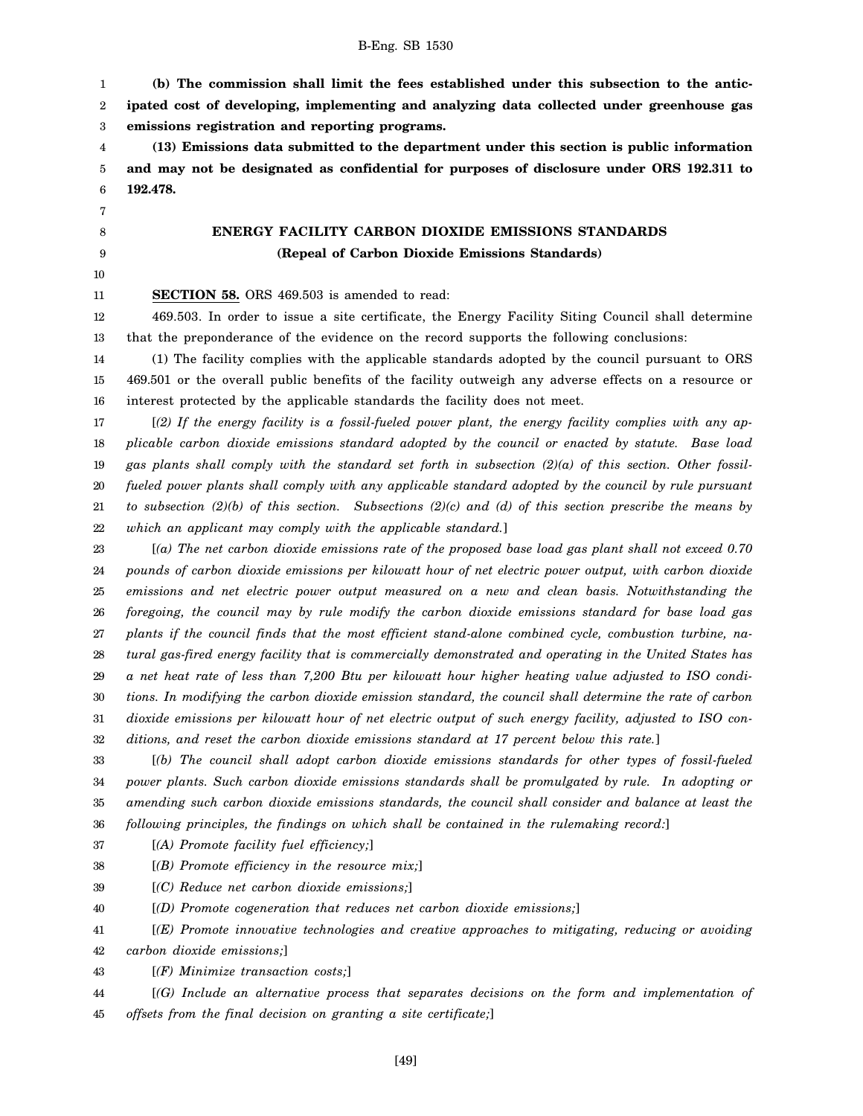1 2 3 **(b) The commission shall limit the fees established under this subsection to the anticipated cost of developing, implementing and analyzing data collected under greenhouse gas emissions registration and reporting programs.**

4 5 6 **(13) Emissions data submitted to the department under this section is public information and may not be designated as confidential for purposes of disclosure under ORS 192.311 to 192.478.**

> **ENERGY FACILITY CARBON DIOXIDE EMISSIONS STANDARDS (Repeal of Carbon Dioxide Emissions Standards)**

11 **SECTION 58.** ORS 469.503 is amended to read:

12 13 469.503. In order to issue a site certificate, the Energy Facility Siting Council shall determine that the preponderance of the evidence on the record supports the following conclusions:

14 15 16 (1) The facility complies with the applicable standards adopted by the council pursuant to ORS 469.501 or the overall public benefits of the facility outweigh any adverse effects on a resource or interest protected by the applicable standards the facility does not meet.

17 18 19 20 21 22 [*(2) If the energy facility is a fossil-fueled power plant, the energy facility complies with any applicable carbon dioxide emissions standard adopted by the council or enacted by statute. Base load gas plants shall comply with the standard set forth in subsection (2)(a) of this section. Other fossilfueled power plants shall comply with any applicable standard adopted by the council by rule pursuant to subsection (2)(b) of this section. Subsections (2)(c) and (d) of this section prescribe the means by which an applicant may comply with the applicable standard.*]

23 24 25 26 27 28 29 30 31 32 [*(a) The net carbon dioxide emissions rate of the proposed base load gas plant shall not exceed 0.70 pounds of carbon dioxide emissions per kilowatt hour of net electric power output, with carbon dioxide emissions and net electric power output measured on a new and clean basis. Notwithstanding the foregoing, the council may by rule modify the carbon dioxide emissions standard for base load gas plants if the council finds that the most efficient stand-alone combined cycle, combustion turbine, natural gas-fired energy facility that is commercially demonstrated and operating in the United States has a net heat rate of less than 7,200 Btu per kilowatt hour higher heating value adjusted to ISO conditions. In modifying the carbon dioxide emission standard, the council shall determine the rate of carbon dioxide emissions per kilowatt hour of net electric output of such energy facility, adjusted to ISO conditions, and reset the carbon dioxide emissions standard at 17 percent below this rate.*]

33 34 35 36 [*(b) The council shall adopt carbon dioxide emissions standards for other types of fossil-fueled power plants. Such carbon dioxide emissions standards shall be promulgated by rule. In adopting or amending such carbon dioxide emissions standards, the council shall consider and balance at least the following principles, the findings on which shall be contained in the rulemaking record:*]

37 [*(A) Promote facility fuel efficiency;*]

- 38 [*(B) Promote efficiency in the resource mix;*]
- 39 [*(C) Reduce net carbon dioxide emissions;*]

40 [*(D) Promote cogeneration that reduces net carbon dioxide emissions;*]

41 42 [*(E) Promote innovative technologies and creative approaches to mitigating, reducing or avoiding carbon dioxide emissions;*]

43 [*(F) Minimize transaction costs;*]

44 45 [*(G) Include an alternative process that separates decisions on the form and implementation of offsets from the final decision on granting a site certificate;*]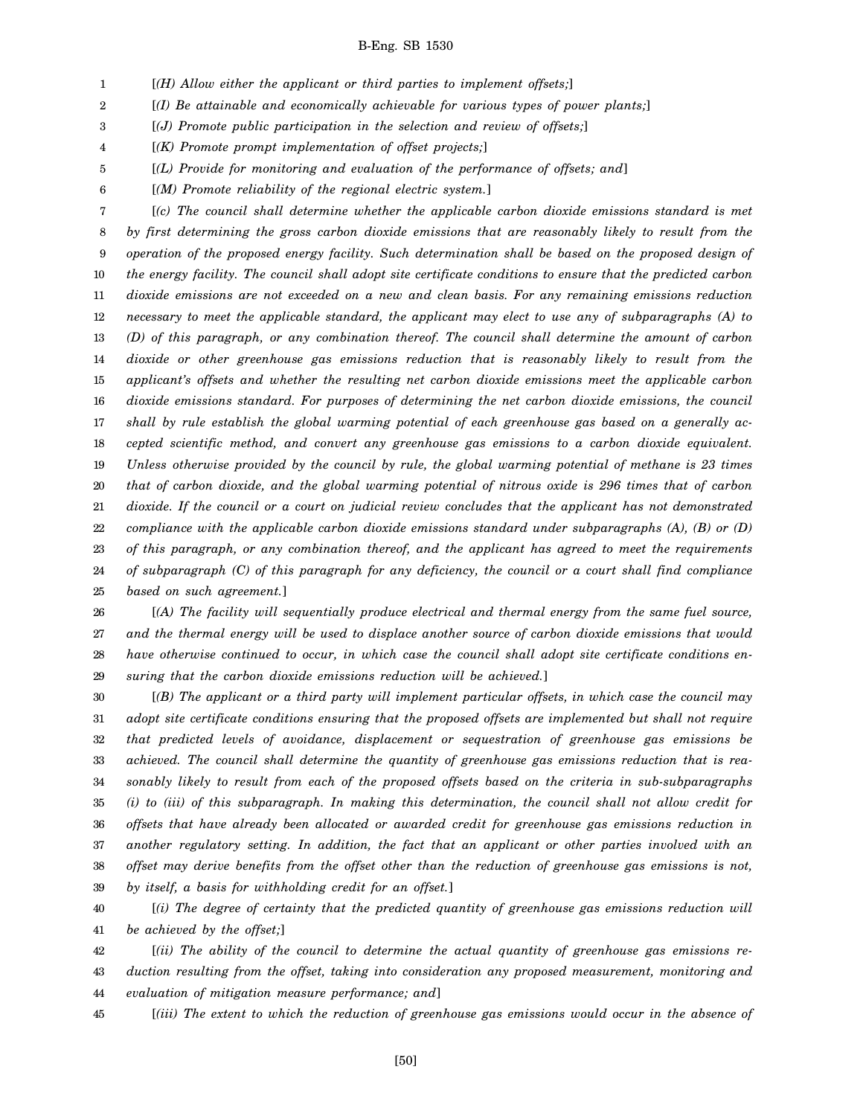1 [*(H) Allow either the applicant or third parties to implement offsets;*]

2 [*(I) Be attainable and economically achievable for various types of power plants;*]

3 [*(J) Promote public participation in the selection and review of offsets;*]

4 [*(K) Promote prompt implementation of offset projects;*]

5 [*(L) Provide for monitoring and evaluation of the performance of offsets; and*]

6 [*(M) Promote reliability of the regional electric system.*]

7 8 9 10 11 12 13 14 15 16 17 18 19 20 21 22 23 24 25 [*(c) The council shall determine whether the applicable carbon dioxide emissions standard is met by first determining the gross carbon dioxide emissions that are reasonably likely to result from the operation of the proposed energy facility. Such determination shall be based on the proposed design of the energy facility. The council shall adopt site certificate conditions to ensure that the predicted carbon dioxide emissions are not exceeded on a new and clean basis. For any remaining emissions reduction necessary to meet the applicable standard, the applicant may elect to use any of subparagraphs (A) to (D) of this paragraph, or any combination thereof. The council shall determine the amount of carbon dioxide or other greenhouse gas emissions reduction that is reasonably likely to result from the applicant's offsets and whether the resulting net carbon dioxide emissions meet the applicable carbon dioxide emissions standard. For purposes of determining the net carbon dioxide emissions, the council shall by rule establish the global warming potential of each greenhouse gas based on a generally accepted scientific method, and convert any greenhouse gas emissions to a carbon dioxide equivalent. Unless otherwise provided by the council by rule, the global warming potential of methane is 23 times that of carbon dioxide, and the global warming potential of nitrous oxide is 296 times that of carbon dioxide. If the council or a court on judicial review concludes that the applicant has not demonstrated compliance with the applicable carbon dioxide emissions standard under subparagraphs (A), (B) or (D) of this paragraph, or any combination thereof, and the applicant has agreed to meet the requirements of subparagraph (C) of this paragraph for any deficiency, the council or a court shall find compliance based on such agreement.*]

26 27 28 29 [*(A) The facility will sequentially produce electrical and thermal energy from the same fuel source, and the thermal energy will be used to displace another source of carbon dioxide emissions that would have otherwise continued to occur, in which case the council shall adopt site certificate conditions ensuring that the carbon dioxide emissions reduction will be achieved.*]

30 31 32 33 34 35 36 37 38 39 [*(B) The applicant or a third party will implement particular offsets, in which case the council may adopt site certificate conditions ensuring that the proposed offsets are implemented but shall not require that predicted levels of avoidance, displacement or sequestration of greenhouse gas emissions be achieved. The council shall determine the quantity of greenhouse gas emissions reduction that is reasonably likely to result from each of the proposed offsets based on the criteria in sub-subparagraphs (i) to (iii) of this subparagraph. In making this determination, the council shall not allow credit for offsets that have already been allocated or awarded credit for greenhouse gas emissions reduction in another regulatory setting. In addition, the fact that an applicant or other parties involved with an offset may derive benefits from the offset other than the reduction of greenhouse gas emissions is not, by itself, a basis for withholding credit for an offset.*]

40 41 [*(i) The degree of certainty that the predicted quantity of greenhouse gas emissions reduction will be achieved by the offset;*]

42 43 44 [*(ii) The ability of the council to determine the actual quantity of greenhouse gas emissions reduction resulting from the offset, taking into consideration any proposed measurement, monitoring and evaluation of mitigation measure performance; and*]

45 [*(iii) The extent to which the reduction of greenhouse gas emissions would occur in the absence of*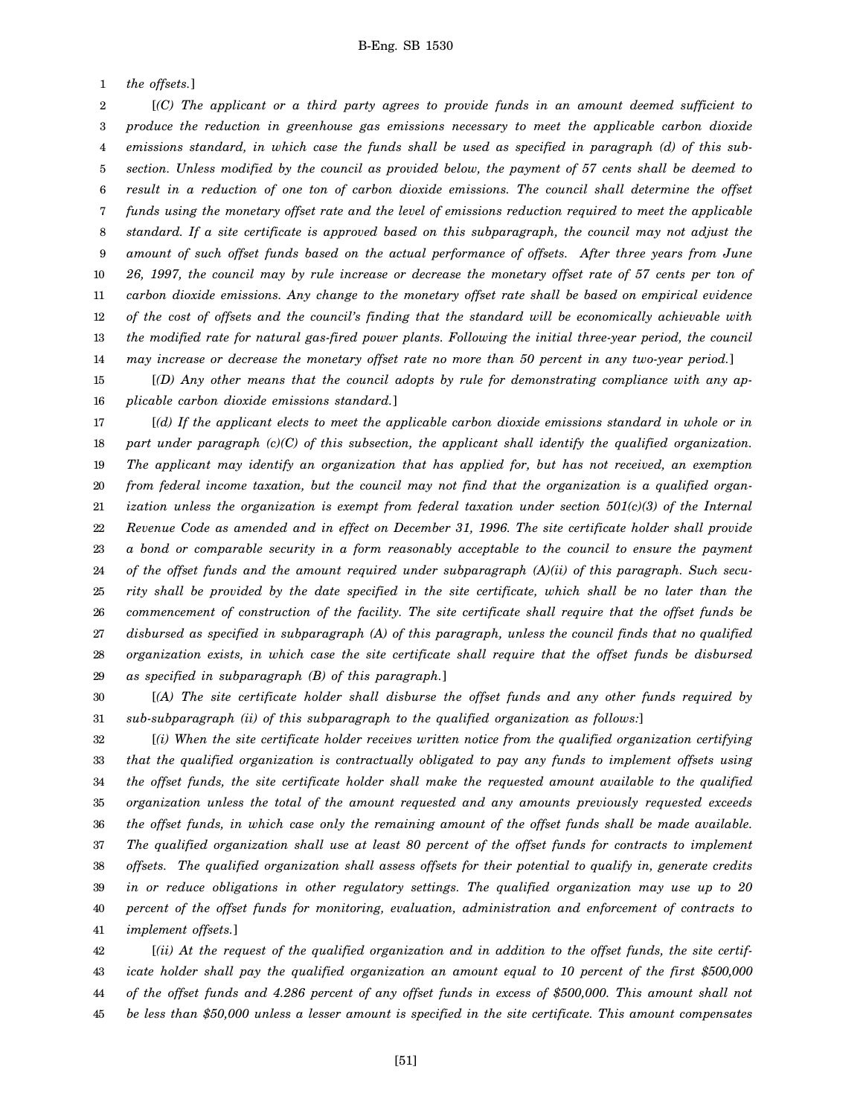1 *the offsets.*]

2 3 4 5 6 7 8 9 10 11 12 13 14 [*(C) The applicant or a third party agrees to provide funds in an amount deemed sufficient to produce the reduction in greenhouse gas emissions necessary to meet the applicable carbon dioxide emissions standard, in which case the funds shall be used as specified in paragraph (d) of this subsection. Unless modified by the council as provided below, the payment of 57 cents shall be deemed to result in a reduction of one ton of carbon dioxide emissions. The council shall determine the offset funds using the monetary offset rate and the level of emissions reduction required to meet the applicable standard. If a site certificate is approved based on this subparagraph, the council may not adjust the amount of such offset funds based on the actual performance of offsets. After three years from June 26, 1997, the council may by rule increase or decrease the monetary offset rate of 57 cents per ton of carbon dioxide emissions. Any change to the monetary offset rate shall be based on empirical evidence of the cost of offsets and the council's finding that the standard will be economically achievable with the modified rate for natural gas-fired power plants. Following the initial three-year period, the council may increase or decrease the monetary offset rate no more than 50 percent in any two-year period.*]

15 16 [*(D) Any other means that the council adopts by rule for demonstrating compliance with any applicable carbon dioxide emissions standard.*]

17 18 19 20 21 22 23 24 25 26 27 28 29 [*(d) If the applicant elects to meet the applicable carbon dioxide emissions standard in whole or in part under paragraph (c)(C) of this subsection, the applicant shall identify the qualified organization. The applicant may identify an organization that has applied for, but has not received, an exemption from federal income taxation, but the council may not find that the organization is a qualified organization unless the organization is exempt from federal taxation under section 501(c)(3) of the Internal Revenue Code as amended and in effect on December 31, 1996. The site certificate holder shall provide a bond or comparable security in a form reasonably acceptable to the council to ensure the payment of the offset funds and the amount required under subparagraph (A)(ii) of this paragraph. Such security shall be provided by the date specified in the site certificate, which shall be no later than the commencement of construction of the facility. The site certificate shall require that the offset funds be disbursed as specified in subparagraph (A) of this paragraph, unless the council finds that no qualified organization exists, in which case the site certificate shall require that the offset funds be disbursed as specified in subparagraph (B) of this paragraph.*]

30 31 [*(A) The site certificate holder shall disburse the offset funds and any other funds required by sub-subparagraph (ii) of this subparagraph to the qualified organization as follows:*]

32 33 34 35 36 37 38 39 40 41 [*(i) When the site certificate holder receives written notice from the qualified organization certifying that the qualified organization is contractually obligated to pay any funds to implement offsets using the offset funds, the site certificate holder shall make the requested amount available to the qualified organization unless the total of the amount requested and any amounts previously requested exceeds the offset funds, in which case only the remaining amount of the offset funds shall be made available. The qualified organization shall use at least 80 percent of the offset funds for contracts to implement offsets. The qualified organization shall assess offsets for their potential to qualify in, generate credits in or reduce obligations in other regulatory settings. The qualified organization may use up to 20 percent of the offset funds for monitoring, evaluation, administration and enforcement of contracts to implement offsets.*]

42 43 44 45 [*(ii) At the request of the qualified organization and in addition to the offset funds, the site certificate holder shall pay the qualified organization an amount equal to 10 percent of the first \$500,000 of the offset funds and 4.286 percent of any offset funds in excess of \$500,000. This amount shall not be less than \$50,000 unless a lesser amount is specified in the site certificate. This amount compensates*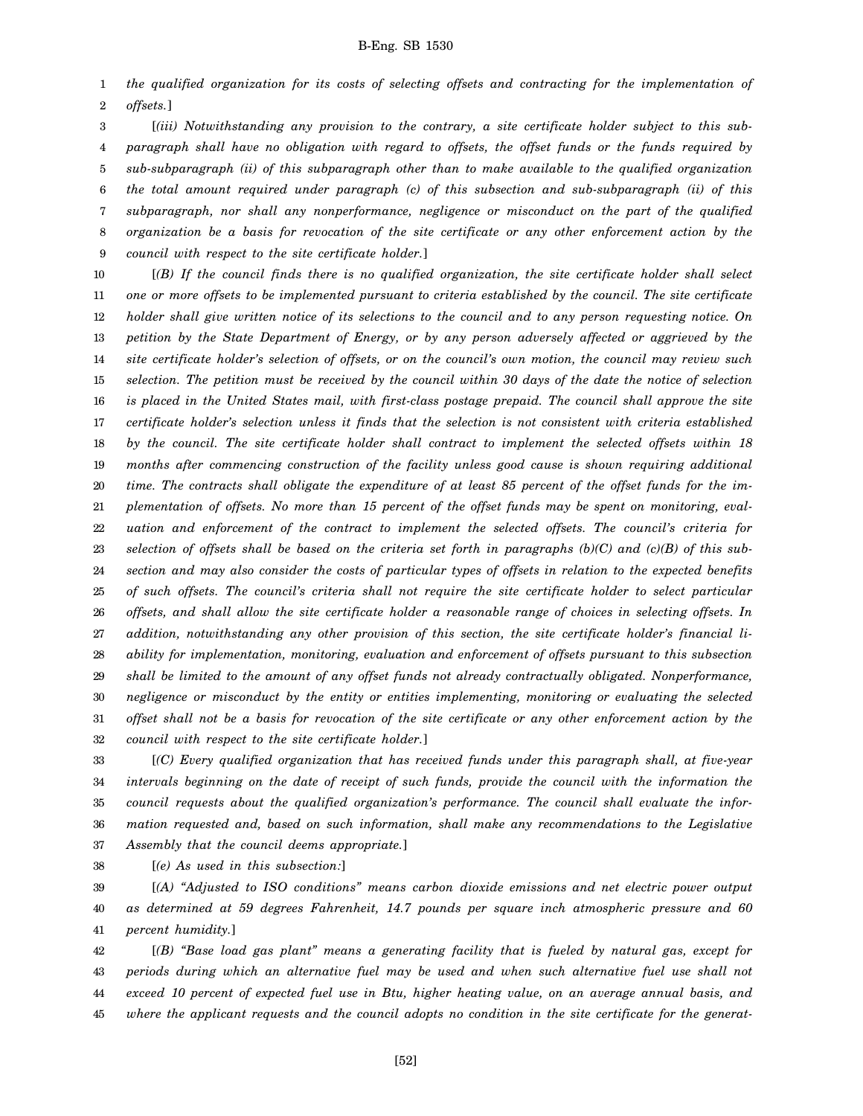1 2 *the qualified organization for its costs of selecting offsets and contracting for the implementation of offsets.*]

3 4 5 6 7 8 9 [*(iii) Notwithstanding any provision to the contrary, a site certificate holder subject to this subparagraph shall have no obligation with regard to offsets, the offset funds or the funds required by sub-subparagraph (ii) of this subparagraph other than to make available to the qualified organization the total amount required under paragraph (c) of this subsection and sub-subparagraph (ii) of this subparagraph, nor shall any nonperformance, negligence or misconduct on the part of the qualified organization be a basis for revocation of the site certificate or any other enforcement action by the council with respect to the site certificate holder.*]

10 11 12 13 14 15 16 17 18 19 20 21 22 23 24 25 26 27 28 29 30 31 32 [*(B) If the council finds there is no qualified organization, the site certificate holder shall select one or more offsets to be implemented pursuant to criteria established by the council. The site certificate holder shall give written notice of its selections to the council and to any person requesting notice. On petition by the State Department of Energy, or by any person adversely affected or aggrieved by the site certificate holder's selection of offsets, or on the council's own motion, the council may review such selection. The petition must be received by the council within 30 days of the date the notice of selection is placed in the United States mail, with first-class postage prepaid. The council shall approve the site certificate holder's selection unless it finds that the selection is not consistent with criteria established by the council. The site certificate holder shall contract to implement the selected offsets within 18 months after commencing construction of the facility unless good cause is shown requiring additional time. The contracts shall obligate the expenditure of at least 85 percent of the offset funds for the implementation of offsets. No more than 15 percent of the offset funds may be spent on monitoring, evaluation and enforcement of the contract to implement the selected offsets. The council's criteria for selection of offsets shall be based on the criteria set forth in paragraphs (b)(C) and (c)(B) of this subsection and may also consider the costs of particular types of offsets in relation to the expected benefits of such offsets. The council's criteria shall not require the site certificate holder to select particular offsets, and shall allow the site certificate holder a reasonable range of choices in selecting offsets. In addition, notwithstanding any other provision of this section, the site certificate holder's financial liability for implementation, monitoring, evaluation and enforcement of offsets pursuant to this subsection shall be limited to the amount of any offset funds not already contractually obligated. Nonperformance, negligence or misconduct by the entity or entities implementing, monitoring or evaluating the selected offset shall not be a basis for revocation of the site certificate or any other enforcement action by the council with respect to the site certificate holder.*]

33 34 35 36 37 [*(C) Every qualified organization that has received funds under this paragraph shall, at five-year intervals beginning on the date of receipt of such funds, provide the council with the information the council requests about the qualified organization's performance. The council shall evaluate the information requested and, based on such information, shall make any recommendations to the Legislative Assembly that the council deems appropriate.*]

38 [*(e) As used in this subsection:*]

39 40 41 [*(A) "Adjusted to ISO conditions" means carbon dioxide emissions and net electric power output as determined at 59 degrees Fahrenheit, 14.7 pounds per square inch atmospheric pressure and 60 percent humidity.*]

42 43 44 45 [*(B) "Base load gas plant" means a generating facility that is fueled by natural gas, except for periods during which an alternative fuel may be used and when such alternative fuel use shall not exceed 10 percent of expected fuel use in Btu, higher heating value, on an average annual basis, and where the applicant requests and the council adopts no condition in the site certificate for the generat-*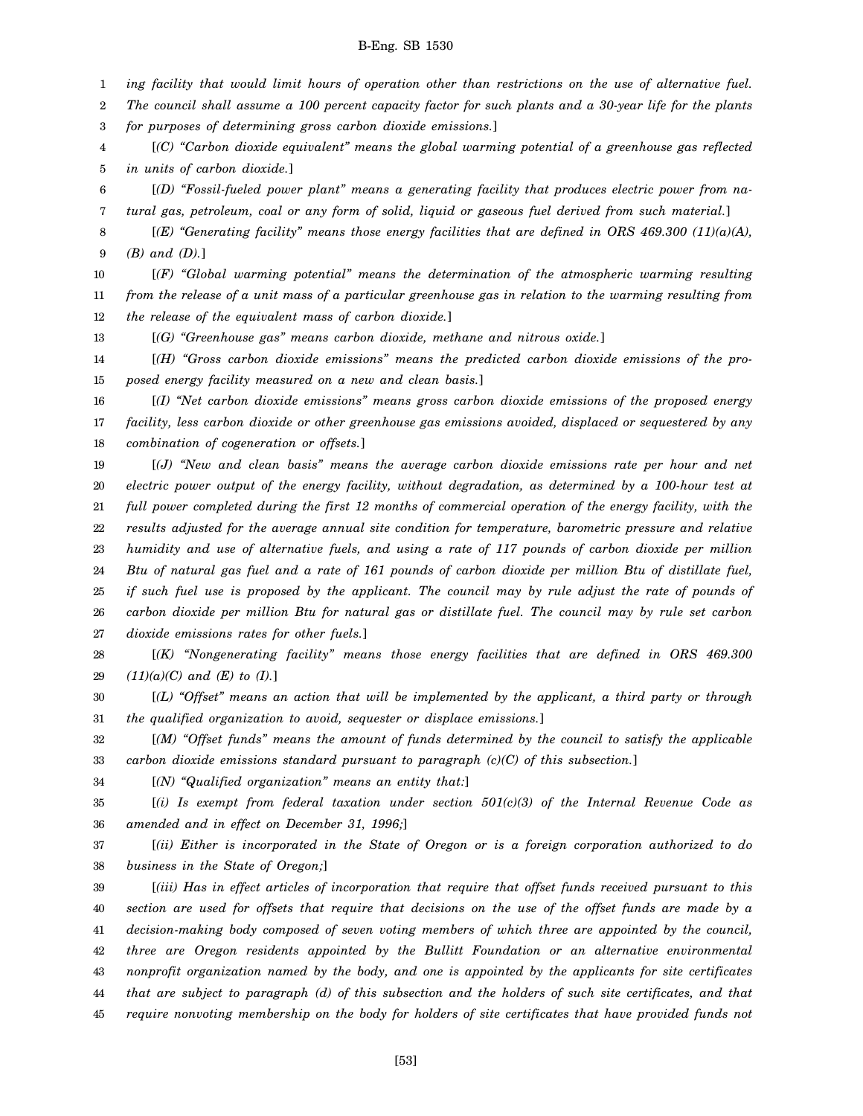1 *ing facility that would limit hours of operation other than restrictions on the use of alternative fuel.*

2 *The council shall assume a 100 percent capacity factor for such plants and a 30-year life for the plants*

3 *for purposes of determining gross carbon dioxide emissions.*]

4 5 [*(C) "Carbon dioxide equivalent" means the global warming potential of a greenhouse gas reflected in units of carbon dioxide.*]

6 7 [*(D) "Fossil-fueled power plant" means a generating facility that produces electric power from natural gas, petroleum, coal or any form of solid, liquid or gaseous fuel derived from such material.*]

8 9 [*(E) "Generating facility" means those energy facilities that are defined in ORS 469.300 (11)(a)(A), (B) and (D).*]

10 11 12 [*(F) "Global warming potential" means the determination of the atmospheric warming resulting from the release of a unit mass of a particular greenhouse gas in relation to the warming resulting from the release of the equivalent mass of carbon dioxide.*]

13 [*(G) "Greenhouse gas" means carbon dioxide, methane and nitrous oxide.*]

14 15 [*(H) "Gross carbon dioxide emissions" means the predicted carbon dioxide emissions of the proposed energy facility measured on a new and clean basis.*]

16 17 18 [*(I) "Net carbon dioxide emissions" means gross carbon dioxide emissions of the proposed energy facility, less carbon dioxide or other greenhouse gas emissions avoided, displaced or sequestered by any combination of cogeneration or offsets.*]

19 20 21 22 23 24 25 26 27 [*(J) "New and clean basis" means the average carbon dioxide emissions rate per hour and net electric power output of the energy facility, without degradation, as determined by a 100-hour test at full power completed during the first 12 months of commercial operation of the energy facility, with the results adjusted for the average annual site condition for temperature, barometric pressure and relative humidity and use of alternative fuels, and using a rate of 117 pounds of carbon dioxide per million Btu of natural gas fuel and a rate of 161 pounds of carbon dioxide per million Btu of distillate fuel, if such fuel use is proposed by the applicant. The council may by rule adjust the rate of pounds of carbon dioxide per million Btu for natural gas or distillate fuel. The council may by rule set carbon dioxide emissions rates for other fuels.*]

28 29 [*(K) "Nongenerating facility" means those energy facilities that are defined in ORS 469.300 (11)(a)(C) and (E) to (I).*]

30 31 [*(L) "Offset" means an action that will be implemented by the applicant, a third party or through the qualified organization to avoid, sequester or displace emissions.*]

32 33 [*(M) "Offset funds" means the amount of funds determined by the council to satisfy the applicable carbon dioxide emissions standard pursuant to paragraph (c)(C) of this subsection.*]

34 [*(N) "Qualified organization" means an entity that:*]

35 36 [*(i) Is exempt from federal taxation under section 501(c)(3) of the Internal Revenue Code as amended and in effect on December 31, 1996;*]

37 38 [*(ii) Either is incorporated in the State of Oregon or is a foreign corporation authorized to do business in the State of Oregon;*]

39 40 41 42 43 44 45 [*(iii) Has in effect articles of incorporation that require that offset funds received pursuant to this section are used for offsets that require that decisions on the use of the offset funds are made by a decision-making body composed of seven voting members of which three are appointed by the council, three are Oregon residents appointed by the Bullitt Foundation or an alternative environmental nonprofit organization named by the body, and one is appointed by the applicants for site certificates that are subject to paragraph (d) of this subsection and the holders of such site certificates, and that require nonvoting membership on the body for holders of site certificates that have provided funds not*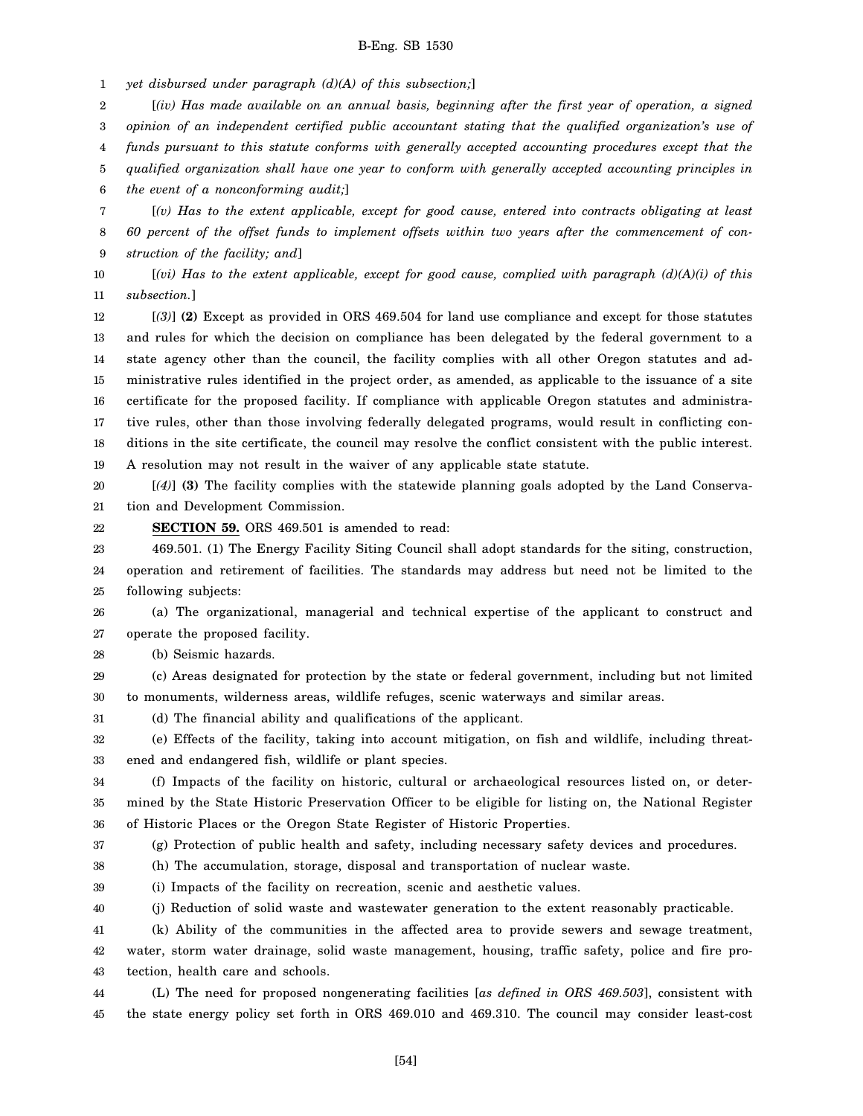1 *yet disbursed under paragraph (d)(A) of this subsection;*]

2 3 4 5 6 [*(iv) Has made available on an annual basis, beginning after the first year of operation, a signed opinion of an independent certified public accountant stating that the qualified organization's use of funds pursuant to this statute conforms with generally accepted accounting procedures except that the qualified organization shall have one year to conform with generally accepted accounting principles in the event of a nonconforming audit;*]

7 8 9 [*(v) Has to the extent applicable, except for good cause, entered into contracts obligating at least 60 percent of the offset funds to implement offsets within two years after the commencement of construction of the facility; and*]

10 11 [*(vi) Has to the extent applicable, except for good cause, complied with paragraph (d)(A)(i) of this subsection.*]

12 13 14 15 16 17 18 19 [*(3)*] **(2)** Except as provided in ORS 469.504 for land use compliance and except for those statutes and rules for which the decision on compliance has been delegated by the federal government to a state agency other than the council, the facility complies with all other Oregon statutes and administrative rules identified in the project order, as amended, as applicable to the issuance of a site certificate for the proposed facility. If compliance with applicable Oregon statutes and administrative rules, other than those involving federally delegated programs, would result in conflicting conditions in the site certificate, the council may resolve the conflict consistent with the public interest. A resolution may not result in the waiver of any applicable state statute.

20 21 [*(4)*] **(3)** The facility complies with the statewide planning goals adopted by the Land Conservation and Development Commission.

**SECTION 59.** ORS 469.501 is amended to read:

23 469.501. (1) The Energy Facility Siting Council shall adopt standards for the siting, construction,

24 25 operation and retirement of facilities. The standards may address but need not be limited to the following subjects:

26 27 (a) The organizational, managerial and technical expertise of the applicant to construct and operate the proposed facility.

28 (b) Seismic hazards.

22

- 29 30 (c) Areas designated for protection by the state or federal government, including but not limited to monuments, wilderness areas, wildlife refuges, scenic waterways and similar areas.
- 31 (d) The financial ability and qualifications of the applicant.

32 33 (e) Effects of the facility, taking into account mitigation, on fish and wildlife, including threatened and endangered fish, wildlife or plant species.

34 35 36 (f) Impacts of the facility on historic, cultural or archaeological resources listed on, or determined by the State Historic Preservation Officer to be eligible for listing on, the National Register of Historic Places or the Oregon State Register of Historic Properties.

37 (g) Protection of public health and safety, including necessary safety devices and procedures.

- 38 (h) The accumulation, storage, disposal and transportation of nuclear waste.
- 39 (i) Impacts of the facility on recreation, scenic and aesthetic values.
- 40 (j) Reduction of solid waste and wastewater generation to the extent reasonably practicable.

41 42 43 (k) Ability of the communities in the affected area to provide sewers and sewage treatment, water, storm water drainage, solid waste management, housing, traffic safety, police and fire protection, health care and schools.

44 45 (L) The need for proposed nongenerating facilities [*as defined in ORS 469.503*], consistent with the state energy policy set forth in ORS 469.010 and 469.310. The council may consider least-cost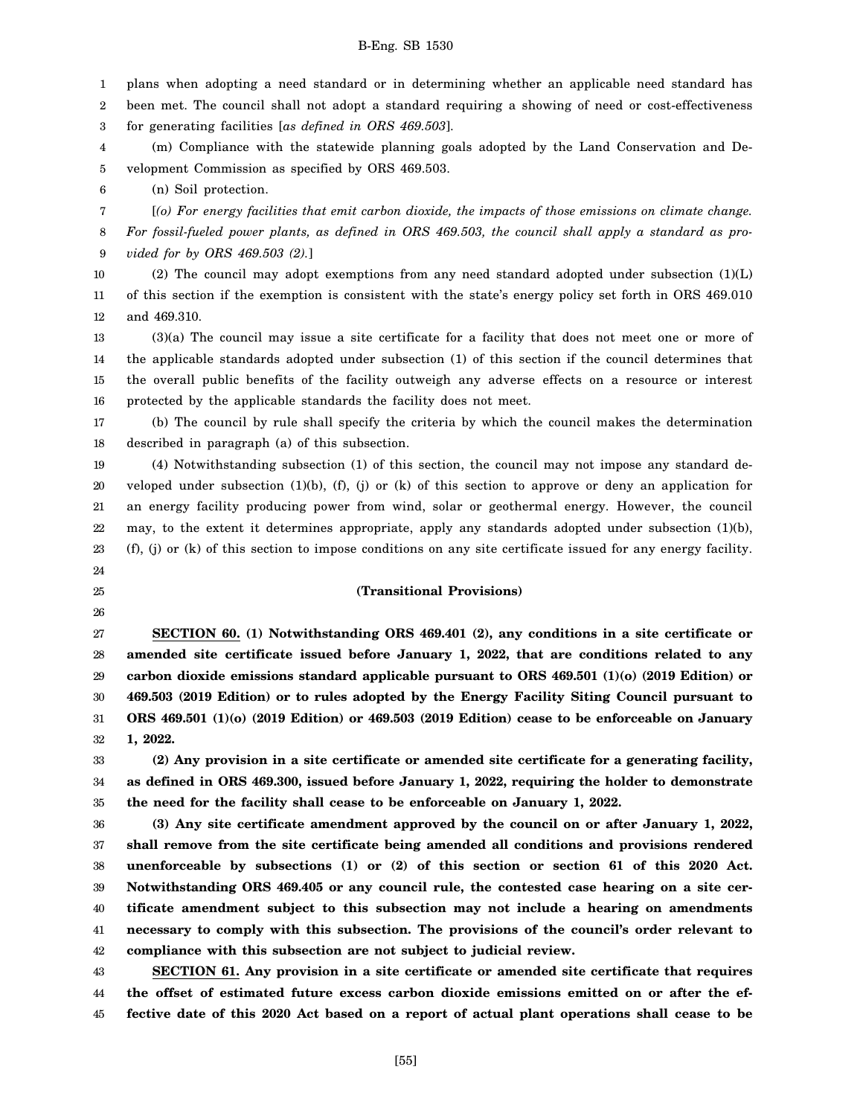1 plans when adopting a need standard or in determining whether an applicable need standard has

2 been met. The council shall not adopt a standard requiring a showing of need or cost-effectiveness

3 for generating facilities [*as defined in ORS 469.503*].

4 5 (m) Compliance with the statewide planning goals adopted by the Land Conservation and Development Commission as specified by ORS 469.503.

6 (n) Soil protection.

7 8 9 [*(o) For energy facilities that emit carbon dioxide, the impacts of those emissions on climate change. For fossil-fueled power plants, as defined in ORS 469.503, the council shall apply a standard as provided for by ORS 469.503 (2).*]

10 11 12 (2) The council may adopt exemptions from any need standard adopted under subsection  $(1)(L)$ of this section if the exemption is consistent with the state's energy policy set forth in ORS 469.010 and 469.310.

13 14 15 16 (3)(a) The council may issue a site certificate for a facility that does not meet one or more of the applicable standards adopted under subsection (1) of this section if the council determines that the overall public benefits of the facility outweigh any adverse effects on a resource or interest protected by the applicable standards the facility does not meet.

17 18 (b) The council by rule shall specify the criteria by which the council makes the determination described in paragraph (a) of this subsection.

19 20 21 22 23 24 (4) Notwithstanding subsection (1) of this section, the council may not impose any standard developed under subsection (1)(b), (f), (j) or (k) of this section to approve or deny an application for an energy facility producing power from wind, solar or geothermal energy. However, the council may, to the extent it determines appropriate, apply any standards adopted under subsection (1)(b), (f), (j) or (k) of this section to impose conditions on any site certificate issued for any energy facility.

25

26

### **(Transitional Provisions)**

27 28 29 30 31 32 **SECTION 60. (1) Notwithstanding ORS 469.401 (2), any conditions in a site certificate or amended site certificate issued before January 1, 2022, that are conditions related to any carbon dioxide emissions standard applicable pursuant to ORS 469.501 (1)(o) (2019 Edition) or 469.503 (2019 Edition) or to rules adopted by the Energy Facility Siting Council pursuant to ORS 469.501 (1)(o) (2019 Edition) or 469.503 (2019 Edition) cease to be enforceable on January 1, 2022.**

33 34 35 **(2) Any provision in a site certificate or amended site certificate for a generating facility, as defined in ORS 469.300, issued before January 1, 2022, requiring the holder to demonstrate the need for the facility shall cease to be enforceable on January 1, 2022.**

36 37 38 39 40 41 42 **(3) Any site certificate amendment approved by the council on or after January 1, 2022, shall remove from the site certificate being amended all conditions and provisions rendered unenforceable by subsections (1) or (2) of this section or section 61 of this 2020 Act. Notwithstanding ORS 469.405 or any council rule, the contested case hearing on a site certificate amendment subject to this subsection may not include a hearing on amendments necessary to comply with this subsection. The provisions of the council's order relevant to compliance with this subsection are not subject to judicial review.**

43 44 45 **SECTION 61. Any provision in a site certificate or amended site certificate that requires the offset of estimated future excess carbon dioxide emissions emitted on or after the effective date of this 2020 Act based on a report of actual plant operations shall cease to be**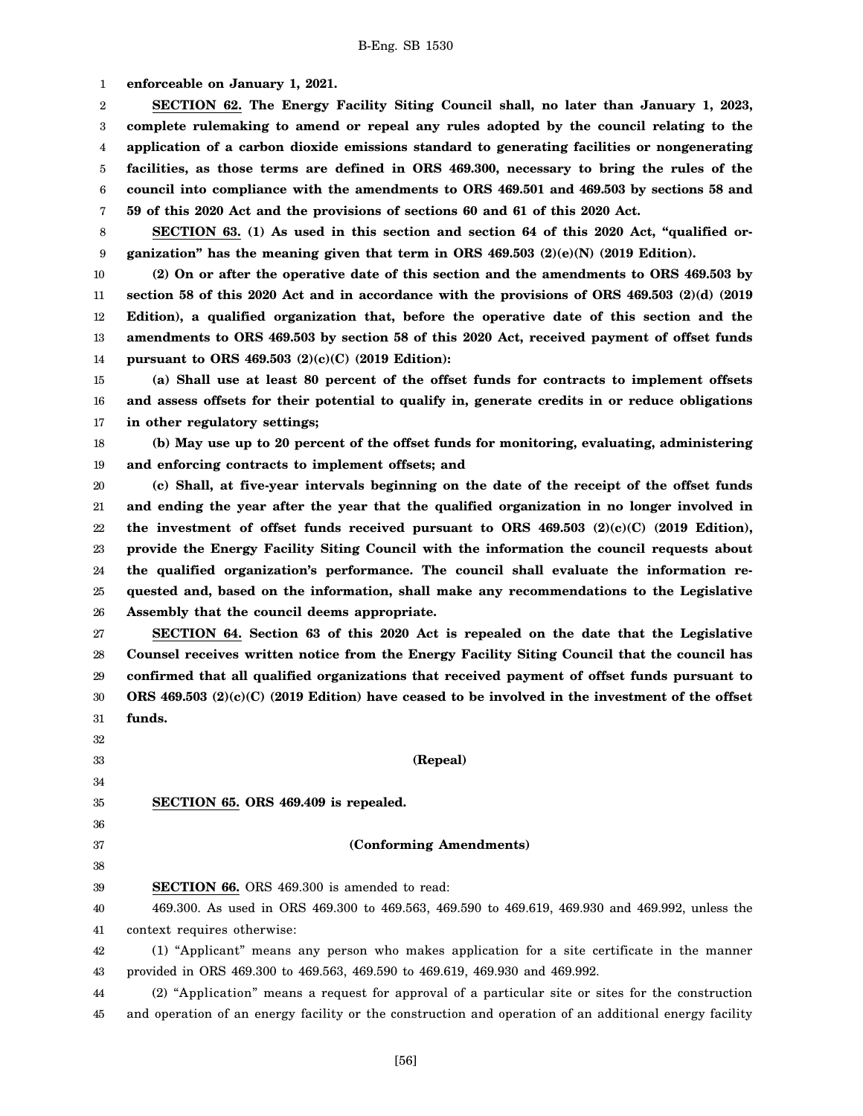1 **enforceable on January 1, 2021.**

2 3 4 5 6 7 **SECTION 62. The Energy Facility Siting Council shall, no later than January 1, 2023, complete rulemaking to amend or repeal any rules adopted by the council relating to the application of a carbon dioxide emissions standard to generating facilities or nongenerating facilities, as those terms are defined in ORS 469.300, necessary to bring the rules of the council into compliance with the amendments to ORS 469.501 and 469.503 by sections 58 and 59 of this 2020 Act and the provisions of sections 60 and 61 of this 2020 Act.**

8 9 **SECTION 63. (1) As used in this section and section 64 of this 2020 Act, "qualified organization" has the meaning given that term in ORS 469.503 (2)(e)(N) (2019 Edition).**

10 11 12 13 14 **(2) On or after the operative date of this section and the amendments to ORS 469.503 by section 58 of this 2020 Act and in accordance with the provisions of ORS 469.503 (2)(d) (2019 Edition), a qualified organization that, before the operative date of this section and the amendments to ORS 469.503 by section 58 of this 2020 Act, received payment of offset funds pursuant to ORS 469.503 (2)(c)(C) (2019 Edition):**

15 16 17 **(a) Shall use at least 80 percent of the offset funds for contracts to implement offsets and assess offsets for their potential to qualify in, generate credits in or reduce obligations in other regulatory settings;**

18 19 **(b) May use up to 20 percent of the offset funds for monitoring, evaluating, administering and enforcing contracts to implement offsets; and**

20 21 22 23 24 25 26 **(c) Shall, at five-year intervals beginning on the date of the receipt of the offset funds and ending the year after the year that the qualified organization in no longer involved in the investment of offset funds received pursuant to ORS 469.503 (2)(c)(C) (2019 Edition), provide the Energy Facility Siting Council with the information the council requests about the qualified organization's performance. The council shall evaluate the information requested and, based on the information, shall make any recommendations to the Legislative Assembly that the council deems appropriate.**

27 28 29 30 31 **SECTION 64. Section 63 of this 2020 Act is repealed on the date that the Legislative Counsel receives written notice from the Energy Facility Siting Council that the council has confirmed that all qualified organizations that received payment of offset funds pursuant to ORS 469.503 (2)(c)(C) (2019 Edition) have ceased to be involved in the investment of the offset funds.**

32 33 34 35 36 37 38 39 40 41 42 43 44 **(Repeal) SECTION 65. ORS 469.409 is repealed. (Conforming Amendments) SECTION 66.** ORS 469.300 is amended to read: 469.300. As used in ORS 469.300 to 469.563, 469.590 to 469.619, 469.930 and 469.992, unless the context requires otherwise: (1) "Applicant" means any person who makes application for a site certificate in the manner provided in ORS 469.300 to 469.563, 469.590 to 469.619, 469.930 and 469.992. (2) "Application" means a request for approval of a particular site or sites for the construction

45 and operation of an energy facility or the construction and operation of an additional energy facility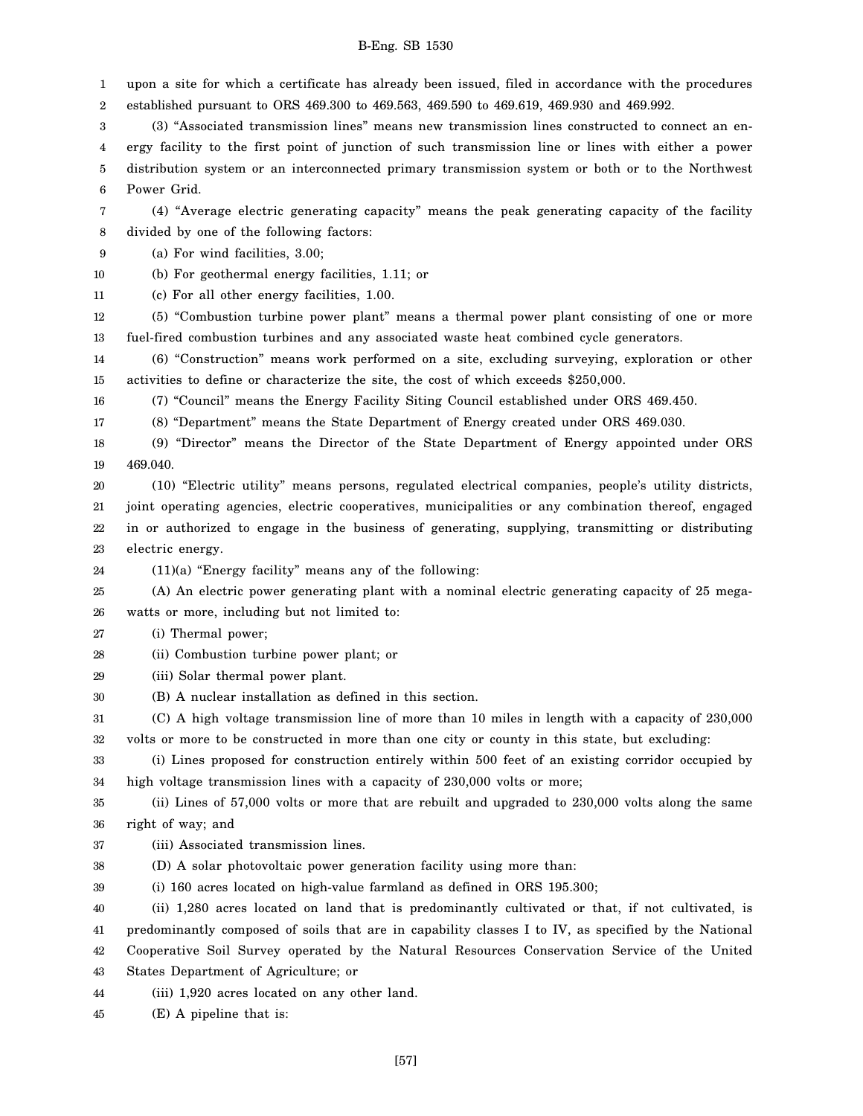1 2 upon a site for which a certificate has already been issued, filed in accordance with the procedures established pursuant to ORS 469.300 to 469.563, 469.590 to 469.619, 469.930 and 469.992.

3 4 5 6 (3) "Associated transmission lines" means new transmission lines constructed to connect an energy facility to the first point of junction of such transmission line or lines with either a power distribution system or an interconnected primary transmission system or both or to the Northwest Power Grid.

7 8 (4) "Average electric generating capacity" means the peak generating capacity of the facility divided by one of the following factors:

9 (a) For wind facilities, 3.00;

10 (b) For geothermal energy facilities, 1.11; or

11 (c) For all other energy facilities, 1.00.

12 13 (5) "Combustion turbine power plant" means a thermal power plant consisting of one or more fuel-fired combustion turbines and any associated waste heat combined cycle generators.

14 15 (6) "Construction" means work performed on a site, excluding surveying, exploration or other activities to define or characterize the site, the cost of which exceeds \$250,000.

16 (7) "Council" means the Energy Facility Siting Council established under ORS 469.450.

17 (8) "Department" means the State Department of Energy created under ORS 469.030.

18 19 (9) "Director" means the Director of the State Department of Energy appointed under ORS 469.040.

20 21 22 23 (10) "Electric utility" means persons, regulated electrical companies, people's utility districts, joint operating agencies, electric cooperatives, municipalities or any combination thereof, engaged in or authorized to engage in the business of generating, supplying, transmitting or distributing electric energy.

24 (11)(a) "Energy facility" means any of the following:

25 26 (A) An electric power generating plant with a nominal electric generating capacity of 25 megawatts or more, including but not limited to:

27 (i) Thermal power;

28 (ii) Combustion turbine power plant; or

29 (iii) Solar thermal power plant.

30 (B) A nuclear installation as defined in this section.

31 32 (C) A high voltage transmission line of more than 10 miles in length with a capacity of 230,000 volts or more to be constructed in more than one city or county in this state, but excluding:

33 34 (i) Lines proposed for construction entirely within 500 feet of an existing corridor occupied by high voltage transmission lines with a capacity of 230,000 volts or more;

35 36 (ii) Lines of 57,000 volts or more that are rebuilt and upgraded to 230,000 volts along the same right of way; and

37 (iii) Associated transmission lines.

38 (D) A solar photovoltaic power generation facility using more than:

39 (i) 160 acres located on high-value farmland as defined in ORS 195.300;

40 41 42 (ii) 1,280 acres located on land that is predominantly cultivated or that, if not cultivated, is predominantly composed of soils that are in capability classes I to IV, as specified by the National Cooperative Soil Survey operated by the Natural Resources Conservation Service of the United

43 States Department of Agriculture; or

44 (iii) 1,920 acres located on any other land.

45 (E) A pipeline that is: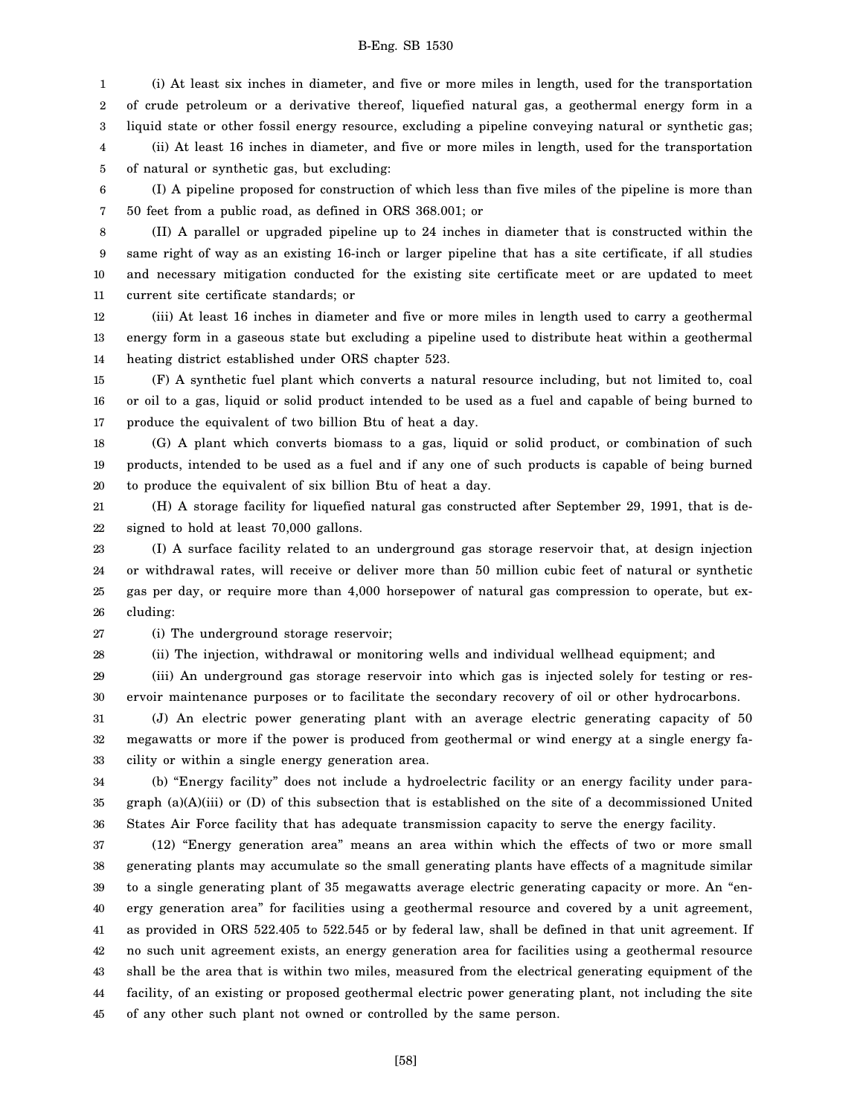1 2 3 4 5 (i) At least six inches in diameter, and five or more miles in length, used for the transportation of crude petroleum or a derivative thereof, liquefied natural gas, a geothermal energy form in a liquid state or other fossil energy resource, excluding a pipeline conveying natural or synthetic gas; (ii) At least 16 inches in diameter, and five or more miles in length, used for the transportation of natural or synthetic gas, but excluding:

6 7 (I) A pipeline proposed for construction of which less than five miles of the pipeline is more than 50 feet from a public road, as defined in ORS 368.001; or

8 9 10 11 (II) A parallel or upgraded pipeline up to 24 inches in diameter that is constructed within the same right of way as an existing 16-inch or larger pipeline that has a site certificate, if all studies and necessary mitigation conducted for the existing site certificate meet or are updated to meet current site certificate standards; or

12 13 14 (iii) At least 16 inches in diameter and five or more miles in length used to carry a geothermal energy form in a gaseous state but excluding a pipeline used to distribute heat within a geothermal heating district established under ORS chapter 523.

15 16 17 (F) A synthetic fuel plant which converts a natural resource including, but not limited to, coal or oil to a gas, liquid or solid product intended to be used as a fuel and capable of being burned to produce the equivalent of two billion Btu of heat a day.

18 19 20 (G) A plant which converts biomass to a gas, liquid or solid product, or combination of such products, intended to be used as a fuel and if any one of such products is capable of being burned to produce the equivalent of six billion Btu of heat a day.

21 22 (H) A storage facility for liquefied natural gas constructed after September 29, 1991, that is designed to hold at least 70,000 gallons.

23 24 25 26 (I) A surface facility related to an underground gas storage reservoir that, at design injection or withdrawal rates, will receive or deliver more than 50 million cubic feet of natural or synthetic gas per day, or require more than 4,000 horsepower of natural gas compression to operate, but excluding:

27 (i) The underground storage reservoir;

28

(ii) The injection, withdrawal or monitoring wells and individual wellhead equipment; and

29 30 (iii) An underground gas storage reservoir into which gas is injected solely for testing or reservoir maintenance purposes or to facilitate the secondary recovery of oil or other hydrocarbons.

31 32 33 (J) An electric power generating plant with an average electric generating capacity of 50 megawatts or more if the power is produced from geothermal or wind energy at a single energy facility or within a single energy generation area.

34 35 36 (b) "Energy facility" does not include a hydroelectric facility or an energy facility under paragraph (a)(A)(iii) or (D) of this subsection that is established on the site of a decommissioned United States Air Force facility that has adequate transmission capacity to serve the energy facility.

37 38 39 40 41 42 43 44 45 (12) "Energy generation area" means an area within which the effects of two or more small generating plants may accumulate so the small generating plants have effects of a magnitude similar to a single generating plant of 35 megawatts average electric generating capacity or more. An "energy generation area" for facilities using a geothermal resource and covered by a unit agreement, as provided in ORS 522.405 to 522.545 or by federal law, shall be defined in that unit agreement. If no such unit agreement exists, an energy generation area for facilities using a geothermal resource shall be the area that is within two miles, measured from the electrical generating equipment of the facility, of an existing or proposed geothermal electric power generating plant, not including the site of any other such plant not owned or controlled by the same person.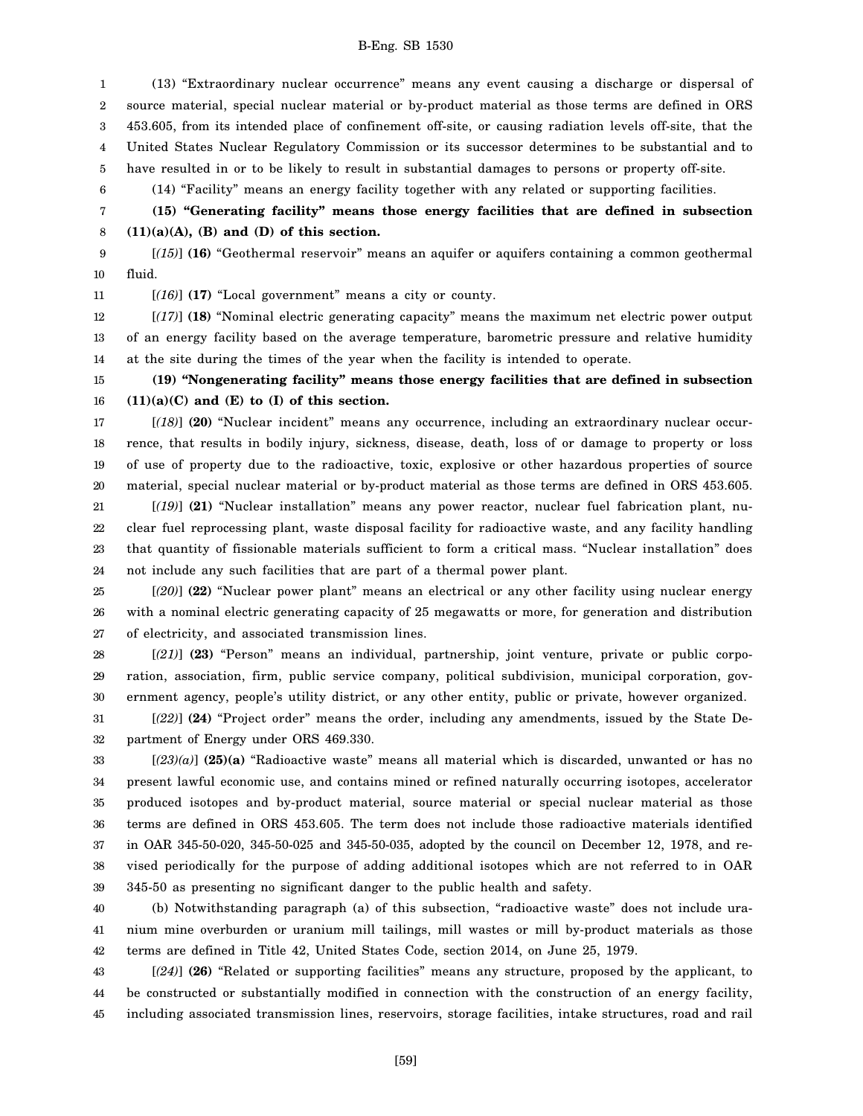1 2 3 4 5 (13) "Extraordinary nuclear occurrence" means any event causing a discharge or dispersal of source material, special nuclear material or by-product material as those terms are defined in ORS 453.605, from its intended place of confinement off-site, or causing radiation levels off-site, that the United States Nuclear Regulatory Commission or its successor determines to be substantial and to have resulted in or to be likely to result in substantial damages to persons or property off-site.

(14) "Facility" means an energy facility together with any related or supporting facilities.

7 8 **(15) "Generating facility" means those energy facilities that are defined in subsection (11)(a)(A), (B) and (D) of this section.**

9 10 [*(15)*] **(16)** "Geothermal reservoir" means an aquifer or aquifers containing a common geothermal fluid.

11

6

[*(16)*] **(17)** "Local government" means a city or county.

12 13 14 [*(17)*] **(18)** "Nominal electric generating capacity" means the maximum net electric power output of an energy facility based on the average temperature, barometric pressure and relative humidity at the site during the times of the year when the facility is intended to operate.

15 16 **(19) "Nongenerating facility" means those energy facilities that are defined in subsection (11)(a)(C) and (E) to (I) of this section.**

17 18 19 20 [*(18)*] **(20)** "Nuclear incident" means any occurrence, including an extraordinary nuclear occurrence, that results in bodily injury, sickness, disease, death, loss of or damage to property or loss of use of property due to the radioactive, toxic, explosive or other hazardous properties of source material, special nuclear material or by-product material as those terms are defined in ORS 453.605.

21 22 23 24 [*(19)*] **(21)** "Nuclear installation" means any power reactor, nuclear fuel fabrication plant, nuclear fuel reprocessing plant, waste disposal facility for radioactive waste, and any facility handling that quantity of fissionable materials sufficient to form a critical mass. "Nuclear installation" does not include any such facilities that are part of a thermal power plant.

25 26 27 [*(20)*] **(22)** "Nuclear power plant" means an electrical or any other facility using nuclear energy with a nominal electric generating capacity of 25 megawatts or more, for generation and distribution of electricity, and associated transmission lines.

28 29 30 [*(21)*] **(23)** "Person" means an individual, partnership, joint venture, private or public corporation, association, firm, public service company, political subdivision, municipal corporation, government agency, people's utility district, or any other entity, public or private, however organized.

31 32 [*(22)*] **(24)** "Project order" means the order, including any amendments, issued by the State Department of Energy under ORS 469.330.

33 34 35 36 37 38 39 [*(23)(a)*] **(25)(a)** "Radioactive waste" means all material which is discarded, unwanted or has no present lawful economic use, and contains mined or refined naturally occurring isotopes, accelerator produced isotopes and by-product material, source material or special nuclear material as those terms are defined in ORS 453.605. The term does not include those radioactive materials identified in OAR 345-50-020, 345-50-025 and 345-50-035, adopted by the council on December 12, 1978, and revised periodically for the purpose of adding additional isotopes which are not referred to in OAR 345-50 as presenting no significant danger to the public health and safety.

40 41 42 (b) Notwithstanding paragraph (a) of this subsection, "radioactive waste" does not include uranium mine overburden or uranium mill tailings, mill wastes or mill by-product materials as those terms are defined in Title 42, United States Code, section 2014, on June 25, 1979.

43 44 45 [*(24)*] **(26)** "Related or supporting facilities" means any structure, proposed by the applicant, to be constructed or substantially modified in connection with the construction of an energy facility, including associated transmission lines, reservoirs, storage facilities, intake structures, road and rail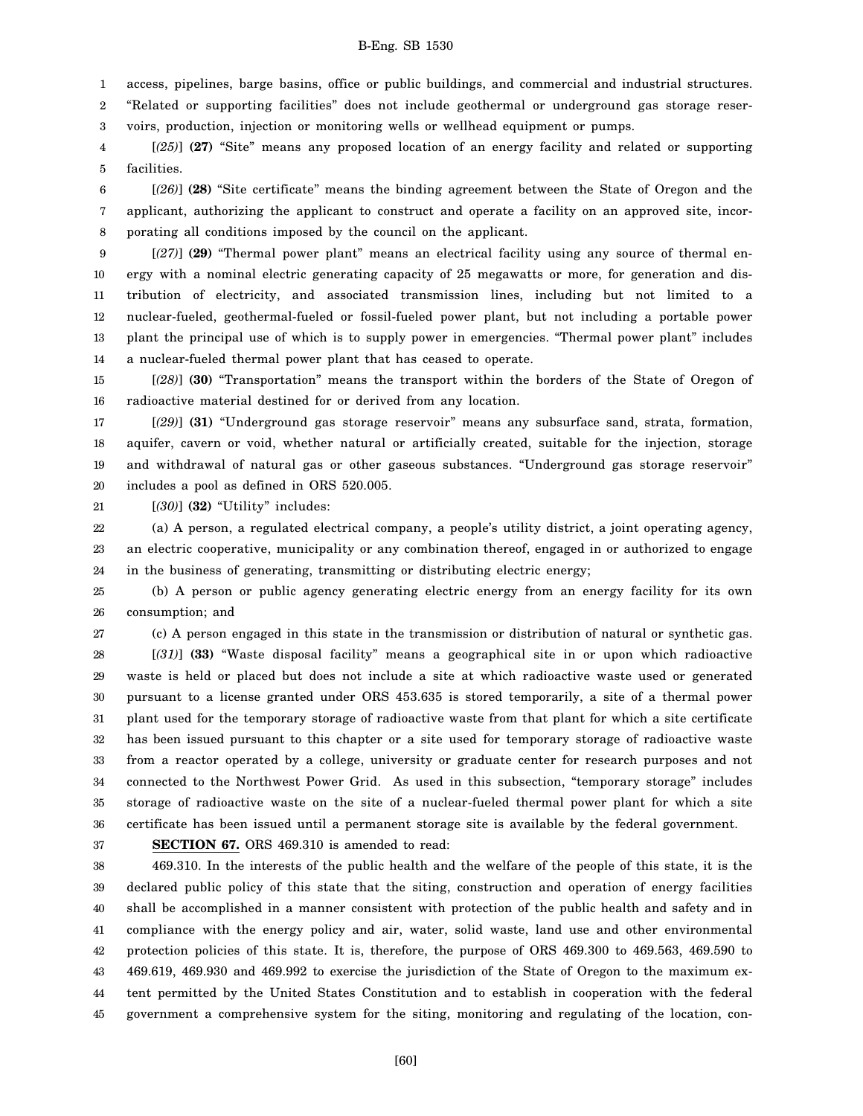1 access, pipelines, barge basins, office or public buildings, and commercial and industrial structures.

2 3 "Related or supporting facilities" does not include geothermal or underground gas storage reservoirs, production, injection or monitoring wells or wellhead equipment or pumps.

4 5 [*(25)*] **(27)** "Site" means any proposed location of an energy facility and related or supporting facilities.

6 7 8 [*(26)*] **(28)** "Site certificate" means the binding agreement between the State of Oregon and the applicant, authorizing the applicant to construct and operate a facility on an approved site, incorporating all conditions imposed by the council on the applicant.

9 10 11 12 13 14 [*(27)*] **(29)** "Thermal power plant" means an electrical facility using any source of thermal energy with a nominal electric generating capacity of 25 megawatts or more, for generation and distribution of electricity, and associated transmission lines, including but not limited to a nuclear-fueled, geothermal-fueled or fossil-fueled power plant, but not including a portable power plant the principal use of which is to supply power in emergencies. "Thermal power plant" includes a nuclear-fueled thermal power plant that has ceased to operate.

15 16 [*(28)*] **(30)** "Transportation" means the transport within the borders of the State of Oregon of radioactive material destined for or derived from any location.

17 18 19 20 [*(29)*] **(31)** "Underground gas storage reservoir" means any subsurface sand, strata, formation, aquifer, cavern or void, whether natural or artificially created, suitable for the injection, storage and withdrawal of natural gas or other gaseous substances. "Underground gas storage reservoir" includes a pool as defined in ORS 520.005.

21 [*(30)*] **(32)** "Utility" includes:

22 23 24 (a) A person, a regulated electrical company, a people's utility district, a joint operating agency, an electric cooperative, municipality or any combination thereof, engaged in or authorized to engage in the business of generating, transmitting or distributing electric energy;

25 26 (b) A person or public agency generating electric energy from an energy facility for its own consumption; and

(c) A person engaged in this state in the transmission or distribution of natural or synthetic gas. [*(31)*] **(33)** "Waste disposal facility" means a geographical site in or upon which radioactive waste is held or placed but does not include a site at which radioactive waste used or generated pursuant to a license granted under ORS 453.635 is stored temporarily, a site of a thermal power plant used for the temporary storage of radioactive waste from that plant for which a site certificate

32 33 34 35 36 has been issued pursuant to this chapter or a site used for temporary storage of radioactive waste from a reactor operated by a college, university or graduate center for research purposes and not connected to the Northwest Power Grid. As used in this subsection, "temporary storage" includes storage of radioactive waste on the site of a nuclear-fueled thermal power plant for which a site certificate has been issued until a permanent storage site is available by the federal government.

37

**SECTION 67.** ORS 469.310 is amended to read:

38 39 40 41 42 43 44 45 469.310. In the interests of the public health and the welfare of the people of this state, it is the declared public policy of this state that the siting, construction and operation of energy facilities shall be accomplished in a manner consistent with protection of the public health and safety and in compliance with the energy policy and air, water, solid waste, land use and other environmental protection policies of this state. It is, therefore, the purpose of ORS 469.300 to 469.563, 469.590 to 469.619, 469.930 and 469.992 to exercise the jurisdiction of the State of Oregon to the maximum extent permitted by the United States Constitution and to establish in cooperation with the federal government a comprehensive system for the siting, monitoring and regulating of the location, con-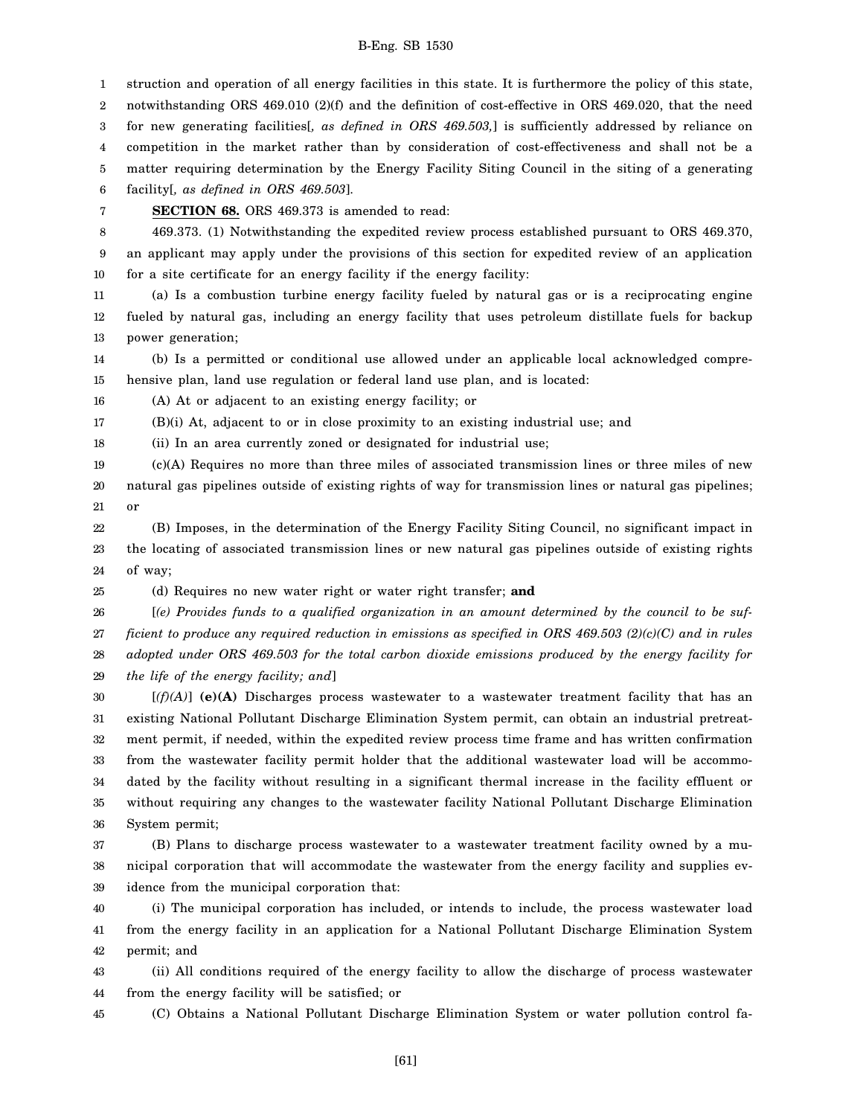1 2 3 4 5 struction and operation of all energy facilities in this state. It is furthermore the policy of this state, notwithstanding ORS 469.010 (2)(f) and the definition of cost-effective in ORS 469.020, that the need for new generating facilities[*, as defined in ORS 469.503,*] is sufficiently addressed by reliance on competition in the market rather than by consideration of cost-effectiveness and shall not be a matter requiring determination by the Energy Facility Siting Council in the siting of a generating

6 facility[*, as defined in ORS 469.503*].

7

25

**SECTION 68.** ORS 469.373 is amended to read:

8 9 10 469.373. (1) Notwithstanding the expedited review process established pursuant to ORS 469.370, an applicant may apply under the provisions of this section for expedited review of an application for a site certificate for an energy facility if the energy facility:

11 12 13 (a) Is a combustion turbine energy facility fueled by natural gas or is a reciprocating engine fueled by natural gas, including an energy facility that uses petroleum distillate fuels for backup power generation;

14 15 (b) Is a permitted or conditional use allowed under an applicable local acknowledged comprehensive plan, land use regulation or federal land use plan, and is located:

16 (A) At or adjacent to an existing energy facility; or

17 (B)(i) At, adjacent to or in close proximity to an existing industrial use; and

18 (ii) In an area currently zoned or designated for industrial use;

19 20 21 (c)(A) Requires no more than three miles of associated transmission lines or three miles of new natural gas pipelines outside of existing rights of way for transmission lines or natural gas pipelines; or

22 23 24 (B) Imposes, in the determination of the Energy Facility Siting Council, no significant impact in the locating of associated transmission lines or new natural gas pipelines outside of existing rights of way;

(d) Requires no new water right or water right transfer; **and**

26 27 28 29 [*(e) Provides funds to a qualified organization in an amount determined by the council to be sufficient to produce any required reduction in emissions as specified in ORS 469.503 (2)(c)(C) and in rules adopted under ORS 469.503 for the total carbon dioxide emissions produced by the energy facility for the life of the energy facility; and*]

30 31 32 33 34 35 36 [*(f)(A)*] **(e)(A)** Discharges process wastewater to a wastewater treatment facility that has an existing National Pollutant Discharge Elimination System permit, can obtain an industrial pretreatment permit, if needed, within the expedited review process time frame and has written confirmation from the wastewater facility permit holder that the additional wastewater load will be accommodated by the facility without resulting in a significant thermal increase in the facility effluent or without requiring any changes to the wastewater facility National Pollutant Discharge Elimination System permit;

37 38 39 (B) Plans to discharge process wastewater to a wastewater treatment facility owned by a municipal corporation that will accommodate the wastewater from the energy facility and supplies evidence from the municipal corporation that:

40 41 42 (i) The municipal corporation has included, or intends to include, the process wastewater load from the energy facility in an application for a National Pollutant Discharge Elimination System permit; and

43 44 (ii) All conditions required of the energy facility to allow the discharge of process wastewater from the energy facility will be satisfied; or

45 (C) Obtains a National Pollutant Discharge Elimination System or water pollution control fa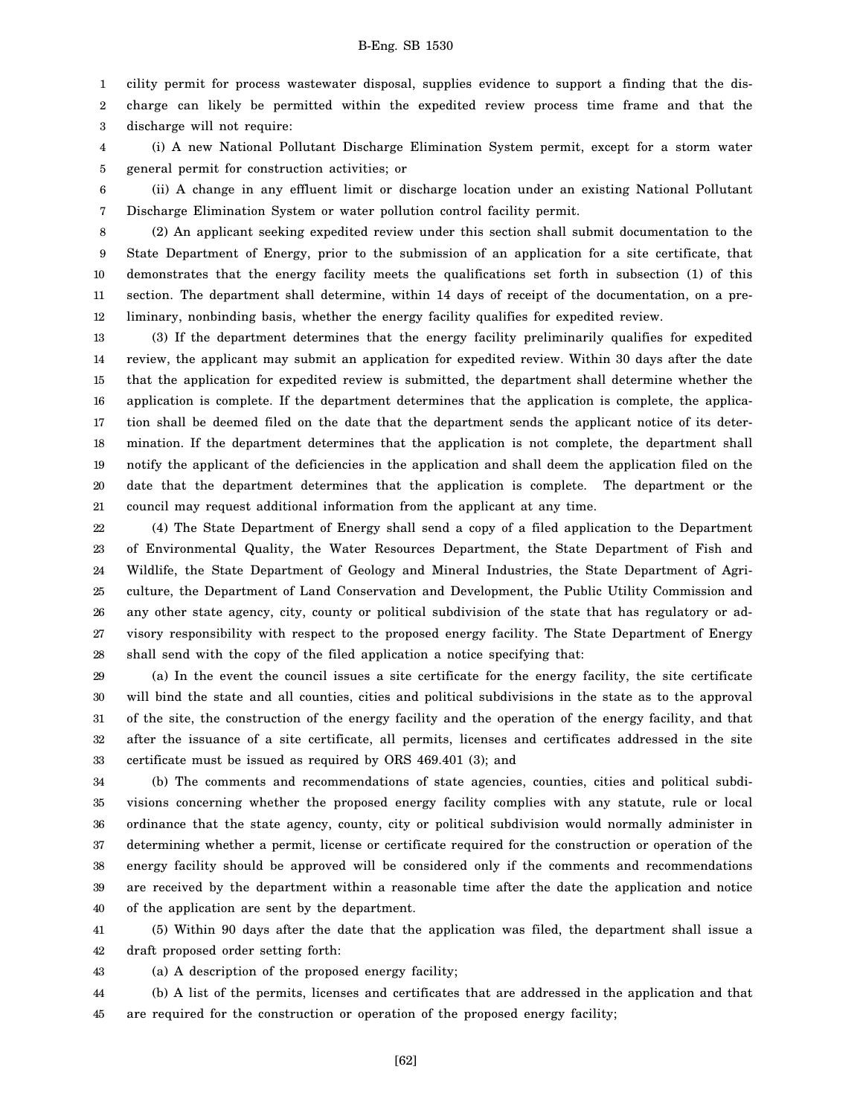1 cility permit for process wastewater disposal, supplies evidence to support a finding that the dis-

2 3 charge can likely be permitted within the expedited review process time frame and that the discharge will not require:

4 5 (i) A new National Pollutant Discharge Elimination System permit, except for a storm water general permit for construction activities; or

6 7 (ii) A change in any effluent limit or discharge location under an existing National Pollutant Discharge Elimination System or water pollution control facility permit.

8 9 10 11 12 (2) An applicant seeking expedited review under this section shall submit documentation to the State Department of Energy, prior to the submission of an application for a site certificate, that demonstrates that the energy facility meets the qualifications set forth in subsection (1) of this section. The department shall determine, within 14 days of receipt of the documentation, on a preliminary, nonbinding basis, whether the energy facility qualifies for expedited review.

13 14 15 16 17 18 19 20 21 (3) If the department determines that the energy facility preliminarily qualifies for expedited review, the applicant may submit an application for expedited review. Within 30 days after the date that the application for expedited review is submitted, the department shall determine whether the application is complete. If the department determines that the application is complete, the application shall be deemed filed on the date that the department sends the applicant notice of its determination. If the department determines that the application is not complete, the department shall notify the applicant of the deficiencies in the application and shall deem the application filed on the date that the department determines that the application is complete. The department or the council may request additional information from the applicant at any time.

22 23 24 25 26 27 28 (4) The State Department of Energy shall send a copy of a filed application to the Department of Environmental Quality, the Water Resources Department, the State Department of Fish and Wildlife, the State Department of Geology and Mineral Industries, the State Department of Agriculture, the Department of Land Conservation and Development, the Public Utility Commission and any other state agency, city, county or political subdivision of the state that has regulatory or advisory responsibility with respect to the proposed energy facility. The State Department of Energy shall send with the copy of the filed application a notice specifying that:

29 30 31 32 33 (a) In the event the council issues a site certificate for the energy facility, the site certificate will bind the state and all counties, cities and political subdivisions in the state as to the approval of the site, the construction of the energy facility and the operation of the energy facility, and that after the issuance of a site certificate, all permits, licenses and certificates addressed in the site certificate must be issued as required by ORS 469.401 (3); and

34 35 36 37 38 39 40 (b) The comments and recommendations of state agencies, counties, cities and political subdivisions concerning whether the proposed energy facility complies with any statute, rule or local ordinance that the state agency, county, city or political subdivision would normally administer in determining whether a permit, license or certificate required for the construction or operation of the energy facility should be approved will be considered only if the comments and recommendations are received by the department within a reasonable time after the date the application and notice of the application are sent by the department.

41 42 (5) Within 90 days after the date that the application was filed, the department shall issue a draft proposed order setting forth:

43 (a) A description of the proposed energy facility;

44 45 (b) A list of the permits, licenses and certificates that are addressed in the application and that are required for the construction or operation of the proposed energy facility;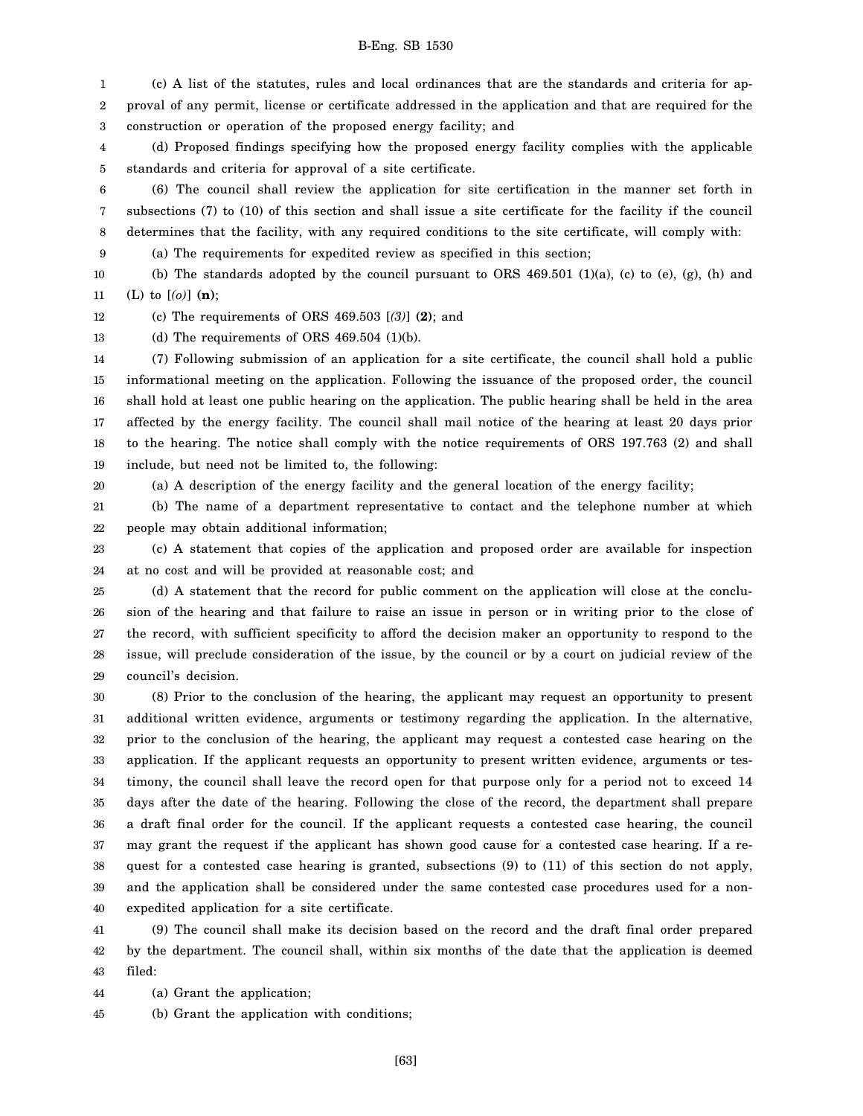1 2 3 (c) A list of the statutes, rules and local ordinances that are the standards and criteria for approval of any permit, license or certificate addressed in the application and that are required for the construction or operation of the proposed energy facility; and

4 5 (d) Proposed findings specifying how the proposed energy facility complies with the applicable standards and criteria for approval of a site certificate.

6 7 8 (6) The council shall review the application for site certification in the manner set forth in subsections (7) to (10) of this section and shall issue a site certificate for the facility if the council determines that the facility, with any required conditions to the site certificate, will comply with:

9 (a) The requirements for expedited review as specified in this section;

10 11 (b) The standards adopted by the council pursuant to ORS  $469.501$  (1)(a), (c) to (e), (g), (h) and (L) to [*(o)*] **(n)**;

12 (c) The requirements of ORS 469.503 [*(3)*] **(2)**; and

13 (d) The requirements of ORS  $469.504$  (1)(b).

14 15 16 17 18 19 (7) Following submission of an application for a site certificate, the council shall hold a public informational meeting on the application. Following the issuance of the proposed order, the council shall hold at least one public hearing on the application. The public hearing shall be held in the area affected by the energy facility. The council shall mail notice of the hearing at least 20 days prior to the hearing. The notice shall comply with the notice requirements of ORS 197.763 (2) and shall include, but need not be limited to, the following:

20

(a) A description of the energy facility and the general location of the energy facility;

21 22 (b) The name of a department representative to contact and the telephone number at which people may obtain additional information;

23 24 (c) A statement that copies of the application and proposed order are available for inspection at no cost and will be provided at reasonable cost; and

25 26 27 28 29 (d) A statement that the record for public comment on the application will close at the conclusion of the hearing and that failure to raise an issue in person or in writing prior to the close of the record, with sufficient specificity to afford the decision maker an opportunity to respond to the issue, will preclude consideration of the issue, by the council or by a court on judicial review of the council's decision.

30 31 32 33 34 35 36 37 38 39 40 (8) Prior to the conclusion of the hearing, the applicant may request an opportunity to present additional written evidence, arguments or testimony regarding the application. In the alternative, prior to the conclusion of the hearing, the applicant may request a contested case hearing on the application. If the applicant requests an opportunity to present written evidence, arguments or testimony, the council shall leave the record open for that purpose only for a period not to exceed 14 days after the date of the hearing. Following the close of the record, the department shall prepare a draft final order for the council. If the applicant requests a contested case hearing, the council may grant the request if the applicant has shown good cause for a contested case hearing. If a request for a contested case hearing is granted, subsections (9) to (11) of this section do not apply, and the application shall be considered under the same contested case procedures used for a nonexpedited application for a site certificate.

41 42 43 (9) The council shall make its decision based on the record and the draft final order prepared by the department. The council shall, within six months of the date that the application is deemed filed:

44 (a) Grant the application;

45 (b) Grant the application with conditions;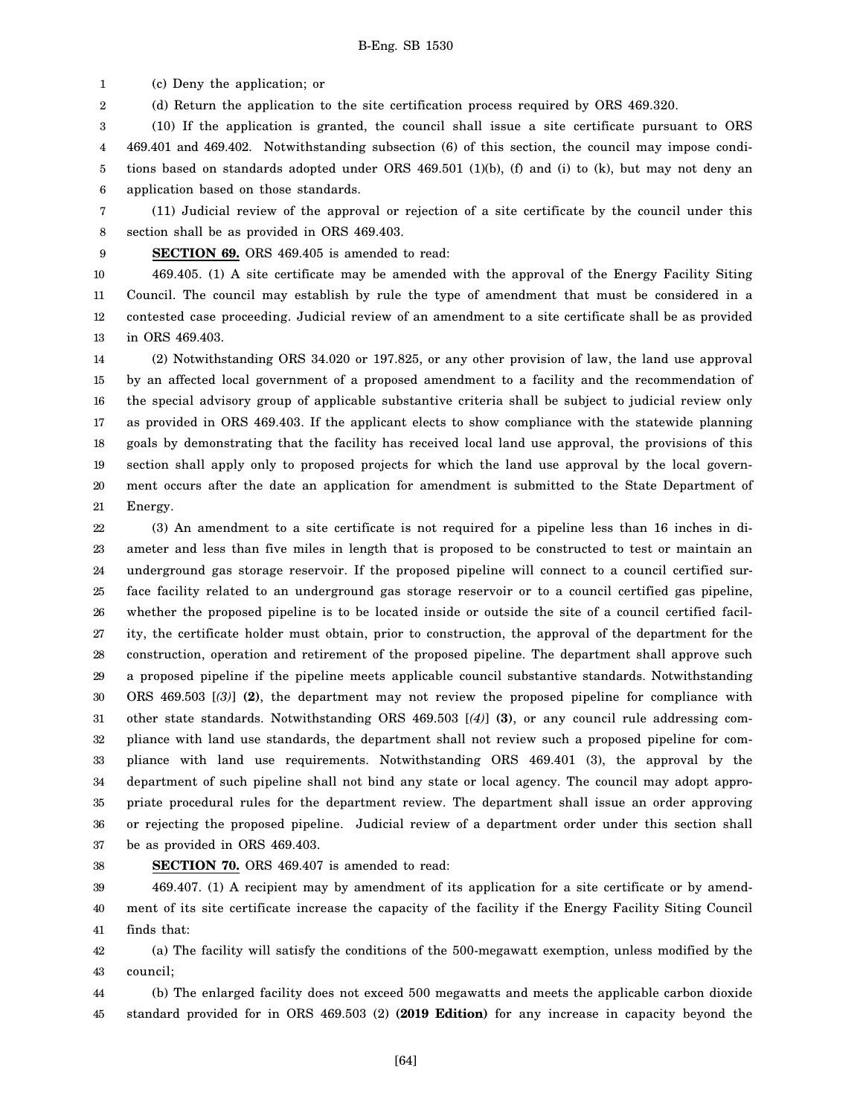1 (c) Deny the application; or

2 (d) Return the application to the site certification process required by ORS 469.320.

3 4 5 6 (10) If the application is granted, the council shall issue a site certificate pursuant to ORS 469.401 and 469.402. Notwithstanding subsection (6) of this section, the council may impose conditions based on standards adopted under ORS 469.501 (1)(b), (f) and (i) to (k), but may not deny an application based on those standards.

7 8 (11) Judicial review of the approval or rejection of a site certificate by the council under this section shall be as provided in ORS 469.403.

9 **SECTION 69.** ORS 469.405 is amended to read:

10 11 12 13 469.405. (1) A site certificate may be amended with the approval of the Energy Facility Siting Council. The council may establish by rule the type of amendment that must be considered in a contested case proceeding. Judicial review of an amendment to a site certificate shall be as provided in ORS 469.403.

14 15 16 17 18 19 20 21 (2) Notwithstanding ORS 34.020 or 197.825, or any other provision of law, the land use approval by an affected local government of a proposed amendment to a facility and the recommendation of the special advisory group of applicable substantive criteria shall be subject to judicial review only as provided in ORS 469.403. If the applicant elects to show compliance with the statewide planning goals by demonstrating that the facility has received local land use approval, the provisions of this section shall apply only to proposed projects for which the land use approval by the local government occurs after the date an application for amendment is submitted to the State Department of Energy.

22 23 24 25 26 27 28 29 30 31 32 33 34 35 36 37 (3) An amendment to a site certificate is not required for a pipeline less than 16 inches in diameter and less than five miles in length that is proposed to be constructed to test or maintain an underground gas storage reservoir. If the proposed pipeline will connect to a council certified surface facility related to an underground gas storage reservoir or to a council certified gas pipeline, whether the proposed pipeline is to be located inside or outside the site of a council certified facility, the certificate holder must obtain, prior to construction, the approval of the department for the construction, operation and retirement of the proposed pipeline. The department shall approve such a proposed pipeline if the pipeline meets applicable council substantive standards. Notwithstanding ORS 469.503 [*(3)*] **(2)**, the department may not review the proposed pipeline for compliance with other state standards. Notwithstanding ORS 469.503 [*(4)*] **(3)**, or any council rule addressing compliance with land use standards, the department shall not review such a proposed pipeline for compliance with land use requirements. Notwithstanding ORS 469.401 (3), the approval by the department of such pipeline shall not bind any state or local agency. The council may adopt appropriate procedural rules for the department review. The department shall issue an order approving or rejecting the proposed pipeline. Judicial review of a department order under this section shall be as provided in ORS 469.403.

#### 38

### **SECTION 70.** ORS 469.407 is amended to read:

39 40 41 469.407. (1) A recipient may by amendment of its application for a site certificate or by amendment of its site certificate increase the capacity of the facility if the Energy Facility Siting Council finds that:

42 43 (a) The facility will satisfy the conditions of the 500-megawatt exemption, unless modified by the council;

44 45 (b) The enlarged facility does not exceed 500 megawatts and meets the applicable carbon dioxide standard provided for in ORS 469.503 (2) **(2019 Edition)** for any increase in capacity beyond the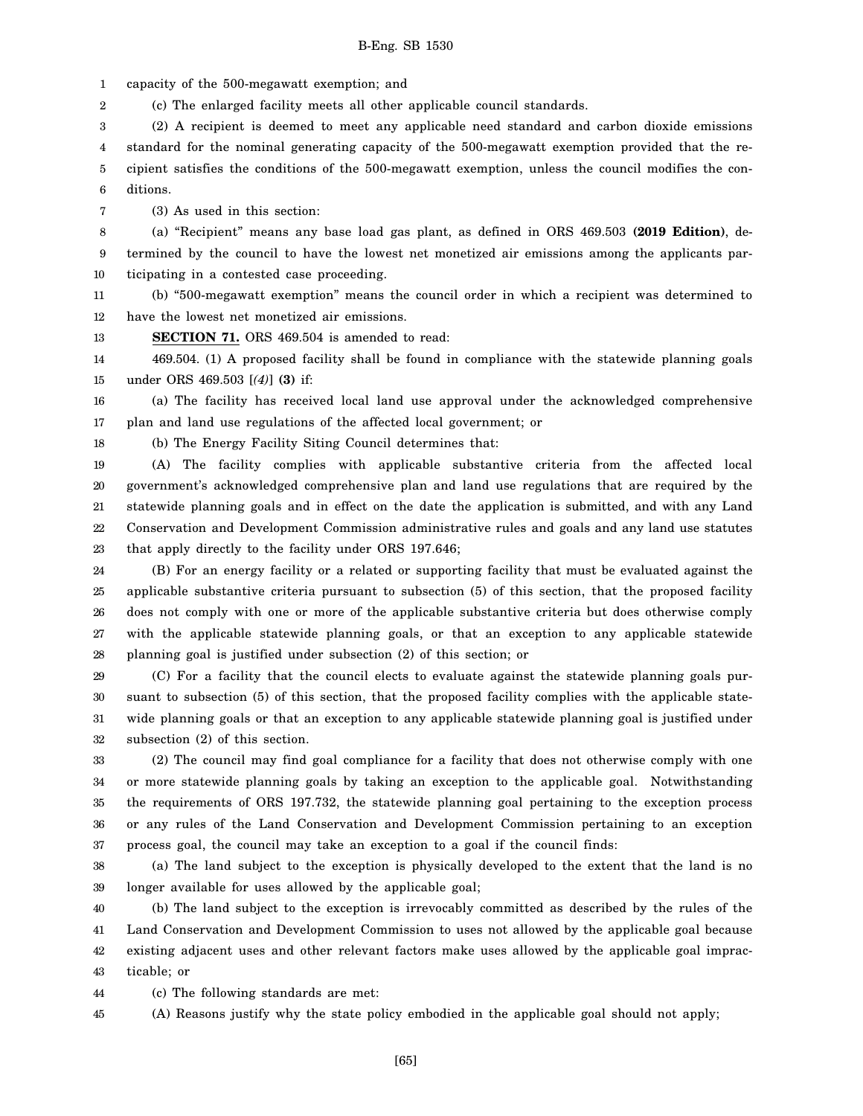1 capacity of the 500-megawatt exemption; and

2 (c) The enlarged facility meets all other applicable council standards.

3 4 5 6 (2) A recipient is deemed to meet any applicable need standard and carbon dioxide emissions standard for the nominal generating capacity of the 500-megawatt exemption provided that the recipient satisfies the conditions of the 500-megawatt exemption, unless the council modifies the conditions.

7 (3) As used in this section:

18

8 9 10 (a) "Recipient" means any base load gas plant, as defined in ORS 469.503 **(2019 Edition)**, determined by the council to have the lowest net monetized air emissions among the applicants participating in a contested case proceeding.

11 12 (b) "500-megawatt exemption" means the council order in which a recipient was determined to have the lowest net monetized air emissions.

13 **SECTION 71.** ORS 469.504 is amended to read:

14 15 469.504. (1) A proposed facility shall be found in compliance with the statewide planning goals under ORS 469.503 [*(4)*] **(3)** if:

16 17 (a) The facility has received local land use approval under the acknowledged comprehensive plan and land use regulations of the affected local government; or

(b) The Energy Facility Siting Council determines that:

19 20 21 22 23 (A) The facility complies with applicable substantive criteria from the affected local government's acknowledged comprehensive plan and land use regulations that are required by the statewide planning goals and in effect on the date the application is submitted, and with any Land Conservation and Development Commission administrative rules and goals and any land use statutes that apply directly to the facility under ORS 197.646;

24 25 26 27 28 (B) For an energy facility or a related or supporting facility that must be evaluated against the applicable substantive criteria pursuant to subsection (5) of this section, that the proposed facility does not comply with one or more of the applicable substantive criteria but does otherwise comply with the applicable statewide planning goals, or that an exception to any applicable statewide planning goal is justified under subsection (2) of this section; or

29 30 31 32 (C) For a facility that the council elects to evaluate against the statewide planning goals pursuant to subsection (5) of this section, that the proposed facility complies with the applicable statewide planning goals or that an exception to any applicable statewide planning goal is justified under subsection (2) of this section.

33 34 35 36 37 (2) The council may find goal compliance for a facility that does not otherwise comply with one or more statewide planning goals by taking an exception to the applicable goal. Notwithstanding the requirements of ORS 197.732, the statewide planning goal pertaining to the exception process or any rules of the Land Conservation and Development Commission pertaining to an exception process goal, the council may take an exception to a goal if the council finds:

38 39 (a) The land subject to the exception is physically developed to the extent that the land is no longer available for uses allowed by the applicable goal;

40 41 42 43 (b) The land subject to the exception is irrevocably committed as described by the rules of the Land Conservation and Development Commission to uses not allowed by the applicable goal because existing adjacent uses and other relevant factors make uses allowed by the applicable goal impracticable; or

44 (c) The following standards are met:

45 (A) Reasons justify why the state policy embodied in the applicable goal should not apply;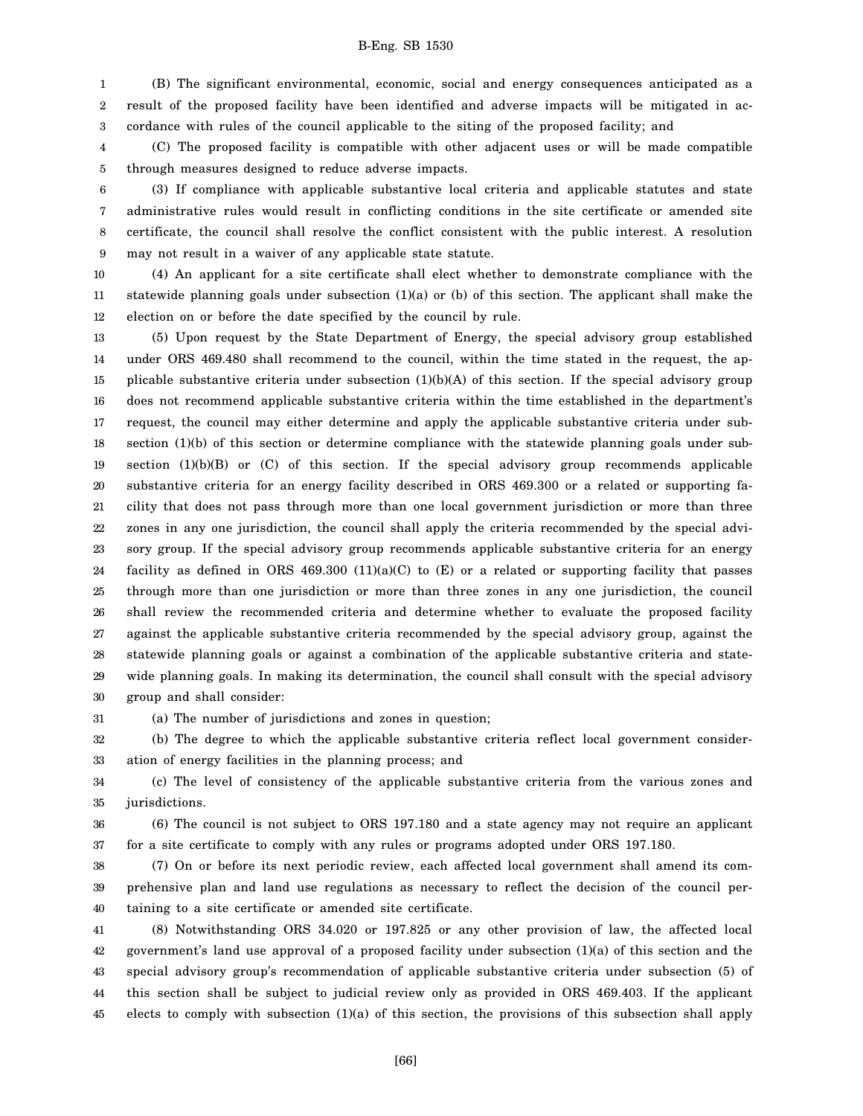1 2 3 (B) The significant environmental, economic, social and energy consequences anticipated as a result of the proposed facility have been identified and adverse impacts will be mitigated in accordance with rules of the council applicable to the siting of the proposed facility; and

4 5 (C) The proposed facility is compatible with other adjacent uses or will be made compatible through measures designed to reduce adverse impacts.

6 7 8 9 (3) If compliance with applicable substantive local criteria and applicable statutes and state administrative rules would result in conflicting conditions in the site certificate or amended site certificate, the council shall resolve the conflict consistent with the public interest. A resolution may not result in a waiver of any applicable state statute.

10 11 12 (4) An applicant for a site certificate shall elect whether to demonstrate compliance with the statewide planning goals under subsection  $(1)(a)$  or (b) of this section. The applicant shall make the election on or before the date specified by the council by rule.

13 14 15 16 17 18 19 20 21 22 23 24 25 26 27 28 29 30 (5) Upon request by the State Department of Energy, the special advisory group established under ORS 469.480 shall recommend to the council, within the time stated in the request, the applicable substantive criteria under subsection  $(1)(b)(A)$  of this section. If the special advisory group does not recommend applicable substantive criteria within the time established in the department's request, the council may either determine and apply the applicable substantive criteria under subsection (1)(b) of this section or determine compliance with the statewide planning goals under subsection  $(1)(b)(B)$  or  $(C)$  of this section. If the special advisory group recommends applicable substantive criteria for an energy facility described in ORS 469.300 or a related or supporting facility that does not pass through more than one local government jurisdiction or more than three zones in any one jurisdiction, the council shall apply the criteria recommended by the special advisory group. If the special advisory group recommends applicable substantive criteria for an energy facility as defined in ORS  $469.300 \ (11)(a)(C)$  to  $(E)$  or a related or supporting facility that passes through more than one jurisdiction or more than three zones in any one jurisdiction, the council shall review the recommended criteria and determine whether to evaluate the proposed facility against the applicable substantive criteria recommended by the special advisory group, against the statewide planning goals or against a combination of the applicable substantive criteria and statewide planning goals. In making its determination, the council shall consult with the special advisory group and shall consider:

31 (a) The number of jurisdictions and zones in question;

32 33 (b) The degree to which the applicable substantive criteria reflect local government consideration of energy facilities in the planning process; and

34 35 (c) The level of consistency of the applicable substantive criteria from the various zones and jurisdictions.

36 37 (6) The council is not subject to ORS 197.180 and a state agency may not require an applicant for a site certificate to comply with any rules or programs adopted under ORS 197.180.

38 39 40 (7) On or before its next periodic review, each affected local government shall amend its comprehensive plan and land use regulations as necessary to reflect the decision of the council pertaining to a site certificate or amended site certificate.

41 42 43 44 45 (8) Notwithstanding ORS 34.020 or 197.825 or any other provision of law, the affected local government's land use approval of a proposed facility under subsection (1)(a) of this section and the special advisory group's recommendation of applicable substantive criteria under subsection (5) of this section shall be subject to judicial review only as provided in ORS 469.403. If the applicant elects to comply with subsection (1)(a) of this section, the provisions of this subsection shall apply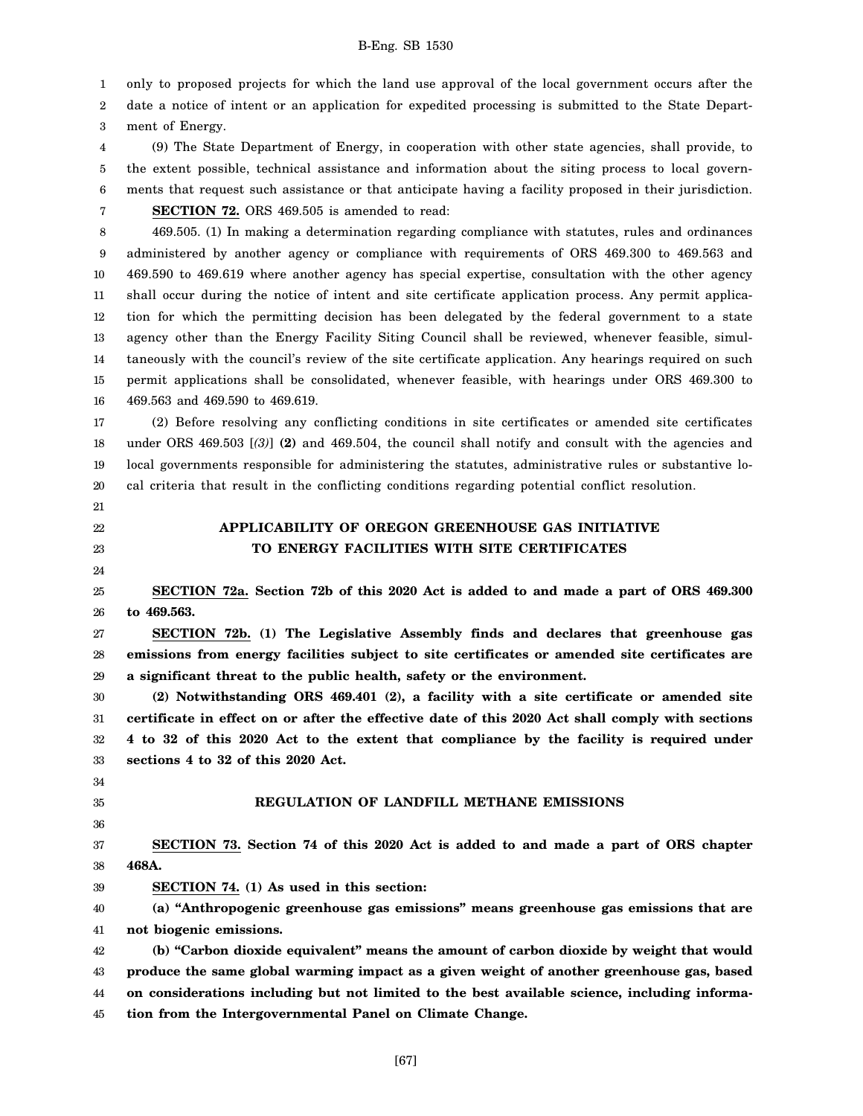1 only to proposed projects for which the land use approval of the local government occurs after the

2 3 date a notice of intent or an application for expedited processing is submitted to the State Department of Energy.

4 5 6 7 (9) The State Department of Energy, in cooperation with other state agencies, shall provide, to the extent possible, technical assistance and information about the siting process to local governments that request such assistance or that anticipate having a facility proposed in their jurisdiction.

**SECTION 72.** ORS 469.505 is amended to read:

8 9 10 11 12 13 14 15 16 469.505. (1) In making a determination regarding compliance with statutes, rules and ordinances administered by another agency or compliance with requirements of ORS 469.300 to 469.563 and 469.590 to 469.619 where another agency has special expertise, consultation with the other agency shall occur during the notice of intent and site certificate application process. Any permit application for which the permitting decision has been delegated by the federal government to a state agency other than the Energy Facility Siting Council shall be reviewed, whenever feasible, simultaneously with the council's review of the site certificate application. Any hearings required on such permit applications shall be consolidated, whenever feasible, with hearings under ORS 469.300 to 469.563 and 469.590 to 469.619.

17 18 19 20 (2) Before resolving any conflicting conditions in site certificates or amended site certificates under ORS 469.503 [*(3)*] **(2)** and 469.504, the council shall notify and consult with the agencies and local governments responsible for administering the statutes, administrative rules or substantive local criteria that result in the conflicting conditions regarding potential conflict resolution.

- 21
- 22 23
- 24

# **APPLICABILITY OF OREGON GREENHOUSE GAS INITIATIVE TO ENERGY FACILITIES WITH SITE CERTIFICATES**

25 26 **SECTION 72a. Section 72b of this 2020 Act is added to and made a part of ORS 469.300 to 469.563.**

27 28 29 **SECTION 72b. (1) The Legislative Assembly finds and declares that greenhouse gas emissions from energy facilities subject to site certificates or amended site certificates are a significant threat to the public health, safety or the environment.**

30 31 32 33 **(2) Notwithstanding ORS 469.401 (2), a facility with a site certificate or amended site certificate in effect on or after the effective date of this 2020 Act shall comply with sections 4 to 32 of this 2020 Act to the extent that compliance by the facility is required under sections 4 to 32 of this 2020 Act.**

34 35

36

39

## **REGULATION OF LANDFILL METHANE EMISSIONS**

37 38 **SECTION 73. Section 74 of this 2020 Act is added to and made a part of ORS chapter 468A.**

**SECTION 74. (1) As used in this section:**

40 41 **(a) "Anthropogenic greenhouse gas emissions" means greenhouse gas emissions that are not biogenic emissions.**

42 43 44 45 **(b) "Carbon dioxide equivalent" means the amount of carbon dioxide by weight that would produce the same global warming impact as a given weight of another greenhouse gas, based on considerations including but not limited to the best available science, including information from the Intergovernmental Panel on Climate Change.**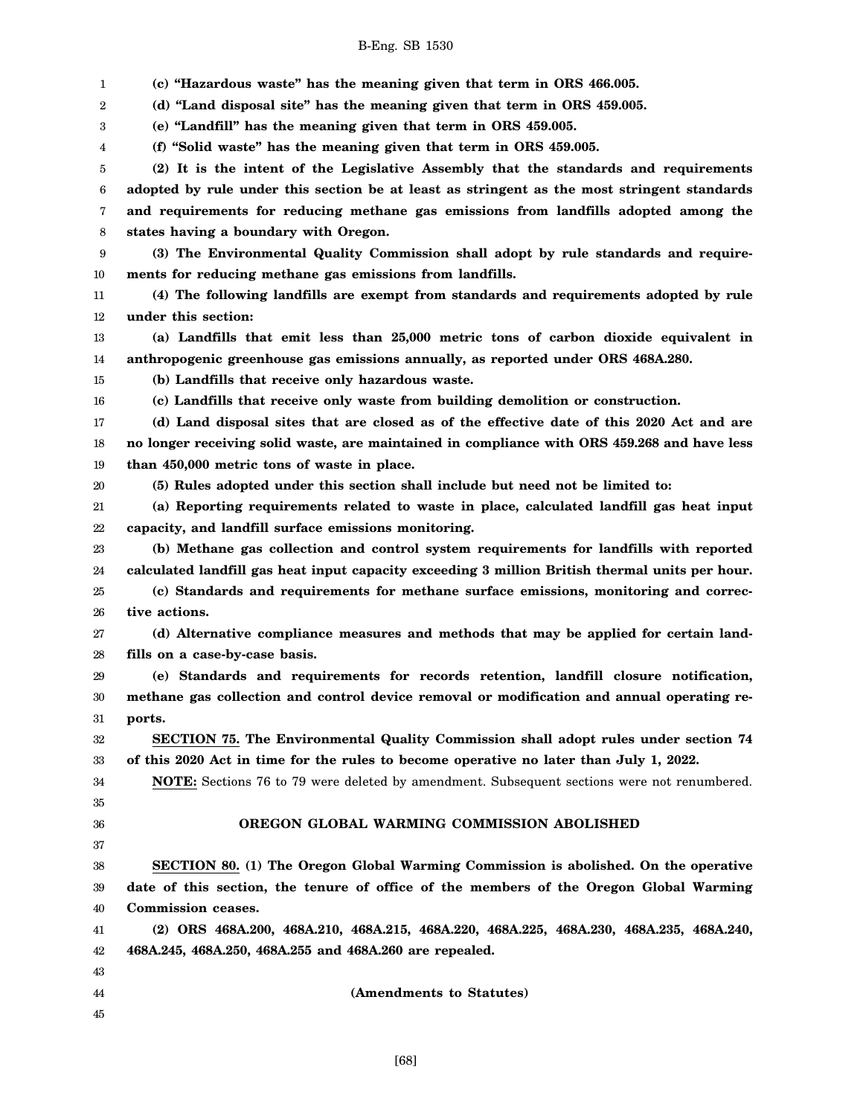1 2 3 4 5 6 7 8 9 10 11 12 13 14 15 16 17 18 19 20 21 22 23 24 25 26 27 28 29 30 31 32 33 34 35 36 37 38 39 40 41 42 43 44 45 **(c) "Hazardous waste" has the meaning given that term in ORS 466.005. (d) "Land disposal site" has the meaning given that term in ORS 459.005. (e) "Landfill" has the meaning given that term in ORS 459.005. (f) "Solid waste" has the meaning given that term in ORS 459.005. (2) It is the intent of the Legislative Assembly that the standards and requirements adopted by rule under this section be at least as stringent as the most stringent standards and requirements for reducing methane gas emissions from landfills adopted among the states having a boundary with Oregon. (3) The Environmental Quality Commission shall adopt by rule standards and requirements for reducing methane gas emissions from landfills. (4) The following landfills are exempt from standards and requirements adopted by rule under this section: (a) Landfills that emit less than 25,000 metric tons of carbon dioxide equivalent in anthropogenic greenhouse gas emissions annually, as reported under ORS 468A.280. (b) Landfills that receive only hazardous waste. (c) Landfills that receive only waste from building demolition or construction. (d) Land disposal sites that are closed as of the effective date of this 2020 Act and are no longer receiving solid waste, are maintained in compliance with ORS 459.268 and have less than 450,000 metric tons of waste in place. (5) Rules adopted under this section shall include but need not be limited to: (a) Reporting requirements related to waste in place, calculated landfill gas heat input capacity, and landfill surface emissions monitoring. (b) Methane gas collection and control system requirements for landfills with reported calculated landfill gas heat input capacity exceeding 3 million British thermal units per hour. (c) Standards and requirements for methane surface emissions, monitoring and corrective actions. (d) Alternative compliance measures and methods that may be applied for certain landfills on a case-by-case basis. (e) Standards and requirements for records retention, landfill closure notification, methane gas collection and control device removal or modification and annual operating reports. SECTION 75. The Environmental Quality Commission shall adopt rules under section 74 of this 2020 Act in time for the rules to become operative no later than July 1, 2022. NOTE:** Sections 76 to 79 were deleted by amendment. Subsequent sections were not renumbered. **OREGON GLOBAL WARMING COMMISSION ABOLISHED SECTION 80. (1) The Oregon Global Warming Commission is abolished. On the operative date of this section, the tenure of office of the members of the Oregon Global Warming Commission ceases. (2) ORS 468A.200, 468A.210, 468A.215, 468A.220, 468A.225, 468A.230, 468A.235, 468A.240, 468A.245, 468A.250, 468A.255 and 468A.260 are repealed. (Amendments to Statutes)**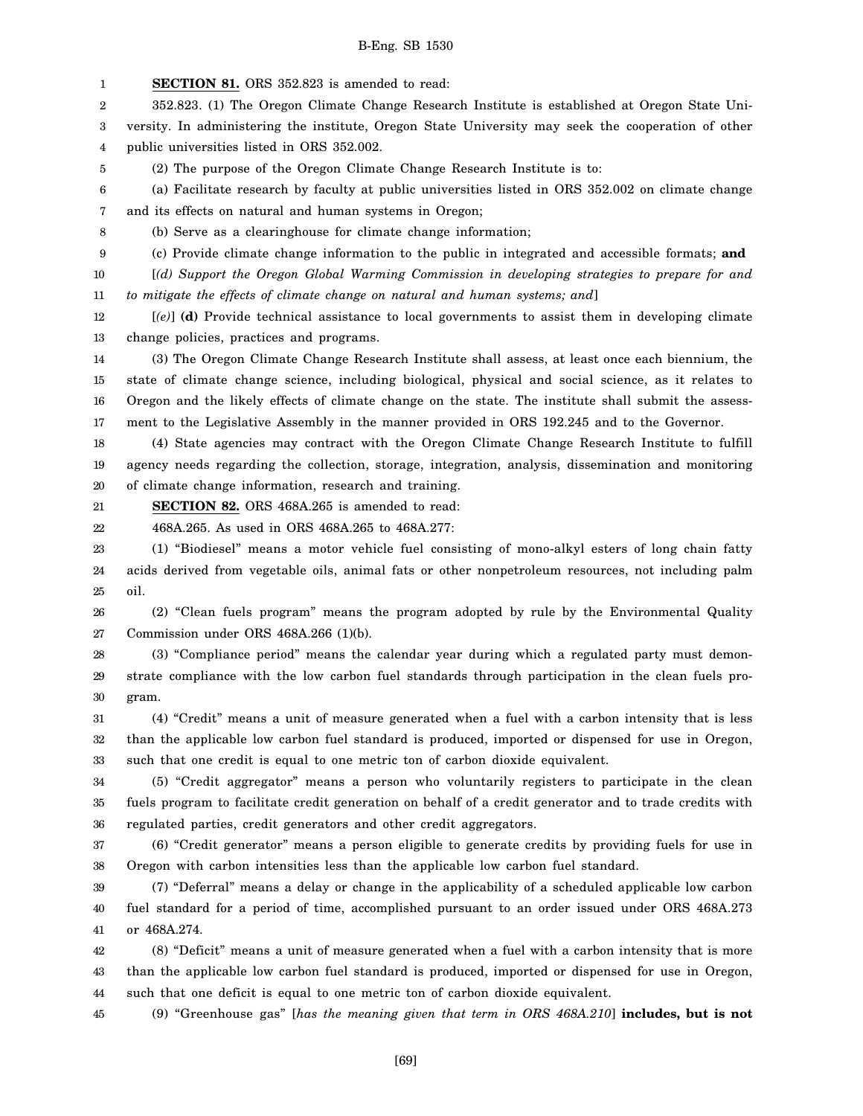1 2 3 4 5 6 7 8 9 10 11 12 13 14 15 16 17 18 19 20 21 22 23 24 25 26 27 28 29 30 31 32 33 34 35 36 37 38 **SECTION 81.** ORS 352.823 is amended to read: 352.823. (1) The Oregon Climate Change Research Institute is established at Oregon State University. In administering the institute, Oregon State University may seek the cooperation of other public universities listed in ORS 352.002. (2) The purpose of the Oregon Climate Change Research Institute is to: (a) Facilitate research by faculty at public universities listed in ORS 352.002 on climate change and its effects on natural and human systems in Oregon; (b) Serve as a clearinghouse for climate change information; (c) Provide climate change information to the public in integrated and accessible formats; **and** [*(d) Support the Oregon Global Warming Commission in developing strategies to prepare for and to mitigate the effects of climate change on natural and human systems; and*] [*(e)*] **(d)** Provide technical assistance to local governments to assist them in developing climate change policies, practices and programs. (3) The Oregon Climate Change Research Institute shall assess, at least once each biennium, the state of climate change science, including biological, physical and social science, as it relates to Oregon and the likely effects of climate change on the state. The institute shall submit the assessment to the Legislative Assembly in the manner provided in ORS 192.245 and to the Governor. (4) State agencies may contract with the Oregon Climate Change Research Institute to fulfill agency needs regarding the collection, storage, integration, analysis, dissemination and monitoring of climate change information, research and training. **SECTION 82.** ORS 468A.265 is amended to read: 468A.265. As used in ORS 468A.265 to 468A.277: (1) "Biodiesel" means a motor vehicle fuel consisting of mono-alkyl esters of long chain fatty acids derived from vegetable oils, animal fats or other nonpetroleum resources, not including palm oil. (2) "Clean fuels program" means the program adopted by rule by the Environmental Quality Commission under ORS 468A.266 (1)(b). (3) "Compliance period" means the calendar year during which a regulated party must demonstrate compliance with the low carbon fuel standards through participation in the clean fuels program. (4) "Credit" means a unit of measure generated when a fuel with a carbon intensity that is less than the applicable low carbon fuel standard is produced, imported or dispensed for use in Oregon, such that one credit is equal to one metric ton of carbon dioxide equivalent. (5) "Credit aggregator" means a person who voluntarily registers to participate in the clean fuels program to facilitate credit generation on behalf of a credit generator and to trade credits with regulated parties, credit generators and other credit aggregators. (6) "Credit generator" means a person eligible to generate credits by providing fuels for use in Oregon with carbon intensities less than the applicable low carbon fuel standard.

39 40 41 (7) "Deferral" means a delay or change in the applicability of a scheduled applicable low carbon fuel standard for a period of time, accomplished pursuant to an order issued under ORS 468A.273 or 468A.274.

42 43 44 (8) "Deficit" means a unit of measure generated when a fuel with a carbon intensity that is more than the applicable low carbon fuel standard is produced, imported or dispensed for use in Oregon, such that one deficit is equal to one metric ton of carbon dioxide equivalent.

45 (9) "Greenhouse gas" [*has the meaning given that term in ORS 468A.210*] **includes, but is not**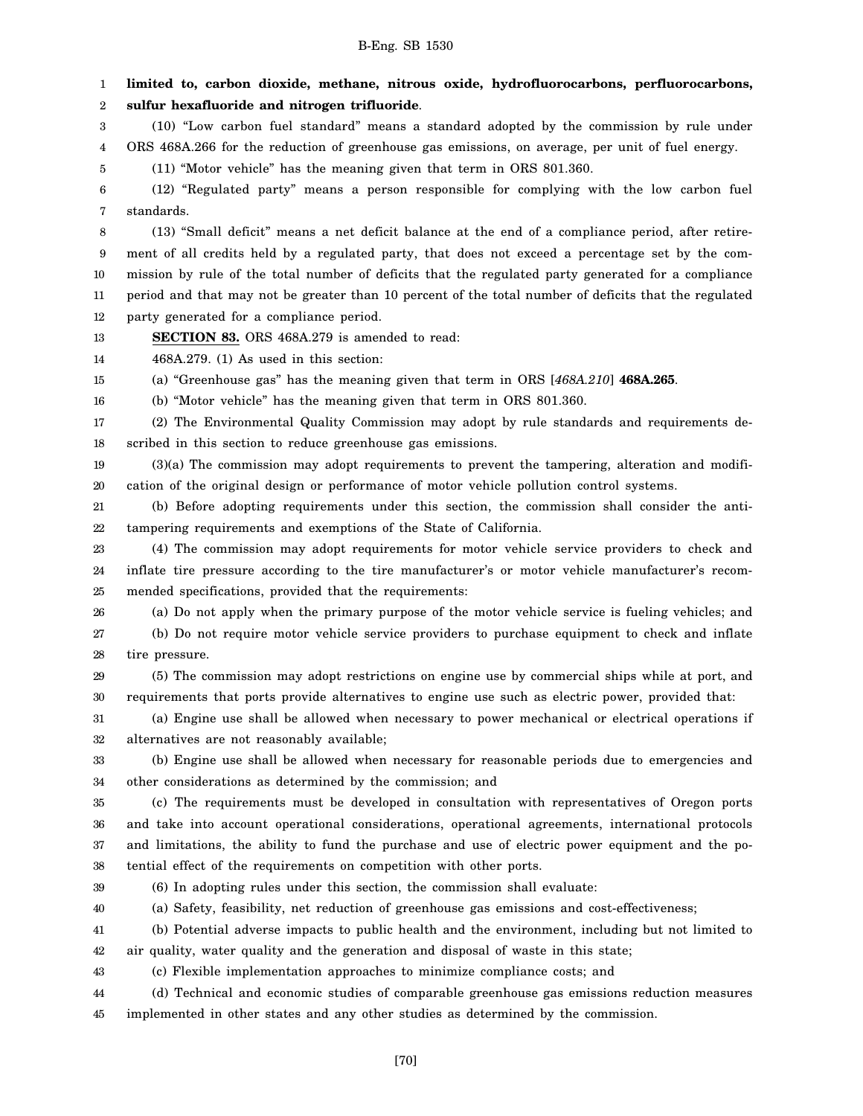2

1 **limited to, carbon dioxide, methane, nitrous oxide, hydrofluorocarbons, perfluorocarbons, sulfur hexafluoride and nitrogen trifluoride**.

3 4 (10) "Low carbon fuel standard" means a standard adopted by the commission by rule under ORS 468A.266 for the reduction of greenhouse gas emissions, on average, per unit of fuel energy.

5 (11) "Motor vehicle" has the meaning given that term in ORS 801.360.

6 7 (12) "Regulated party" means a person responsible for complying with the low carbon fuel standards.

8 9 10 11 12 (13) "Small deficit" means a net deficit balance at the end of a compliance period, after retirement of all credits held by a regulated party, that does not exceed a percentage set by the commission by rule of the total number of deficits that the regulated party generated for a compliance period and that may not be greater than 10 percent of the total number of deficits that the regulated party generated for a compliance period.

13 **SECTION 83.** ORS 468A.279 is amended to read:

14 468A.279. (1) As used in this section:

15 (a) "Greenhouse gas" has the meaning given that term in ORS [*468A.210*] **468A.265**.

16 (b) "Motor vehicle" has the meaning given that term in ORS 801.360.

17 18 (2) The Environmental Quality Commission may adopt by rule standards and requirements described in this section to reduce greenhouse gas emissions.

19 20 (3)(a) The commission may adopt requirements to prevent the tampering, alteration and modification of the original design or performance of motor vehicle pollution control systems.

21 22 (b) Before adopting requirements under this section, the commission shall consider the antitampering requirements and exemptions of the State of California.

23 24 25 (4) The commission may adopt requirements for motor vehicle service providers to check and inflate tire pressure according to the tire manufacturer's or motor vehicle manufacturer's recommended specifications, provided that the requirements:

26

27 28 (a) Do not apply when the primary purpose of the motor vehicle service is fueling vehicles; and (b) Do not require motor vehicle service providers to purchase equipment to check and inflate tire pressure.

29 30 (5) The commission may adopt restrictions on engine use by commercial ships while at port, and requirements that ports provide alternatives to engine use such as electric power, provided that:

31 32 (a) Engine use shall be allowed when necessary to power mechanical or electrical operations if alternatives are not reasonably available;

33 34 (b) Engine use shall be allowed when necessary for reasonable periods due to emergencies and other considerations as determined by the commission; and

35 36 37 38 (c) The requirements must be developed in consultation with representatives of Oregon ports and take into account operational considerations, operational agreements, international protocols and limitations, the ability to fund the purchase and use of electric power equipment and the potential effect of the requirements on competition with other ports.

39

(6) In adopting rules under this section, the commission shall evaluate:

40 (a) Safety, feasibility, net reduction of greenhouse gas emissions and cost-effectiveness;

41 (b) Potential adverse impacts to public health and the environment, including but not limited to

42 air quality, water quality and the generation and disposal of waste in this state;

43 (c) Flexible implementation approaches to minimize compliance costs; and

44 45 (d) Technical and economic studies of comparable greenhouse gas emissions reduction measures implemented in other states and any other studies as determined by the commission.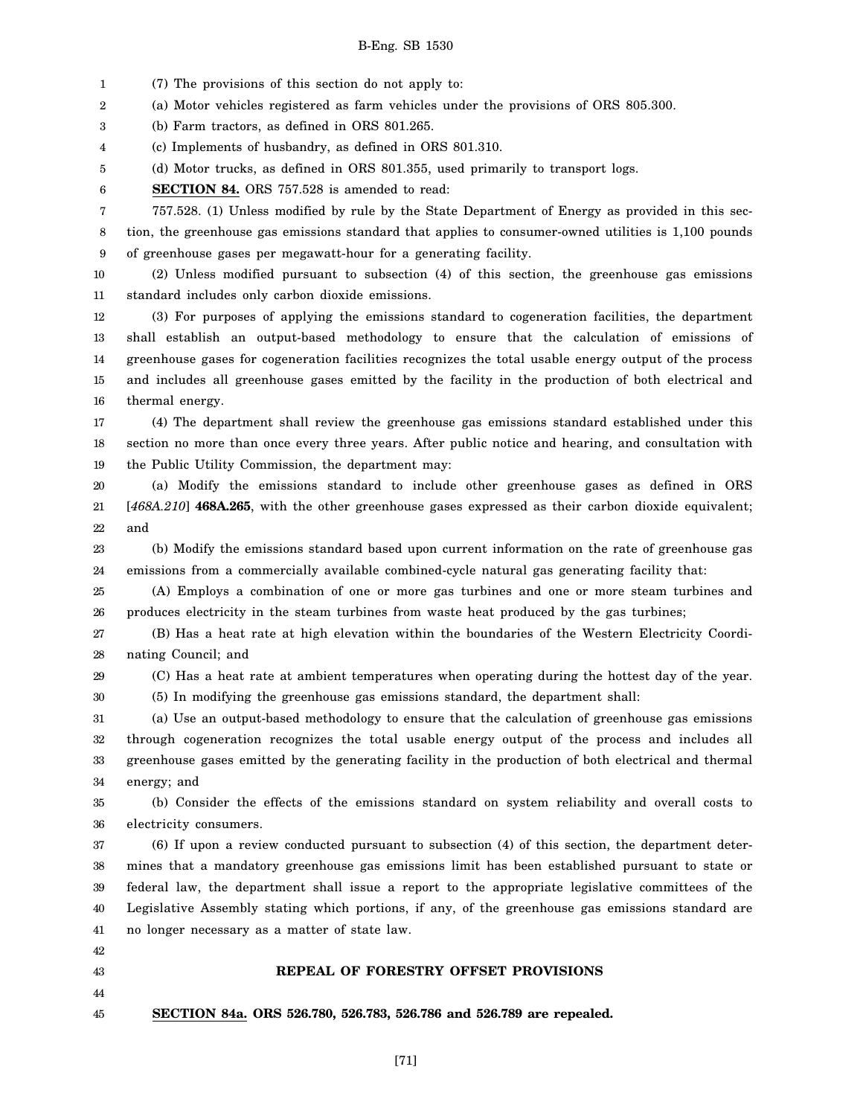1 2 3 4 5 6 7 8 9 10 11 12 13 14 15 16 17 18 19 20 21 22 23 24 25 26 27 28 29 30 31 32 33 34 35 36 37 38 39 40 41 (7) The provisions of this section do not apply to: (a) Motor vehicles registered as farm vehicles under the provisions of ORS 805.300. (b) Farm tractors, as defined in ORS 801.265. (c) Implements of husbandry, as defined in ORS 801.310. (d) Motor trucks, as defined in ORS 801.355, used primarily to transport logs. **SECTION 84.** ORS 757.528 is amended to read: 757.528. (1) Unless modified by rule by the State Department of Energy as provided in this section, the greenhouse gas emissions standard that applies to consumer-owned utilities is 1,100 pounds of greenhouse gases per megawatt-hour for a generating facility. (2) Unless modified pursuant to subsection (4) of this section, the greenhouse gas emissions standard includes only carbon dioxide emissions. (3) For purposes of applying the emissions standard to cogeneration facilities, the department shall establish an output-based methodology to ensure that the calculation of emissions of greenhouse gases for cogeneration facilities recognizes the total usable energy output of the process and includes all greenhouse gases emitted by the facility in the production of both electrical and thermal energy. (4) The department shall review the greenhouse gas emissions standard established under this section no more than once every three years. After public notice and hearing, and consultation with the Public Utility Commission, the department may: (a) Modify the emissions standard to include other greenhouse gases as defined in ORS [*468A.210*] **468A.265**, with the other greenhouse gases expressed as their carbon dioxide equivalent; and (b) Modify the emissions standard based upon current information on the rate of greenhouse gas emissions from a commercially available combined-cycle natural gas generating facility that: (A) Employs a combination of one or more gas turbines and one or more steam turbines and produces electricity in the steam turbines from waste heat produced by the gas turbines; (B) Has a heat rate at high elevation within the boundaries of the Western Electricity Coordinating Council; and (C) Has a heat rate at ambient temperatures when operating during the hottest day of the year. (5) In modifying the greenhouse gas emissions standard, the department shall: (a) Use an output-based methodology to ensure that the calculation of greenhouse gas emissions through cogeneration recognizes the total usable energy output of the process and includes all greenhouse gases emitted by the generating facility in the production of both electrical and thermal energy; and (b) Consider the effects of the emissions standard on system reliability and overall costs to electricity consumers. (6) If upon a review conducted pursuant to subsection (4) of this section, the department determines that a mandatory greenhouse gas emissions limit has been established pursuant to state or federal law, the department shall issue a report to the appropriate legislative committees of the Legislative Assembly stating which portions, if any, of the greenhouse gas emissions standard are no longer necessary as a matter of state law.

- 42 43
- 44
- 

# **REPEAL OF FORESTRY OFFSET PROVISIONS**

45 **SECTION 84a. ORS 526.780, 526.783, 526.786 and 526.789 are repealed.**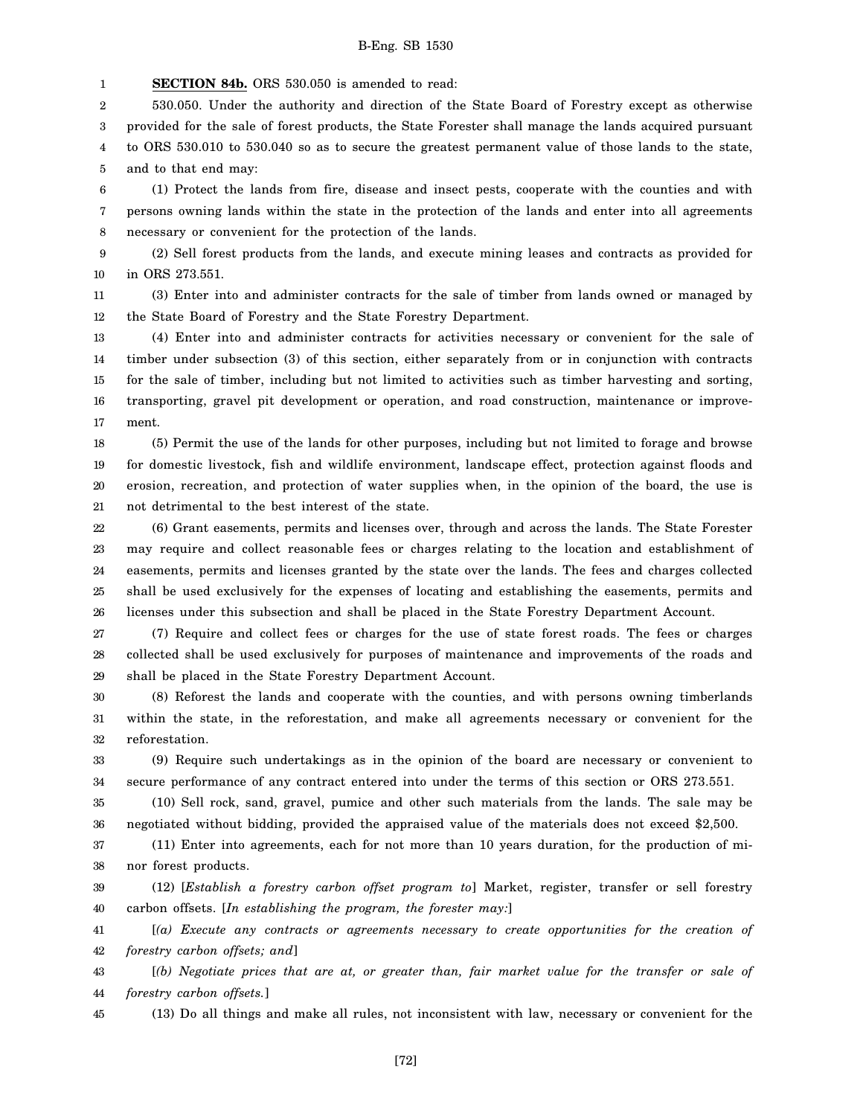1 **SECTION 84b.** ORS 530.050 is amended to read:

2 3 4 5 530.050. Under the authority and direction of the State Board of Forestry except as otherwise provided for the sale of forest products, the State Forester shall manage the lands acquired pursuant to ORS 530.010 to 530.040 so as to secure the greatest permanent value of those lands to the state, and to that end may:

6 7 8 (1) Protect the lands from fire, disease and insect pests, cooperate with the counties and with persons owning lands within the state in the protection of the lands and enter into all agreements necessary or convenient for the protection of the lands.

9 10 (2) Sell forest products from the lands, and execute mining leases and contracts as provided for in ORS 273.551.

11 12 (3) Enter into and administer contracts for the sale of timber from lands owned or managed by the State Board of Forestry and the State Forestry Department.

13 14 15 16 17 (4) Enter into and administer contracts for activities necessary or convenient for the sale of timber under subsection (3) of this section, either separately from or in conjunction with contracts for the sale of timber, including but not limited to activities such as timber harvesting and sorting, transporting, gravel pit development or operation, and road construction, maintenance or improvement.

18 19 20 21 (5) Permit the use of the lands for other purposes, including but not limited to forage and browse for domestic livestock, fish and wildlife environment, landscape effect, protection against floods and erosion, recreation, and protection of water supplies when, in the opinion of the board, the use is not detrimental to the best interest of the state.

22 23 24 25 26 (6) Grant easements, permits and licenses over, through and across the lands. The State Forester may require and collect reasonable fees or charges relating to the location and establishment of easements, permits and licenses granted by the state over the lands. The fees and charges collected shall be used exclusively for the expenses of locating and establishing the easements, permits and licenses under this subsection and shall be placed in the State Forestry Department Account.

27 28 29 (7) Require and collect fees or charges for the use of state forest roads. The fees or charges collected shall be used exclusively for purposes of maintenance and improvements of the roads and shall be placed in the State Forestry Department Account.

30 31 32 (8) Reforest the lands and cooperate with the counties, and with persons owning timberlands within the state, in the reforestation, and make all agreements necessary or convenient for the reforestation.

33 34 (9) Require such undertakings as in the opinion of the board are necessary or convenient to secure performance of any contract entered into under the terms of this section or ORS 273.551.

35 36 (10) Sell rock, sand, gravel, pumice and other such materials from the lands. The sale may be negotiated without bidding, provided the appraised value of the materials does not exceed \$2,500.

37 38 (11) Enter into agreements, each for not more than 10 years duration, for the production of minor forest products.

39 40 (12) [*Establish a forestry carbon offset program to*] Market, register, transfer or sell forestry carbon offsets. [*In establishing the program, the forester may:*]

41 42 [*(a) Execute any contracts or agreements necessary to create opportunities for the creation of forestry carbon offsets; and*]

43 44 [*(b) Negotiate prices that are at, or greater than, fair market value for the transfer or sale of forestry carbon offsets.*]

45

(13) Do all things and make all rules, not inconsistent with law, necessary or convenient for the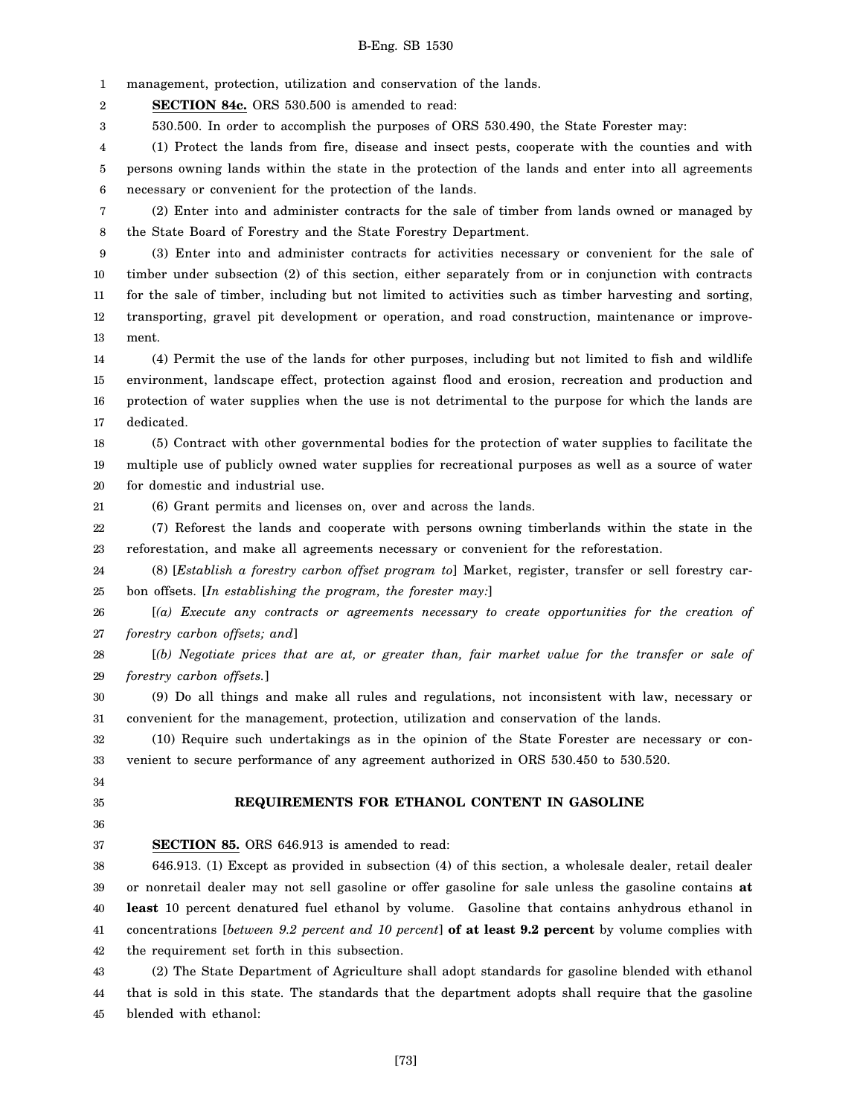1 management, protection, utilization and conservation of the lands.

2 **SECTION 84c.** ORS 530.500 is amended to read:

3 530.500. In order to accomplish the purposes of ORS 530.490, the State Forester may:

4 5 6 (1) Protect the lands from fire, disease and insect pests, cooperate with the counties and with persons owning lands within the state in the protection of the lands and enter into all agreements necessary or convenient for the protection of the lands.

7 8 (2) Enter into and administer contracts for the sale of timber from lands owned or managed by the State Board of Forestry and the State Forestry Department.

9 10 11 12 13 (3) Enter into and administer contracts for activities necessary or convenient for the sale of timber under subsection (2) of this section, either separately from or in conjunction with contracts for the sale of timber, including but not limited to activities such as timber harvesting and sorting, transporting, gravel pit development or operation, and road construction, maintenance or improvement.

14 15 16 17 (4) Permit the use of the lands for other purposes, including but not limited to fish and wildlife environment, landscape effect, protection against flood and erosion, recreation and production and protection of water supplies when the use is not detrimental to the purpose for which the lands are dedicated.

18 19 20 (5) Contract with other governmental bodies for the protection of water supplies to facilitate the multiple use of publicly owned water supplies for recreational purposes as well as a source of water for domestic and industrial use.

21 (6) Grant permits and licenses on, over and across the lands.

22 23 (7) Reforest the lands and cooperate with persons owning timberlands within the state in the reforestation, and make all agreements necessary or convenient for the reforestation.

24 25 (8) [*Establish a forestry carbon offset program to*] Market, register, transfer or sell forestry carbon offsets. [*In establishing the program, the forester may:*]

26 27 [*(a) Execute any contracts or agreements necessary to create opportunities for the creation of forestry carbon offsets; and*]

28 29 [*(b) Negotiate prices that are at, or greater than, fair market value for the transfer or sale of forestry carbon offsets.*]

30 31 (9) Do all things and make all rules and regulations, not inconsistent with law, necessary or convenient for the management, protection, utilization and conservation of the lands.

32 33 (10) Require such undertakings as in the opinion of the State Forester are necessary or convenient to secure performance of any agreement authorized in ORS 530.450 to 530.520.

34 35

### **REQUIREMENTS FOR ETHANOL CONTENT IN GASOLINE**

36 37

**SECTION 85.** ORS 646.913 is amended to read:

38 39 40 41 42 646.913. (1) Except as provided in subsection (4) of this section, a wholesale dealer, retail dealer or nonretail dealer may not sell gasoline or offer gasoline for sale unless the gasoline contains **at least** 10 percent denatured fuel ethanol by volume. Gasoline that contains anhydrous ethanol in concentrations [*between 9.2 percent and 10 percent*] **of at least 9.2 percent** by volume complies with the requirement set forth in this subsection.

43 44 45 (2) The State Department of Agriculture shall adopt standards for gasoline blended with ethanol that is sold in this state. The standards that the department adopts shall require that the gasoline blended with ethanol: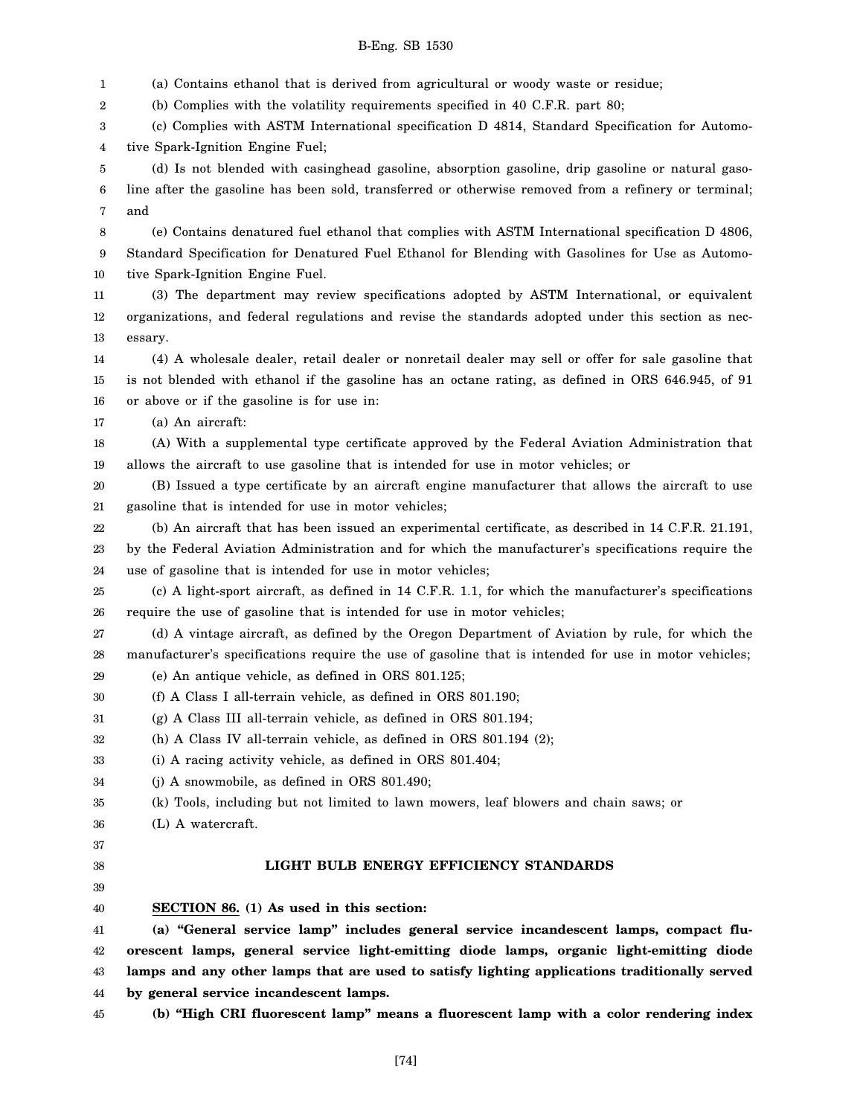- 1 2 3 4 5 6 7 8 9 10 11 12 13 14 15 16 17 18 19 20 (a) Contains ethanol that is derived from agricultural or woody waste or residue; (b) Complies with the volatility requirements specified in 40 C.F.R. part 80; (c) Complies with ASTM International specification D 4814, Standard Specification for Automotive Spark-Ignition Engine Fuel; (d) Is not blended with casinghead gasoline, absorption gasoline, drip gasoline or natural gasoline after the gasoline has been sold, transferred or otherwise removed from a refinery or terminal; and (e) Contains denatured fuel ethanol that complies with ASTM International specification D 4806, Standard Specification for Denatured Fuel Ethanol for Blending with Gasolines for Use as Automotive Spark-Ignition Engine Fuel. (3) The department may review specifications adopted by ASTM International, or equivalent organizations, and federal regulations and revise the standards adopted under this section as necessary. (4) A wholesale dealer, retail dealer or nonretail dealer may sell or offer for sale gasoline that is not blended with ethanol if the gasoline has an octane rating, as defined in ORS 646.945, of 91 or above or if the gasoline is for use in: (a) An aircraft: (A) With a supplemental type certificate approved by the Federal Aviation Administration that allows the aircraft to use gasoline that is intended for use in motor vehicles; or (B) Issued a type certificate by an aircraft engine manufacturer that allows the aircraft to use gasoline that is intended for use in motor vehicles; use of gasoline that is intended for use in motor vehicles; require the use of gasoline that is intended for use in motor vehicles; (e) An antique vehicle, as defined in ORS 801.125; (f) A Class I all-terrain vehicle, as defined in ORS 801.190; (g) A Class III all-terrain vehicle, as defined in ORS 801.194; (h) A Class IV all-terrain vehicle, as defined in ORS 801.194 (2); (i) A racing activity vehicle, as defined in ORS 801.404; (j) A snowmobile, as defined in ORS 801.490; (k) Tools, including but not limited to lawn mowers, leaf blowers and chain saws; or (L) A watercraft. **LIGHT BULB ENERGY EFFICIENCY STANDARDS SECTION 86. (1) As used in this section: (a) "General service lamp" includes general service incandescent lamps, compact fluby general service incandescent lamps.**
- 21 22
- (b) An aircraft that has been issued an experimental certificate, as described in 14 C.F.R. 21.191,
- 23 24 by the Federal Aviation Administration and for which the manufacturer's specifications require the
- 25 26 (c) A light-sport aircraft, as defined in 14 C.F.R. 1.1, for which the manufacturer's specifications
- 27 28 (d) A vintage aircraft, as defined by the Oregon Department of Aviation by rule, for which the manufacturer's specifications require the use of gasoline that is intended for use in motor vehicles;
- 29
- 30
- 31
- 32
- 33
- 34
- 35
- 36
- 37 38
- 39
- 40

41 42 43 44 **orescent lamps, general service light-emitting diode lamps, organic light-emitting diode lamps and any other lamps that are used to satisfy lighting applications traditionally served**

45

# B-Eng. SB 1530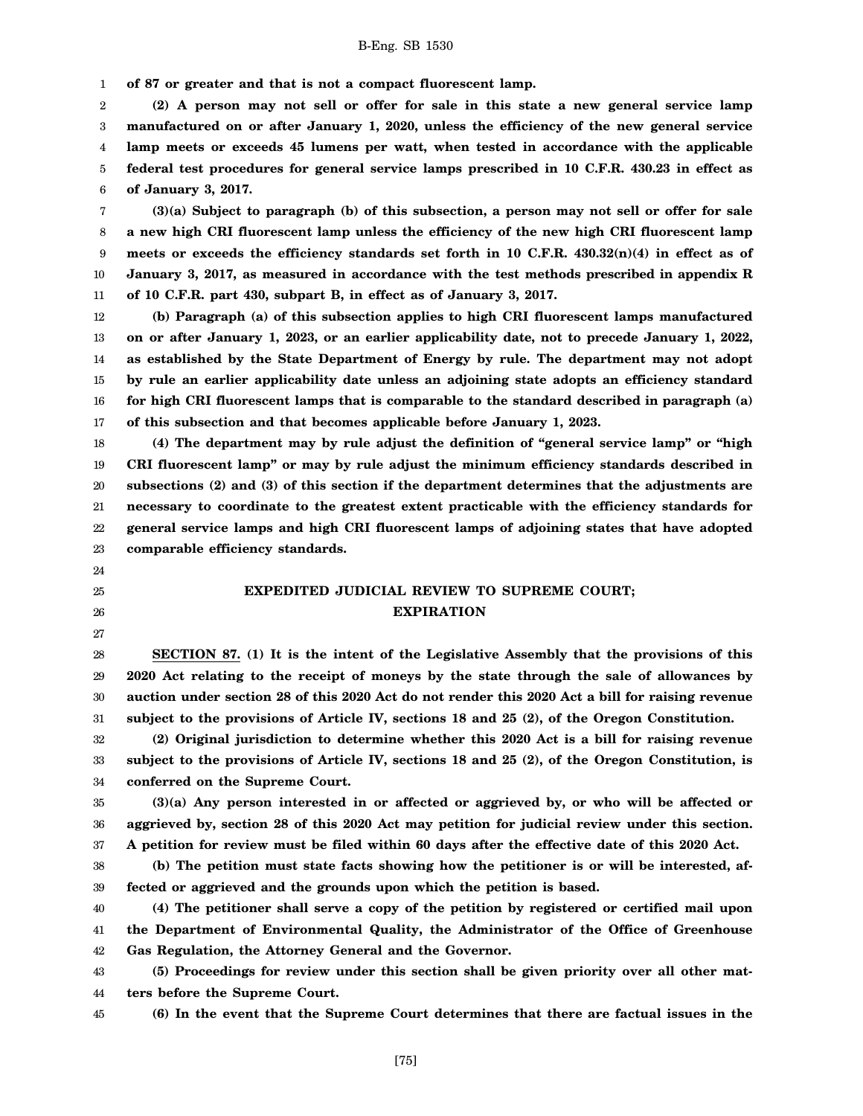1 **of 87 or greater and that is not a compact fluorescent lamp.**

2 3 4 5 6 **(2) A person may not sell or offer for sale in this state a new general service lamp manufactured on or after January 1, 2020, unless the efficiency of the new general service lamp meets or exceeds 45 lumens per watt, when tested in accordance with the applicable federal test procedures for general service lamps prescribed in 10 C.F.R. 430.23 in effect as of January 3, 2017.**

7 8 9 10 11 **(3)(a) Subject to paragraph (b) of this subsection, a person may not sell or offer for sale a new high CRI fluorescent lamp unless the efficiency of the new high CRI fluorescent lamp meets or exceeds the efficiency standards set forth in 10 C.F.R. 430.32(n)(4) in effect as of January 3, 2017, as measured in accordance with the test methods prescribed in appendix R of 10 C.F.R. part 430, subpart B, in effect as of January 3, 2017.**

12 13 14 15 16 17 **(b) Paragraph (a) of this subsection applies to high CRI fluorescent lamps manufactured on or after January 1, 2023, or an earlier applicability date, not to precede January 1, 2022, as established by the State Department of Energy by rule. The department may not adopt by rule an earlier applicability date unless an adjoining state adopts an efficiency standard for high CRI fluorescent lamps that is comparable to the standard described in paragraph (a) of this subsection and that becomes applicable before January 1, 2023.**

18 19 20 21 22 23 **(4) The department may by rule adjust the definition of "general service lamp" or "high CRI fluorescent lamp" or may by rule adjust the minimum efficiency standards described in subsections (2) and (3) of this section if the department determines that the adjustments are necessary to coordinate to the greatest extent practicable with the efficiency standards for general service lamps and high CRI fluorescent lamps of adjoining states that have adopted comparable efficiency standards.**

# **EXPEDITED JUDICIAL REVIEW TO SUPREME COURT; EXPIRATION**

28 29 30 31 **SECTION 87. (1) It is the intent of the Legislative Assembly that the provisions of this 2020 Act relating to the receipt of moneys by the state through the sale of allowances by auction under section 28 of this 2020 Act do not render this 2020 Act a bill for raising revenue subject to the provisions of Article IV, sections 18 and 25 (2), of the Oregon Constitution.**

32 33 34 **(2) Original jurisdiction to determine whether this 2020 Act is a bill for raising revenue subject to the provisions of Article IV, sections 18 and 25 (2), of the Oregon Constitution, is conferred on the Supreme Court.**

35 36 37 **(3)(a) Any person interested in or affected or aggrieved by, or who will be affected or aggrieved by, section 28 of this 2020 Act may petition for judicial review under this section. A petition for review must be filed within 60 days after the effective date of this 2020 Act.**

38 39 **(b) The petition must state facts showing how the petitioner is or will be interested, affected or aggrieved and the grounds upon which the petition is based.**

40 41 42 **(4) The petitioner shall serve a copy of the petition by registered or certified mail upon the Department of Environmental Quality, the Administrator of the Office of Greenhouse Gas Regulation, the Attorney General and the Governor.**

43 44 **(5) Proceedings for review under this section shall be given priority over all other matters before the Supreme Court.**

45

**(6) In the event that the Supreme Court determines that there are factual issues in the**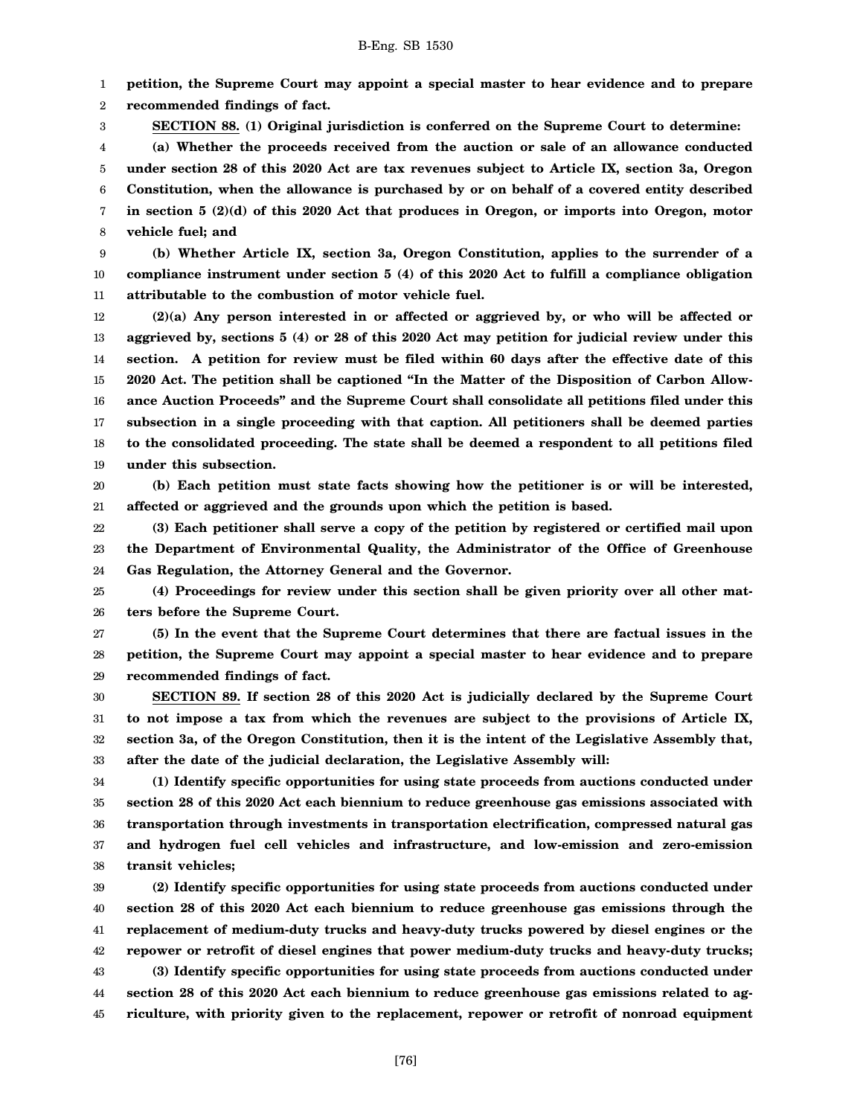1 **petition, the Supreme Court may appoint a special master to hear evidence and to prepare**

2 **recommended findings of fact.**

3

**SECTION 88. (1) Original jurisdiction is conferred on the Supreme Court to determine:**

4 5 6 7 8 **(a) Whether the proceeds received from the auction or sale of an allowance conducted under section 28 of this 2020 Act are tax revenues subject to Article IX, section 3a, Oregon Constitution, when the allowance is purchased by or on behalf of a covered entity described in section 5 (2)(d) of this 2020 Act that produces in Oregon, or imports into Oregon, motor vehicle fuel; and**

9 10 11 **(b) Whether Article IX, section 3a, Oregon Constitution, applies to the surrender of a compliance instrument under section 5 (4) of this 2020 Act to fulfill a compliance obligation attributable to the combustion of motor vehicle fuel.**

12 13 14 15 16 17 18 19 **(2)(a) Any person interested in or affected or aggrieved by, or who will be affected or aggrieved by, sections 5 (4) or 28 of this 2020 Act may petition for judicial review under this section. A petition for review must be filed within 60 days after the effective date of this 2020 Act. The petition shall be captioned "In the Matter of the Disposition of Carbon Allowance Auction Proceeds" and the Supreme Court shall consolidate all petitions filed under this subsection in a single proceeding with that caption. All petitioners shall be deemed parties to the consolidated proceeding. The state shall be deemed a respondent to all petitions filed under this subsection.**

20 21 **(b) Each petition must state facts showing how the petitioner is or will be interested, affected or aggrieved and the grounds upon which the petition is based.**

22 23 24 **(3) Each petitioner shall serve a copy of the petition by registered or certified mail upon the Department of Environmental Quality, the Administrator of the Office of Greenhouse Gas Regulation, the Attorney General and the Governor.**

25 26 **(4) Proceedings for review under this section shall be given priority over all other matters before the Supreme Court.**

27 28 29 **(5) In the event that the Supreme Court determines that there are factual issues in the petition, the Supreme Court may appoint a special master to hear evidence and to prepare recommended findings of fact.**

30 31 32 33 **SECTION 89. If section 28 of this 2020 Act is judicially declared by the Supreme Court to not impose a tax from which the revenues are subject to the provisions of Article IX, section 3a, of the Oregon Constitution, then it is the intent of the Legislative Assembly that, after the date of the judicial declaration, the Legislative Assembly will:**

34 35 36 37 38 **(1) Identify specific opportunities for using state proceeds from auctions conducted under section 28 of this 2020 Act each biennium to reduce greenhouse gas emissions associated with transportation through investments in transportation electrification, compressed natural gas and hydrogen fuel cell vehicles and infrastructure, and low-emission and zero-emission transit vehicles;**

39 40 41 42 43 44 45 **(2) Identify specific opportunities for using state proceeds from auctions conducted under section 28 of this 2020 Act each biennium to reduce greenhouse gas emissions through the replacement of medium-duty trucks and heavy-duty trucks powered by diesel engines or the repower or retrofit of diesel engines that power medium-duty trucks and heavy-duty trucks; (3) Identify specific opportunities for using state proceeds from auctions conducted under section 28 of this 2020 Act each biennium to reduce greenhouse gas emissions related to agriculture, with priority given to the replacement, repower or retrofit of nonroad equipment**

[76]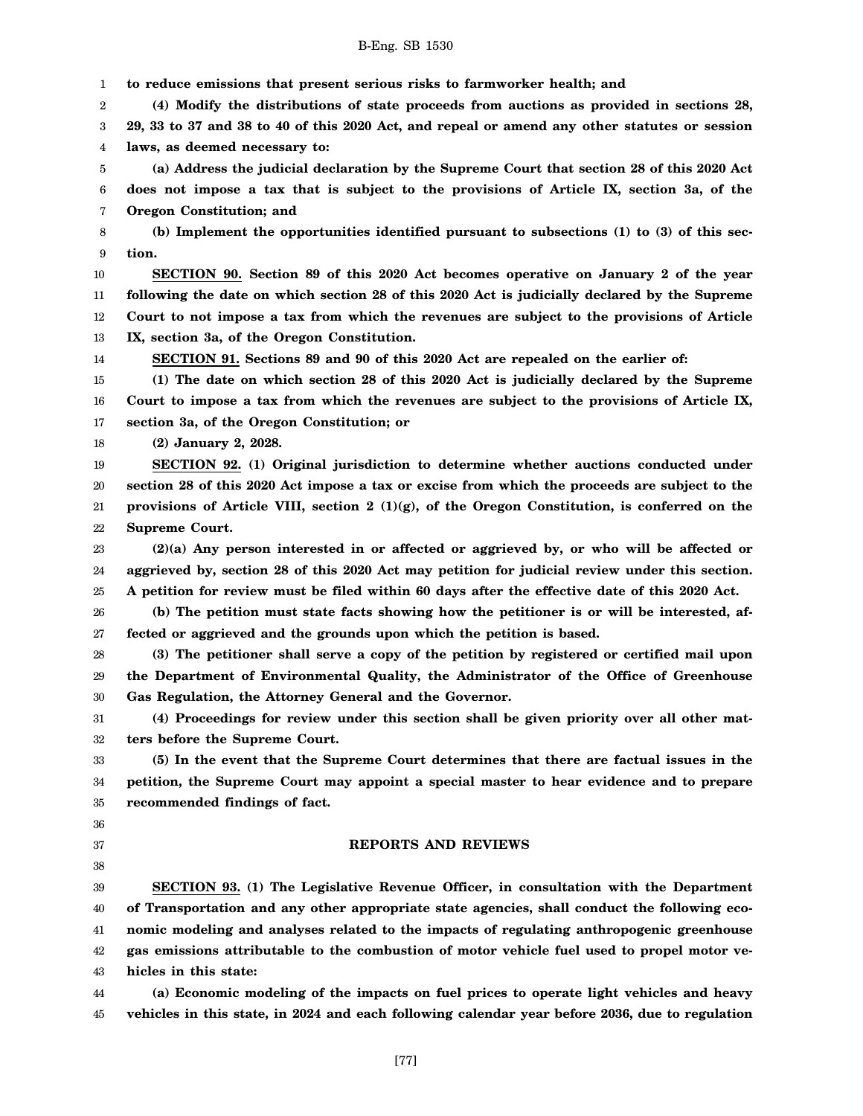1 **to reduce emissions that present serious risks to farmworker health; and**

2 3 4 **(4) Modify the distributions of state proceeds from auctions as provided in sections 28, 29, 33 to 37 and 38 to 40 of this 2020 Act, and repeal or amend any other statutes or session laws, as deemed necessary to:**

5 6 7 **(a) Address the judicial declaration by the Supreme Court that section 28 of this 2020 Act does not impose a tax that is subject to the provisions of Article IX, section 3a, of the Oregon Constitution; and**

8 9 **(b) Implement the opportunities identified pursuant to subsections (1) to (3) of this section.**

10 11 12 13 **SECTION 90. Section 89 of this 2020 Act becomes operative on January 2 of the year following the date on which section 28 of this 2020 Act is judicially declared by the Supreme Court to not impose a tax from which the revenues are subject to the provisions of Article IX, section 3a, of the Oregon Constitution.**

14

**SECTION 91. Sections 89 and 90 of this 2020 Act are repealed on the earlier of:**

15 16 17 **(1) The date on which section 28 of this 2020 Act is judicially declared by the Supreme Court to impose a tax from which the revenues are subject to the provisions of Article IX, section 3a, of the Oregon Constitution; or**

18 **(2) January 2, 2028.**

19 20 21 22 **SECTION 92. (1) Original jurisdiction to determine whether auctions conducted under section 28 of this 2020 Act impose a tax or excise from which the proceeds are subject to the provisions of Article VIII, section 2 (1)(g), of the Oregon Constitution, is conferred on the Supreme Court.**

23 24 25 **(2)(a) Any person interested in or affected or aggrieved by, or who will be affected or aggrieved by, section 28 of this 2020 Act may petition for judicial review under this section. A petition for review must be filed within 60 days after the effective date of this 2020 Act.**

26 27 **(b) The petition must state facts showing how the petitioner is or will be interested, affected or aggrieved and the grounds upon which the petition is based.**

28 29 30 **(3) The petitioner shall serve a copy of the petition by registered or certified mail upon the Department of Environmental Quality, the Administrator of the Office of Greenhouse Gas Regulation, the Attorney General and the Governor.**

31 32 **(4) Proceedings for review under this section shall be given priority over all other matters before the Supreme Court.**

33 34 35 **(5) In the event that the Supreme Court determines that there are factual issues in the petition, the Supreme Court may appoint a special master to hear evidence and to prepare recommended findings of fact.**

36

- 37
- 38

### **REPORTS AND REVIEWS**

39 40 41 42 43 **SECTION 93. (1) The Legislative Revenue Officer, in consultation with the Department of Transportation and any other appropriate state agencies, shall conduct the following economic modeling and analyses related to the impacts of regulating anthropogenic greenhouse gas emissions attributable to the combustion of motor vehicle fuel used to propel motor vehicles in this state:**

44 45 **(a) Economic modeling of the impacts on fuel prices to operate light vehicles and heavy vehicles in this state, in 2024 and each following calendar year before 2036, due to regulation**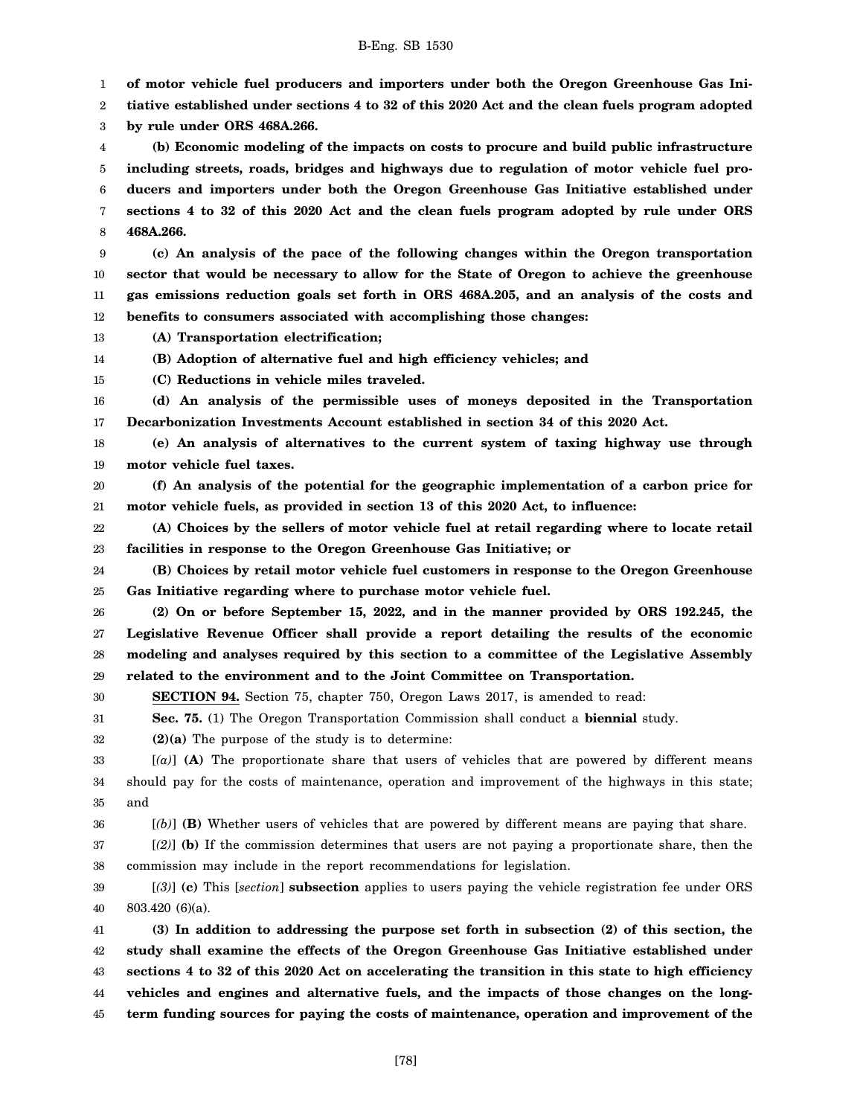1 **of motor vehicle fuel producers and importers under both the Oregon Greenhouse Gas Ini-**

2 3 **tiative established under sections 4 to 32 of this 2020 Act and the clean fuels program adopted by rule under ORS 468A.266.**

4 **(b) Economic modeling of the impacts on costs to procure and build public infrastructure**

5 6 7 8 **including streets, roads, bridges and highways due to regulation of motor vehicle fuel producers and importers under both the Oregon Greenhouse Gas Initiative established under sections 4 to 32 of this 2020 Act and the clean fuels program adopted by rule under ORS 468A.266.**

9 10 11 12 **(c) An analysis of the pace of the following changes within the Oregon transportation sector that would be necessary to allow for the State of Oregon to achieve the greenhouse gas emissions reduction goals set forth in ORS 468A.205, and an analysis of the costs and benefits to consumers associated with accomplishing those changes:**

- 13 **(A) Transportation electrification;**
- 14 **(B) Adoption of alternative fuel and high efficiency vehicles; and**
- 15 **(C) Reductions in vehicle miles traveled.**

16 17 **(d) An analysis of the permissible uses of moneys deposited in the Transportation Decarbonization Investments Account established in section 34 of this 2020 Act.**

18 19 **(e) An analysis of alternatives to the current system of taxing highway use through motor vehicle fuel taxes.**

20 21 **(f) An analysis of the potential for the geographic implementation of a carbon price for motor vehicle fuels, as provided in section 13 of this 2020 Act, to influence:**

22 23 **(A) Choices by the sellers of motor vehicle fuel at retail regarding where to locate retail facilities in response to the Oregon Greenhouse Gas Initiative; or**

24 25 **(B) Choices by retail motor vehicle fuel customers in response to the Oregon Greenhouse Gas Initiative regarding where to purchase motor vehicle fuel.**

26 27 28 29 **(2) On or before September 15, 2022, and in the manner provided by ORS 192.245, the Legislative Revenue Officer shall provide a report detailing the results of the economic modeling and analyses required by this section to a committee of the Legislative Assembly related to the environment and to the Joint Committee on Transportation.**

30 **SECTION 94.** Section 75, chapter 750, Oregon Laws 2017, is amended to read:

31 **Sec. 75.** (1) The Oregon Transportation Commission shall conduct a **biennial** study.

32 **(2)(a)** The purpose of the study is to determine:

33 34 35 [*(a)*] **(A)** The proportionate share that users of vehicles that are powered by different means should pay for the costs of maintenance, operation and improvement of the highways in this state; and

36 [*(b)*] **(B)** Whether users of vehicles that are powered by different means are paying that share.

37 38 [*(2)*] **(b)** If the commission determines that users are not paying a proportionate share, then the commission may include in the report recommendations for legislation.

39 40 [*(3)*] **(c)** This [*section*] **subsection** applies to users paying the vehicle registration fee under ORS 803.420 (6)(a).

41 42 43 44 45 **(3) In addition to addressing the purpose set forth in subsection (2) of this section, the study shall examine the effects of the Oregon Greenhouse Gas Initiative established under sections 4 to 32 of this 2020 Act on accelerating the transition in this state to high efficiency vehicles and engines and alternative fuels, and the impacts of those changes on the longterm funding sources for paying the costs of maintenance, operation and improvement of the**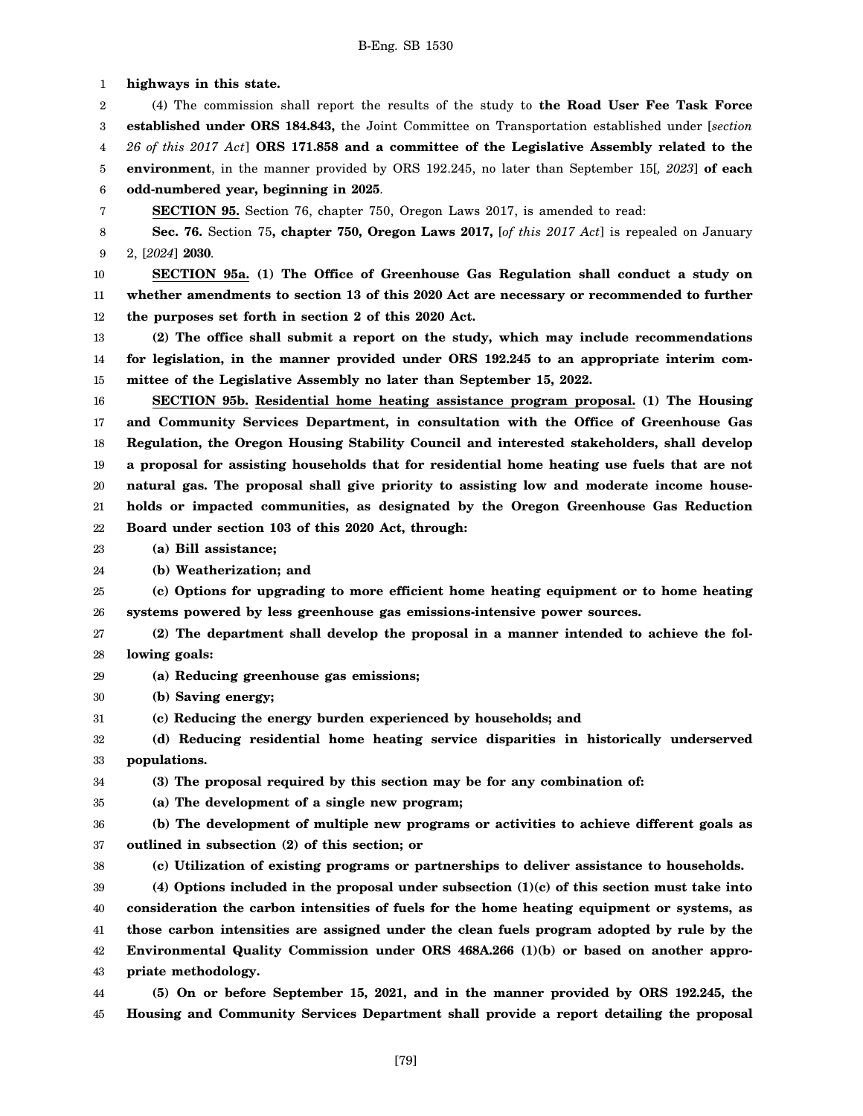1 2 3 4 5 6 7 8 9 10 11 12 13 14 15 16 17 18 19 20 21 22 23 24 25 26 27 28 29 30 31 32 33 34 35 36 37 38 39 40 41 42 43 **highways in this state.** (4) The commission shall report the results of the study to **the Road User Fee Task Force established under ORS 184.843,** the Joint Committee on Transportation established under [*section 26 of this 2017 Act*] **ORS 171.858 and a committee of the Legislative Assembly related to the environment**, in the manner provided by ORS 192.245, no later than September 15[*, 2023*] **of each odd-numbered year, beginning in 2025**. **SECTION 95.** Section 76, chapter 750, Oregon Laws 2017, is amended to read: **Sec. 76.** Section 75**, chapter 750, Oregon Laws 2017,** [*of this 2017 Act*] is repealed on January 2, [*2024*] **2030**. **SECTION 95a. (1) The Office of Greenhouse Gas Regulation shall conduct a study on whether amendments to section 13 of this 2020 Act are necessary or recommended to further the purposes set forth in section 2 of this 2020 Act. (2) The office shall submit a report on the study, which may include recommendations for legislation, in the manner provided under ORS 192.245 to an appropriate interim committee of the Legislative Assembly no later than September 15, 2022. SECTION 95b. Residential home heating assistance program proposal. (1) The Housing and Community Services Department, in consultation with the Office of Greenhouse Gas Regulation, the Oregon Housing Stability Council and interested stakeholders, shall develop a proposal for assisting households that for residential home heating use fuels that are not natural gas. The proposal shall give priority to assisting low and moderate income households or impacted communities, as designated by the Oregon Greenhouse Gas Reduction Board under section 103 of this 2020 Act, through: (a) Bill assistance; (b) Weatherization; and (c) Options for upgrading to more efficient home heating equipment or to home heating systems powered by less greenhouse gas emissions-intensive power sources. (2) The department shall develop the proposal in a manner intended to achieve the following goals: (a) Reducing greenhouse gas emissions; (b) Saving energy; (c) Reducing the energy burden experienced by households; and (d) Reducing residential home heating service disparities in historically underserved populations. (3) The proposal required by this section may be for any combination of: (a) The development of a single new program; (b) The development of multiple new programs or activities to achieve different goals as outlined in subsection (2) of this section; or (c) Utilization of existing programs or partnerships to deliver assistance to households. (4) Options included in the proposal under subsection (1)(c) of this section must take into consideration the carbon intensities of fuels for the home heating equipment or systems, as those carbon intensities are assigned under the clean fuels program adopted by rule by the Environmental Quality Commission under ORS 468A.266 (1)(b) or based on another appropriate methodology.**

44 45 **(5) On or before September 15, 2021, and in the manner provided by ORS 192.245, the Housing and Community Services Department shall provide a report detailing the proposal**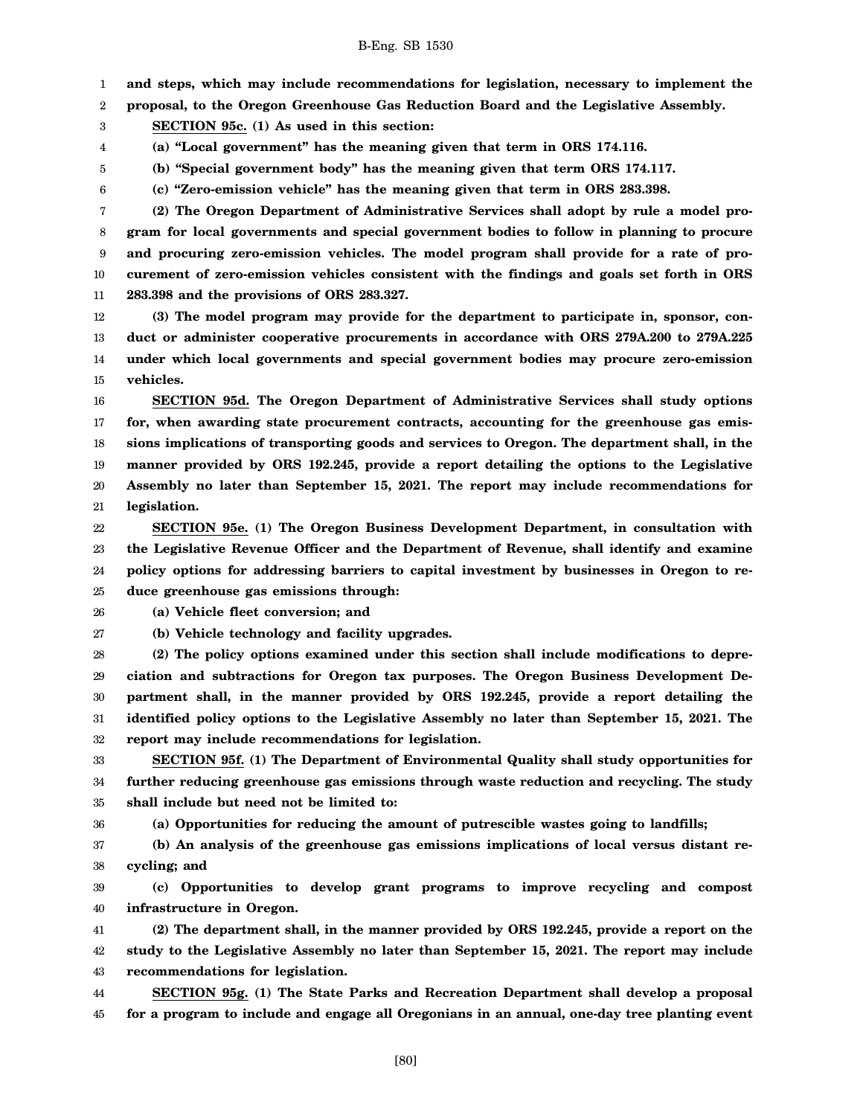1 **and steps, which may include recommendations for legislation, necessary to implement the**

2 **proposal, to the Oregon Greenhouse Gas Reduction Board and the Legislative Assembly.**

3 **SECTION 95c. (1) As used in this section:**

4 **(a) "Local government" has the meaning given that term in ORS 174.116.**

**(b) "Special government body" has the meaning given that term ORS 174.117.**

6 **(c) "Zero-emission vehicle" has the meaning given that term in ORS 283.398.**

7 8 9 10 11 **(2) The Oregon Department of Administrative Services shall adopt by rule a model program for local governments and special government bodies to follow in planning to procure and procuring zero-emission vehicles. The model program shall provide for a rate of procurement of zero-emission vehicles consistent with the findings and goals set forth in ORS 283.398 and the provisions of ORS 283.327.**

12 13 14 15 **(3) The model program may provide for the department to participate in, sponsor, conduct or administer cooperative procurements in accordance with ORS 279A.200 to 279A.225 under which local governments and special government bodies may procure zero-emission vehicles.**

16 17 18 19 20 21 **SECTION 95d. The Oregon Department of Administrative Services shall study options for, when awarding state procurement contracts, accounting for the greenhouse gas emissions implications of transporting goods and services to Oregon. The department shall, in the manner provided by ORS 192.245, provide a report detailing the options to the Legislative Assembly no later than September 15, 2021. The report may include recommendations for legislation.**

22 23 24 25 **SECTION 95e. (1) The Oregon Business Development Department, in consultation with the Legislative Revenue Officer and the Department of Revenue, shall identify and examine policy options for addressing barriers to capital investment by businesses in Oregon to reduce greenhouse gas emissions through:**

26 **(a) Vehicle fleet conversion; and**

27 **(b) Vehicle technology and facility upgrades.**

28 29 30 31 32 **(2) The policy options examined under this section shall include modifications to depreciation and subtractions for Oregon tax purposes. The Oregon Business Development Department shall, in the manner provided by ORS 192.245, provide a report detailing the identified policy options to the Legislative Assembly no later than September 15, 2021. The report may include recommendations for legislation.**

33 34 35 **SECTION 95f. (1) The Department of Environmental Quality shall study opportunities for further reducing greenhouse gas emissions through waste reduction and recycling. The study shall include but need not be limited to:**

36

5

**(a) Opportunities for reducing the amount of putrescible wastes going to landfills;**

37 38 **(b) An analysis of the greenhouse gas emissions implications of local versus distant recycling; and**

39 40 **(c) Opportunities to develop grant programs to improve recycling and compost infrastructure in Oregon.**

41 42 43 **(2) The department shall, in the manner provided by ORS 192.245, provide a report on the study to the Legislative Assembly no later than September 15, 2021. The report may include recommendations for legislation.**

44 45 **SECTION 95g. (1) The State Parks and Recreation Department shall develop a proposal for a program to include and engage all Oregonians in an annual, one-day tree planting event**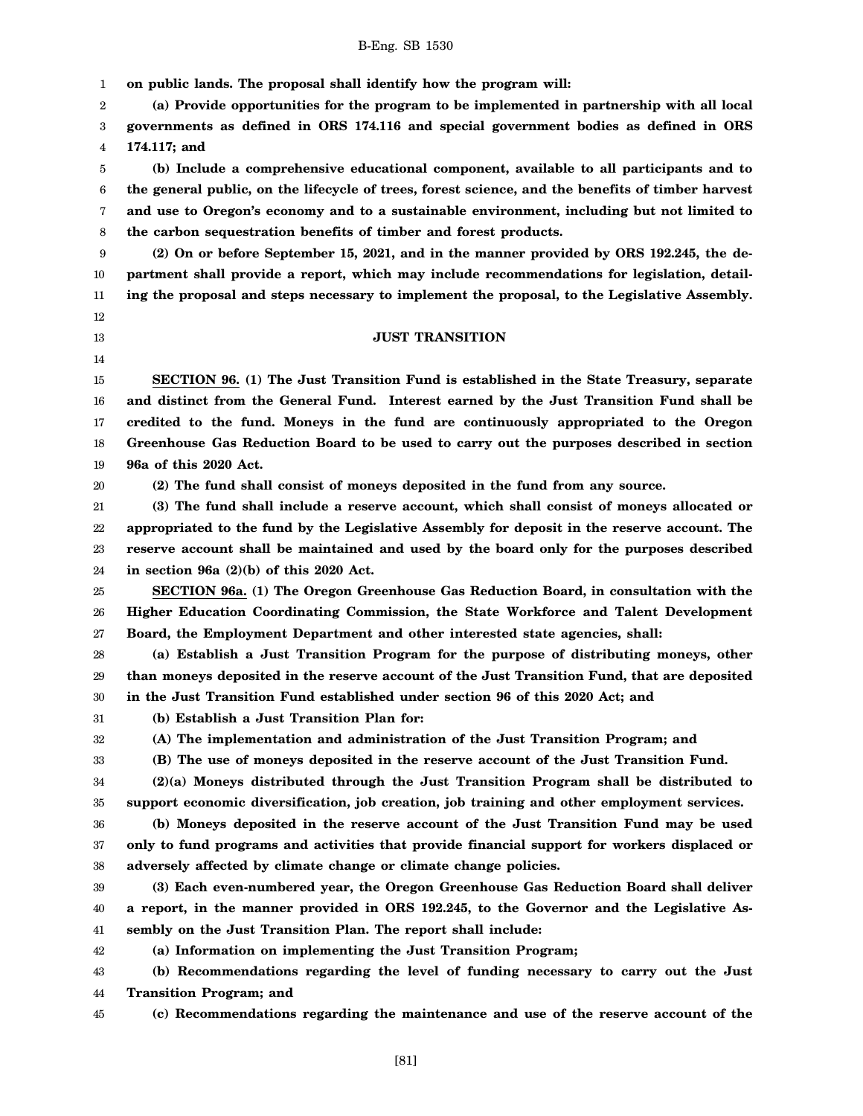1 2 3 4 5 6 7 8 9 10 11 12 13 14 15 16 17 18 19 20 21 22 23 24 25 26 27 28 29 30 31 32 33 34 35 36 37 38 39 40 41 42 43 44 45 **on public lands. The proposal shall identify how the program will: (a) Provide opportunities for the program to be implemented in partnership with all local governments as defined in ORS 174.116 and special government bodies as defined in ORS 174.117; and (b) Include a comprehensive educational component, available to all participants and to the general public, on the lifecycle of trees, forest science, and the benefits of timber harvest and use to Oregon's economy and to a sustainable environment, including but not limited to the carbon sequestration benefits of timber and forest products. (2) On or before September 15, 2021, and in the manner provided by ORS 192.245, the department shall provide a report, which may include recommendations for legislation, detailing the proposal and steps necessary to implement the proposal, to the Legislative Assembly. JUST TRANSITION SECTION 96. (1) The Just Transition Fund is established in the State Treasury, separate and distinct from the General Fund. Interest earned by the Just Transition Fund shall be credited to the fund. Moneys in the fund are continuously appropriated to the Oregon Greenhouse Gas Reduction Board to be used to carry out the purposes described in section 96a of this 2020 Act. (2) The fund shall consist of moneys deposited in the fund from any source. (3) The fund shall include a reserve account, which shall consist of moneys allocated or appropriated to the fund by the Legislative Assembly for deposit in the reserve account. The reserve account shall be maintained and used by the board only for the purposes described in section 96a (2)(b) of this 2020 Act. SECTION 96a. (1) The Oregon Greenhouse Gas Reduction Board, in consultation with the Higher Education Coordinating Commission, the State Workforce and Talent Development Board, the Employment Department and other interested state agencies, shall: (a) Establish a Just Transition Program for the purpose of distributing moneys, other than moneys deposited in the reserve account of the Just Transition Fund, that are deposited in the Just Transition Fund established under section 96 of this 2020 Act; and (b) Establish a Just Transition Plan for: (A) The implementation and administration of the Just Transition Program; and (B) The use of moneys deposited in the reserve account of the Just Transition Fund. (2)(a) Moneys distributed through the Just Transition Program shall be distributed to support economic diversification, job creation, job training and other employment services. (b) Moneys deposited in the reserve account of the Just Transition Fund may be used only to fund programs and activities that provide financial support for workers displaced or adversely affected by climate change or climate change policies. (3) Each even-numbered year, the Oregon Greenhouse Gas Reduction Board shall deliver a report, in the manner provided in ORS 192.245, to the Governor and the Legislative Assembly on the Just Transition Plan. The report shall include: (a) Information on implementing the Just Transition Program; (b) Recommendations regarding the level of funding necessary to carry out the Just Transition Program; and (c) Recommendations regarding the maintenance and use of the reserve account of the**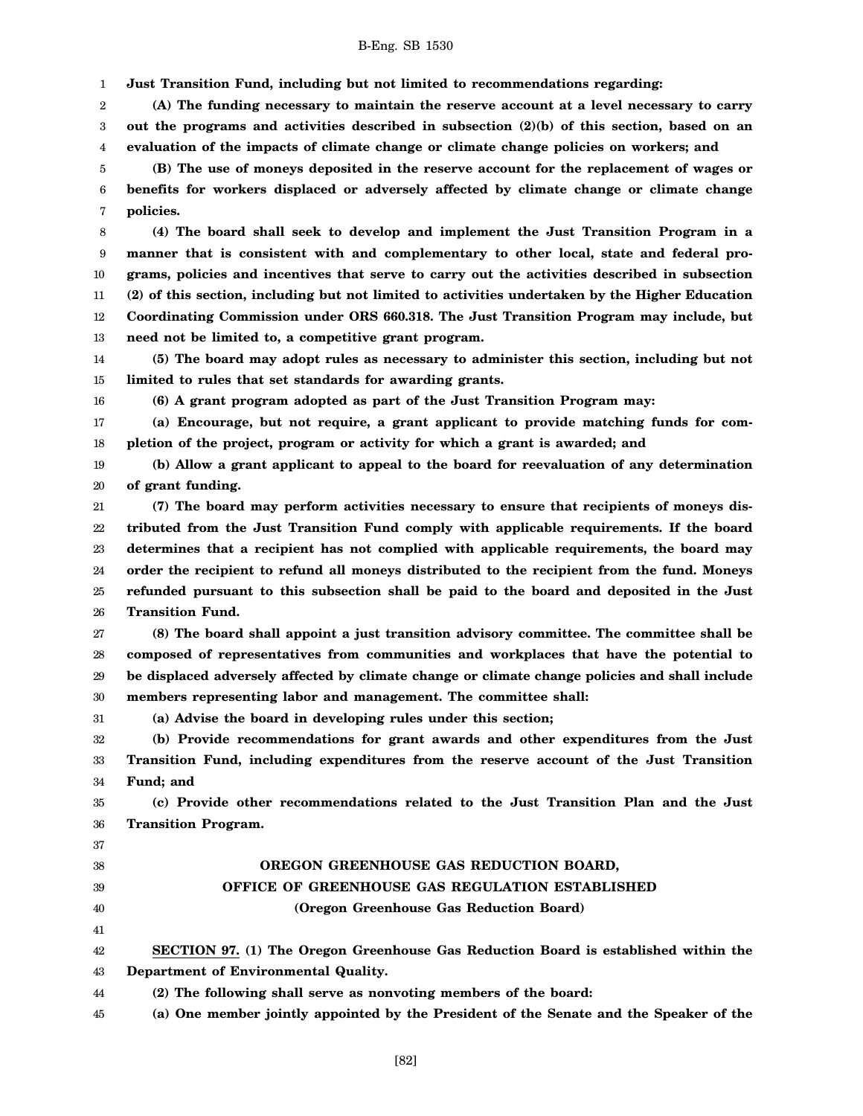1 **Just Transition Fund, including but not limited to recommendations regarding:**

2 3 4 **(A) The funding necessary to maintain the reserve account at a level necessary to carry out the programs and activities described in subsection (2)(b) of this section, based on an evaluation of the impacts of climate change or climate change policies on workers; and**

5 6 7 **(B) The use of moneys deposited in the reserve account for the replacement of wages or benefits for workers displaced or adversely affected by climate change or climate change policies.**

8 9 10 11 12 13 **(4) The board shall seek to develop and implement the Just Transition Program in a manner that is consistent with and complementary to other local, state and federal programs, policies and incentives that serve to carry out the activities described in subsection (2) of this section, including but not limited to activities undertaken by the Higher Education Coordinating Commission under ORS 660.318. The Just Transition Program may include, but need not be limited to, a competitive grant program.**

14 15 **(5) The board may adopt rules as necessary to administer this section, including but not limited to rules that set standards for awarding grants.**

16

**(6) A grant program adopted as part of the Just Transition Program may:**

17 18 **(a) Encourage, but not require, a grant applicant to provide matching funds for completion of the project, program or activity for which a grant is awarded; and**

19 20 **(b) Allow a grant applicant to appeal to the board for reevaluation of any determination of grant funding.**

21 22 23 24 25 26 **(7) The board may perform activities necessary to ensure that recipients of moneys distributed from the Just Transition Fund comply with applicable requirements. If the board determines that a recipient has not complied with applicable requirements, the board may order the recipient to refund all moneys distributed to the recipient from the fund. Moneys refunded pursuant to this subsection shall be paid to the board and deposited in the Just Transition Fund.**

27 28 29 30 **(8) The board shall appoint a just transition advisory committee. The committee shall be composed of representatives from communities and workplaces that have the potential to be displaced adversely affected by climate change or climate change policies and shall include members representing labor and management. The committee shall:**

31 **(a) Advise the board in developing rules under this section;**

32 33 34 **(b) Provide recommendations for grant awards and other expenditures from the Just Transition Fund, including expenditures from the reserve account of the Just Transition Fund; and**

35 36 **(c) Provide other recommendations related to the Just Transition Plan and the Just Transition Program.**

# **OREGON GREENHOUSE GAS REDUCTION BOARD, OFFICE OF GREENHOUSE GAS REGULATION ESTABLISHED (Oregon Greenhouse Gas Reduction Board)**

42 43 **SECTION 97. (1) The Oregon Greenhouse Gas Reduction Board is established within the Department of Environmental Quality.**

44 **(2) The following shall serve as nonvoting members of the board:**

45 **(a) One member jointly appointed by the President of the Senate and the Speaker of the**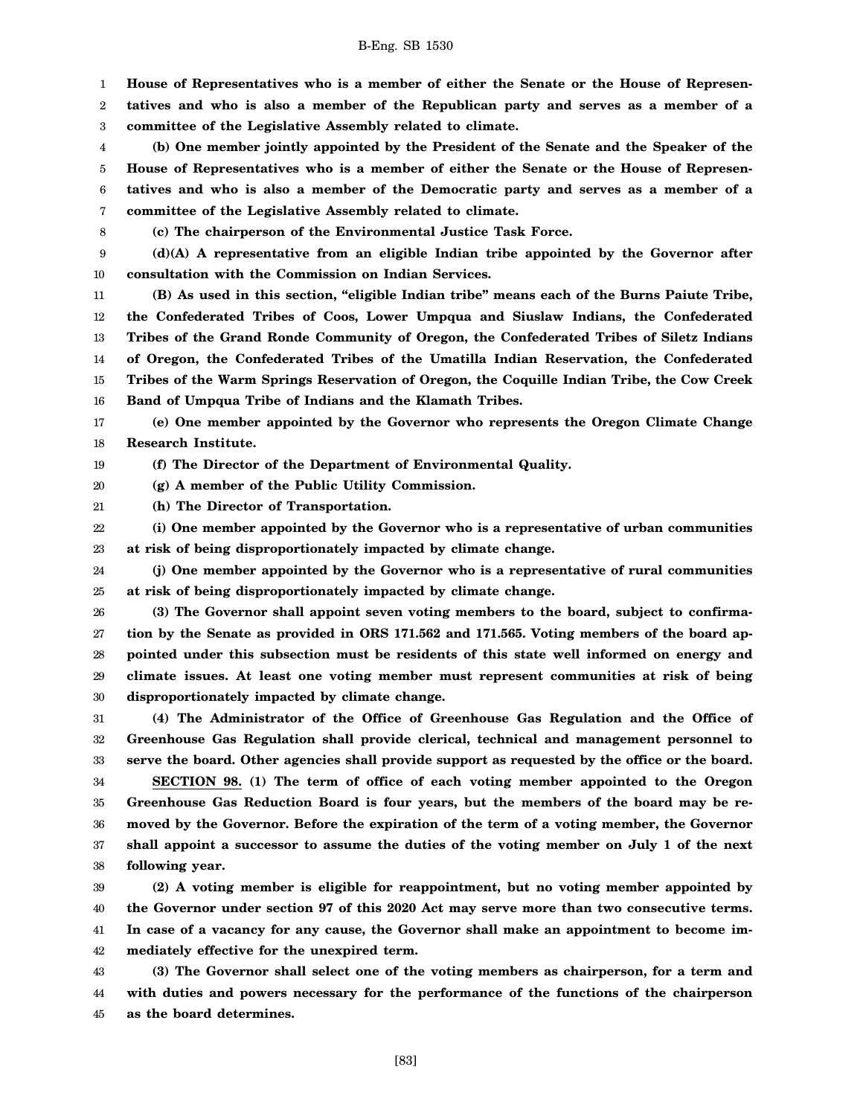[83]

1 **House of Representatives who is a member of either the Senate or the House of Represen-**

2 3 **tatives and who is also a member of the Republican party and serves as a member of a committee of the Legislative Assembly related to climate.**

4 5 6 7 **(b) One member jointly appointed by the President of the Senate and the Speaker of the House of Representatives who is a member of either the Senate or the House of Representatives and who is also a member of the Democratic party and serves as a member of a committee of the Legislative Assembly related to climate.**

8

**(c) The chairperson of the Environmental Justice Task Force.**

9 10 **(d)(A) A representative from an eligible Indian tribe appointed by the Governor after consultation with the Commission on Indian Services.**

11 13 14 15 16 **(B) As used in this section, "eligible Indian tribe" means each of the Burns Paiute Tribe, the Confederated Tribes of Coos, Lower Umpqua and Siuslaw Indians, the Confederated Tribes of the Grand Ronde Community of Oregon, the Confederated Tribes of Siletz Indians of Oregon, the Confederated Tribes of the Umatilla Indian Reservation, the Confederated Tribes of the Warm Springs Reservation of Oregon, the Coquille Indian Tribe, the Cow Creek Band of Umpqua Tribe of Indians and the Klamath Tribes.**

17 18 **(e) One member appointed by the Governor who represents the Oregon Climate Change Research Institute.**

19 **(f) The Director of the Department of Environmental Quality.**

20 **(g) A member of the Public Utility Commission.**

21 **(h) The Director of Transportation.**

22 23 **(i) One member appointed by the Governor who is a representative of urban communities at risk of being disproportionately impacted by climate change.**

24 25 **(j) One member appointed by the Governor who is a representative of rural communities at risk of being disproportionately impacted by climate change.**

26 27 28 29 30 **(3) The Governor shall appoint seven voting members to the board, subject to confirmation by the Senate as provided in ORS 171.562 and 171.565. Voting members of the board appointed under this subsection must be residents of this state well informed on energy and climate issues. At least one voting member must represent communities at risk of being disproportionately impacted by climate change.**

31 32 33 **(4) The Administrator of the Office of Greenhouse Gas Regulation and the Office of Greenhouse Gas Regulation shall provide clerical, technical and management personnel to serve the board. Other agencies shall provide support as requested by the office or the board.**

34 35 36 37 38 **SECTION 98. (1) The term of office of each voting member appointed to the Oregon Greenhouse Gas Reduction Board is four years, but the members of the board may be removed by the Governor. Before the expiration of the term of a voting member, the Governor shall appoint a successor to assume the duties of the voting member on July 1 of the next following year.**

39 40 41 42 **(2) A voting member is eligible for reappointment, but no voting member appointed by the Governor under section 97 of this 2020 Act may serve more than two consecutive terms. In case of a vacancy for any cause, the Governor shall make an appointment to become immediately effective for the unexpired term.**

43 44 45 **(3) The Governor shall select one of the voting members as chairperson, for a term and with duties and powers necessary for the performance of the functions of the chairperson as the board determines.**

12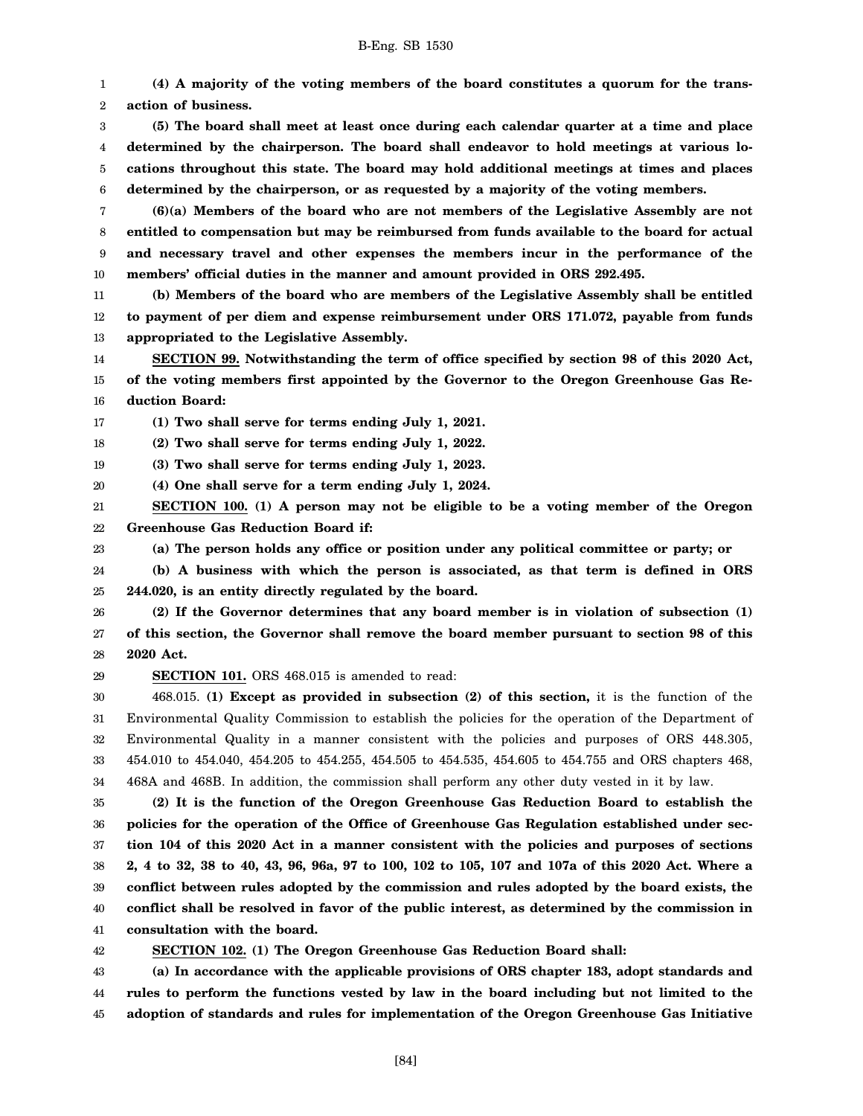1 2 **(4) A majority of the voting members of the board constitutes a quorum for the transaction of business.**

3 4 5 6 **(5) The board shall meet at least once during each calendar quarter at a time and place determined by the chairperson. The board shall endeavor to hold meetings at various locations throughout this state. The board may hold additional meetings at times and places determined by the chairperson, or as requested by a majority of the voting members.**

7 8 9 10 **(6)(a) Members of the board who are not members of the Legislative Assembly are not entitled to compensation but may be reimbursed from funds available to the board for actual and necessary travel and other expenses the members incur in the performance of the members' official duties in the manner and amount provided in ORS 292.495.**

11 12 13 **(b) Members of the board who are members of the Legislative Assembly shall be entitled to payment of per diem and expense reimbursement under ORS 171.072, payable from funds appropriated to the Legislative Assembly.**

14 15 16 **SECTION 99. Notwithstanding the term of office specified by section 98 of this 2020 Act, of the voting members first appointed by the Governor to the Oregon Greenhouse Gas Reduction Board:**

17 **(1) Two shall serve for terms ending July 1, 2021.**

18 **(2) Two shall serve for terms ending July 1, 2022.**

19 **(3) Two shall serve for terms ending July 1, 2023.**

20 **(4) One shall serve for a term ending July 1, 2024.**

21 22 **SECTION 100. (1) A person may not be eligible to be a voting member of the Oregon Greenhouse Gas Reduction Board if:**

**(a) The person holds any office or position under any political committee or party; or**

24 25 **(b) A business with which the person is associated, as that term is defined in ORS 244.020, is an entity directly regulated by the board.**

26 27 28 **(2) If the Governor determines that any board member is in violation of subsection (1) of this section, the Governor shall remove the board member pursuant to section 98 of this 2020 Act.**

29

23

**SECTION 101.** ORS 468.015 is amended to read:

30 31 32 33 34 468.015. **(1) Except as provided in subsection (2) of this section,** it is the function of the Environmental Quality Commission to establish the policies for the operation of the Department of Environmental Quality in a manner consistent with the policies and purposes of ORS 448.305, 454.010 to 454.040, 454.205 to 454.255, 454.505 to 454.535, 454.605 to 454.755 and ORS chapters 468, 468A and 468B. In addition, the commission shall perform any other duty vested in it by law.

35 36 37 38 39 40 41 **(2) It is the function of the Oregon Greenhouse Gas Reduction Board to establish the policies for the operation of the Office of Greenhouse Gas Regulation established under section 104 of this 2020 Act in a manner consistent with the policies and purposes of sections 2, 4 to 32, 38 to 40, 43, 96, 96a, 97 to 100, 102 to 105, 107 and 107a of this 2020 Act. Where a conflict between rules adopted by the commission and rules adopted by the board exists, the conflict shall be resolved in favor of the public interest, as determined by the commission in consultation with the board.**

42 **SECTION 102. (1) The Oregon Greenhouse Gas Reduction Board shall:**

43 44 45 **(a) In accordance with the applicable provisions of ORS chapter 183, adopt standards and rules to perform the functions vested by law in the board including but not limited to the adoption of standards and rules for implementation of the Oregon Greenhouse Gas Initiative**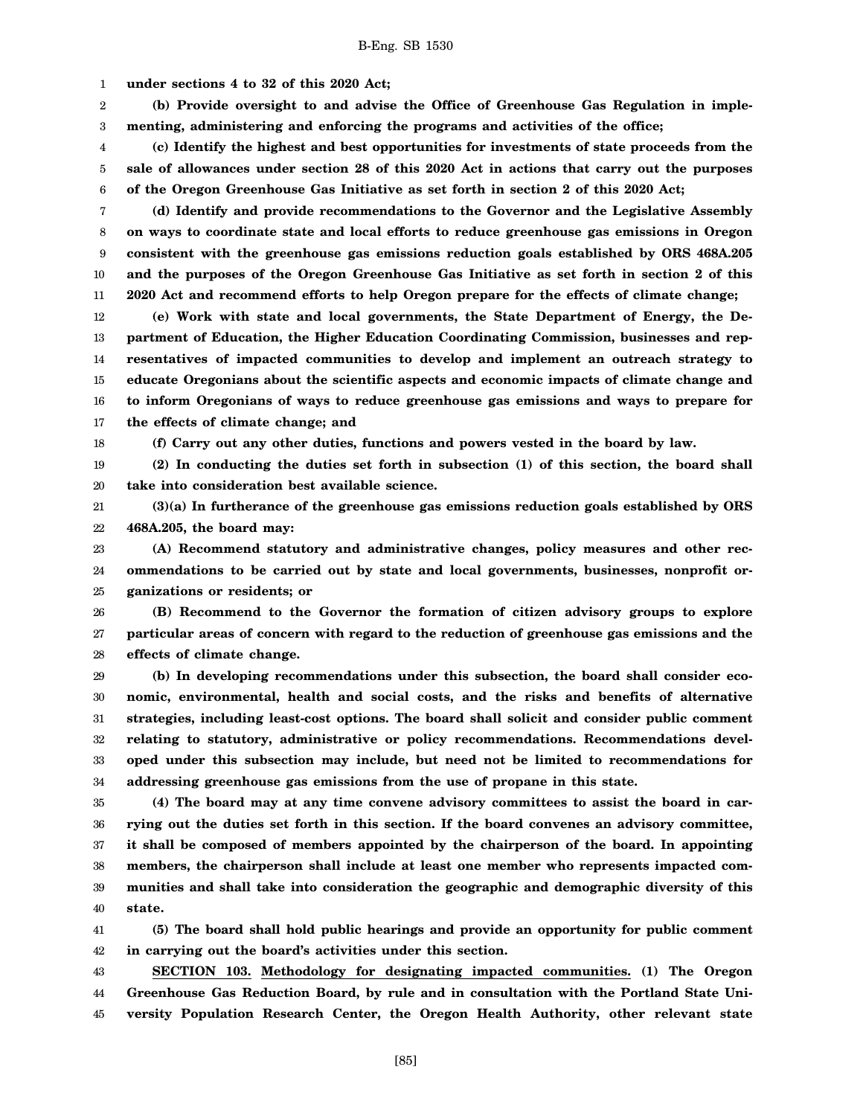1 **under sections 4 to 32 of this 2020 Act;**

2 3 **(b) Provide oversight to and advise the Office of Greenhouse Gas Regulation in implementing, administering and enforcing the programs and activities of the office;**

4 5 6 **(c) Identify the highest and best opportunities for investments of state proceeds from the sale of allowances under section 28 of this 2020 Act in actions that carry out the purposes of the Oregon Greenhouse Gas Initiative as set forth in section 2 of this 2020 Act;**

7 8 9 10 11 **(d) Identify and provide recommendations to the Governor and the Legislative Assembly on ways to coordinate state and local efforts to reduce greenhouse gas emissions in Oregon consistent with the greenhouse gas emissions reduction goals established by ORS 468A.205 and the purposes of the Oregon Greenhouse Gas Initiative as set forth in section 2 of this 2020 Act and recommend efforts to help Oregon prepare for the effects of climate change;**

12 13 14 15 16 17 **(e) Work with state and local governments, the State Department of Energy, the Department of Education, the Higher Education Coordinating Commission, businesses and representatives of impacted communities to develop and implement an outreach strategy to educate Oregonians about the scientific aspects and economic impacts of climate change and to inform Oregonians of ways to reduce greenhouse gas emissions and ways to prepare for the effects of climate change; and**

18

**(f) Carry out any other duties, functions and powers vested in the board by law.**

19 20 **(2) In conducting the duties set forth in subsection (1) of this section, the board shall take into consideration best available science.**

21 22 **(3)(a) In furtherance of the greenhouse gas emissions reduction goals established by ORS 468A.205, the board may:**

23 24 25 **(A) Recommend statutory and administrative changes, policy measures and other recommendations to be carried out by state and local governments, businesses, nonprofit organizations or residents; or**

26 27 28 **(B) Recommend to the Governor the formation of citizen advisory groups to explore particular areas of concern with regard to the reduction of greenhouse gas emissions and the effects of climate change.**

29 30 31 32 33 34 **(b) In developing recommendations under this subsection, the board shall consider economic, environmental, health and social costs, and the risks and benefits of alternative strategies, including least-cost options. The board shall solicit and consider public comment relating to statutory, administrative or policy recommendations. Recommendations developed under this subsection may include, but need not be limited to recommendations for addressing greenhouse gas emissions from the use of propane in this state.**

35 36 37 38 39 40 **(4) The board may at any time convene advisory committees to assist the board in carrying out the duties set forth in this section. If the board convenes an advisory committee, it shall be composed of members appointed by the chairperson of the board. In appointing members, the chairperson shall include at least one member who represents impacted communities and shall take into consideration the geographic and demographic diversity of this state.**

41 42 **(5) The board shall hold public hearings and provide an opportunity for public comment in carrying out the board's activities under this section.**

43 44 45 **SECTION 103. Methodology for designating impacted communities. (1) The Oregon Greenhouse Gas Reduction Board, by rule and in consultation with the Portland State University Population Research Center, the Oregon Health Authority, other relevant state**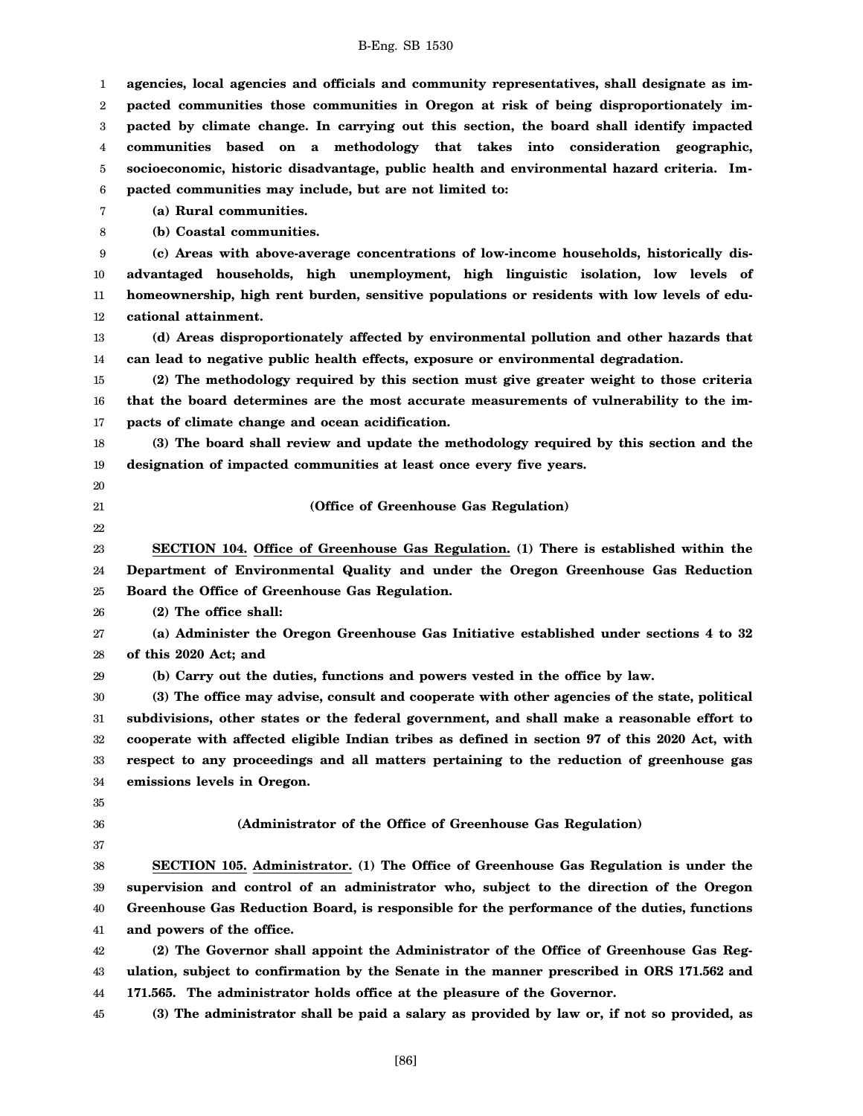| 1  | agencies, local agencies and officials and community representatives, shall designate as im-   |
|----|------------------------------------------------------------------------------------------------|
| 2  | pacted communities those communities in Oregon at risk of being disproportionately im-         |
| 3  | pacted by climate change. In carrying out this section, the board shall identify impacted      |
| 4  | communities based on a methodology that takes into consideration geographic,                   |
| 5  | socioeconomic, historic disadvantage, public health and environmental hazard criteria. Im-     |
| 6  | pacted communities may include, but are not limited to:                                        |
| 7  | (a) Rural communities.                                                                         |
| 8  | (b) Coastal communities.                                                                       |
| 9  | (c) Areas with above-average concentrations of low-income households, historically dis-        |
| 10 | advantaged households, high unemployment, high linguistic isolation, low levels of             |
| 11 | homeownership, high rent burden, sensitive populations or residents with low levels of edu-    |
| 12 | cational attainment.                                                                           |
| 13 | (d) Areas disproportionately affected by environmental pollution and other hazards that        |
| 14 | can lead to negative public health effects, exposure or environmental degradation.             |
| 15 | (2) The methodology required by this section must give greater weight to those criteria        |
| 16 | that the board determines are the most accurate measurements of vulnerability to the im-       |
| 17 | pacts of climate change and ocean acidification.                                               |
| 18 | (3) The board shall review and update the methodology required by this section and the         |
| 19 | designation of impacted communities at least once every five years.                            |
| 20 |                                                                                                |
| 21 | (Office of Greenhouse Gas Regulation)                                                          |
| 22 |                                                                                                |
| 23 | SECTION 104. Office of Greenhouse Gas Regulation. (1) There is established within the          |
| 24 | Department of Environmental Quality and under the Oregon Greenhouse Gas Reduction              |
| 25 | Board the Office of Greenhouse Gas Regulation.                                                 |
| 26 | (2) The office shall:                                                                          |
| 27 | (a) Administer the Oregon Greenhouse Gas Initiative established under sections 4 to 32         |
| 28 | of this 2020 Act; and                                                                          |
| 29 | (b) Carry out the duties, functions and powers vested in the office by law.                    |
| 30 | (3) The office may advise, consult and cooperate with other agencies of the state, political   |
| 31 | subdivisions, other states or the federal government, and shall make a reasonable effort to    |
| 32 | cooperate with affected eligible Indian tribes as defined in section 97 of this 2020 Act, with |
| 33 | respect to any proceedings and all matters pertaining to the reduction of greenhouse gas       |
| 34 | emissions levels in Oregon.                                                                    |
| 35 |                                                                                                |
| 36 | (Administrator of the Office of Greenhouse Gas Regulation)                                     |
| 37 |                                                                                                |
| 38 | SECTION 105. Administrator. (1) The Office of Greenhouse Gas Regulation is under the           |
| 39 | supervision and control of an administrator who, subject to the direction of the Oregon        |
| 40 | Greenhouse Gas Reduction Board, is responsible for the performance of the duties, functions    |
| 41 | and powers of the office.                                                                      |
| 42 | (2) The Governor shall appoint the Administrator of the Office of Greenhouse Gas Reg-          |
| 43 | ulation, subject to confirmation by the Senate in the manner prescribed in ORS 171.562 and     |
| 44 | 171.565. The administrator holds office at the pleasure of the Governor.                       |
| 45 | (3) The administrator shall be paid a salary as provided by law or, if not so provided, as     |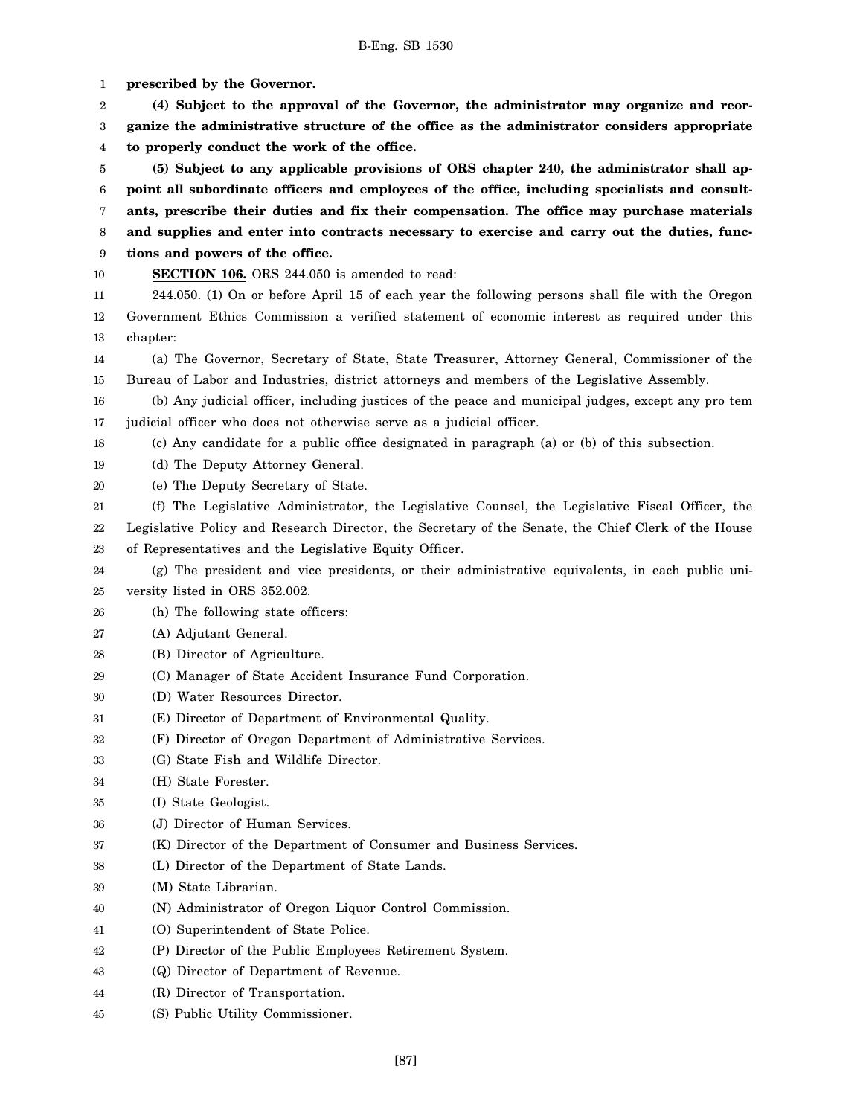1 2 3 4 5 6 7 8 9 10 11 12 13 14 15 16 17 18 19 20 21 22 23 24 25 26 27 28 29 30 31 32 33 34 35 36 37 38 39 40 41 42 43 44 45 **prescribed by the Governor. (4) Subject to the approval of the Governor, the administrator may organize and reorganize the administrative structure of the office as the administrator considers appropriate to properly conduct the work of the office. (5) Subject to any applicable provisions of ORS chapter 240, the administrator shall appoint all subordinate officers and employees of the office, including specialists and consultants, prescribe their duties and fix their compensation. The office may purchase materials and supplies and enter into contracts necessary to exercise and carry out the duties, functions and powers of the office. SECTION 106.** ORS 244.050 is amended to read: 244.050. (1) On or before April 15 of each year the following persons shall file with the Oregon Government Ethics Commission a verified statement of economic interest as required under this chapter: (a) The Governor, Secretary of State, State Treasurer, Attorney General, Commissioner of the Bureau of Labor and Industries, district attorneys and members of the Legislative Assembly. (b) Any judicial officer, including justices of the peace and municipal judges, except any pro tem judicial officer who does not otherwise serve as a judicial officer. (c) Any candidate for a public office designated in paragraph (a) or (b) of this subsection. (d) The Deputy Attorney General. (e) The Deputy Secretary of State. (f) The Legislative Administrator, the Legislative Counsel, the Legislative Fiscal Officer, the Legislative Policy and Research Director, the Secretary of the Senate, the Chief Clerk of the House of Representatives and the Legislative Equity Officer. (g) The president and vice presidents, or their administrative equivalents, in each public university listed in ORS 352.002. (h) The following state officers: (A) Adjutant General. (B) Director of Agriculture. (C) Manager of State Accident Insurance Fund Corporation. (D) Water Resources Director. (E) Director of Department of Environmental Quality. (F) Director of Oregon Department of Administrative Services. (G) State Fish and Wildlife Director. (H) State Forester. (I) State Geologist. (J) Director of Human Services. (K) Director of the Department of Consumer and Business Services. (L) Director of the Department of State Lands. (M) State Librarian. (N) Administrator of Oregon Liquor Control Commission. (O) Superintendent of State Police. (P) Director of the Public Employees Retirement System. (Q) Director of Department of Revenue. (R) Director of Transportation. (S) Public Utility Commissioner.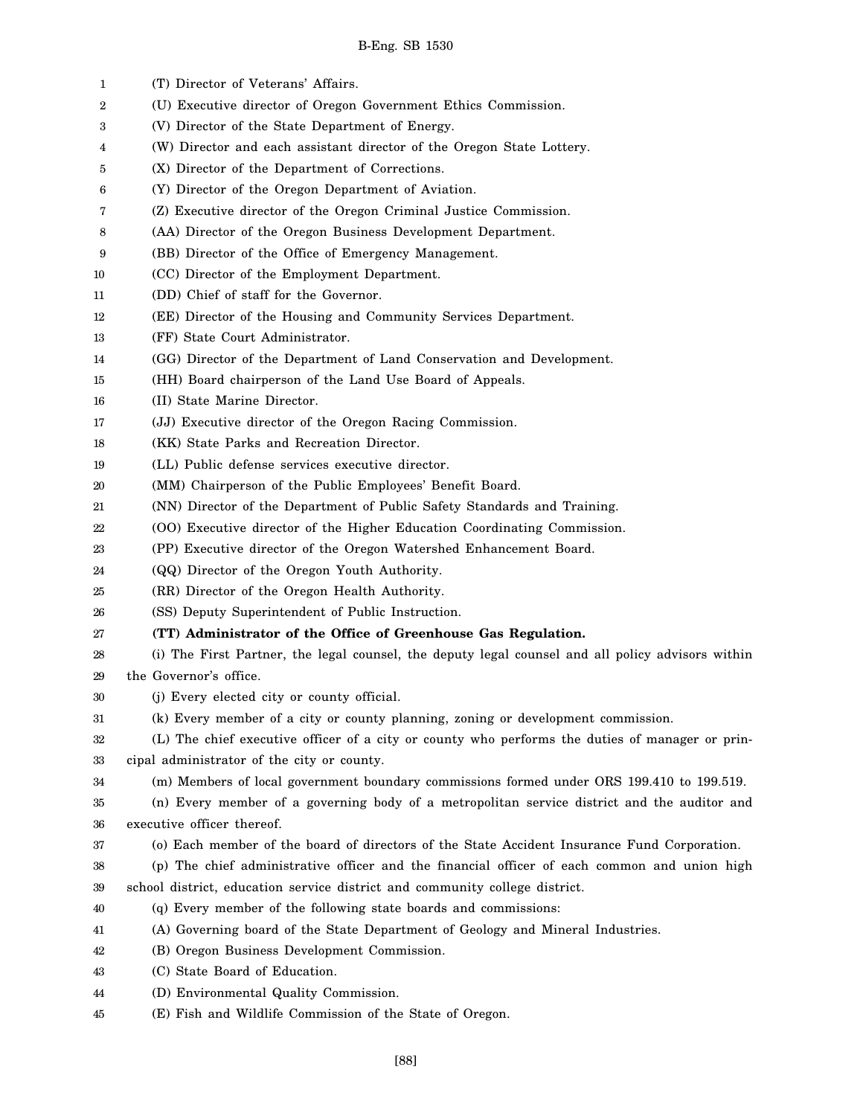| 1  | (T) Director of Veterans' Affairs.                                                                |
|----|---------------------------------------------------------------------------------------------------|
| 2  | (U) Executive director of Oregon Government Ethics Commission.                                    |
| 3  | (V) Director of the State Department of Energy.                                                   |
| 4  | (W) Director and each assistant director of the Oregon State Lottery.                             |
| 5  | (X) Director of the Department of Corrections.                                                    |
| 6  | (Y) Director of the Oregon Department of Aviation.                                                |
| 7  | (Z) Executive director of the Oregon Criminal Justice Commission.                                 |
| 8  | (AA) Director of the Oregon Business Development Department.                                      |
| 9  | (BB) Director of the Office of Emergency Management.                                              |
| 10 | (CC) Director of the Employment Department.                                                       |
| 11 | (DD) Chief of staff for the Governor.                                                             |
| 12 | (EE) Director of the Housing and Community Services Department.                                   |
| 13 | (FF) State Court Administrator.                                                                   |
| 14 | (GG) Director of the Department of Land Conservation and Development.                             |
| 15 | (HH) Board chairperson of the Land Use Board of Appeals.                                          |
| 16 | (II) State Marine Director.                                                                       |
| 17 | (JJ) Executive director of the Oregon Racing Commission.                                          |
| 18 | (KK) State Parks and Recreation Director.                                                         |
| 19 | (LL) Public defense services executive director.                                                  |
| 20 | (MM) Chairperson of the Public Employees' Benefit Board.                                          |
| 21 | (NN) Director of the Department of Public Safety Standards and Training.                          |
| 22 | (OO) Executive director of the Higher Education Coordinating Commission.                          |
| 23 | (PP) Executive director of the Oregon Watershed Enhancement Board.                                |
| 24 | (QQ) Director of the Oregon Youth Authority.                                                      |
| 25 | (RR) Director of the Oregon Health Authority.                                                     |
| 26 | (SS) Deputy Superintendent of Public Instruction.                                                 |
| 27 | (TT) Administrator of the Office of Greenhouse Gas Regulation.                                    |
| 28 | (i) The First Partner, the legal counsel, the deputy legal counsel and all policy advisors within |
| 29 | the Governor's office.                                                                            |
| 30 | (j) Every elected city or county official.                                                        |
| 31 | (k) Every member of a city or county planning, zoning or development commission.                  |
| 32 | (L) The chief executive officer of a city or county who performs the duties of manager or prin-   |
| 33 | cipal administrator of the city or county.                                                        |
| 34 | (m) Members of local government boundary commissions formed under ORS 199.410 to 199.519.         |
| 35 | (n) Every member of a governing body of a metropolitan service district and the auditor and       |
| 36 | executive officer thereof.                                                                        |
| 37 | (o) Each member of the board of directors of the State Accident Insurance Fund Corporation.       |
| 38 | (p) The chief administrative officer and the financial officer of each common and union high      |
| 39 | school district, education service district and community college district.                       |
| 40 | (q) Every member of the following state boards and commissions:                                   |
| 41 | (A) Governing board of the State Department of Geology and Mineral Industries.                    |
| 42 | (B) Oregon Business Development Commission.                                                       |
| 43 | (C) State Board of Education.                                                                     |
| 44 | (D) Environmental Quality Commission.                                                             |
| 45 | (E) Fish and Wildlife Commission of the State of Oregon.                                          |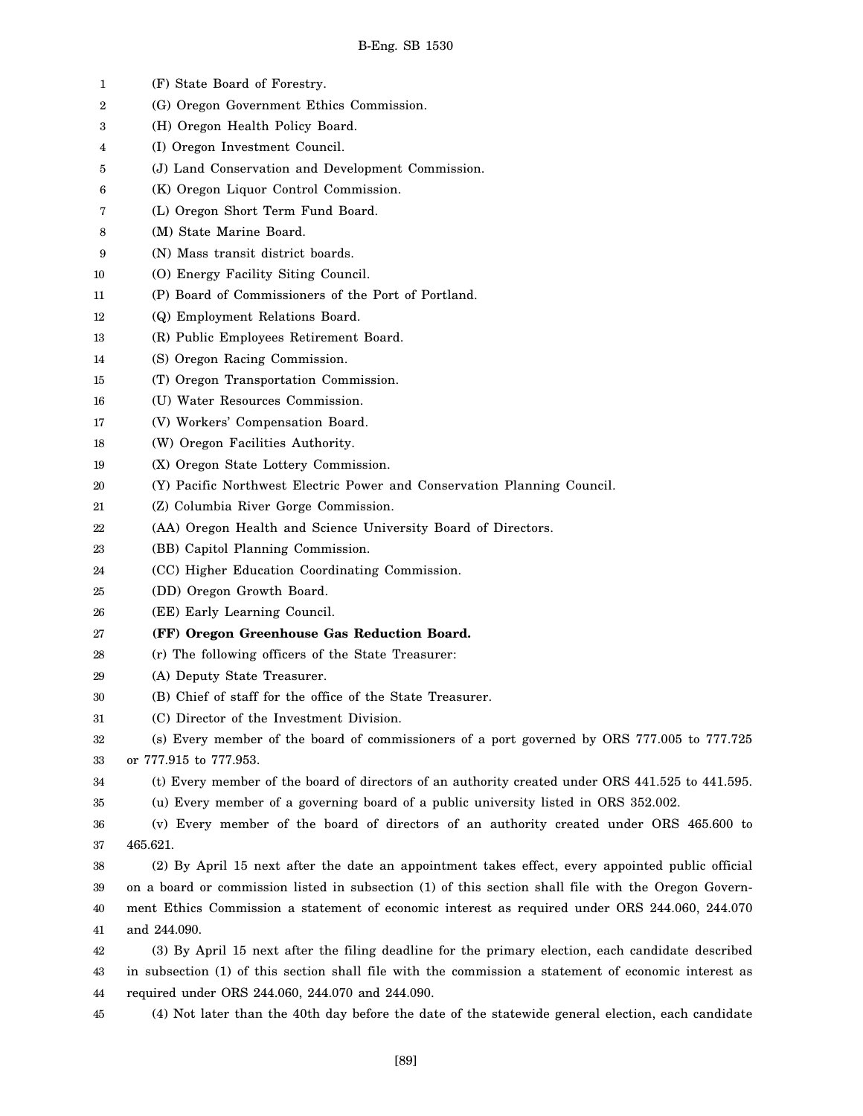| 1  | (F) State Board of Forestry.                                                                         |
|----|------------------------------------------------------------------------------------------------------|
| 2  | (G) Oregon Government Ethics Commission.                                                             |
| 3  | (H) Oregon Health Policy Board.                                                                      |
| 4  | (I) Oregon Investment Council.                                                                       |
| 5  | (J) Land Conservation and Development Commission.                                                    |
| 6  | (K) Oregon Liquor Control Commission.                                                                |
| 7  | (L) Oregon Short Term Fund Board.                                                                    |
| 8  | (M) State Marine Board.                                                                              |
| 9  | (N) Mass transit district boards.                                                                    |
| 10 | (O) Energy Facility Siting Council.                                                                  |
| 11 | (P) Board of Commissioners of the Port of Portland.                                                  |
| 12 | (Q) Employment Relations Board.                                                                      |
| 13 | (R) Public Employees Retirement Board.                                                               |
| 14 | (S) Oregon Racing Commission.                                                                        |
| 15 | (T) Oregon Transportation Commission.                                                                |
| 16 | (U) Water Resources Commission.                                                                      |
| 17 | (V) Workers' Compensation Board.                                                                     |
| 18 | (W) Oregon Facilities Authority.                                                                     |
| 19 | (X) Oregon State Lottery Commission.                                                                 |
| 20 | (Y) Pacific Northwest Electric Power and Conservation Planning Council.                              |
| 21 | (Z) Columbia River Gorge Commission.                                                                 |
| 22 | (AA) Oregon Health and Science University Board of Directors.                                        |
| 23 | (BB) Capitol Planning Commission.                                                                    |
| 24 | (CC) Higher Education Coordinating Commission.                                                       |
| 25 | (DD) Oregon Growth Board.                                                                            |
| 26 | (EE) Early Learning Council.                                                                         |
| 27 | (FF) Oregon Greenhouse Gas Reduction Board.                                                          |
| 28 | (r) The following officers of the State Treasurer:                                                   |
| 29 | (A) Deputy State Treasurer.                                                                          |
| 30 | (B) Chief of staff for the office of the State Treasurer.                                            |
| 31 | (C) Director of the Investment Division.                                                             |
| 32 | (s) Every member of the board of commissioners of a port governed by ORS 777.005 to 777.725          |
| 33 | or 777.915 to 777.953.                                                                               |
| 34 | (t) Every member of the board of directors of an authority created under ORS 441.525 to 441.595.     |
| 35 | (u) Every member of a governing board of a public university listed in ORS 352.002.                  |
| 36 | (v) Every member of the board of directors of an authority created under ORS 465.600 to              |
| 37 | 465.621.                                                                                             |
| 38 | (2) By April 15 next after the date an appointment takes effect, every appointed public official     |
| 39 | on a board or commission listed in subsection (1) of this section shall file with the Oregon Govern- |
| 40 | ment Ethics Commission a statement of economic interest as required under ORS 244.060, 244.070       |
| 41 | and 244.090.                                                                                         |
| 42 | (3) By April 15 next after the filing deadline for the primary election, each candidate described    |
| 43 | in subsection (1) of this section shall file with the commission a statement of economic interest as |
| 44 | required under ORS 244.060, 244.070 and 244.090.                                                     |
| 45 | (4) Not later than the 40th day before the date of the statewide general election, each candidate    |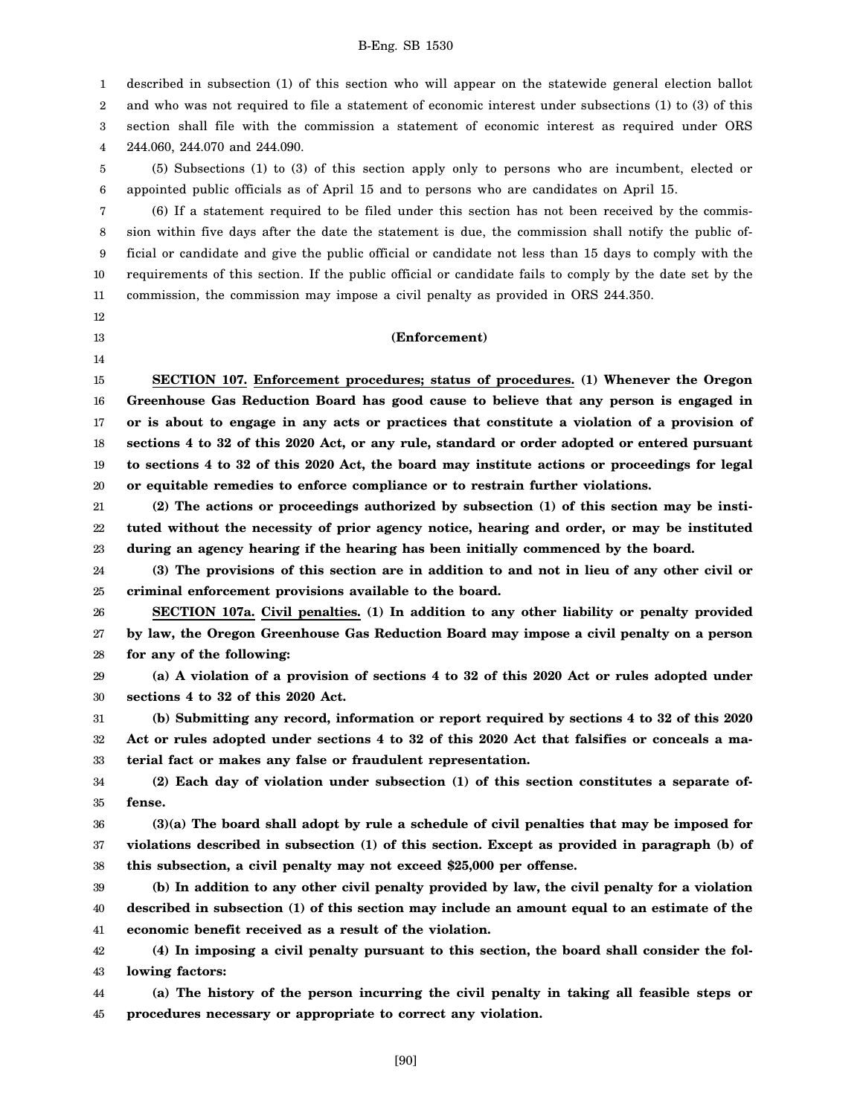1 described in subsection (1) of this section who will appear on the statewide general election ballot

2 and who was not required to file a statement of economic interest under subsections (1) to (3) of this

3 section shall file with the commission a statement of economic interest as required under ORS

4 244.060, 244.070 and 244.090.

5 6 (5) Subsections (1) to (3) of this section apply only to persons who are incumbent, elected or appointed public officials as of April 15 and to persons who are candidates on April 15.

7 8 9 10 11 (6) If a statement required to be filed under this section has not been received by the commission within five days after the date the statement is due, the commission shall notify the public official or candidate and give the public official or candidate not less than 15 days to comply with the requirements of this section. If the public official or candidate fails to comply by the date set by the commission, the commission may impose a civil penalty as provided in ORS 244.350.

12

13 14

### **(Enforcement)**

15 16 17 18 19 20 **SECTION 107. Enforcement procedures; status of procedures. (1) Whenever the Oregon Greenhouse Gas Reduction Board has good cause to believe that any person is engaged in or is about to engage in any acts or practices that constitute a violation of a provision of sections 4 to 32 of this 2020 Act, or any rule, standard or order adopted or entered pursuant to sections 4 to 32 of this 2020 Act, the board may institute actions or proceedings for legal or equitable remedies to enforce compliance or to restrain further violations.**

21 22 23 **(2) The actions or proceedings authorized by subsection (1) of this section may be instituted without the necessity of prior agency notice, hearing and order, or may be instituted during an agency hearing if the hearing has been initially commenced by the board.**

24 25 **(3) The provisions of this section are in addition to and not in lieu of any other civil or criminal enforcement provisions available to the board.**

26 27 28 **SECTION 107a. Civil penalties. (1) In addition to any other liability or penalty provided by law, the Oregon Greenhouse Gas Reduction Board may impose a civil penalty on a person for any of the following:**

29 30 **(a) A violation of a provision of sections 4 to 32 of this 2020 Act or rules adopted under sections 4 to 32 of this 2020 Act.**

31 32 33 **(b) Submitting any record, information or report required by sections 4 to 32 of this 2020 Act or rules adopted under sections 4 to 32 of this 2020 Act that falsifies or conceals a material fact or makes any false or fraudulent representation.**

34 35 **(2) Each day of violation under subsection (1) of this section constitutes a separate offense.**

36 37 38 **(3)(a) The board shall adopt by rule a schedule of civil penalties that may be imposed for violations described in subsection (1) of this section. Except as provided in paragraph (b) of this subsection, a civil penalty may not exceed \$25,000 per offense.**

39 40 41 **(b) In addition to any other civil penalty provided by law, the civil penalty for a violation described in subsection (1) of this section may include an amount equal to an estimate of the economic benefit received as a result of the violation.**

42 43 **(4) In imposing a civil penalty pursuant to this section, the board shall consider the following factors:**

44 45 **(a) The history of the person incurring the civil penalty in taking all feasible steps or procedures necessary or appropriate to correct any violation.**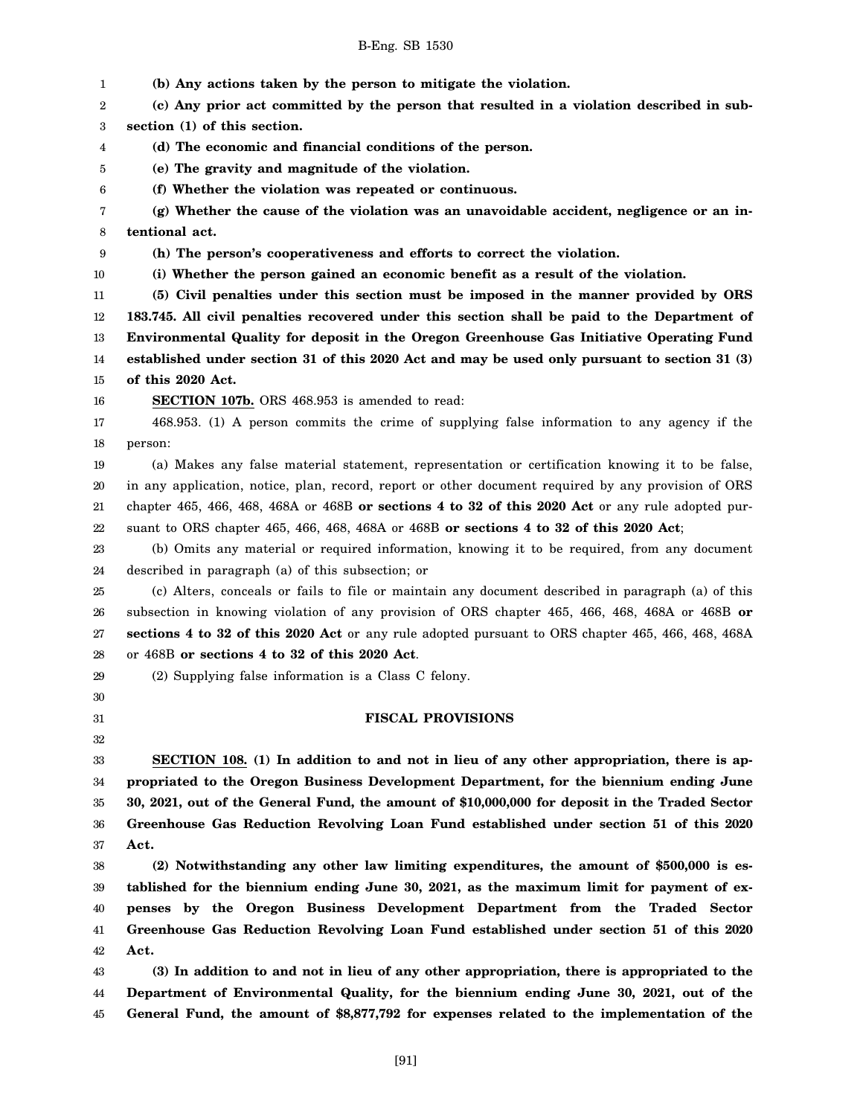1 2 3 4 5 6 7 8 9 10 11 12 13 14 15 16 17 18 19 20 21 22 23 24 25 26 27 28 29 30 31 32 33 34 35 36 37 38 39 40 41 42 43 44 45 **(b) Any actions taken by the person to mitigate the violation. (c) Any prior act committed by the person that resulted in a violation described in subsection (1) of this section. (d) The economic and financial conditions of the person. (e) The gravity and magnitude of the violation. (f) Whether the violation was repeated or continuous. (g) Whether the cause of the violation was an unavoidable accident, negligence or an intentional act. (h) The person's cooperativeness and efforts to correct the violation. (i) Whether the person gained an economic benefit as a result of the violation. (5) Civil penalties under this section must be imposed in the manner provided by ORS 183.745. All civil penalties recovered under this section shall be paid to the Department of Environmental Quality for deposit in the Oregon Greenhouse Gas Initiative Operating Fund established under section 31 of this 2020 Act and may be used only pursuant to section 31 (3) of this 2020 Act. SECTION 107b.** ORS 468.953 is amended to read: 468.953. (1) A person commits the crime of supplying false information to any agency if the person: (a) Makes any false material statement, representation or certification knowing it to be false, in any application, notice, plan, record, report or other document required by any provision of ORS chapter 465, 466, 468, 468A or 468B **or sections 4 to 32 of this 2020 Act** or any rule adopted pursuant to ORS chapter 465, 466, 468, 468A or 468B **or sections 4 to 32 of this 2020 Act**; (b) Omits any material or required information, knowing it to be required, from any document described in paragraph (a) of this subsection; or (c) Alters, conceals or fails to file or maintain any document described in paragraph (a) of this subsection in knowing violation of any provision of ORS chapter 465, 466, 468, 468A or 468B **or sections 4 to 32 of this 2020 Act** or any rule adopted pursuant to ORS chapter 465, 466, 468, 468A or 468B **or sections 4 to 32 of this 2020 Act**. (2) Supplying false information is a Class C felony. **FISCAL PROVISIONS SECTION 108. (1) In addition to and not in lieu of any other appropriation, there is appropriated to the Oregon Business Development Department, for the biennium ending June 30, 2021, out of the General Fund, the amount of \$10,000,000 for deposit in the Traded Sector Greenhouse Gas Reduction Revolving Loan Fund established under section 51 of this 2020 Act. (2) Notwithstanding any other law limiting expenditures, the amount of \$500,000 is established for the biennium ending June 30, 2021, as the maximum limit for payment of expenses by the Oregon Business Development Department from the Traded Sector Greenhouse Gas Reduction Revolving Loan Fund established under section 51 of this 2020 Act. (3) In addition to and not in lieu of any other appropriation, there is appropriated to the Department of Environmental Quality, for the biennium ending June 30, 2021, out of the General Fund, the amount of \$8,877,792 for expenses related to the implementation of the**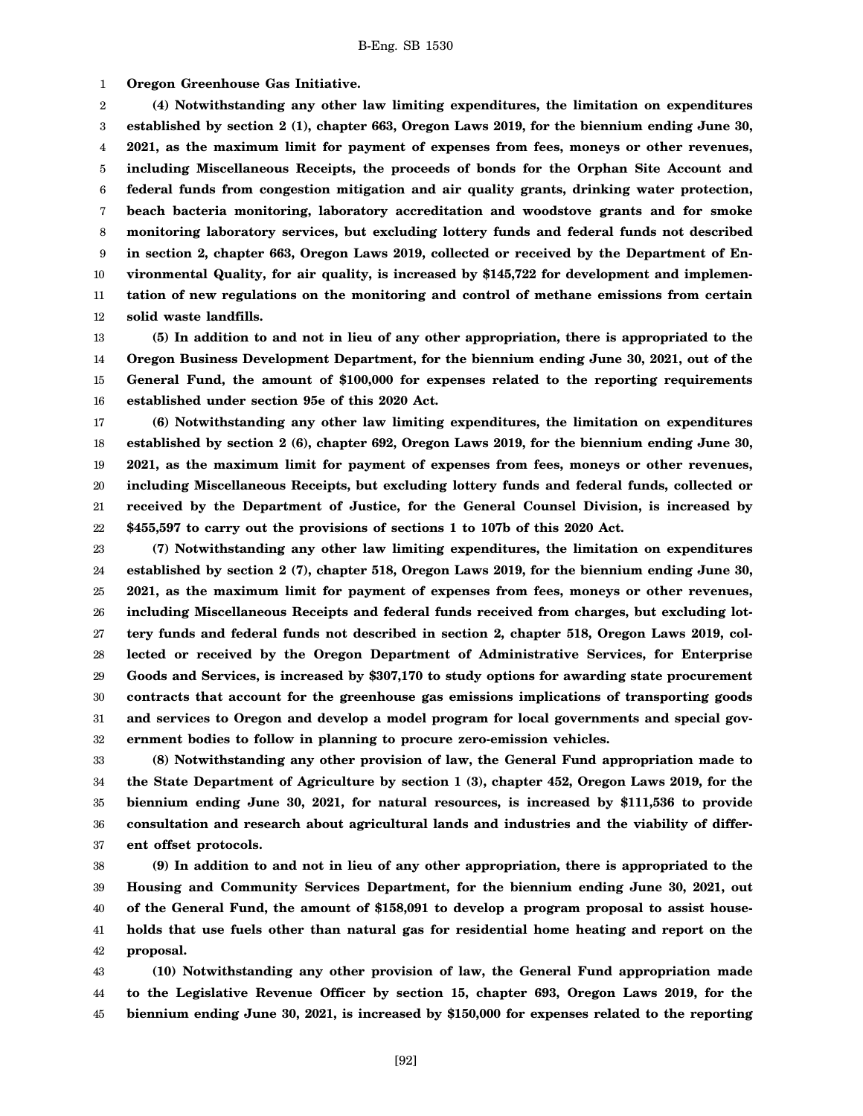1 **Oregon Greenhouse Gas Initiative.**

2 3 4 5 6 7 8 9 10 11 12 **(4) Notwithstanding any other law limiting expenditures, the limitation on expenditures established by section 2 (1), chapter 663, Oregon Laws 2019, for the biennium ending June 30, 2021, as the maximum limit for payment of expenses from fees, moneys or other revenues, including Miscellaneous Receipts, the proceeds of bonds for the Orphan Site Account and federal funds from congestion mitigation and air quality grants, drinking water protection, beach bacteria monitoring, laboratory accreditation and woodstove grants and for smoke monitoring laboratory services, but excluding lottery funds and federal funds not described in section 2, chapter 663, Oregon Laws 2019, collected or received by the Department of Environmental Quality, for air quality, is increased by \$145,722 for development and implementation of new regulations on the monitoring and control of methane emissions from certain solid waste landfills.**

13 14 15 16 **(5) In addition to and not in lieu of any other appropriation, there is appropriated to the Oregon Business Development Department, for the biennium ending June 30, 2021, out of the General Fund, the amount of \$100,000 for expenses related to the reporting requirements established under section 95e of this 2020 Act.**

17 18 19 20 21 22 **(6) Notwithstanding any other law limiting expenditures, the limitation on expenditures established by section 2 (6), chapter 692, Oregon Laws 2019, for the biennium ending June 30, 2021, as the maximum limit for payment of expenses from fees, moneys or other revenues, including Miscellaneous Receipts, but excluding lottery funds and federal funds, collected or received by the Department of Justice, for the General Counsel Division, is increased by \$455,597 to carry out the provisions of sections 1 to 107b of this 2020 Act.**

23 24 25 26 27 28 29 30 31 32 **(7) Notwithstanding any other law limiting expenditures, the limitation on expenditures established by section 2 (7), chapter 518, Oregon Laws 2019, for the biennium ending June 30, 2021, as the maximum limit for payment of expenses from fees, moneys or other revenues, including Miscellaneous Receipts and federal funds received from charges, but excluding lottery funds and federal funds not described in section 2, chapter 518, Oregon Laws 2019, collected or received by the Oregon Department of Administrative Services, for Enterprise Goods and Services, is increased by \$307,170 to study options for awarding state procurement contracts that account for the greenhouse gas emissions implications of transporting goods and services to Oregon and develop a model program for local governments and special government bodies to follow in planning to procure zero-emission vehicles.**

33 34 35 36 37 **(8) Notwithstanding any other provision of law, the General Fund appropriation made to the State Department of Agriculture by section 1 (3), chapter 452, Oregon Laws 2019, for the biennium ending June 30, 2021, for natural resources, is increased by \$111,536 to provide consultation and research about agricultural lands and industries and the viability of different offset protocols.**

38 39 40 41 42 **(9) In addition to and not in lieu of any other appropriation, there is appropriated to the Housing and Community Services Department, for the biennium ending June 30, 2021, out of the General Fund, the amount of \$158,091 to develop a program proposal to assist households that use fuels other than natural gas for residential home heating and report on the proposal.**

43 44 45 **(10) Notwithstanding any other provision of law, the General Fund appropriation made to the Legislative Revenue Officer by section 15, chapter 693, Oregon Laws 2019, for the biennium ending June 30, 2021, is increased by \$150,000 for expenses related to the reporting**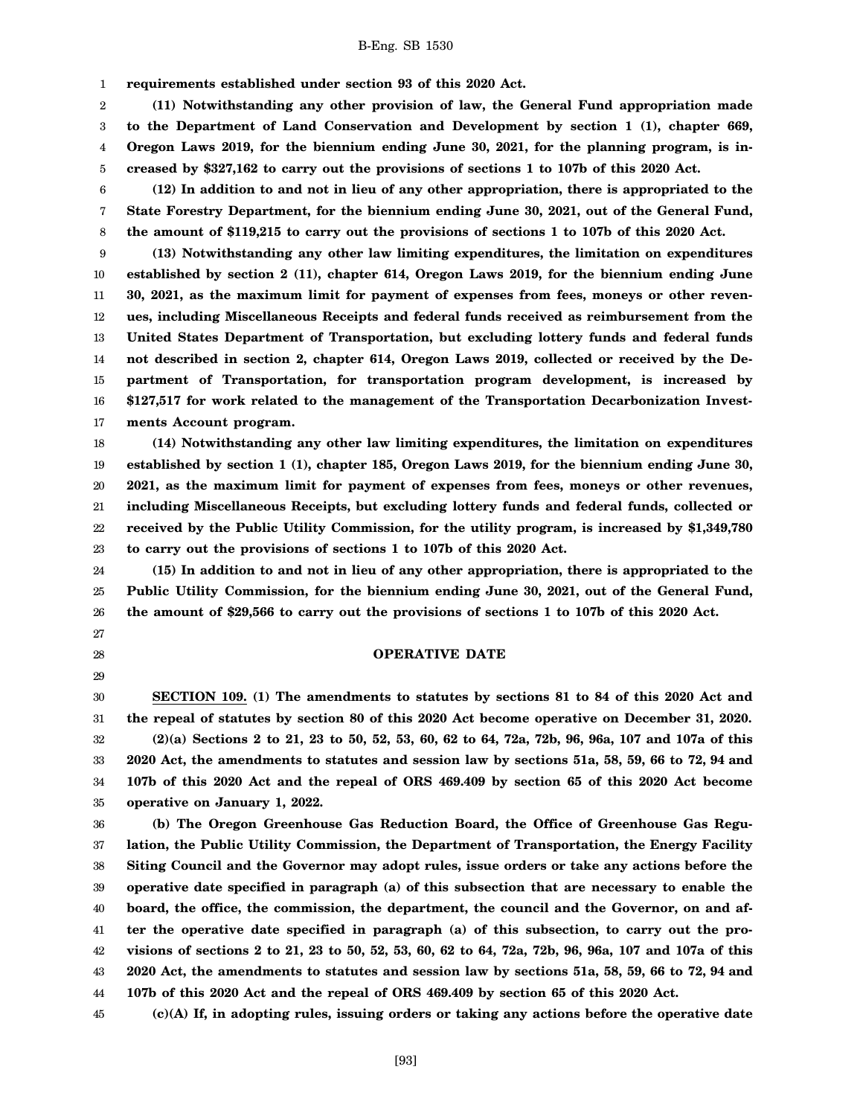1 **requirements established under section 93 of this 2020 Act.**

2 3 4 5 **(11) Notwithstanding any other provision of law, the General Fund appropriation made to the Department of Land Conservation and Development by section 1 (1), chapter 669, Oregon Laws 2019, for the biennium ending June 30, 2021, for the planning program, is increased by \$327,162 to carry out the provisions of sections 1 to 107b of this 2020 Act.**

6 7 8 **(12) In addition to and not in lieu of any other appropriation, there is appropriated to the State Forestry Department, for the biennium ending June 30, 2021, out of the General Fund, the amount of \$119,215 to carry out the provisions of sections 1 to 107b of this 2020 Act.**

9 10 11 12 13 14 15 16 17 **(13) Notwithstanding any other law limiting expenditures, the limitation on expenditures established by section 2 (11), chapter 614, Oregon Laws 2019, for the biennium ending June 30, 2021, as the maximum limit for payment of expenses from fees, moneys or other revenues, including Miscellaneous Receipts and federal funds received as reimbursement from the United States Department of Transportation, but excluding lottery funds and federal funds not described in section 2, chapter 614, Oregon Laws 2019, collected or received by the Department of Transportation, for transportation program development, is increased by \$127,517 for work related to the management of the Transportation Decarbonization Investments Account program.**

18 19 20 21 22 23 **(14) Notwithstanding any other law limiting expenditures, the limitation on expenditures established by section 1 (1), chapter 185, Oregon Laws 2019, for the biennium ending June 30, 2021, as the maximum limit for payment of expenses from fees, moneys or other revenues, including Miscellaneous Receipts, but excluding lottery funds and federal funds, collected or received by the Public Utility Commission, for the utility program, is increased by \$1,349,780 to carry out the provisions of sections 1 to 107b of this 2020 Act.**

24 25 26 **(15) In addition to and not in lieu of any other appropriation, there is appropriated to the Public Utility Commission, for the biennium ending June 30, 2021, out of the General Fund, the amount of \$29,566 to carry out the provisions of sections 1 to 107b of this 2020 Act.**

- 27
- 28
- 29

**OPERATIVE DATE**

30 31 32 33 34 35 **SECTION 109. (1) The amendments to statutes by sections 81 to 84 of this 2020 Act and the repeal of statutes by section 80 of this 2020 Act become operative on December 31, 2020. (2)(a) Sections 2 to 21, 23 to 50, 52, 53, 60, 62 to 64, 72a, 72b, 96, 96a, 107 and 107a of this 2020 Act, the amendments to statutes and session law by sections 51a, 58, 59, 66 to 72, 94 and 107b of this 2020 Act and the repeal of ORS 469.409 by section 65 of this 2020 Act become operative on January 1, 2022.**

36 37 38 39 40 41 42 43 44 **(b) The Oregon Greenhouse Gas Reduction Board, the Office of Greenhouse Gas Regulation, the Public Utility Commission, the Department of Transportation, the Energy Facility Siting Council and the Governor may adopt rules, issue orders or take any actions before the operative date specified in paragraph (a) of this subsection that are necessary to enable the board, the office, the commission, the department, the council and the Governor, on and after the operative date specified in paragraph (a) of this subsection, to carry out the provisions of sections 2 to 21, 23 to 50, 52, 53, 60, 62 to 64, 72a, 72b, 96, 96a, 107 and 107a of this 2020 Act, the amendments to statutes and session law by sections 51a, 58, 59, 66 to 72, 94 and 107b of this 2020 Act and the repeal of ORS 469.409 by section 65 of this 2020 Act.**

45 **(c)(A) If, in adopting rules, issuing orders or taking any actions before the operative date**